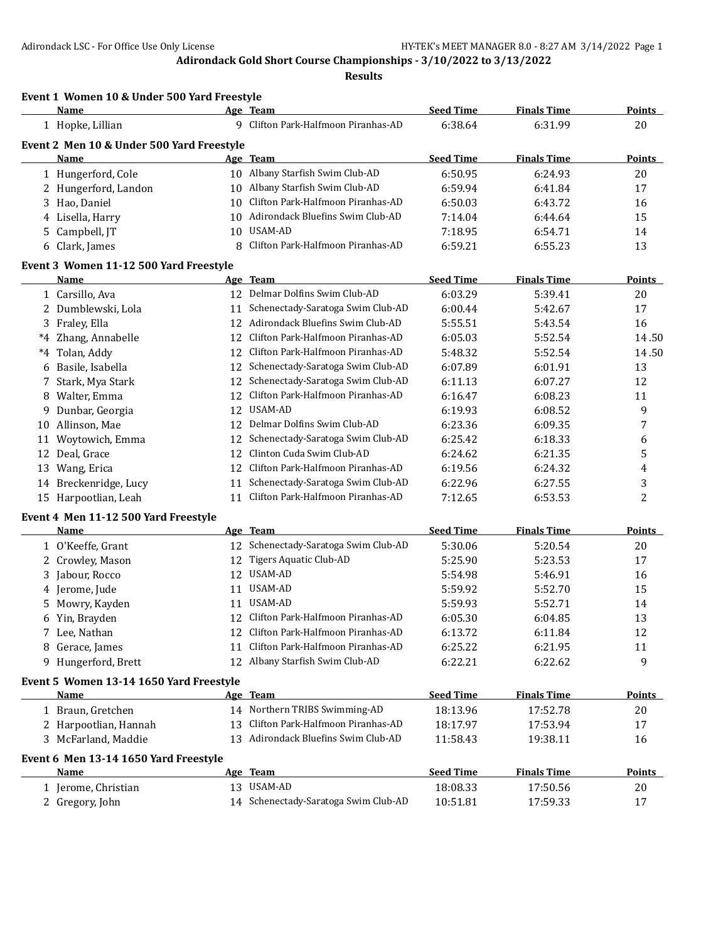|    | Event 1 Women 10 & Under 500 Yard Freestyle<br>Name |    | Age Team                             | <b>Seed Time</b> | <b>Finals Time</b> | Points         |
|----|-----------------------------------------------------|----|--------------------------------------|------------------|--------------------|----------------|
|    | 1 Hopke, Lillian                                    |    | 9 Clifton Park-Halfmoon Piranhas-AD  | 6:38.64          | 6:31.99            | 20             |
|    | Event 2 Men 10 & Under 500 Yard Freestyle           |    |                                      |                  |                    |                |
|    | <b>Name</b>                                         |    | Age Team                             | <b>Seed Time</b> | <b>Finals Time</b> | Points         |
|    | 1 Hungerford, Cole                                  |    | 10 Albany Starfish Swim Club-AD      | 6:50.95          | 6:24.93            | 20             |
|    | 2 Hungerford, Landon                                |    | 10 Albany Starfish Swim Club-AD      | 6:59.94          | 6:41.84            | 17             |
|    | 3 Hao, Daniel                                       | 10 | Clifton Park-Halfmoon Piranhas-AD    | 6:50.03          | 6:43.72            | 16             |
|    | 4 Lisella, Harry                                    | 10 | Adirondack Bluefins Swim Club-AD     | 7:14.04          | 6:44.64            | 15             |
|    | 5 Campbell, JT                                      | 10 | USAM-AD                              | 7:18.95          | 6:54.71            | 14             |
| 6  | Clark, James                                        | 8  | Clifton Park-Halfmoon Piranhas-AD    | 6:59.21          | 6:55.23            | 13             |
|    | Event 3 Women 11-12 500 Yard Freestyle              |    |                                      |                  |                    |                |
|    | Name                                                |    | Age Team                             | <b>Seed Time</b> | <b>Finals Time</b> | Points         |
|    | 1 Carsillo, Ava                                     |    | 12 Delmar Dolfins Swim Club-AD       | 6:03.29          | 5:39.41            | 20             |
|    | 2 Dumblewski, Lola                                  |    | 11 Schenectady-Saratoga Swim Club-AD | 6:00.44          | 5:42.67            | 17             |
|    | 3 Fraley, Ella                                      | 12 | Adirondack Bluefins Swim Club-AD     | 5:55.51          | 5:43.54            | 16             |
|    | *4 Zhang, Annabelle                                 | 12 | Clifton Park-Halfmoon Piranhas-AD    | 6:05.03          | 5:52.54            | 14.50          |
| *4 | Tolan, Addy                                         | 12 | Clifton Park-Halfmoon Piranhas-AD    | 5:48.32          | 5:52.54            | 14.50          |
| 6  | Basile, Isabella                                    | 12 | Schenectady-Saratoga Swim Club-AD    | 6:07.89          | 6:01.91            | 13             |
| 7  | Stark, Mya Stark                                    | 12 | Schenectady-Saratoga Swim Club-AD    | 6:11.13          | 6:07.27            | 12             |
|    | 8 Walter, Emma                                      | 12 | Clifton Park-Halfmoon Piranhas-AD    | 6:16.47          | 6:08.23            | 11             |
| 9  | Dunbar, Georgia                                     | 12 | <b>USAM-AD</b>                       | 6:19.93          | 6:08.52            | 9              |
|    | 10 Allinson, Mae                                    | 12 | Delmar Dolfins Swim Club-AD          | 6:23.36          | 6:09.35            | 7              |
| 11 | Woytowich, Emma                                     | 12 | Schenectady-Saratoga Swim Club-AD    | 6:25.42          | 6:18.33            | 6              |
| 12 | Deal, Grace                                         | 12 | Clinton Cuda Swim Club-AD            | 6:24.62          | 6:21.35            | 5              |
| 13 | Wang, Erica                                         | 12 | Clifton Park-Halfmoon Piranhas-AD    | 6:19.56          | 6:24.32            | 4              |
| 14 | Breckenridge, Lucy                                  | 11 | Schenectady-Saratoga Swim Club-AD    | 6:22.96          | 6:27.55            | 3              |
|    | 15 Harpootlian, Leah                                | 11 | Clifton Park-Halfmoon Piranhas-AD    | 7:12.65          | 6:53.53            | $\overline{2}$ |
|    | Event 4 Men 11-12 500 Yard Freestyle                |    |                                      |                  |                    |                |
|    | Name                                                |    | Age Team                             | <b>Seed Time</b> | <b>Finals Time</b> | Points         |
|    | 1 O'Keeffe, Grant                                   |    | 12 Schenectady-Saratoga Swim Club-AD | 5:30.06          | 5:20.54            | 20             |
|    | 2 Crowley, Mason                                    | 12 | Tigers Aquatic Club-AD               | 5:25.90          | 5:23.53            | 17             |
| 3  | Jabour, Rocco                                       | 12 | USAM-AD                              | 5:54.98          | 5:46.91            | 16             |
| 4  | Jerome, Jude                                        | 11 | USAM-AD                              | 5:59.92          | 5:52.70            | 15             |
| 5  | Mowry, Kayden                                       | 11 | USAM-AD                              | 5:59.93          | 5:52.71            | 14             |
|    | 6 Yin, Brayden                                      | 12 | Clifton Park-Halfmoon Piranhas-AD    | 6:05.30          | 6:04.85            | 13             |
|    | 7 Lee, Nathan                                       |    | 12 Clifton Park-Halfmoon Piranhas-AD | 6:13.72          | 6:11.84            | 12             |
|    | 8 Gerace, James                                     | 11 | Clifton Park-Halfmoon Piranhas-AD    | 6:25.22          | 6:21.95            | 11             |
|    | 9 Hungerford, Brett                                 | 12 | Albany Starfish Swim Club-AD         | 6:22.21          | 6:22.62            | 9              |
|    | Event 5 Women 13-14 1650 Yard Freestyle             |    |                                      |                  |                    |                |
|    | Name                                                |    | Age Team                             | <b>Seed Time</b> | <b>Finals Time</b> | <b>Points</b>  |
|    | 1 Braun, Gretchen                                   |    | 14 Northern TRIBS Swimming-AD        | 18:13.96         | 17:52.78           | 20             |
|    | 2 Harpootlian, Hannah                               | 13 | Clifton Park-Halfmoon Piranhas-AD    | 18:17.97         | 17:53.94           | 17             |
|    | 3 McFarland, Maddie                                 |    | 13 Adirondack Bluefins Swim Club-AD  | 11:58.43         | 19:38.11           | 16             |
|    | Event 6 Men 13-14 1650 Yard Freestyle               |    |                                      |                  |                    |                |
|    | <b>Name</b>                                         |    | Age Team                             | <b>Seed Time</b> | <b>Finals Time</b> | <b>Points</b>  |
|    | 1 Jerome, Christian                                 |    | 13 USAM-AD                           | 18:08.33         | 17:50.56           | 20             |
|    | 2 Gregory, John                                     |    | 14 Schenectady-Saratoga Swim Club-AD | 10:51.81         | 17:59.33           | 17             |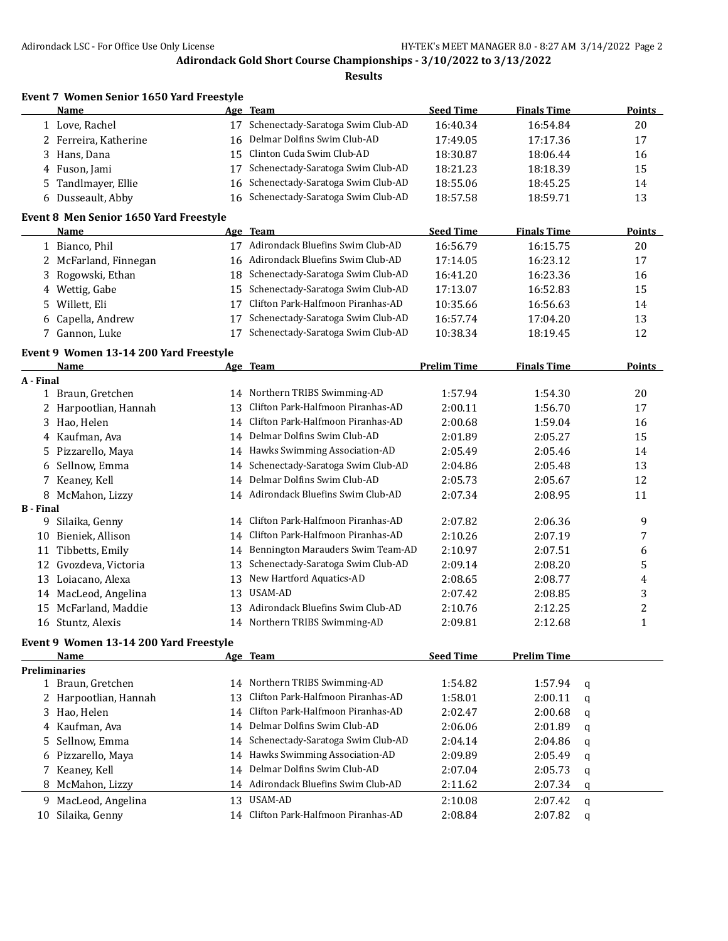|                  | <b>Name</b>                                |    | Age Team                             | <b>Seed Time</b>   | <b>Finals Time</b> |   | <b>Points</b>  |
|------------------|--------------------------------------------|----|--------------------------------------|--------------------|--------------------|---|----------------|
|                  | 1 Love, Rachel                             | 17 | Schenectady-Saratoga Swim Club-AD    | 16:40.34           | 16:54.84           |   | 20             |
|                  | 2 Ferreira, Katherine                      | 16 | Delmar Dolfins Swim Club-AD          | 17:49.05           | 17:17.36           |   | 17             |
| 3                | Hans, Dana                                 | 15 | Clinton Cuda Swim Club-AD            | 18:30.87           | 18:06.44           |   | 16             |
| 4                | Fuson, Jami                                | 17 | Schenectady-Saratoga Swim Club-AD    | 18:21.23           | 18:18.39           |   | 15             |
| 5                | Tandlmayer, Ellie                          | 16 | Schenectady-Saratoga Swim Club-AD    | 18:55.06           | 18:45.25           |   | 14             |
|                  | 6 Dusseault, Abby                          | 16 | Schenectady-Saratoga Swim Club-AD    | 18:57.58           | 18:59.71           |   | 13             |
|                  | Event 8 Men Senior 1650 Yard Freestyle     |    |                                      |                    |                    |   |                |
|                  | Name                                       |    | Age Team                             | <b>Seed Time</b>   | <b>Finals Time</b> |   | <b>Points</b>  |
|                  | 1 Bianco, Phil                             |    | 17 Adirondack Bluefins Swim Club-AD  | 16:56.79           | 16:15.75           |   | 20             |
|                  | 2 McFarland, Finnegan                      | 16 | Adirondack Bluefins Swim Club-AD     | 17:14.05           | 16:23.12           |   | 17             |
| 3                | Rogowski, Ethan                            | 18 | Schenectady-Saratoga Swim Club-AD    | 16:41.20           | 16:23.36           |   | 16             |
| 4                | Wettig, Gabe                               | 15 | Schenectady-Saratoga Swim Club-AD    | 17:13.07           | 16:52.83           |   | 15             |
| 5                | Willett, Eli                               | 17 | Clifton Park-Halfmoon Piranhas-AD    | 10:35.66           | 16:56.63           |   | 14             |
| 6                | Capella, Andrew                            | 17 | Schenectady-Saratoga Swim Club-AD    | 16:57.74           | 17:04.20           |   | 13             |
| 7                | Gannon, Luke                               | 17 | Schenectady-Saratoga Swim Club-AD    | 10:38.34           | 18:19.45           |   | 12             |
|                  | Event 9 Women 13-14 200 Yard Freestyle     |    |                                      |                    |                    |   |                |
|                  | Name                                       |    | Age Team                             | <b>Prelim Time</b> | <b>Finals Time</b> |   | <b>Points</b>  |
| A - Final        |                                            |    |                                      |                    |                    |   |                |
|                  | 1 Braun, Gretchen                          | 14 | Northern TRIBS Swimming-AD           | 1:57.94            | 1:54.30            |   | 20             |
| 2                | Harpootlian, Hannah                        | 13 | Clifton Park-Halfmoon Piranhas-AD    | 2:00.11            | 1:56.70            |   | 17             |
| 3                | Hao, Helen                                 | 14 | Clifton Park-Halfmoon Piranhas-AD    | 2:00.68            | 1:59.04            |   | 16             |
|                  | 4 Kaufman, Ava                             | 14 | Delmar Dolfins Swim Club-AD          | 2:01.89            | 2:05.27            |   | 15             |
| 5                | Pizzarello, Maya                           |    | 14 Hawks Swimming Association-AD     | 2:05.49            | 2:05.46            |   | 14             |
| 6                | Sellnow, Emma                              | 14 | Schenectady-Saratoga Swim Club-AD    | 2:04.86            | 2:05.48            |   | 13             |
| 7                | Keaney, Kell                               | 14 | Delmar Dolfins Swim Club-AD          | 2:05.73            | 2:05.67            |   | 12             |
| 8                | McMahon, Lizzy                             |    | 14 Adirondack Bluefins Swim Club-AD  | 2:07.34            | 2:08.95            |   | 11             |
| <b>B</b> - Final |                                            |    |                                      |                    |                    |   |                |
| 9                | Silaika, Genny                             | 14 | Clifton Park-Halfmoon Piranhas-AD    | 2:07.82            | 2:06.36            |   | 9              |
| 10               | Bieniek, Allison                           | 14 | Clifton Park-Halfmoon Piranhas-AD    | 2:10.26            | 2:07.19            |   | 7              |
|                  | 11 Tibbetts, Emily                         | 14 | Bennington Marauders Swim Team-AD    | 2:10.97            | 2:07.51            |   | 6              |
| 12               | Gvozdeva, Victoria                         | 13 | Schenectady-Saratoga Swim Club-AD    | 2:09.14            | 2:08.20            |   | 5              |
| 13               | Loiacano, Alexa                            | 13 | New Hartford Aquatics-AD             | 2:08.65            | 2:08.77            |   | 4              |
|                  | 14 MacLeod, Angelina                       | 13 | USAM-AD                              | 2:07.42            | 2:08.85            |   | 3              |
|                  | 15 McFarland, Maddie                       | 13 | Adirondack Bluefins Swim Club-AD     | 2:10.76            | 2:12.25            |   | $\overline{c}$ |
|                  | 16 Stuntz, Alexis                          |    | 14 Northern TRIBS Swimming-AD        | 2:09.81            | 2:12.68            |   | 1              |
|                  | Event 9 Women 13-14 200 Yard Freestyle     |    |                                      |                    |                    |   |                |
|                  | <b>Name</b>                                |    | Age Team                             | <b>Seed Time</b>   | <b>Prelim Time</b> |   |                |
|                  | <b>Preliminaries</b>                       |    | 14 Northern TRIBS Swimming-AD        |                    |                    |   |                |
|                  | 1 Braun, Gretchen<br>2 Harpootlian, Hannah | 13 | Clifton Park-Halfmoon Piranhas-AD    | 1:54.82            | 1:57.94            | q |                |
|                  |                                            |    | 14 Clifton Park-Halfmoon Piranhas-AD | 1:58.01            | 2:00.11            | q |                |
| 3                | Hao, Helen                                 |    | Delmar Dolfins Swim Club-AD          | 2:02.47            | 2:00.68            | q |                |
| 4                | Kaufman, Ava                               | 14 |                                      | 2:06.06            | 2:01.89            | q |                |
| 5                | Sellnow, Emma                              | 14 | Schenectady-Saratoga Swim Club-AD    | 2:04.14            | 2:04.86            | q |                |
| 6                | Pizzarello, Maya                           | 14 | Hawks Swimming Association-AD        | 2:09.89            | 2:05.49            | q |                |
| 7                | Keaney, Kell                               | 14 | Delmar Dolfins Swim Club-AD          | 2:07.04            | 2:05.73            | q |                |
| 8                | McMahon, Lizzy                             | 14 | Adirondack Bluefins Swim Club-AD     | 2:11.62            | 2:07.34            | q |                |
|                  | 9 MacLeod, Angelina                        |    | 13 USAM-AD                           | 2:10.08            | 2:07.42            | q |                |
|                  | 10 Silaika, Genny                          |    | 14 Clifton Park-Halfmoon Piranhas-AD | 2:08.84            | 2:07.82            | q |                |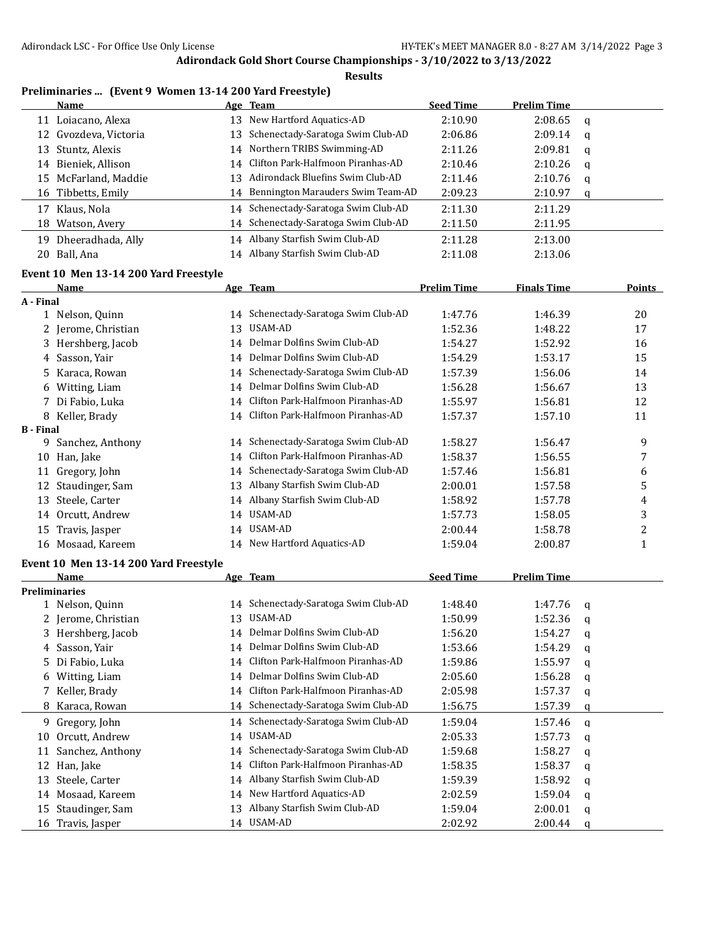**Results**

#### **Preliminaries ... (Event 9 Women 13-14 200 Yard Freestyle)**

| <b>Name</b>             |    | Age Team                             | <b>Seed Time</b> | <b>Prelim Time</b> |          |
|-------------------------|----|--------------------------------------|------------------|--------------------|----------|
| Loiacano, Alexa<br>11   | 13 | New Hartford Aquatics-AD             | 2:10.90          | 2:08.65            | a        |
| 12 Gvozdeva, Victoria   |    | 13 Schenectady-Saratoga Swim Club-AD | 2:06.86          | 2:09.14            | q        |
| 13 Stuntz, Alexis       |    | 14 Northern TRIBS Swimming-AD        | 2:11.26          | 2:09.81            | q        |
| Bieniek, Allison<br>14  |    | 14 Clifton Park-Halfmoon Piranhas-AD | 2:10.46          | 2:10.26            | <b>a</b> |
| 15 McFarland, Maddie    |    | 13 Adirondack Bluefins Swim Club-AD  | 2:11.46          | 2:10.76            | q        |
| 16 Tibbetts, Emily      |    | 14 Bennington Marauders Swim Team-AD | 2:09.23          | 2:10.97            | q        |
| Klaus, Nola<br>17       |    | 14 Schenectady-Saratoga Swim Club-AD | 2:11.30          | 2:11.29            |          |
| Watson, Avery<br>18     |    | 14 Schenectady-Saratoga Swim Club-AD | 2:11.50          | 2:11.95            |          |
| Dheeradhada, Ally<br>19 |    | 14 Albany Starfish Swim Club-AD      | 2:11.28          | 2:13.00            |          |
| 20 Ball, Ana            |    | 14 Albany Starfish Swim Club-AD      | 2:11.08          | 2:13.06            |          |

# **Event 10 Men 13-14 200 Yard Freestyle**

|                  | Name                                  |    | Age Team                             | <b>Prelim Time</b> | <b>Finals Time</b> |   | <b>Points</b>  |
|------------------|---------------------------------------|----|--------------------------------------|--------------------|--------------------|---|----------------|
| A - Final        |                                       |    |                                      |                    |                    |   |                |
|                  | 1 Nelson, Quinn                       |    | 14 Schenectady-Saratoga Swim Club-AD | 1:47.76            | 1:46.39            |   | 20             |
|                  | 2 Jerome, Christian                   |    | 13 USAM-AD                           | 1:52.36            | 1:48.22            |   | 17             |
|                  | 3 Hershberg, Jacob                    |    | 14 Delmar Dolfins Swim Club-AD       | 1:54.27            | 1:52.92            |   | 16             |
|                  | 4 Sasson, Yair                        |    | 14 Delmar Dolfins Swim Club-AD       | 1:54.29            | 1:53.17            |   | 15             |
|                  | 5 Karaca, Rowan                       |    | 14 Schenectady-Saratoga Swim Club-AD | 1:57.39            | 1:56.06            |   | 14             |
|                  | 6 Witting, Liam                       |    | 14 Delmar Dolfins Swim Club-AD       | 1:56.28            | 1:56.67            |   | 13             |
|                  | 7 Di Fabio, Luka                      |    | 14 Clifton Park-Halfmoon Piranhas-AD | 1:55.97            | 1:56.81            |   | 12             |
|                  | 8 Keller, Brady                       |    | 14 Clifton Park-Halfmoon Piranhas-AD | 1:57.37            | 1:57.10            |   | 11             |
| <b>B</b> - Final |                                       |    |                                      |                    |                    |   |                |
|                  | 9 Sanchez, Anthony                    |    | 14 Schenectady-Saratoga Swim Club-AD | 1:58.27            | 1:56.47            |   | 9              |
|                  | 10 Han, Jake                          |    | 14 Clifton Park-Halfmoon Piranhas-AD | 1:58.37            | 1:56.55            |   | 7              |
|                  | 11 Gregory, John                      |    | 14 Schenectady-Saratoga Swim Club-AD | 1:57.46            | 1:56.81            |   | 6              |
|                  | 12 Staudinger, Sam                    | 13 | Albany Starfish Swim Club-AD         | 2:00.01            | 1:57.58            |   | 5              |
|                  | 13 Steele, Carter                     |    | 14 Albany Starfish Swim Club-AD      | 1:58.92            | 1:57.78            |   | 4              |
|                  | 14 Orcutt, Andrew                     |    | 14 USAM-AD                           | 1:57.73            | 1:58.05            |   | 3              |
|                  | 15 Travis, Jasper                     |    | 14 USAM-AD                           | 2:00.44            | 1:58.78            |   | $\overline{c}$ |
|                  | 16 Mosaad, Kareem                     |    | 14 New Hartford Aquatics-AD          | 1:59.04            | 2:00.87            |   | $\mathbf{1}$   |
|                  | Event 10 Men 13-14 200 Yard Freestyle |    |                                      |                    |                    |   |                |
|                  | Name                                  |    | Age Team                             | <b>Seed Time</b>   | <b>Prelim Time</b> |   |                |
|                  | <b>Preliminaries</b>                  |    |                                      |                    |                    |   |                |
|                  | 1 Nelson, Quinn                       |    | 14 Schenectady-Saratoga Swim Club-AD | 1:48.40            | 1:47.76            | q |                |
|                  | 2 Jerome, Christian                   |    | 13 USAM-AD                           | 1:50.99            | 1:52.36            | q |                |
|                  | 3 Hershberg, Jacob                    |    | 14 Delmar Dolfins Swim Club-AD       | 1:56.20            | 1:54.27            | q |                |
|                  | 4 Sasson, Yair                        |    | 14 Delmar Dolfins Swim Club-AD       | 1:53.66            | 1:54.29            | q |                |
|                  | 5 Di Fabio, Luka                      |    | 14 Clifton Park-Halfmoon Piranhas-AD | 1:59.86            | 1:55.97            | q |                |
|                  | 6 Witting, Liam                       |    | 14 Delmar Dolfins Swim Club-AD       | 2:05.60            | 1:56.28            | q |                |
|                  | 7 Keller, Brady                       |    | 14 Clifton Park-Halfmoon Piranhas-AD | 2:05.98            | 1:57.37            | q |                |
|                  | 8 Karaca, Rowan                       |    | 14 Schenectady-Saratoga Swim Club-AD | 1:56.75            | 1:57.39            | q |                |
|                  | 9 Gregory, John                       |    | 14 Schenectady-Saratoga Swim Club-AD | 1:59.04            | 1:57.46            | q |                |
| 10               | Orcutt, Andrew                        |    | 14 USAM-AD                           | 2:05.33            | 1:57.73            | q |                |
|                  | 11 Sanchez, Anthony                   |    | 14 Schenectady-Saratoga Swim Club-AD | 1:59.68            | 1:58.27            | q |                |
|                  | 12 Han, Jake                          | 14 | Clifton Park-Halfmoon Piranhas-AD    | 1:58.35            | 1:58.37            | q |                |
|                  | 13 Steele, Carter                     |    | 14 Albany Starfish Swim Club-AD      | 1:59.39            | 1:58.92            | q |                |
|                  | 14 Mosaad, Kareem                     |    | 14 New Hartford Aquatics-AD          | 2:02.59            | 1:59.04            | q |                |
|                  | 15 Staudinger, Sam                    |    | 13 Albany Starfish Swim Club-AD      | 1:59.04            | 2:00.01            | q |                |
|                  | 16 Travis, Jasper                     |    | 14 USAM-AD                           | 2:02.92            | 2:00.44            | a |                |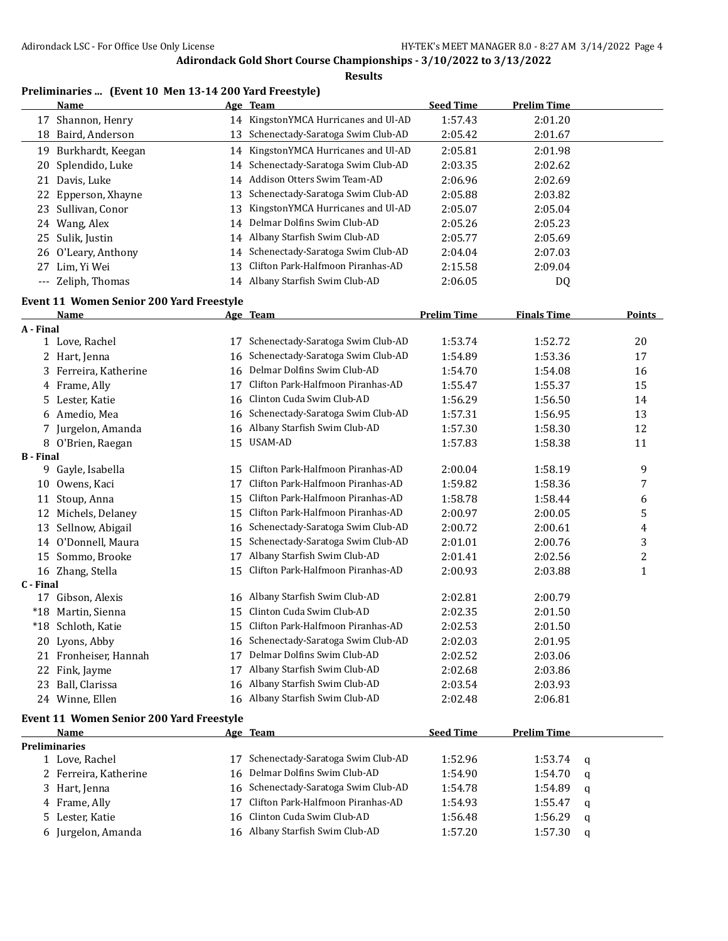| Preliminaries  (Event 10 Men 13-14 200 Yard Freestyle) |  |  |  |
|--------------------------------------------------------|--|--|--|
|--------------------------------------------------------|--|--|--|

|                  | <b>Name</b>                                     |    | Age Team                             | <b>Seed Time</b>   | <b>Prelim Time</b> |   |               |
|------------------|-------------------------------------------------|----|--------------------------------------|--------------------|--------------------|---|---------------|
|                  | 17 Shannon, Henry                               |    | 14 KingstonYMCA Hurricanes and Ul-AD | 1:57.43            | 2:01.20            |   |               |
| 18               | Baird, Anderson                                 | 13 | Schenectady-Saratoga Swim Club-AD    | 2:05.42            | 2:01.67            |   |               |
|                  | 19 Burkhardt, Keegan                            | 14 | KingstonYMCA Hurricanes and Ul-AD    | 2:05.81            | 2:01.98            |   |               |
| 20               | Splendido, Luke                                 |    | 14 Schenectady-Saratoga Swim Club-AD | 2:03.35            | 2:02.62            |   |               |
|                  | 21 Davis, Luke                                  |    | 14 Addison Otters Swim Team-AD       | 2:06.96            | 2:02.69            |   |               |
| 22               | Epperson, Xhayne                                | 13 | Schenectady-Saratoga Swim Club-AD    | 2:05.88            | 2:03.82            |   |               |
|                  | 23 Sullivan, Conor                              | 13 | KingstonYMCA Hurricanes and Ul-AD    | 2:05.07            | 2:05.04            |   |               |
|                  | 24 Wang, Alex                                   | 14 | Delmar Dolfins Swim Club-AD          | 2:05.26            | 2:05.23            |   |               |
| 25               | Sulik, Justin                                   |    | 14 Albany Starfish Swim Club-AD      | 2:05.77            | 2:05.69            |   |               |
| 26               | O'Leary, Anthony                                |    | 14 Schenectady-Saratoga Swim Club-AD | 2:04.04            | 2:07.03            |   |               |
| 27               | Lim, Yi Wei                                     | 13 | Clifton Park-Halfmoon Piranhas-AD    | 2:15.58            | 2:09.04            |   |               |
|                  | --- Zeliph, Thomas                              |    | 14 Albany Starfish Swim Club-AD      | 2:06.05            | DQ                 |   |               |
|                  |                                                 |    |                                      |                    |                    |   |               |
|                  | Event 11 Women Senior 200 Yard Freestyle        |    |                                      |                    |                    |   |               |
| A - Final        | Name                                            |    | Age Team                             | <b>Prelim Time</b> | <b>Finals Time</b> |   | <b>Points</b> |
|                  | 1 Love, Rachel                                  | 17 | Schenectady-Saratoga Swim Club-AD    | 1:53.74            | 1:52.72            |   | 20            |
|                  | 2 Hart, Jenna                                   | 16 | Schenectady-Saratoga Swim Club-AD    | 1:54.89            | 1:53.36            |   | 17            |
|                  | 3 Ferreira, Katherine                           | 16 | Delmar Dolfins Swim Club-AD          | 1:54.70            | 1:54.08            |   | 16            |
|                  | 4 Frame, Ally                                   | 17 | Clifton Park-Halfmoon Piranhas-AD    | 1:55.47            | 1:55.37            |   | 15            |
|                  | Lester, Katie                                   |    | Clinton Cuda Swim Club-AD            |                    | 1:56.50            |   |               |
| 5.               |                                                 | 16 | Schenectady-Saratoga Swim Club-AD    | 1:56.29            |                    |   | 14            |
|                  | 6 Amedio, Mea                                   | 16 | Albany Starfish Swim Club-AD         | 1:57.31<br>1:57.30 | 1:56.95<br>1:58.30 |   | 13            |
|                  | 7 Jurgelon, Amanda                              | 16 |                                      |                    |                    |   | 12            |
| <b>B</b> - Final | 8 O'Brien, Raegan                               | 15 | USAM-AD                              | 1:57.83            | 1:58.38            |   | 11            |
|                  | 9 Gayle, Isabella                               | 15 | Clifton Park-Halfmoon Piranhas-AD    | 2:00.04            | 1:58.19            |   | 9             |
|                  | 10 Owens, Kaci                                  | 17 | Clifton Park-Halfmoon Piranhas-AD    | 1:59.82            | 1:58.36            |   | 7             |
|                  | 11 Stoup, Anna                                  | 15 | Clifton Park-Halfmoon Piranhas-AD    | 1:58.78            | 1:58.44            |   | 6             |
|                  | 12 Michels, Delaney                             | 15 | Clifton Park-Halfmoon Piranhas-AD    | 2:00.97            | 2:00.05            |   | 5             |
|                  | 13 Sellnow, Abigail                             | 16 | Schenectady-Saratoga Swim Club-AD    | 2:00.72            | 2:00.61            |   | 4             |
|                  | 14 O'Donnell, Maura                             | 15 | Schenectady-Saratoga Swim Club-AD    | 2:01.01            | 2:00.76            |   | 3             |
|                  | 15 Sommo, Brooke                                | 17 | Albany Starfish Swim Club-AD         | 2:01.41            |                    |   | 2             |
|                  |                                                 | 15 | Clifton Park-Halfmoon Piranhas-AD    | 2:00.93            | 2:02.56            |   | $\mathbf{1}$  |
| C - Final        | 16 Zhang, Stella                                |    |                                      |                    | 2:03.88            |   |               |
|                  | 17 Gibson, Alexis                               | 16 | Albany Starfish Swim Club-AD         | 2:02.81            | 2:00.79            |   |               |
|                  | *18 Martin, Sienna                              | 15 | Clinton Cuda Swim Club-AD            | 2:02.35            | 2:01.50            |   |               |
| $*18$            | Schloth, Katie                                  |    | 15 Clifton Park-Halfmoon Piranhas-AD | 2:02.53            | 2:01.50            |   |               |
|                  | 20 Lyons, Abby                                  |    | 16 Schenectady-Saratoga Swim Club-AD | 2:02.03            | 2:01.95            |   |               |
|                  | 21 Fronheiser, Hannah                           | 17 | Delmar Dolfins Swim Club-AD          | 2:02.52            | 2:03.06            |   |               |
| 22               | Fink, Jayme                                     | 17 | Albany Starfish Swim Club-AD         | 2:02.68            | 2:03.86            |   |               |
|                  | 23 Ball, Clarissa                               | 16 | Albany Starfish Swim Club-AD         | 2:03.54            | 2:03.93            |   |               |
|                  | 24 Winne, Ellen                                 |    | 16 Albany Starfish Swim Club-AD      | 2:02.48            | 2:06.81            |   |               |
|                  |                                                 |    |                                      |                    |                    |   |               |
|                  | <b>Event 11 Women Senior 200 Yard Freestyle</b> |    |                                      |                    |                    |   |               |
|                  | Name                                            |    | Age Team                             | <b>Seed Time</b>   | <b>Prelim Time</b> |   |               |
|                  | <b>Preliminaries</b><br>1 Love, Rachel          | 17 | Schenectady-Saratoga Swim Club-AD    | 1:52.96            | 1:53.74            |   |               |
|                  | 2 Ferreira, Katherine                           | 16 | Delmar Dolfins Swim Club-AD          | 1:54.90            | 1:54.70            | q |               |
|                  |                                                 | 16 | Schenectady-Saratoga Swim Club-AD    |                    |                    | q |               |
|                  | 3 Hart, Jenna                                   | 17 | Clifton Park-Halfmoon Piranhas-AD    | 1:54.78            | 1:54.89            | q |               |
|                  | 4 Frame, Ally                                   | 16 | Clinton Cuda Swim Club-AD            | 1:54.93            | 1:55.47            | q |               |
|                  | 5 Lester, Katie                                 |    | 16 Albany Starfish Swim Club-AD      | 1:56.48            | 1:56.29            | q |               |
|                  | 6 Jurgelon, Amanda                              |    |                                      | 1:57.20            | 1:57.30            | q |               |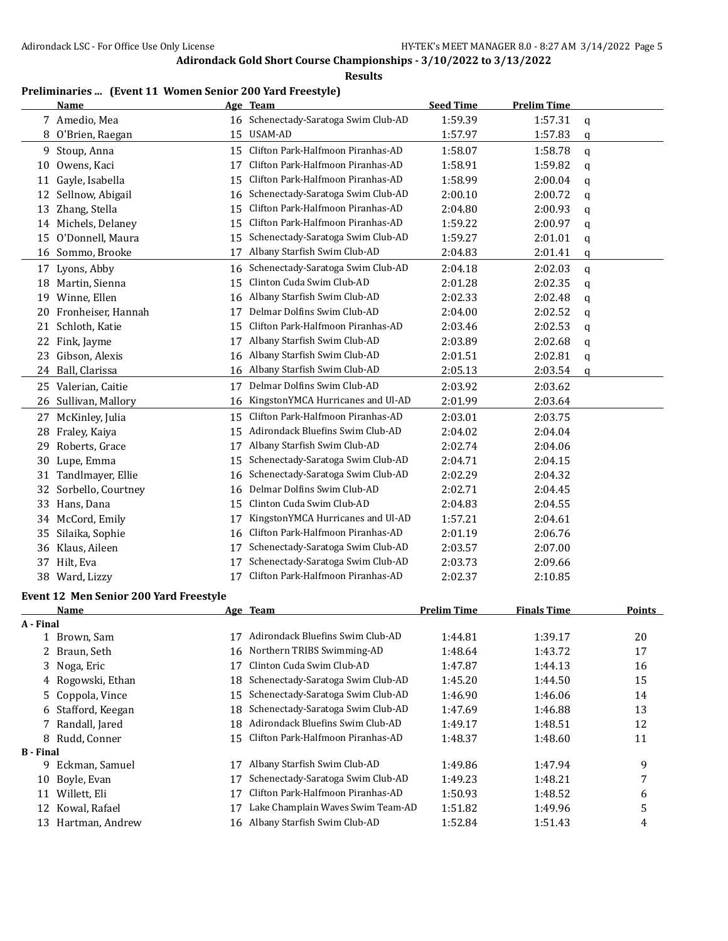**Results**

## **Preliminaries ... (Event 11 Women Senior 200 Yard Freestyle)**

|    | Name                 |    | Age Team                             | <b>Seed Time</b> | <b>Prelim Time</b> |   |
|----|----------------------|----|--------------------------------------|------------------|--------------------|---|
|    | 7 Amedio, Mea        |    | 16 Schenectady-Saratoga Swim Club-AD | 1:59.39          | 1:57.31            | q |
|    | 8 O'Brien, Raegan    | 15 | USAM-AD                              | 1:57.97          | 1:57.83            | q |
| 9  | Stoup, Anna          | 15 | Clifton Park-Halfmoon Piranhas-AD    | 1:58.07          | 1:58.78            | a |
| 10 | Owens, Kaci          | 17 | Clifton Park-Halfmoon Piranhas-AD    | 1:58.91          | 1:59.82            | q |
| 11 | Gayle, Isabella      | 15 | Clifton Park-Halfmoon Piranhas-AD    | 1:58.99          | 2:00.04            | q |
| 12 | Sellnow, Abigail     | 16 | Schenectady-Saratoga Swim Club-AD    | 2:00.10          | 2:00.72            | q |
| 13 | Zhang, Stella        | 15 | Clifton Park-Halfmoon Piranhas-AD    | 2:04.80          | 2:00.93            | q |
| 14 | Michels, Delaney     | 15 | Clifton Park-Halfmoon Piranhas-AD    | 1:59.22          | 2:00.97            | q |
| 15 | O'Donnell, Maura     | 15 | Schenectady-Saratoga Swim Club-AD    | 1:59.27          | 2:01.01            | q |
|    | 16 Sommo, Brooke     | 17 | Albany Starfish Swim Club-AD         | 2:04.83          | 2:01.41            | q |
| 17 | Lyons, Abby          | 16 | Schenectady-Saratoga Swim Club-AD    | 2:04.18          | 2:02.03            | q |
| 18 | Martin, Sienna       | 15 | Clinton Cuda Swim Club-AD            | 2:01.28          | 2:02.35            | q |
| 19 | Winne, Ellen         | 16 | Albany Starfish Swim Club-AD         | 2:02.33          | 2:02.48            | q |
| 20 | Fronheiser, Hannah   | 17 | Delmar Dolfins Swim Club-AD          | 2:04.00          | 2:02.52            | q |
| 21 | Schloth, Katie       | 15 | Clifton Park-Halfmoon Piranhas-AD    | 2:03.46          | 2:02.53            | q |
| 22 | Fink, Jayme          | 17 | Albany Starfish Swim Club-AD         | 2:03.89          | 2:02.68            | q |
| 23 | Gibson, Alexis       | 16 | Albany Starfish Swim Club-AD         | 2:01.51          | 2:02.81            | q |
| 24 | Ball, Clarissa       | 16 | Albany Starfish Swim Club-AD         | 2:05.13          | 2:03.54            | q |
|    | 25 Valerian, Caitie  | 17 | Delmar Dolfins Swim Club-AD          | 2:03.92          | 2:03.62            |   |
| 26 | Sullivan, Mallory    | 16 | KingstonYMCA Hurricanes and Ul-AD    | 2:01.99          | 2:03.64            |   |
| 27 | McKinley, Julia      | 15 | Clifton Park-Halfmoon Piranhas-AD    | 2:03.01          | 2:03.75            |   |
| 28 | Fraley, Kaiya        | 15 | Adirondack Bluefins Swim Club-AD     | 2:04.02          | 2:04.04            |   |
| 29 | Roberts, Grace       | 17 | Albany Starfish Swim Club-AD         | 2:02.74          | 2:04.06            |   |
| 30 | Lupe, Emma           | 15 | Schenectady-Saratoga Swim Club-AD    | 2:04.71          | 2:04.15            |   |
| 31 | Tandlmayer, Ellie    | 16 | Schenectady-Saratoga Swim Club-AD    | 2:02.29          | 2:04.32            |   |
| 32 | Sorbello, Courtney   | 16 | Delmar Dolfins Swim Club-AD          | 2:02.71          | 2:04.45            |   |
| 33 | Hans, Dana           | 15 | Clinton Cuda Swim Club-AD            | 2:04.83          | 2:04.55            |   |
| 34 | McCord, Emily        | 17 | KingstonYMCA Hurricanes and Ul-AD    | 1:57.21          | 2:04.61            |   |
| 35 | Silaika, Sophie      | 16 | Clifton Park-Halfmoon Piranhas-AD    | 2:01.19          | 2:06.76            |   |
| 36 | Klaus, Aileen        | 17 | Schenectady-Saratoga Swim Club-AD    | 2:03.57          | 2:07.00            |   |
| 37 | Hilt, Eva            | 17 | Schenectady-Saratoga Swim Club-AD    | 2:03.73          | 2:09.66            |   |
| 38 | Ward, Lizzy          | 17 | Clifton Park-Halfmoon Piranhas-AD    | 2:02.37          | 2:10.85            |   |
|    | $9.11 - 0.1 - 0.011$ |    |                                      |                  |                    |   |

#### **Event 12 Men Senior 200 Yard Freestyle**

|                  | Name               |    | Age Team                          | <b>Prelim Time</b> | <b>Finals Time</b> | <b>Points</b> |
|------------------|--------------------|----|-----------------------------------|--------------------|--------------------|---------------|
| A - Final        |                    |    |                                   |                    |                    |               |
|                  | Brown, Sam         | 17 | Adirondack Bluefins Swim Club-AD  | 1:44.81            | 1:39.17            | 20            |
|                  | 2 Braun, Seth      | 16 | Northern TRIBS Swimming-AD        | 1:48.64            | 1:43.72            | 17            |
|                  | 3 Noga, Eric       | 17 | Clinton Cuda Swim Club-AD         | 1:47.87            | 1:44.13            | 16            |
|                  | 4 Rogowski, Ethan  | 18 | Schenectady-Saratoga Swim Club-AD | 1:45.20            | 1:44.50            | 15            |
|                  | 5 Coppola, Vince   | 15 | Schenectady-Saratoga Swim Club-AD | 1:46.90            | 1:46.06            | 14            |
|                  | 6 Stafford, Keegan | 18 | Schenectady-Saratoga Swim Club-AD | 1:47.69            | 1:46.88            | 13            |
|                  | 7 Randall, Jared   | 18 | Adirondack Bluefins Swim Club-AD  | 1:49.17            | 1:48.51            | 12            |
|                  | 8 Rudd, Conner     | 15 | Clifton Park-Halfmoon Piranhas-AD | 1:48.37            | 1:48.60            | 11            |
| <b>B</b> - Final |                    |    |                                   |                    |                    |               |
| 9                | Eckman, Samuel     | 17 | Albany Starfish Swim Club-AD      | 1:49.86            | 1:47.94            | 9             |
| 10               | Boyle, Evan        | 17 | Schenectady-Saratoga Swim Club-AD | 1:49.23            | 1:48.21            | 7             |
| 11               | Willett, Eli       | 17 | Clifton Park-Halfmoon Piranhas-AD | 1:50.93            | 1:48.52            | 6             |
| 12               | Kowal, Rafael      | 17 | Lake Champlain Waves Swim Team-AD | 1:51.82            | 1:49.96            | 5             |
| 13               | Hartman, Andrew    | 16 | Albany Starfish Swim Club-AD      | 1:52.84            | 1:51.43            | 4             |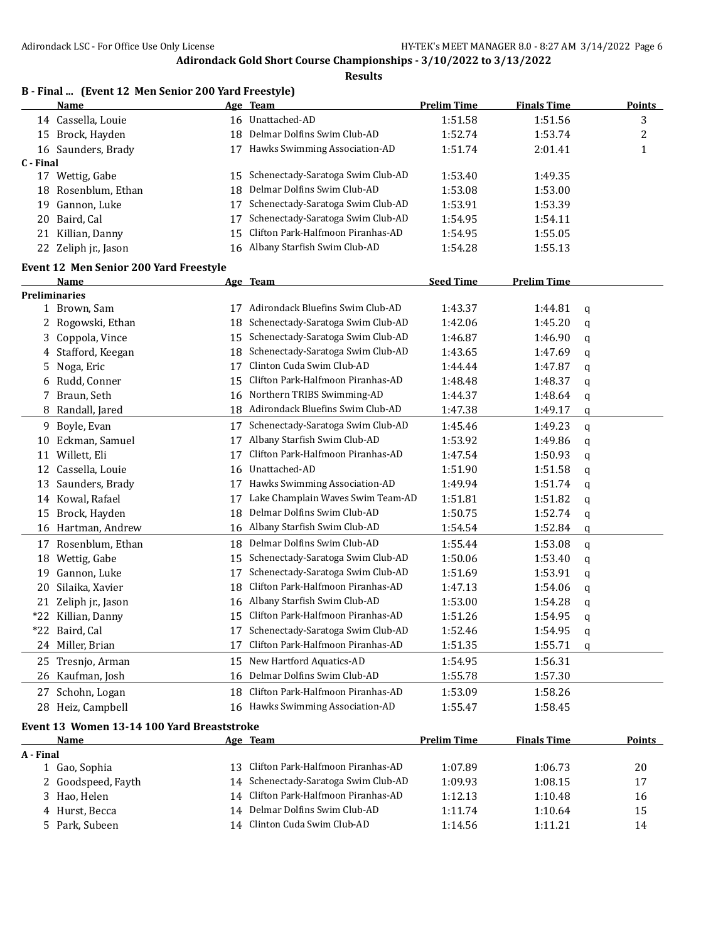|           | B - Final  (Event 12 Men Senior 200 Yard Freestyle) |    |                                      |                    |                    |             |               |
|-----------|-----------------------------------------------------|----|--------------------------------------|--------------------|--------------------|-------------|---------------|
|           | <b>Name</b>                                         |    | Age Team                             | <b>Prelim Time</b> | <b>Finals Time</b> |             | <b>Points</b> |
|           | 14 Cassella, Louie                                  |    | 16 Unattached-AD                     | 1:51.58            | 1:51.56            |             | 3             |
|           | 15 Brock, Hayden                                    | 18 | Delmar Dolfins Swim Club-AD          | 1:52.74            | 1:53.74            |             | 2             |
|           | 16 Saunders, Brady                                  |    | 17 Hawks Swimming Association-AD     | 1:51.74            | 2:01.41            |             | $\mathbf{1}$  |
| C - Final |                                                     |    |                                      |                    |                    |             |               |
|           | 17 Wettig, Gabe                                     | 15 | Schenectady-Saratoga Swim Club-AD    | 1:53.40            | 1:49.35            |             |               |
|           | 18 Rosenblum, Ethan                                 | 18 | Delmar Dolfins Swim Club-AD          | 1:53.08            | 1:53.00            |             |               |
| 19        | Gannon, Luke                                        | 17 | Schenectady-Saratoga Swim Club-AD    | 1:53.91            | 1:53.39            |             |               |
| 20        | Baird, Cal                                          | 17 | Schenectady-Saratoga Swim Club-AD    | 1:54.95            | 1:54.11            |             |               |
| 21        | Killian, Danny                                      | 15 | Clifton Park-Halfmoon Piranhas-AD    | 1:54.95            | 1:55.05            |             |               |
|           | 22 Zeliph jr., Jason                                | 16 | Albany Starfish Swim Club-AD         | 1:54.28            | 1:55.13            |             |               |
|           | <b>Event 12 Men Senior 200 Yard Freestyle</b>       |    |                                      |                    |                    |             |               |
|           | Name                                                |    | Age Team                             | <b>Seed Time</b>   | <b>Prelim Time</b> |             |               |
|           | <b>Preliminaries</b>                                |    |                                      |                    |                    |             |               |
|           | 1 Brown, Sam                                        | 17 | Adirondack Bluefins Swim Club-AD     | 1:43.37            | 1:44.81            | q           |               |
| 2         | Rogowski, Ethan                                     | 18 | Schenectady-Saratoga Swim Club-AD    | 1:42.06            | 1:45.20            | q           |               |
| 3         | Coppola, Vince                                      | 15 | Schenectady-Saratoga Swim Club-AD    | 1:46.87            | 1:46.90            | q           |               |
|           | 4 Stafford, Keegan                                  | 18 | Schenectady-Saratoga Swim Club-AD    | 1:43.65            | 1:47.69            | q           |               |
| 5         | Noga, Eric                                          | 17 | Clinton Cuda Swim Club-AD            | 1:44.44            | 1:47.87            | q           |               |
| 6         | Rudd, Conner                                        | 15 | Clifton Park-Halfmoon Piranhas-AD    | 1:48.48            | 1:48.37            | q           |               |
|           | 7 Braun, Seth                                       | 16 | Northern TRIBS Swimming-AD           | 1:44.37            | 1:48.64            | q           |               |
| 8         | Randall, Jared                                      | 18 | Adirondack Bluefins Swim Club-AD     | 1:47.38            | 1:49.17            | q           |               |
| 9         | Boyle, Evan                                         | 17 | Schenectady-Saratoga Swim Club-AD    | 1:45.46            | 1:49.23            | $\mathbf q$ |               |
| 10        | Eckman, Samuel                                      | 17 | Albany Starfish Swim Club-AD         | 1:53.92            | 1:49.86            | q           |               |
| 11        | Willett, Eli                                        | 17 | Clifton Park-Halfmoon Piranhas-AD    | 1:47.54            | 1:50.93            | q           |               |
|           | 12 Cassella, Louie                                  | 16 | Unattached-AD                        | 1:51.90            | 1:51.58            | q           |               |
| 13        | Saunders, Brady                                     | 17 | Hawks Swimming Association-AD        | 1:49.94            | 1:51.74            | q           |               |
|           | 14 Kowal, Rafael                                    | 17 | Lake Champlain Waves Swim Team-AD    | 1:51.81            | 1:51.82            | q           |               |
|           | 15 Brock, Hayden                                    | 18 | Delmar Dolfins Swim Club-AD          | 1:50.75            | 1:52.74            | q           |               |
|           | 16 Hartman, Andrew                                  | 16 | Albany Starfish Swim Club-AD         | 1:54.54            | 1:52.84            | q           |               |
|           | 17 Rosenblum, Ethan                                 | 18 | Delmar Dolfins Swim Club-AD          | 1:55.44            | 1:53.08            | q           |               |
| 18        | Wettig, Gabe                                        | 15 | Schenectady-Saratoga Swim Club-AD    | 1:50.06            | 1:53.40            | q           |               |
| 19        | Gannon, Luke                                        | 17 | Schenectady-Saratoga Swim Club-AD    | 1:51.69            | 1:53.91            | q           |               |
| 20        | Silaika, Xavier                                     | 18 | Clifton Park-Halfmoon Piranhas-AD    | 1:47.13            | 1:54.06            | q           |               |
|           | 21 Zeliph jr., Jason                                |    | 16 Albany Starfish Swim Club-AD      | 1:53.00            | 1:54.28            | q           |               |
|           | *22 Killian, Danny                                  |    | 15 Clifton Park-Halfmoon Piranhas-AD | 1:51.26            | 1:54.95            | q           |               |
|           | *22 Baird, Cal                                      | 17 | Schenectady-Saratoga Swim Club-AD    | 1:52.46            | 1:54.95            | q           |               |
|           | 24 Miller, Brian                                    | 17 | Clifton Park-Halfmoon Piranhas-AD    | 1:51.35            | 1:55.71            | q           |               |
|           | 25 Tresnjo, Arman                                   | 15 | New Hartford Aquatics-AD             | 1:54.95            | 1:56.31            |             |               |
|           | 26 Kaufman, Josh                                    | 16 | Delmar Dolfins Swim Club-AD          | 1:55.78            | 1:57.30            |             |               |
| 27        | Schohn, Logan                                       | 18 | Clifton Park-Halfmoon Piranhas-AD    | 1:53.09            | 1:58.26            |             |               |
|           | 28 Heiz, Campbell                                   |    | 16 Hawks Swimming Association-AD     | 1:55.47            | 1:58.45            |             |               |
|           |                                                     |    |                                      |                    |                    |             |               |
|           | Event 13 Women 13-14 100 Yard Breaststroke          |    |                                      |                    |                    |             |               |
|           | <b>Name</b>                                         |    | Age Team                             | <b>Prelim Time</b> | <b>Finals Time</b> |             | <b>Points</b> |
| A - Final | 1 Gao, Sophia                                       |    | 13 Clifton Park-Halfmoon Piranhas-AD | 1:07.89            | 1:06.73            |             | 20            |
|           | 2 Goodspeed, Fayth                                  | 14 | Schenectady-Saratoga Swim Club-AD    | 1:09.93            | 1:08.15            |             | 17            |
| 3         | Hao, Helen                                          | 14 | Clifton Park-Halfmoon Piranhas-AD    | 1:12.13            | 1:10.48            |             | 16            |
| 4         | Hurst, Becca                                        | 14 | Delmar Dolfins Swim Club-AD          | 1:11.74            | 1:10.64            |             | 15            |
| 5         | Park, Subeen                                        | 14 | Clinton Cuda Swim Club-AD            | 1:14.56            | 1:11.21            |             | 14            |
|           |                                                     |    |                                      |                    |                    |             |               |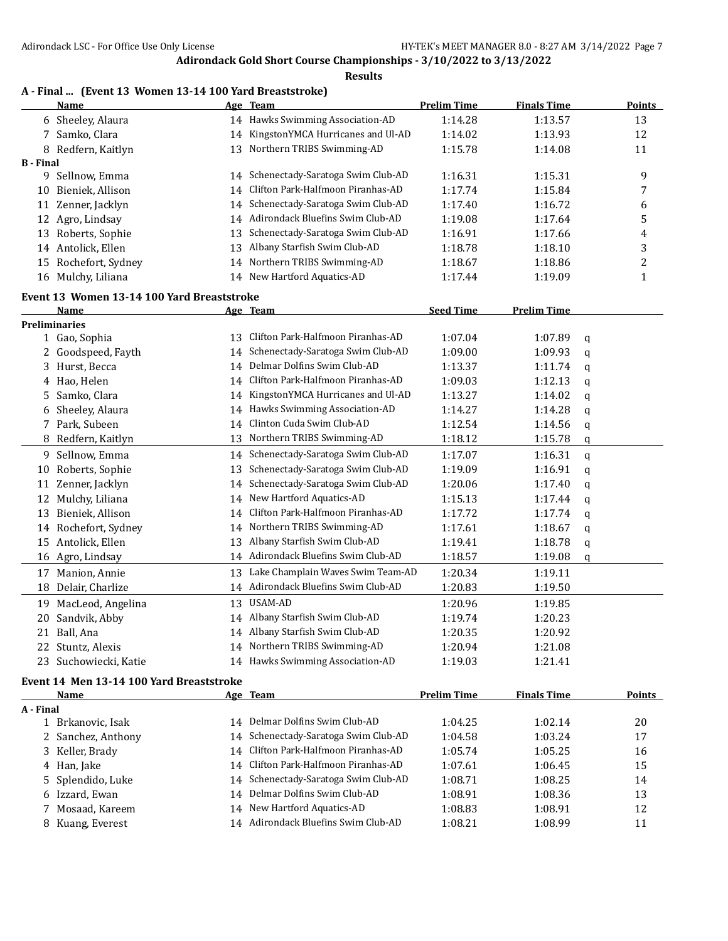#### **Results**

|  |  |  |  |  | A - Final  (Event 13 Women 13-14 100 Yard Breaststroke) |  |
|--|--|--|--|--|---------------------------------------------------------|--|
|--|--|--|--|--|---------------------------------------------------------|--|

|                  | <b>Name</b>                                |    | Age Team                            | <b>Prelim Time</b> | <b>Finals Time</b> |   | <b>Points</b> |
|------------------|--------------------------------------------|----|-------------------------------------|--------------------|--------------------|---|---------------|
|                  | 6 Sheeley, Alaura                          | 14 | Hawks Swimming Association-AD       | 1:14.28            | 1:13.57            |   | 13            |
| 7.               | Samko, Clara                               | 14 | KingstonYMCA Hurricanes and Ul-AD   | 1:14.02            | 1:13.93            |   | 12            |
| 8                | Redfern, Kaitlyn                           | 13 | Northern TRIBS Swimming-AD          | 1:15.78            | 1:14.08            |   | 11            |
| <b>B</b> - Final |                                            |    |                                     |                    |                    |   |               |
|                  | 9 Sellnow, Emma                            | 14 | Schenectady-Saratoga Swim Club-AD   | 1:16.31            | 1:15.31            |   | 9             |
| 10               | Bieniek, Allison                           | 14 | Clifton Park-Halfmoon Piranhas-AD   | 1:17.74            | 1:15.84            |   | 7             |
| 11               | Zenner, Jacklyn                            | 14 | Schenectady-Saratoga Swim Club-AD   | 1:17.40            | 1:16.72            |   | 6             |
| 12               | Agro, Lindsay                              | 14 | Adirondack Bluefins Swim Club-AD    | 1:19.08            | 1:17.64            |   | 5             |
| 13               | Roberts, Sophie                            | 13 | Schenectady-Saratoga Swim Club-AD   | 1:16.91            | 1:17.66            |   | 4             |
|                  | 14 Antolick, Ellen                         | 13 | Albany Starfish Swim Club-AD        | 1:18.78            | 1:18.10            |   | 3             |
| 15               | Rochefort, Sydney                          | 14 | Northern TRIBS Swimming-AD          | 1:18.67            | 1:18.86            |   | 2             |
|                  | 16 Mulchy, Liliana                         | 14 | New Hartford Aquatics-AD            | 1:17.44            | 1:19.09            |   | 1             |
|                  | Event 13 Women 13-14 100 Yard Breaststroke |    |                                     |                    |                    |   |               |
|                  | <b>Name</b>                                |    | Age Team                            | <b>Seed Time</b>   | <b>Prelim Time</b> |   |               |
|                  | <b>Preliminaries</b>                       |    |                                     |                    |                    |   |               |
|                  | 1 Gao, Sophia                              | 13 | Clifton Park-Halfmoon Piranhas-AD   | 1:07.04            | 1:07.89            | q |               |
| 2                | Goodspeed, Fayth                           | 14 | Schenectady-Saratoga Swim Club-AD   | 1:09.00            | 1:09.93            | q |               |
| 3                | Hurst, Becca                               | 14 | Delmar Dolfins Swim Club-AD         | 1:13.37            | 1:11.74            | q |               |
|                  | 4 Hao, Helen                               | 14 | Clifton Park-Halfmoon Piranhas-AD   | 1:09.03            | 1:12.13            | q |               |
| 5.               | Samko, Clara                               | 14 | KingstonYMCA Hurricanes and Ul-AD   | 1:13.27            | 1:14.02            | q |               |
| 6                | Sheeley, Alaura                            | 14 | Hawks Swimming Association-AD       | 1:14.27            | 1:14.28            | q |               |
|                  | 7 Park, Subeen                             | 14 | Clinton Cuda Swim Club-AD           | 1:12.54            | 1:14.56            |   |               |
| 8                | Redfern, Kaitlyn                           | 13 | Northern TRIBS Swimming-AD          | 1:18.12            | 1:15.78            | q |               |
|                  |                                            |    |                                     |                    |                    | q |               |
| 9.               | Sellnow, Emma                              | 14 | Schenectady-Saratoga Swim Club-AD   | 1:17.07            | 1:16.31            | q |               |
| 10               | Roberts, Sophie                            | 13 | Schenectady-Saratoga Swim Club-AD   | 1:19.09            | 1:16.91            | q |               |
| 11               | Zenner, Jacklyn                            | 14 | Schenectady-Saratoga Swim Club-AD   | 1:20.06            | 1:17.40            | q |               |
| 12               | Mulchy, Liliana                            | 14 | New Hartford Aquatics-AD            | 1:15.13            | 1:17.44            | q |               |
| 13               | Bieniek, Allison                           | 14 | Clifton Park-Halfmoon Piranhas-AD   | 1:17.72            | 1:17.74            | q |               |
|                  | 14 Rochefort, Sydney                       | 14 | Northern TRIBS Swimming-AD          | 1:17.61            | 1:18.67            | q |               |
| 15               | Antolick, Ellen                            | 13 | Albany Starfish Swim Club-AD        | 1:19.41            | 1:18.78            | q |               |
|                  | 16 Agro, Lindsay                           | 14 | Adirondack Bluefins Swim Club-AD    | 1:18.57            | 1:19.08            | q |               |
| 17               | Manion, Annie                              | 13 | Lake Champlain Waves Swim Team-AD   | 1:20.34            | 1:19.11            |   |               |
| 18               | Delair, Charlize                           |    | 14 Adirondack Bluefins Swim Club-AD | 1:20.83            | 1:19.50            |   |               |
|                  | 19 MacLeod, Angelina                       |    | 13 USAM-AD                          | 1:20.96            | 1:19.85            |   |               |
|                  | 20 Sandvik, Abby                           |    | 14 Albany Starfish Swim Club-AD     | 1:19.74            | 1:20.23            |   |               |
|                  | 21 Ball, Ana                               |    | 14 Albany Starfish Swim Club-AD     | 1:20.35            | 1:20.92            |   |               |
|                  | 22 Stuntz, Alexis                          |    | 14 Northern TRIBS Swimming-AD       | 1:20.94            | 1:21.08            |   |               |
| 23               | Suchowiecki, Katie                         |    | 14 Hawks Swimming Association-AD    | 1:19.03            | 1:21.41            |   |               |
|                  | Event 14 Men 13-14 100 Yard Breaststroke   |    |                                     |                    |                    |   |               |
|                  | <b>Name</b>                                |    | Age Team                            | <b>Prelim Time</b> | <b>Finals Time</b> |   | <b>Points</b> |
| A - Final        |                                            |    |                                     |                    |                    |   |               |
|                  | 1 Brkanovic, Isak                          |    | 14 Delmar Dolfins Swim Club-AD      | 1:04.25            | 1:02.14            |   | 20            |
| 2                | Sanchez, Anthony                           | 14 | Schenectady-Saratoga Swim Club-AD   | 1:04.58            | 1:03.24            |   | 17            |
| 3                | Keller, Brady                              | 14 | Clifton Park-Halfmoon Piranhas-AD   | 1:05.74            | 1:05.25            |   | 16            |
|                  | 4 Han, Jake                                | 14 | Clifton Park-Halfmoon Piranhas-AD   | 1:07.61            | 1:06.45            |   | 15            |
| 5.               | Splendido, Luke                            | 14 | Schenectady-Saratoga Swim Club-AD   | 1:08.71            | 1:08.25            |   | 14            |
|                  | 6 Izzard, Ewan                             |    | 14 Delmar Dolfins Swim Club-AD      | 1:08.91            | 1:08.36            |   | 13            |

7 Mosaad, Kareem 14 New Hartford Aquatics-AD 1:08.83 1:08.91 12 8 Kuang, Everest 14 Adirondack Bluefins Swim Club-AD 1:08.21 1:08.99 11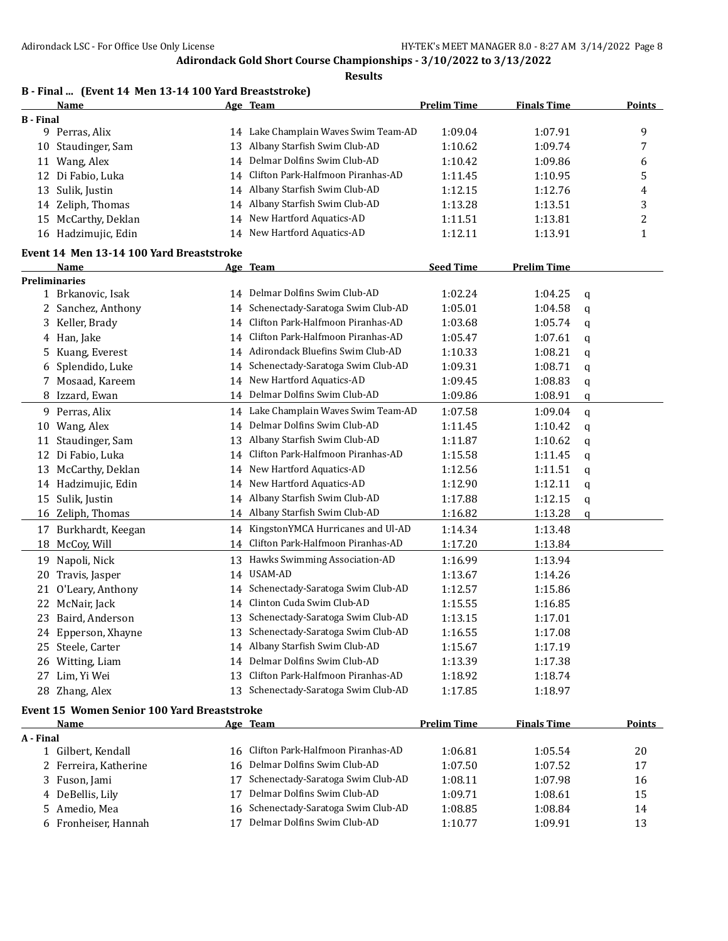|                  | B - Final  (Event 14 Men 13-14 100 Yard Breaststroke) |    |                                      |                    |                    |   |               |
|------------------|-------------------------------------------------------|----|--------------------------------------|--------------------|--------------------|---|---------------|
|                  | Name                                                  |    | Age Team                             | <b>Prelim Time</b> | <b>Finals Time</b> |   | <b>Points</b> |
| <b>B</b> - Final |                                                       |    |                                      |                    |                    |   |               |
|                  | 9 Perras, Alix                                        |    | 14 Lake Champlain Waves Swim Team-AD | 1:09.04            | 1:07.91            |   | 9             |
| 10               | Staudinger, Sam                                       | 13 | Albany Starfish Swim Club-AD         | 1:10.62            | 1:09.74            |   | 7             |
| 11               | Wang, Alex                                            | 14 | Delmar Dolfins Swim Club-AD          | 1:10.42            | 1:09.86            |   | 6             |
| 12               | Di Fabio, Luka                                        | 14 | Clifton Park-Halfmoon Piranhas-AD    | 1:11.45            | 1:10.95            |   | 5             |
| 13               | Sulik, Justin                                         | 14 | Albany Starfish Swim Club-AD         | 1:12.15            | 1:12.76            |   | 4             |
|                  | 14 Zeliph, Thomas                                     | 14 | Albany Starfish Swim Club-AD         | 1:13.28            | 1:13.51            |   | 3             |
|                  | 15 McCarthy, Deklan                                   | 14 | New Hartford Aquatics-AD             | 1:11.51            | 1:13.81            |   | 2             |
|                  | 16 Hadzimujic, Edin                                   |    | 14 New Hartford Aquatics-AD          | 1:12.11            | 1:13.91            |   | 1             |
|                  | Event 14 Men 13-14 100 Yard Breaststroke              |    |                                      |                    |                    |   |               |
|                  | Name                                                  |    | Age Team                             | <b>Seed Time</b>   | <b>Prelim Time</b> |   |               |
|                  | <b>Preliminaries</b>                                  |    |                                      |                    |                    |   |               |
|                  | 1 Brkanovic, Isak                                     |    | 14 Delmar Dolfins Swim Club-AD       | 1:02.24            | 1:04.25            | q |               |
|                  | 2 Sanchez, Anthony                                    | 14 | Schenectady-Saratoga Swim Club-AD    | 1:05.01            | 1:04.58            | q |               |
|                  | 3 Keller, Brady                                       | 14 | Clifton Park-Halfmoon Piranhas-AD    | 1:03.68            | 1:05.74            | q |               |
|                  | 4 Han, Jake                                           | 14 | Clifton Park-Halfmoon Piranhas-AD    | 1:05.47            | 1:07.61            | q |               |
|                  | 5 Kuang, Everest                                      | 14 | Adirondack Bluefins Swim Club-AD     | 1:10.33            | 1:08.21            | q |               |
|                  | 6 Splendido, Luke                                     | 14 | Schenectady-Saratoga Swim Club-AD    | 1:09.31            | 1:08.71            | q |               |
|                  | 7 Mosaad, Kareem                                      | 14 | New Hartford Aquatics-AD             | 1:09.45            | 1:08.83            | q |               |
|                  | 8 Izzard, Ewan                                        |    | 14 Delmar Dolfins Swim Club-AD       | 1:09.86            | 1:08.91            | q |               |
| 9.               | Perras, Alix                                          | 14 | Lake Champlain Waves Swim Team-AD    | 1:07.58            | 1:09.04            | q |               |
| 10               | Wang, Alex                                            | 14 | Delmar Dolfins Swim Club-AD          | 1:11.45            | 1:10.42            | q |               |
| 11               | Staudinger, Sam                                       | 13 | Albany Starfish Swim Club-AD         | 1:11.87            | 1:10.62            | q |               |
|                  | 12 Di Fabio, Luka                                     | 14 | Clifton Park-Halfmoon Piranhas-AD    | 1:15.58            | 1:11.45            | q |               |
| 13               | McCarthy, Deklan                                      | 14 | New Hartford Aquatics-AD             | 1:12.56            | 1:11.51            | q |               |
|                  | 14 Hadzimujic, Edin                                   | 14 | New Hartford Aquatics-AD             | 1:12.90            | 1:12.11            | q |               |
| 15               | Sulik, Justin                                         | 14 | Albany Starfish Swim Club-AD         | 1:17.88            | 1:12.15            | q |               |
|                  | 16 Zeliph, Thomas                                     | 14 | Albany Starfish Swim Club-AD         | 1:16.82            | 1:13.28            | q |               |
|                  | 17 Burkhardt, Keegan                                  | 14 | KingstonYMCA Hurricanes and Ul-AD    | 1:14.34            | 1:13.48            |   |               |
|                  | 18 McCoy, Will                                        | 14 | Clifton Park-Halfmoon Piranhas-AD    | 1:17.20            | 1:13.84            |   |               |
|                  |                                                       |    | Hawks Swimming Association-AD        |                    |                    |   |               |
| 19               | Napoli, Nick                                          | 13 | USAM-AD                              | 1:16.99            | 1:13.94            |   |               |
| 20               | Travis, Jasper                                        | 14 |                                      | 1:13.67            | 1:14.26            |   |               |
| 21               | O'Leary, Anthony                                      | 14 | Schenectady-Saratoga Swim Club-AD    | 1:12.57            | 1:15.86            |   |               |
|                  | 22 McNair, Jack                                       |    | 14 Clinton Cuda Swim Club-AD         | 1:15.55            | 1:16.85            |   |               |
|                  | 23 Baird, Anderson                                    |    | 13 Schenectady-Saratoga Swim Club-AD | 1:13.15            | 1:17.01            |   |               |
|                  | 24 Epperson, Xhayne                                   | 13 | Schenectady-Saratoga Swim Club-AD    | 1:16.55            | 1:17.08            |   |               |
|                  | 25 Steele, Carter                                     |    | 14 Albany Starfish Swim Club-AD      | 1:15.67            | 1:17.19            |   |               |
|                  | 26 Witting, Liam                                      | 14 | Delmar Dolfins Swim Club-AD          | 1:13.39            | 1:17.38            |   |               |
|                  | 27 Lim, Yi Wei                                        | 13 | Clifton Park-Halfmoon Piranhas-AD    | 1:18.92            | 1:18.74            |   |               |
|                  | 28 Zhang, Alex                                        | 13 | Schenectady-Saratoga Swim Club-AD    | 1:17.85            | 1:18.97            |   |               |
|                  | Event 15 Women Senior 100 Yard Breaststroke           |    |                                      |                    |                    |   |               |
|                  | Name                                                  |    | <u>Age Team</u>                      | <b>Prelim Time</b> | <b>Finals Time</b> |   | <b>Points</b> |
| A - Final        |                                                       |    |                                      |                    |                    |   |               |
|                  | 1 Gilbert, Kendall                                    | 16 | Clifton Park-Halfmoon Piranhas-AD    | 1:06.81            | 1:05.54            |   | 20            |
|                  | 2 Ferreira, Katherine                                 | 16 | Delmar Dolfins Swim Club-AD          | 1:07.50            | 1:07.52            |   | 17            |
|                  | 3 Fuson, Jami                                         | 17 | Schenectady-Saratoga Swim Club-AD    | 1:08.11            | 1:07.98            |   | 16            |
|                  | 4 DeBellis, Lily                                      | 17 | Delmar Dolfins Swim Club-AD          | 1:09.71            | 1:08.61            |   | 15            |
| 5.               | Amedio, Mea                                           | 16 | Schenectady-Saratoga Swim Club-AD    | 1:08.85            | 1:08.84            |   | 14            |
|                  | 6 Fronheiser, Hannah                                  | 17 | Delmar Dolfins Swim Club-AD          | 1:10.77            | 1:09.91            |   | 13            |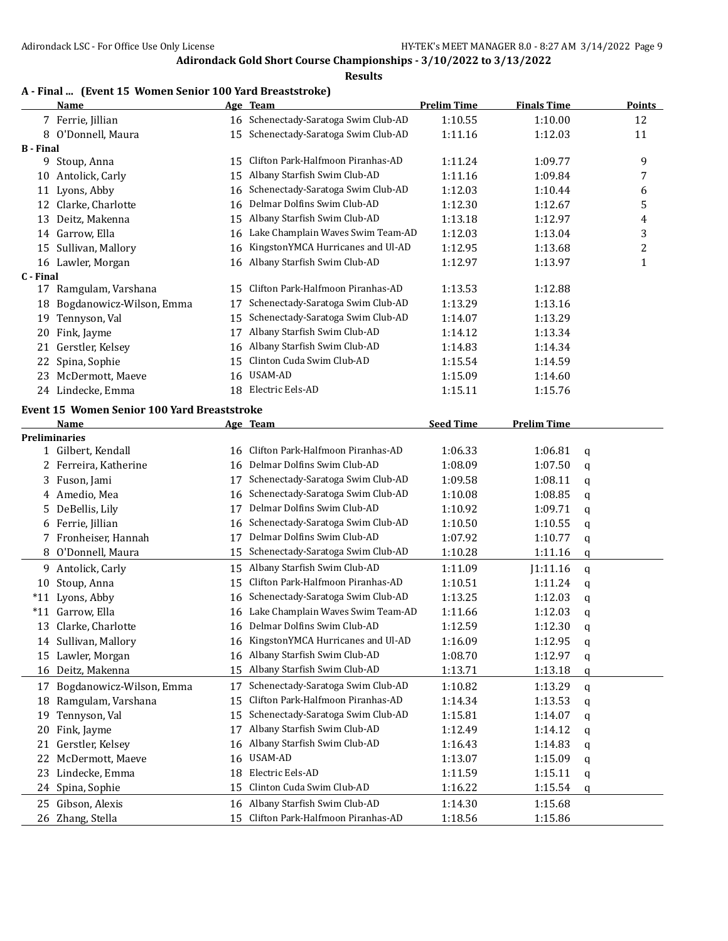### **Results**

## **A - Final ... (Event 15 Women Senior 100 Yard Breaststroke)**

|                  | <b>Name</b>                                 |    | Age Team                             | <b>Prelim Time</b> | <b>Finals Time</b> |   | <b>Points</b> |
|------------------|---------------------------------------------|----|--------------------------------------|--------------------|--------------------|---|---------------|
|                  | 7 Ferrie, Jillian                           |    | 16 Schenectady-Saratoga Swim Club-AD | 1:10.55            | 1:10.00            |   | 12            |
|                  | 8 O'Donnell, Maura                          |    | 15 Schenectady-Saratoga Swim Club-AD | 1:11.16            | 1:12.03            |   | 11            |
| <b>B</b> - Final |                                             |    |                                      |                    |                    |   |               |
|                  | 9 Stoup, Anna                               | 15 | Clifton Park-Halfmoon Piranhas-AD    | 1:11.24            | 1:09.77            |   | 9             |
|                  | 10 Antolick, Carly                          | 15 | Albany Starfish Swim Club-AD         | 1:11.16            | 1:09.84            |   | 7             |
|                  | 11 Lyons, Abby                              | 16 | Schenectady-Saratoga Swim Club-AD    | 1:12.03            | 1:10.44            |   | 6             |
| 12               | Clarke, Charlotte                           | 16 | Delmar Dolfins Swim Club-AD          | 1:12.30            | 1:12.67            |   | 5             |
|                  | 13 Deitz, Makenna                           | 15 | Albany Starfish Swim Club-AD         | 1:13.18            | 1:12.97            |   | 4             |
|                  | 14 Garrow, Ella                             | 16 | Lake Champlain Waves Swim Team-AD    | 1:12.03            | 1:13.04            |   | 3             |
|                  | 15 Sullivan, Mallory                        | 16 | KingstonYMCA Hurricanes and Ul-AD    | 1:12.95            | 1:13.68            |   | 2             |
|                  | 16 Lawler, Morgan                           | 16 | Albany Starfish Swim Club-AD         | 1:12.97            | 1:13.97            |   | $\mathbf{1}$  |
| C - Final        |                                             |    |                                      |                    |                    |   |               |
|                  | 17 Ramgulam, Varshana                       | 15 | Clifton Park-Halfmoon Piranhas-AD    | 1:13.53            | 1:12.88            |   |               |
| 18               | Bogdanowicz-Wilson, Emma                    | 17 | Schenectady-Saratoga Swim Club-AD    | 1:13.29            | 1:13.16            |   |               |
| 19               | Tennyson, Val                               | 15 | Schenectady-Saratoga Swim Club-AD    | 1:14.07            | 1:13.29            |   |               |
| 20               | Fink, Jayme                                 | 17 | Albany Starfish Swim Club-AD         | 1:14.12            | 1:13.34            |   |               |
| 21               | Gerstler, Kelsey                            | 16 | Albany Starfish Swim Club-AD         | 1:14.83            | 1:14.34            |   |               |
| 22               | Spina, Sophie                               | 15 | Clinton Cuda Swim Club-AD            | 1:15.54            | 1:14.59            |   |               |
|                  | 23 McDermott, Maeve                         | 16 | USAM-AD                              | 1:15.09            | 1:14.60            |   |               |
|                  | 24 Lindecke, Emma                           |    | 18 Electric Eels-AD                  | 1:15.11            | 1:15.76            |   |               |
|                  | Event 15 Women Senior 100 Yard Breaststroke |    |                                      |                    |                    |   |               |
|                  | Name                                        |    | Age Team                             | <b>Seed Time</b>   | <b>Prelim Time</b> |   |               |
|                  | <b>Preliminaries</b>                        |    |                                      |                    |                    |   |               |
|                  | 1 Gilbert, Kendall                          |    | 16 Clifton Park-Halfmoon Piranhas-AD | 1:06.33            | 1:06.81            | q |               |
|                  | 2 Ferreira, Katherine                       | 16 | Delmar Dolfins Swim Club-AD          | 1:08.09            | 1:07.50            | q |               |
|                  | 3 Fuson, Jami                               | 17 | Schenectady-Saratoga Swim Club-AD    | 1:09.58            | 1:08.11            | q |               |
|                  | 4 Amedio, Mea                               | 16 | Schenectady-Saratoga Swim Club-AD    | 1:10.08            | 1:08.85            | q |               |
|                  | 5 DeBellis, Lily                            | 17 | Delmar Dolfins Swim Club-AD          | 1:10.92            | 1:09.71            | q |               |
|                  | 6 Ferrie, Jillian                           | 16 | Schenectady-Saratoga Swim Club-AD    | 1:10.50            | 1:10.55            | q |               |
|                  | 7 Fronheiser, Hannah                        | 17 | Delmar Dolfins Swim Club-AD          | 1:07.92            | 1:10.77            | q |               |
|                  | 8 O'Donnell, Maura                          | 15 | Schenectady-Saratoga Swim Club-AD    | 1:10.28            | 1:11.16            | q |               |
|                  | 9 Antolick, Carly                           | 15 | Albany Starfish Swim Club-AD         | 1:11.09            | J1:11.16           | q |               |
|                  | 10 Stoup, Anna                              | 15 | Clifton Park-Halfmoon Piranhas-AD    | 1:10.51            | 1:11.24            | q |               |
|                  | *11 Lyons, Abby                             | 16 | Schenectady-Saratoga Swim Club-AD    | 1:13.25            | 1:12.03            | q |               |
|                  | *11 Garrow, Ella                            | 16 | Lake Champlain Waves Swim Team-AD    | 1:11.66            | 1:12.03            | q |               |
|                  | 13 Clarke, Charlotte                        |    | 16 Delmar Dolfins Swim Club-AD       | 1:12.59            | 1:12.30            | q |               |
|                  | 14 Sullivan, Mallory                        |    | 16 KingstonYMCA Hurricanes and Ul-AD | 1:16.09            | 1:12.95            | q |               |
|                  | 15 Lawler, Morgan                           | 16 | Albany Starfish Swim Club-AD         | 1:08.70            | 1:12.97            |   |               |
| 16               | Deitz, Makenna                              | 15 | Albany Starfish Swim Club-AD         | 1:13.71            | 1:13.18            | q |               |
|                  |                                             |    | Schenectady-Saratoga Swim Club-AD    |                    |                    | q |               |
|                  | 17 Bogdanowicz-Wilson, Emma                 | 17 | Clifton Park-Halfmoon Piranhas-AD    | 1:10.82            | 1:13.29            | q |               |
|                  | 18 Ramgulam, Varshana                       | 15 | Schenectady-Saratoga Swim Club-AD    | 1:14.34            | 1:13.53            | q |               |
| 19               | Tennyson, Val                               | 15 |                                      | 1:15.81            | 1:14.07            | q |               |
| 20               | Fink, Jayme                                 | 17 | Albany Starfish Swim Club-AD         | 1:12.49            | 1:14.12            | q |               |
| 21               | Gerstler, Kelsey                            | 16 | Albany Starfish Swim Club-AD         | 1:16.43            | 1:14.83            | q |               |
|                  | 22 McDermott, Maeve                         | 16 | USAM-AD                              | 1:13.07            | 1:15.09            | q |               |
|                  | 23 Lindecke, Emma                           | 18 | Electric Eels-AD                     | 1:11.59            | 1:15.11            | q |               |
|                  | 24 Spina, Sophie                            | 15 | Clinton Cuda Swim Club-AD            | 1:16.22            | 1:15.54            | q |               |
|                  | 25 Gibson, Alexis                           | 16 | Albany Starfish Swim Club-AD         | 1:14.30            | 1:15.68            |   |               |
|                  | 26 Zhang, Stella                            |    | 15 Clifton Park-Halfmoon Piranhas-AD | 1:18.56            | 1:15.86            |   |               |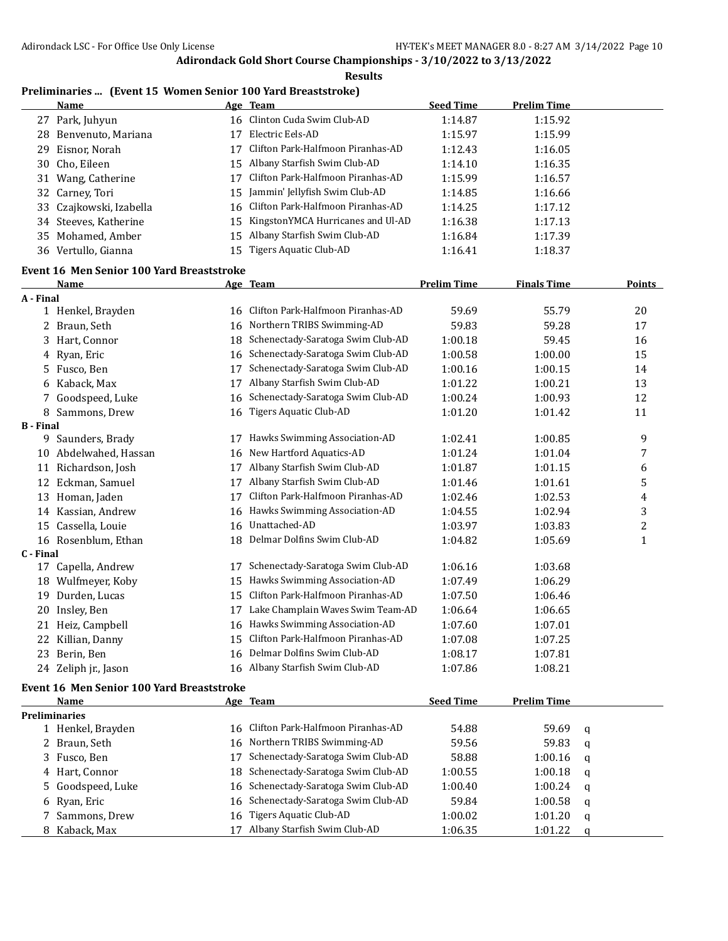**Results**

# **Preliminaries ... (Event 15 Women Senior 100 Yard Breaststroke)**

|                  | <u>Name</u>                               |    | Age Team                             | <b>Seed Time</b>   | <b>Prelim Time</b> |                |
|------------------|-------------------------------------------|----|--------------------------------------|--------------------|--------------------|----------------|
|                  | 27 Park, Juhyun                           |    | 16 Clinton Cuda Swim Club-AD         | 1:14.87            | 1:15.92            |                |
|                  | 28 Benvenuto, Mariana                     | 17 | Electric Eels-AD                     | 1:15.97            | 1:15.99            |                |
|                  | 29 Eisnor, Norah                          | 17 | Clifton Park-Halfmoon Piranhas-AD    | 1:12.43            | 1:16.05            |                |
|                  | 30 Cho, Eileen                            |    | 15 Albany Starfish Swim Club-AD      | 1:14.10            | 1:16.35            |                |
|                  | 31 Wang, Catherine                        | 17 | Clifton Park-Halfmoon Piranhas-AD    | 1:15.99            | 1:16.57            |                |
|                  | 32 Carney, Tori                           | 15 | Jammin' Jellyfish Swim Club-AD       | 1:14.85            | 1:16.66            |                |
|                  | 33 Czajkowski, Izabella                   | 16 | Clifton Park-Halfmoon Piranhas-AD    | 1:14.25            | 1:17.12            |                |
|                  | 34 Steeves, Katherine                     | 15 | KingstonYMCA Hurricanes and Ul-AD    | 1:16.38            | 1:17.13            |                |
|                  | 35 Mohamed, Amber                         | 15 | Albany Starfish Swim Club-AD         | 1:16.84            | 1:17.39            |                |
|                  | 36 Vertullo, Gianna                       |    | 15 Tigers Aquatic Club-AD            | 1:16.41            | 1:18.37            |                |
|                  | Event 16 Men Senior 100 Yard Breaststroke |    |                                      |                    |                    |                |
|                  | <b>Name</b>                               |    | Age Team                             | <b>Prelim Time</b> | <b>Finals Time</b> | Points         |
| A - Final        |                                           |    |                                      |                    |                    |                |
|                  | 1 Henkel, Brayden                         |    | 16 Clifton Park-Halfmoon Piranhas-AD | 59.69              | 55.79              | 20             |
|                  | 2 Braun, Seth                             |    | 16 Northern TRIBS Swimming-AD        | 59.83              | 59.28              | 17             |
|                  | 3 Hart, Connor                            | 18 | Schenectady-Saratoga Swim Club-AD    | 1:00.18            | 59.45              | 16             |
|                  | 4 Ryan, Eric                              | 16 | Schenectady-Saratoga Swim Club-AD    | 1:00.58            | 1:00.00            | 15             |
|                  | 5 Fusco, Ben                              | 17 | Schenectady-Saratoga Swim Club-AD    | 1:00.16            | 1:00.15            | 14             |
|                  | 6 Kaback, Max                             | 17 | Albany Starfish Swim Club-AD         | 1:01.22            | 1:00.21            | 13             |
|                  | 7 Goodspeed, Luke                         | 16 | Schenectady-Saratoga Swim Club-AD    | 1:00.24            | 1:00.93            | 12             |
|                  | 8 Sammons, Drew                           | 16 | <b>Tigers Aquatic Club-AD</b>        | 1:01.20            | 1:01.42            | 11             |
| <b>B</b> - Final |                                           |    |                                      |                    |                    |                |
|                  | 9 Saunders, Brady                         | 17 | Hawks Swimming Association-AD        | 1:02.41            | 1:00.85            | 9              |
|                  | 10 Abdelwahed, Hassan                     | 16 | New Hartford Aquatics-AD             | 1:01.24            | 1:01.04            | 7              |
|                  | 11 Richardson, Josh                       |    | 17 Albany Starfish Swim Club-AD      | 1:01.87            | 1:01.15            | 6              |
|                  | 12 Eckman, Samuel                         | 17 | Albany Starfish Swim Club-AD         | 1:01.46            | 1:01.61            | 5              |
|                  | 13 Homan, Jaden                           | 17 | Clifton Park-Halfmoon Piranhas-AD    | 1:02.46            | 1:02.53            | 4              |
|                  | 14 Kassian, Andrew                        | 16 | Hawks Swimming Association-AD        | 1:04.55            | 1:02.94            | 3              |
|                  | 15 Cassella, Louie                        | 16 | Unattached-AD                        | 1:03.97            | 1:03.83            | $\overline{c}$ |
|                  | 16 Rosenblum, Ethan                       |    | 18 Delmar Dolfins Swim Club-AD       | 1:04.82            | 1:05.69            | $\mathbf{1}$   |
| C - Final        |                                           |    |                                      |                    |                    |                |
|                  | 17 Capella, Andrew                        | 17 | Schenectady-Saratoga Swim Club-AD    | 1:06.16            | 1:03.68            |                |
|                  | 18 Wulfmeyer, Koby                        | 15 | Hawks Swimming Association-AD        | 1:07.49            | 1:06.29            |                |
|                  | 19 Durden, Lucas                          | 15 | Clifton Park-Halfmoon Piranhas-AD    | 1:07.50            | 1:06.46            |                |
|                  | 20 Insley, Ben                            | 17 | Lake Champlain Waves Swim Team-AD    | 1:06.64            | 1:06.65            |                |
|                  | 21 Heiz, Campbell                         |    | 16 Hawks Swimming Association-AD     | 1:07.60            | 1:07.01            |                |
|                  | 22 Killian, Danny                         | 15 | Clifton Park-Halfmoon Piranhas-AD    | 1:07.08            | 1:07.25            |                |
|                  | 23 Berin, Ben                             | 16 | Delmar Dolfins Swim Club-AD          | 1:08.17            | 1:07.81            |                |
|                  | 24 Zeliph jr., Jason                      |    | 16 Albany Starfish Swim Club-AD      | 1:07.86            | 1:08.21            |                |
|                  |                                           |    |                                      |                    |                    |                |

#### **Event 16 Men Senior 100 Yard Breaststroke**

| Name                 | Age Team                             | <b>Seed Time</b> | <b>Prelim Time</b> |   |
|----------------------|--------------------------------------|------------------|--------------------|---|
| <b>Preliminaries</b> |                                      |                  |                    |   |
| 1 Henkel, Brayden    | 16 Clifton Park-Halfmoon Piranhas-AD | 54.88            | 59.69              | a |
| 2 Braun, Seth        | 16 Northern TRIBS Swimming-AD        | 59.56            | 59.83              | q |
| 3 Fusco, Ben         | Schenectady-Saratoga Swim Club-AD    | 58.88            | 1:00.16            | a |
| 4 Hart, Connor       | 18 Schenectady-Saratoga Swim Club-AD | 1:00.55          | 1:00.18            | q |
| 5 Goodspeed, Luke    | 16 Schenectady-Saratoga Swim Club-AD | 1:00.40          | 1:00.24            | a |
| 6 Ryan, Eric         | 16 Schenectady-Saratoga Swim Club-AD | 59.84            | 1:00.58            | a |
| 7 Sammons, Drew      | 16 Tigers Aquatic Club-AD            | 1:00.02          | 1:01.20            | a |
| 8 Kaback, Max        | Albany Starfish Swim Club-AD         | 1:06.35          | 1:01.22            | a |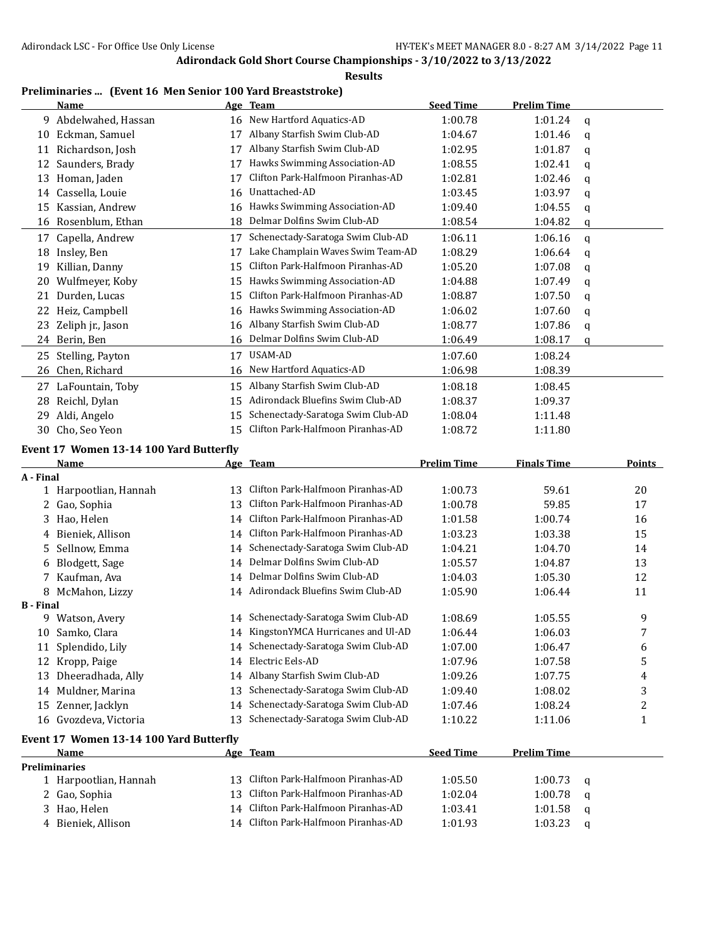**Results**

## **Preliminaries ... (Event 16 Men Senior 100 Yard Breaststroke)**

|                  | <b>Name</b>                             |    | Age Team                             | <b>Seed Time</b>   | <b>Prelim Time</b> |             |               |
|------------------|-----------------------------------------|----|--------------------------------------|--------------------|--------------------|-------------|---------------|
| 9                | Abdelwahed, Hassan                      | 16 | New Hartford Aquatics-AD             | 1:00.78            | 1:01.24            | q           |               |
| 10               | Eckman, Samuel                          | 17 | Albany Starfish Swim Club-AD         | 1:04.67            | 1:01.46            | q           |               |
|                  | 11 Richardson, Josh                     | 17 | Albany Starfish Swim Club-AD         | 1:02.95            | 1:01.87            | q           |               |
|                  | 12 Saunders, Brady                      | 17 | Hawks Swimming Association-AD        | 1:08.55            | 1:02.41            | q           |               |
|                  | 13 Homan, Jaden                         | 17 | Clifton Park-Halfmoon Piranhas-AD    | 1:02.81            | 1:02.46            | q           |               |
|                  | 14 Cassella, Louie                      | 16 | Unattached-AD                        | 1:03.45            | 1:03.97            | q           |               |
| 15               | Kassian, Andrew                         | 16 | Hawks Swimming Association-AD        | 1:09.40            | 1:04.55            | q           |               |
| 16               | Rosenblum, Ethan                        | 18 | Delmar Dolfins Swim Club-AD          | 1:08.54            | 1:04.82            | q           |               |
|                  | 17 Capella, Andrew                      | 17 | Schenectady-Saratoga Swim Club-AD    | 1:06.11            | 1:06.16            | $\mathbf q$ |               |
|                  | 18 Insley, Ben                          | 17 | Lake Champlain Waves Swim Team-AD    | 1:08.29            | 1:06.64            | q           |               |
| 19               | Killian, Danny                          | 15 | Clifton Park-Halfmoon Piranhas-AD    | 1:05.20            | 1:07.08            | q           |               |
| 20               | Wulfmeyer, Koby                         | 15 | Hawks Swimming Association-AD        | 1:04.88            | 1:07.49            | q           |               |
| 21               | Durden, Lucas                           | 15 | Clifton Park-Halfmoon Piranhas-AD    | 1:08.87            | 1:07.50            | q           |               |
|                  | 22 Heiz, Campbell                       | 16 | Hawks Swimming Association-AD        | 1:06.02            | 1:07.60            | q           |               |
| 23               | Zeliph jr., Jason                       | 16 | Albany Starfish Swim Club-AD         | 1:08.77            | 1:07.86            | q           |               |
|                  | 24 Berin, Ben                           | 16 | Delmar Dolfins Swim Club-AD          | 1:06.49            | 1:08.17            | q           |               |
| 25               | Stelling, Payton                        |    | 17 USAM-AD                           | 1:07.60            | 1:08.24            |             |               |
| 26               | Chen, Richard                           | 16 | New Hartford Aquatics-AD             | 1:06.98            | 1:08.39            |             |               |
|                  |                                         |    |                                      |                    |                    |             |               |
|                  | 27 LaFountain, Toby                     | 15 | Albany Starfish Swim Club-AD         | 1:08.18            | 1:08.45            |             |               |
| 28               | Reichl, Dylan                           | 15 | Adirondack Bluefins Swim Club-AD     | 1:08.37            | 1:09.37            |             |               |
| 29               | Aldi, Angelo                            | 15 | Schenectady-Saratoga Swim Club-AD    | 1:08.04            | 1:11.48            |             |               |
| 30               | Cho, Seo Yeon                           | 15 | Clifton Park-Halfmoon Piranhas-AD    | 1:08.72            | 1:11.80            |             |               |
|                  | Event 17 Women 13-14 100 Yard Butterfly |    |                                      |                    |                    |             |               |
|                  | Name                                    |    | Age Team                             | <b>Prelim Time</b> | <b>Finals Time</b> |             | <b>Points</b> |
| A - Final        |                                         |    |                                      |                    |                    |             |               |
|                  | 1 Harpootlian, Hannah                   | 13 | Clifton Park-Halfmoon Piranhas-AD    | 1:00.73            | 59.61              |             | 20            |
| 2                | Gao, Sophia                             | 13 | Clifton Park-Halfmoon Piranhas-AD    | 1:00.78            | 59.85              |             | 17            |
| 3                | Hao, Helen                              | 14 | Clifton Park-Halfmoon Piranhas-AD    | 1:01.58            | 1:00.74            |             | 16            |
| 4                | Bieniek, Allison                        | 14 | Clifton Park-Halfmoon Piranhas-AD    | 1:03.23            | 1:03.38            |             | 15            |
| 5.               | Sellnow, Emma                           | 14 | Schenectady-Saratoga Swim Club-AD    | 1:04.21            | 1:04.70            |             | 14            |
| 6                | Blodgett, Sage                          | 14 | Delmar Dolfins Swim Club-AD          | 1:05.57            | 1:04.87            |             | 13            |
|                  | 7 Kaufman, Ava                          | 14 | Delmar Dolfins Swim Club-AD          | 1:04.03            | 1:05.30            |             | 12            |
|                  | 8 McMahon, Lizzy                        |    | 14 Adirondack Bluefins Swim Club-AD  | 1:05.90            | 1:06.44            |             | 11            |
| <b>B</b> - Final |                                         |    |                                      |                    |                    |             |               |
|                  | 9 Watson, Avery                         |    | 14 Schenectady-Saratoga Swim Club-AD | 1:08.69            | 1:05.55            |             | 9             |
|                  | 10 Samko, Clara                         |    | 14 KingstonYMCA Hurricanes and Ul-AD | 1:06.44            | 1:06.03            |             |               |
| 11               | Splendido, Lily                         | 14 | Schenectady-Saratoga Swim Club-AD    | 1:07.00            | 1:06.47            |             | 6             |
| 12               | Kropp, Paige                            | 14 | Electric Eels-AD                     | 1:07.96            | 1:07.58            |             | 5             |
| 13               | Dheeradhada, Ally                       | 14 | Albany Starfish Swim Club-AD         | 1:09.26            | 1:07.75            |             | 4             |
|                  | 14 Muldner, Marina                      | 13 | Schenectady-Saratoga Swim Club-AD    | 1:09.40            | 1:08.02            |             | 3             |
|                  | 15 Zenner, Jacklyn                      | 14 | Schenectady-Saratoga Swim Club-AD    | 1:07.46            | 1:08.24            |             | 2             |
|                  | 16 Gvozdeva, Victoria                   | 13 | Schenectady-Saratoga Swim Club-AD    | 1:10.22            | 1:11.06            |             | $\mathbf{1}$  |
|                  | Event 17 Women 13-14 100 Yard Butterfly |    |                                      |                    |                    |             |               |
|                  | Name                                    |    | Age Team                             | <b>Seed Time</b>   | <b>Prelim Time</b> |             |               |
|                  | <b>Preliminaries</b>                    |    |                                      |                    |                    |             |               |
|                  | 1 Harpootlian, Hannah                   | 13 | Clifton Park-Halfmoon Piranhas-AD    | 1:05.50            | 1:00.73            | q           |               |
|                  | 2 Gao, Sophia                           | 13 | Clifton Park-Halfmoon Piranhas-AD    | 1:02.04            | 1:00.78            | q           |               |
|                  | 3 Hao, Helen                            | 14 | Clifton Park-Halfmoon Piranhas-AD    | 1:03.41            | 1:01.58            | q           |               |
|                  | 4 Bieniek, Allison                      |    | 14 Clifton Park-Halfmoon Piranhas-AD | 1:01.93            | 1:03.23            | q           |               |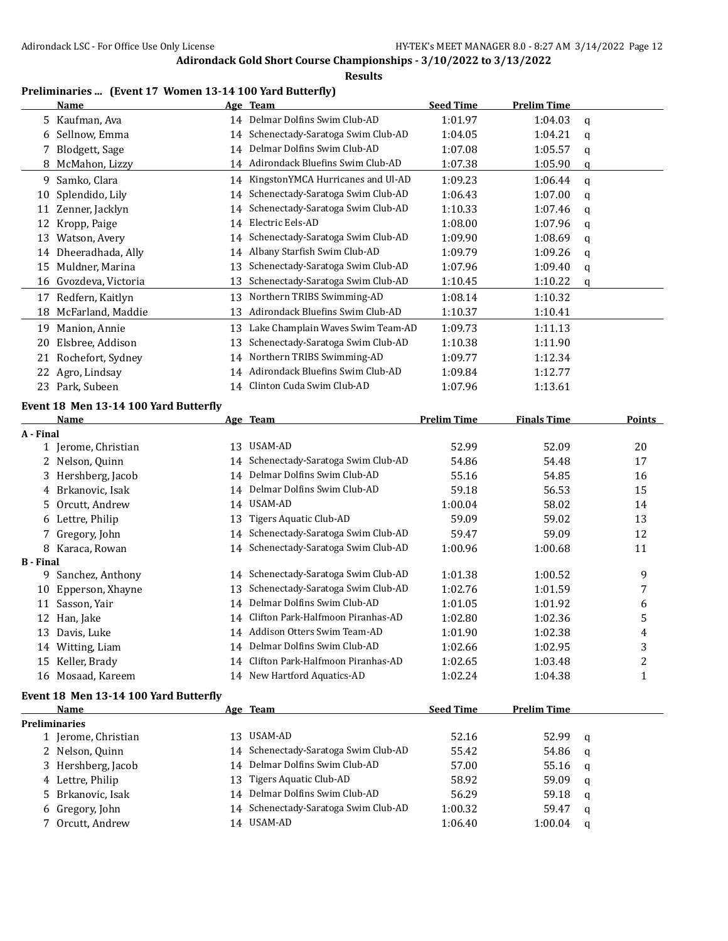**Results**

#### **Preliminaries ... (Event 17 Women 13-14 100 Yard Butterfly)**

|                  | <b>Name</b>                           |    | Age Team                             | <b>Seed Time</b>   | <b>Prelim Time</b> |   |        |
|------------------|---------------------------------------|----|--------------------------------------|--------------------|--------------------|---|--------|
|                  | 5 Kaufman, Ava                        | 14 | Delmar Dolfins Swim Club-AD          | 1:01.97            | 1:04.03            | q |        |
|                  | 6 Sellnow, Emma                       | 14 | Schenectady-Saratoga Swim Club-AD    | 1:04.05            | 1:04.21            | q |        |
|                  | 7 Blodgett, Sage                      | 14 | Delmar Dolfins Swim Club-AD          | 1:07.08            | 1:05.57            | q |        |
|                  | 8 McMahon, Lizzy                      | 14 | Adirondack Bluefins Swim Club-AD     | 1:07.38            | 1:05.90            | q |        |
| 9.               | Samko, Clara                          | 14 | KingstonYMCA Hurricanes and Ul-AD    | 1:09.23            | 1:06.44            | q |        |
| 10               | Splendido, Lily                       | 14 | Schenectady-Saratoga Swim Club-AD    | 1:06.43            | 1:07.00            | q |        |
| 11               | Zenner, Jacklyn                       | 14 | Schenectady-Saratoga Swim Club-AD    | 1:10.33            | 1:07.46            | q |        |
| 12               | Kropp, Paige                          | 14 | Electric Eels-AD                     | 1:08.00            | 1:07.96            | q |        |
|                  | 13 Watson, Avery                      | 14 | Schenectady-Saratoga Swim Club-AD    | 1:09.90            | 1:08.69            | q |        |
|                  | 14 Dheeradhada, Ally                  | 14 | Albany Starfish Swim Club-AD         | 1:09.79            | 1:09.26            | q |        |
| 15               | Muldner, Marina                       | 13 | Schenectady-Saratoga Swim Club-AD    | 1:07.96            | 1:09.40            | q |        |
|                  | 16 Gvozdeva, Victoria                 | 13 | Schenectady-Saratoga Swim Club-AD    | 1:10.45            | 1:10.22            | q |        |
|                  | 17 Redfern, Kaitlyn                   |    | 13 Northern TRIBS Swimming-AD        | 1:08.14            | 1:10.32            |   |        |
| 18               | McFarland, Maddie                     | 13 | Adirondack Bluefins Swim Club-AD     | 1:10.37            | 1:10.41            |   |        |
|                  |                                       |    |                                      |                    |                    |   |        |
|                  | 19 Manion, Annie                      | 13 | Lake Champlain Waves Swim Team-AD    | 1:09.73            | 1:11.13            |   |        |
| 20               | Elsbree, Addison                      | 13 | Schenectady-Saratoga Swim Club-AD    | 1:10.38            | 1:11.90            |   |        |
| 21               | Rochefort, Sydney                     | 14 | Northern TRIBS Swimming-AD           | 1:09.77            | 1:12.34            |   |        |
| 22               | Agro, Lindsay                         | 14 | Adirondack Bluefins Swim Club-AD     | 1:09.84            | 1:12.77            |   |        |
|                  | 23 Park, Subeen                       |    | 14 Clinton Cuda Swim Club-AD         | 1:07.96            | 1:13.61            |   |        |
|                  | Event 18 Men 13-14 100 Yard Butterfly |    |                                      |                    |                    |   |        |
|                  | Name                                  |    | Age Team                             | <b>Prelim Time</b> | <b>Finals Time</b> |   | Points |
| A - Final        |                                       |    |                                      |                    |                    |   |        |
|                  | 1 Jerome, Christian                   |    | 13 USAM-AD                           | 52.99              | 52.09              |   | 20     |
| 2                | Nelson, Quinn                         | 14 | Schenectady-Saratoga Swim Club-AD    | 54.86              | 54.48              |   | 17     |
|                  | 3 Hershberg, Jacob                    | 14 | Delmar Dolfins Swim Club-AD          | 55.16              | 54.85              |   | 16     |
|                  | 4 Brkanovic, Isak                     | 14 | Delmar Dolfins Swim Club-AD          | 59.18              | 56.53              |   | 15     |
| 5.               | Orcutt, Andrew                        | 14 | USAM-AD                              | 1:00.04            | 58.02              |   | 14     |
|                  | 6 Lettre, Philip                      | 13 | Tigers Aquatic Club-AD               | 59.09              | 59.02              |   | 13     |
|                  | Gregory, John                         | 14 | Schenectady-Saratoga Swim Club-AD    | 59.47              | 59.09              |   | 12     |
|                  | 8 Karaca, Rowan                       | 14 | Schenectady-Saratoga Swim Club-AD    | 1:00.96            | 1:00.68            |   | 11     |
| <b>B</b> - Final |                                       |    |                                      |                    |                    |   |        |
|                  | 9 Sanchez, Anthony                    | 14 | Schenectady-Saratoga Swim Club-AD    | 1:01.38            | 1:00.52            |   | 9      |
|                  | 10 Epperson, Xhayne                   | 13 | Schenectady-Saratoga Swim Club-AD    | 1:02.76            | 1:01.59            |   | 7      |
|                  | 11 Sasson, Yair                       | 14 | Delmar Dolfins Swim Club-AD          | 1:01.05            | 1:01.92            |   | 6      |
|                  | 12 Han, Jake                          |    | 14 Clifton Park-Halfmoon Piranhas-AD | 1:02.80            | 1:02.36            |   | 5      |
|                  | 13 Davis, Luke                        |    | 14 Addison Otters Swim Team-AD       | 1:01.90            | 1:02.38            |   | 4      |
|                  | 14 Witting, Liam                      |    | 14 Delmar Dolfins Swim Club-AD       | 1:02.66            | 1:02.95            |   | 3      |
|                  | 15 Keller, Brady                      | 14 | Clifton Park-Halfmoon Piranhas-AD    | 1:02.65            | 1:03.48            |   | 2      |
|                  | 16 Mosaad, Kareem                     |    | 14 New Hartford Aquatics-AD          | 1:02.24            | 1:04.38            |   | 1      |
|                  | Event 18 Men 13-14 100 Yard Butterfly |    |                                      |                    |                    |   |        |
|                  | Name                                  |    | Age Team                             | <b>Seed Time</b>   | <b>Prelim Time</b> |   |        |
|                  | <b>Preliminaries</b>                  |    |                                      |                    |                    |   |        |
|                  | 1 Jerome, Christian                   |    | 13 USAM-AD                           | 52.16              | 52.99              | q |        |
|                  | 2 Nelson, Quinn                       |    | 14 Schenectady-Saratoga Swim Club-AD | 55.42              | 54.86              | q |        |
|                  | 3 Hershberg, Jacob                    | 14 | Delmar Dolfins Swim Club-AD          | 57.00              | 55.16              | q |        |
|                  | 4 Lettre, Philip                      | 13 | <b>Tigers Aquatic Club-AD</b>        | 58.92              | 59.09              | q |        |
|                  | 5 Brkanovic, Isak                     | 14 | Delmar Dolfins Swim Club-AD          | 56.29              | 59.18              | q |        |
|                  | 6 Gregory, John                       | 14 | Schenectady-Saratoga Swim Club-AD    | 1:00.32            | 59.47              | q |        |
|                  | 7 Orcutt, Andrew                      |    | 14 USAM-AD                           | 1:06.40            | 1:00.04            | q |        |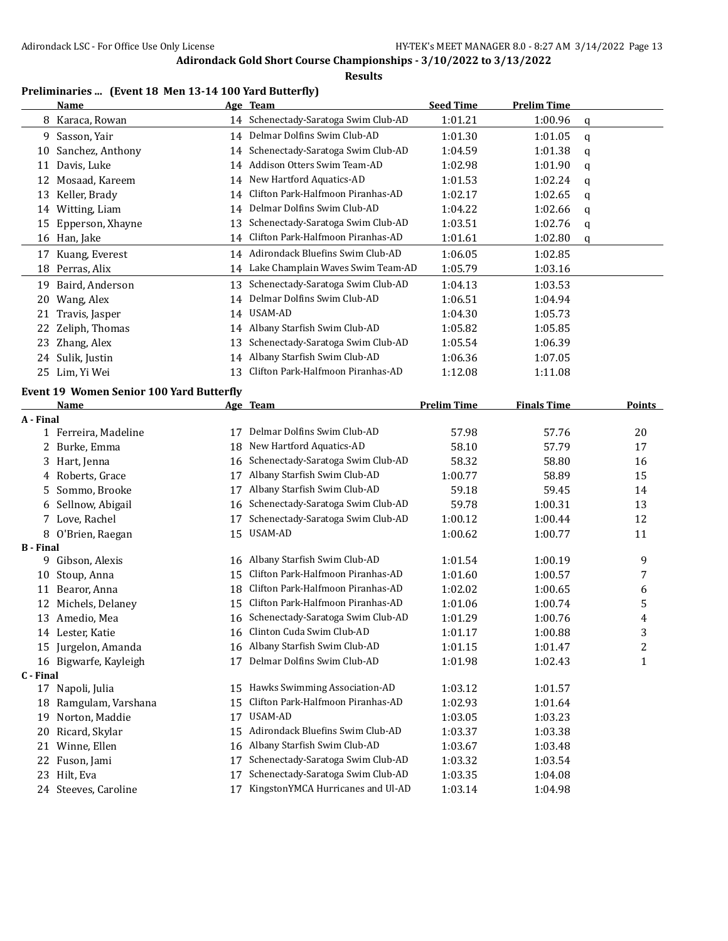**Results**

## **Preliminaries ... (Event 18 Men 13-14 100 Yard Butterfly)**

|                  | <b>Name</b>                                     |    | Age Team                                                               | <b>Seed Time</b>   | <b>Prelim Time</b> |   |                              |
|------------------|-------------------------------------------------|----|------------------------------------------------------------------------|--------------------|--------------------|---|------------------------------|
|                  | 8 Karaca, Rowan                                 |    | 14 Schenectady-Saratoga Swim Club-AD                                   | 1:01.21            | 1:00.96            | q |                              |
|                  | 9 Sasson, Yair                                  |    | 14 Delmar Dolfins Swim Club-AD                                         | 1:01.30            | 1:01.05            | q |                              |
| 10               | Sanchez, Anthony                                | 14 | Schenectady-Saratoga Swim Club-AD                                      | 1:04.59            | 1:01.38            | q |                              |
| 11               | Davis, Luke                                     | 14 | Addison Otters Swim Team-AD                                            | 1:02.98            | 1:01.90            | q |                              |
| 12               | Mosaad, Kareem                                  | 14 | New Hartford Aquatics-AD                                               | 1:01.53            | 1:02.24            | q |                              |
| 13               | Keller, Brady                                   | 14 | Clifton Park-Halfmoon Piranhas-AD                                      | 1:02.17            | 1:02.65            | q |                              |
|                  | 14 Witting, Liam                                | 14 | Delmar Dolfins Swim Club-AD                                            | 1:04.22            | 1:02.66            | q |                              |
| 15               | Epperson, Xhayne                                | 13 | Schenectady-Saratoga Swim Club-AD                                      | 1:03.51            | 1:02.76            | q |                              |
|                  | 16 Han, Jake                                    | 14 | Clifton Park-Halfmoon Piranhas-AD                                      | 1:01.61            | 1:02.80            | q |                              |
|                  | 17 Kuang, Everest                               |    | 14 Adirondack Bluefins Swim Club-AD                                    | 1:06.05            | 1:02.85            |   |                              |
|                  | 18 Perras, Alix                                 |    | 14 Lake Champlain Waves Swim Team-AD                                   | 1:05.79            | 1:03.16            |   |                              |
|                  | 19 Baird, Anderson                              | 13 | Schenectady-Saratoga Swim Club-AD                                      | 1:04.13            | 1:03.53            |   |                              |
|                  | 20 Wang, Alex                                   | 14 | Delmar Dolfins Swim Club-AD                                            | 1:06.51            | 1:04.94            |   |                              |
|                  | 21 Travis, Jasper                               |    | 14 USAM-AD                                                             | 1:04.30            | 1:05.73            |   |                              |
| 22               | Zeliph, Thomas                                  | 14 | Albany Starfish Swim Club-AD                                           | 1:05.82            | 1:05.85            |   |                              |
| 23               | Zhang, Alex                                     | 13 | Schenectady-Saratoga Swim Club-AD                                      | 1:05.54            | 1:06.39            |   |                              |
|                  | 24 Sulik, Justin                                | 14 | Albany Starfish Swim Club-AD                                           | 1:06.36            | 1:07.05            |   |                              |
|                  | 25 Lim, Yi Wei                                  | 13 | Clifton Park-Halfmoon Piranhas-AD                                      | 1:12.08            | 1:11.08            |   |                              |
|                  | <b>Event 19 Women Senior 100 Yard Butterfly</b> |    |                                                                        |                    |                    |   |                              |
|                  | Name                                            |    | Age Team                                                               | <b>Prelim Time</b> | <b>Finals Time</b> |   | <b>Points</b>                |
| A - Final        |                                                 |    |                                                                        |                    |                    |   |                              |
|                  | 1 Ferreira, Madeline                            |    | 17 Delmar Dolfins Swim Club-AD                                         | 57.98              | 57.76              |   | 20                           |
|                  | 2 Burke, Emma                                   | 18 | New Hartford Aquatics-AD                                               | 58.10              | 57.79              |   | 17                           |
| 3.               | Hart, Jenna                                     | 16 | Schenectady-Saratoga Swim Club-AD                                      | 58.32              | 58.80              |   | 16                           |
| 4                | Roberts, Grace                                  | 17 | Albany Starfish Swim Club-AD                                           | 1:00.77            | 58.89              |   | 15                           |
| 5.               | Sommo, Brooke                                   | 17 | Albany Starfish Swim Club-AD                                           | 59.18              | 59.45              |   | 14                           |
| 6                | Sellnow, Abigail                                | 16 | Schenectady-Saratoga Swim Club-AD                                      | 59.78              | 1:00.31            |   | 13                           |
|                  | 7 Love, Rachel                                  | 17 | Schenectady-Saratoga Swim Club-AD                                      | 1:00.12            | 1:00.44            |   | 12                           |
|                  | 8 O'Brien, Raegan                               | 15 | USAM-AD                                                                | 1:00.62            | 1:00.77            |   | 11                           |
| <b>B</b> - Final |                                                 |    |                                                                        |                    |                    |   |                              |
|                  | 9 Gibson, Alexis                                |    | 16 Albany Starfish Swim Club-AD                                        | 1:01.54            | 1:00.19            |   | 9                            |
| 10               | Stoup, Anna                                     | 15 | Clifton Park-Halfmoon Piranhas-AD<br>Clifton Park-Halfmoon Piranhas-AD | 1:01.60            | 1:00.57            |   | 7                            |
| 11               | Bearor, Anna                                    | 18 | Clifton Park-Halfmoon Piranhas-AD                                      | 1:02.02            | 1:00.65            |   | 6                            |
|                  | 12 Michels, Delaney                             | 15 | 16 Schenectady-Saratoga Swim Club-AD                                   | 1:01.06            | 1:00.74            |   | 5                            |
|                  | 13 Amedio, Mea                                  |    | 16 Clinton Cuda Swim Club-AD                                           | 1:01.29            | 1:00.76            |   | 4                            |
|                  | 14 Lester, Katie<br>15 Jurgelon, Amanda         |    | 16 Albany Starfish Swim Club-AD                                        | 1:01.17<br>1:01.15 | 1:00.88            |   | 3                            |
|                  | 16 Bigwarfe, Kayleigh                           |    | 17 Delmar Dolfins Swim Club-AD                                         | 1:01.98            | 1:01.47<br>1:02.43 |   | $\overline{\mathbf{c}}$<br>1 |
| C - Final        |                                                 |    |                                                                        |                    |                    |   |                              |
|                  | 17 Napoli, Julia                                |    | 15 Hawks Swimming Association-AD                                       | 1:03.12            | 1:01.57            |   |                              |
|                  | 18 Ramgulam, Varshana                           | 15 | Clifton Park-Halfmoon Piranhas-AD                                      | 1:02.93            | 1:01.64            |   |                              |
|                  | 19 Norton, Maddie                               | 17 | USAM-AD                                                                | 1:03.05            | 1:03.23            |   |                              |
|                  | 20 Ricard, Skylar                               | 15 | Adirondack Bluefins Swim Club-AD                                       | 1:03.37            | 1:03.38            |   |                              |
|                  | 21 Winne, Ellen                                 | 16 | Albany Starfish Swim Club-AD                                           | 1:03.67            | 1:03.48            |   |                              |
|                  | 22 Fuson, Jami                                  | 17 | Schenectady-Saratoga Swim Club-AD                                      | 1:03.32            | 1:03.54            |   |                              |
|                  | 23 Hilt, Eva                                    | 17 | Schenectady-Saratoga Swim Club-AD                                      | 1:03.35            | 1:04.08            |   |                              |
|                  | 24 Steeves, Caroline                            | 17 | KingstonYMCA Hurricanes and Ul-AD                                      | 1:03.14            | 1:04.98            |   |                              |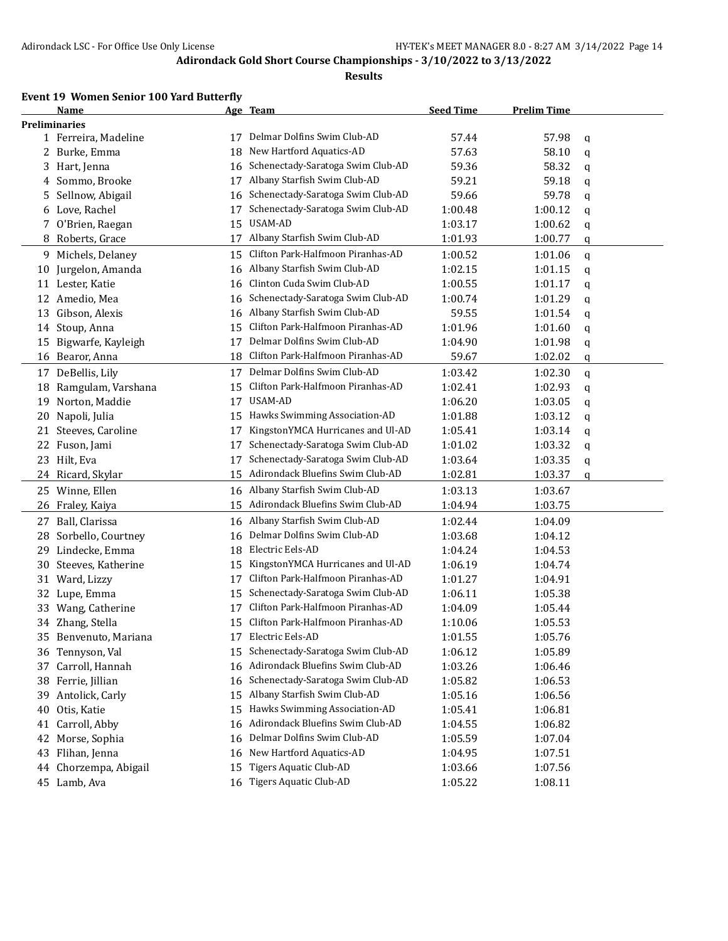#### **Results**

#### **Event 19 Women Senior 100 Yard Butterfly**

|    | Name                  |    | Age Team                             | <b>Seed Time</b> | <b>Prelim Time</b> |   |
|----|-----------------------|----|--------------------------------------|------------------|--------------------|---|
|    | <b>Preliminaries</b>  |    |                                      |                  |                    |   |
|    | 1 Ferreira, Madeline  | 17 | Delmar Dolfins Swim Club-AD          | 57.44            | 57.98              | q |
|    | 2 Burke, Emma         | 18 | New Hartford Aquatics-AD             | 57.63            | 58.10              | q |
|    | 3 Hart, Jenna         | 16 | Schenectady-Saratoga Swim Club-AD    | 59.36            | 58.32              | q |
|    | 4 Sommo, Brooke       | 17 | Albany Starfish Swim Club-AD         | 59.21            | 59.18              | q |
| 5  | Sellnow, Abigail      | 16 | Schenectady-Saratoga Swim Club-AD    | 59.66            | 59.78              | q |
| 6  | Love, Rachel          | 17 | Schenectady-Saratoga Swim Club-AD    | 1:00.48          | 1:00.12            | q |
| 7  | O'Brien, Raegan       | 15 | USAM-AD                              | 1:03.17          | 1:00.62            | q |
| 8. | Roberts, Grace        | 17 | Albany Starfish Swim Club-AD         | 1:01.93          | 1:00.77            | q |
|    | 9 Michels, Delaney    | 15 | Clifton Park-Halfmoon Piranhas-AD    | 1:00.52          | 1:01.06            | q |
| 10 | Jurgelon, Amanda      | 16 | Albany Starfish Swim Club-AD         | 1:02.15          | 1:01.15            | q |
|    | 11 Lester, Katie      | 16 | Clinton Cuda Swim Club-AD            | 1:00.55          | 1:01.17            | q |
|    | 12 Amedio, Mea        | 16 | Schenectady-Saratoga Swim Club-AD    | 1:00.74          | 1:01.29            | q |
| 13 | Gibson, Alexis        | 16 | Albany Starfish Swim Club-AD         | 59.55            | 1:01.54            | q |
| 14 | Stoup, Anna           | 15 | Clifton Park-Halfmoon Piranhas-AD    | 1:01.96          | 1:01.60            | q |
| 15 | Bigwarfe, Kayleigh    | 17 | Delmar Dolfins Swim Club-AD          | 1:04.90          | 1:01.98            | q |
| 16 | Bearor, Anna          | 18 | Clifton Park-Halfmoon Piranhas-AD    | 59.67            | 1:02.02            | q |
|    | 17 DeBellis, Lily     | 17 | Delmar Dolfins Swim Club-AD          | 1:03.42          | 1:02.30            | q |
| 18 | Ramgulam, Varshana    | 15 | Clifton Park-Halfmoon Piranhas-AD    | 1:02.41          | 1:02.93            | q |
| 19 | Norton, Maddie        | 17 | USAM-AD                              | 1:06.20          | 1:03.05            | q |
| 20 | Napoli, Julia         | 15 | Hawks Swimming Association-AD        | 1:01.88          | 1:03.12            | q |
| 21 | Steeves, Caroline     | 17 | KingstonYMCA Hurricanes and Ul-AD    | 1:05.41          | 1:03.14            | q |
|    | 22 Fuson, Jami        | 17 | Schenectady-Saratoga Swim Club-AD    | 1:01.02          | 1:03.32            | q |
|    | 23 Hilt, Eva          | 17 | Schenectady-Saratoga Swim Club-AD    | 1:03.64          | 1:03.35            | q |
|    | 24 Ricard, Skylar     | 15 | Adirondack Bluefins Swim Club-AD     | 1:02.81          | 1:03.37            | q |
|    | 25 Winne, Ellen       | 16 | Albany Starfish Swim Club-AD         | 1:03.13          | 1:03.67            |   |
| 26 | Fraley, Kaiya         | 15 | Adirondack Bluefins Swim Club-AD     | 1:04.94          | 1:03.75            |   |
| 27 | Ball, Clarissa        | 16 | Albany Starfish Swim Club-AD         | 1:02.44          | 1:04.09            |   |
| 28 | Sorbello, Courtney    | 16 | Delmar Dolfins Swim Club-AD          | 1:03.68          | 1:04.12            |   |
| 29 | Lindecke, Emma        | 18 | Electric Eels-AD                     | 1:04.24          | 1:04.53            |   |
| 30 | Steeves, Katherine    | 15 | KingstonYMCA Hurricanes and Ul-AD    | 1:06.19          | 1:04.74            |   |
| 31 | Ward, Lizzy           | 17 | Clifton Park-Halfmoon Piranhas-AD    | 1:01.27          | 1:04.91            |   |
| 32 | Lupe, Emma            | 15 | Schenectady-Saratoga Swim Club-AD    | 1:06.11          | 1:05.38            |   |
|    | 33 Wang, Catherine    | 17 | Clifton Park-Halfmoon Piranhas-AD    | 1:04.09          | 1:05.44            |   |
|    | 34 Zhang, Stella      | 15 | Clifton Park-Halfmoon Piranhas-AD    | 1:10.06          | 1:05.53            |   |
|    | 35 Benvenuto, Mariana |    | 17 Electric Eels-AD                  | 1:01.55          | 1:05.76            |   |
|    | 36 Tennyson, Val      |    | 15 Schenectady-Saratoga Swim Club-AD | 1:06.12          | 1:05.89            |   |
|    | 37 Carroll, Hannah    | 16 | Adirondack Bluefins Swim Club-AD     | 1:03.26          | 1:06.46            |   |
|    | 38 Ferrie, Jillian    | 16 | Schenectady-Saratoga Swim Club-AD    | 1:05.82          | 1:06.53            |   |
| 39 | Antolick, Carly       | 15 | Albany Starfish Swim Club-AD         | 1:05.16          | 1:06.56            |   |
| 40 | Otis, Katie           | 15 | Hawks Swimming Association-AD        | 1:05.41          | 1:06.81            |   |
| 41 | Carroll, Abby         | 16 | Adirondack Bluefins Swim Club-AD     | 1:04.55          | 1:06.82            |   |
| 42 | Morse, Sophia         | 16 | Delmar Dolfins Swim Club-AD          | 1:05.59          | 1:07.04            |   |
|    | 43 Flihan, Jenna      | 16 | New Hartford Aquatics-AD             | 1:04.95          | 1:07.51            |   |
|    | 44 Chorzempa, Abigail | 15 | <b>Tigers Aquatic Club-AD</b>        | 1:03.66          | 1:07.56            |   |
|    | 45 Lamb, Ava          |    | 16 Tigers Aquatic Club-AD            | 1:05.22          | 1:08.11            |   |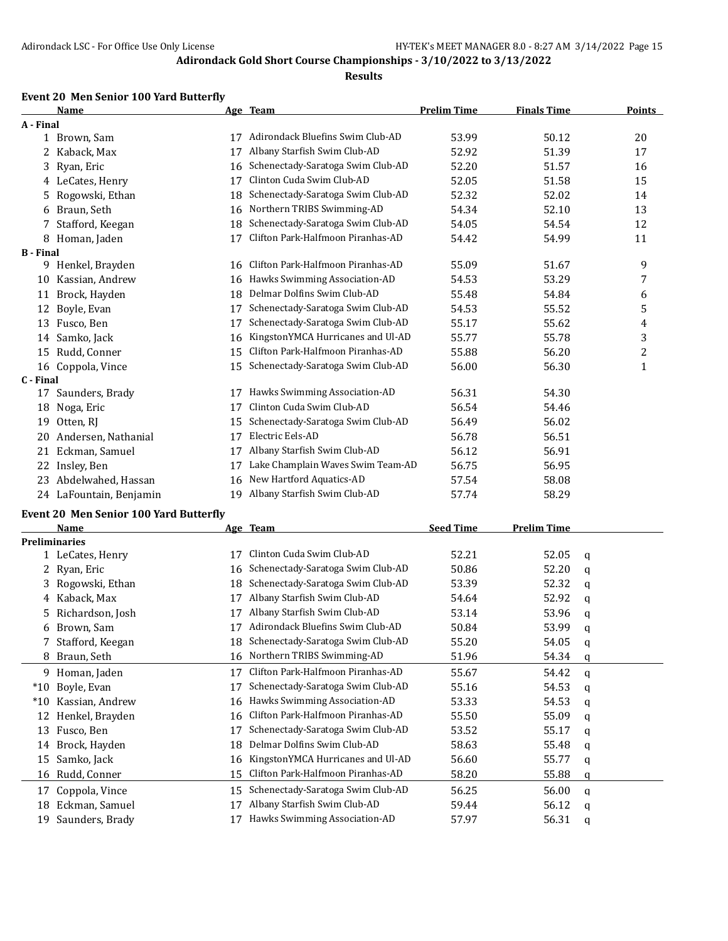#### **Results**

#### **Event 20 Men Senior 100 Yard Butterfly**

|                  | <b>Name</b>             |    | Age Team                          | <b>Prelim Time</b> | <b>Finals Time</b> | Points         |
|------------------|-------------------------|----|-----------------------------------|--------------------|--------------------|----------------|
| A - Final        |                         |    |                                   |                    |                    |                |
|                  | 1 Brown, Sam            | 17 | Adirondack Bluefins Swim Club-AD  | 53.99              | 50.12              | 20             |
| 2                | Kaback, Max             | 17 | Albany Starfish Swim Club-AD      | 52.92              | 51.39              | 17             |
| 3                | Ryan, Eric              | 16 | Schenectady-Saratoga Swim Club-AD | 52.20              | 51.57              | 16             |
|                  | 4 LeCates, Henry        | 17 | Clinton Cuda Swim Club-AD         | 52.05              | 51.58              | 15             |
| 5.               | Rogowski, Ethan         | 18 | Schenectady-Saratoga Swim Club-AD | 52.32              | 52.02              | 14             |
| 6                | Braun, Seth             | 16 | Northern TRIBS Swimming-AD        | 54.34              | 52.10              | 13             |
|                  | Stafford, Keegan        | 18 | Schenectady-Saratoga Swim Club-AD | 54.05              | 54.54              | 12             |
| 8                | Homan, Jaden            | 17 | Clifton Park-Halfmoon Piranhas-AD | 54.42              | 54.99              | 11             |
| <b>B</b> - Final |                         |    |                                   |                    |                    |                |
| 9                | Henkel, Brayden         | 16 | Clifton Park-Halfmoon Piranhas-AD | 55.09              | 51.67              | 9              |
| 10               | Kassian, Andrew         | 16 | Hawks Swimming Association-AD     | 54.53              | 53.29              | 7              |
| 11               | Brock, Hayden           | 18 | Delmar Dolfins Swim Club-AD       | 55.48              | 54.84              | 6              |
| 12               | Boyle, Evan             | 17 | Schenectady-Saratoga Swim Club-AD | 54.53              | 55.52              | 5              |
| 13               | Fusco, Ben              | 17 | Schenectady-Saratoga Swim Club-AD | 55.17              | 55.62              | 4              |
| 14               | Samko, Jack             | 16 | KingstonYMCA Hurricanes and Ul-AD | 55.77              | 55.78              | 3              |
| 15               | Rudd, Conner            | 15 | Clifton Park-Halfmoon Piranhas-AD | 55.88              | 56.20              | $\overline{c}$ |
| 16               | Coppola, Vince          | 15 | Schenectady-Saratoga Swim Club-AD | 56.00              | 56.30              | $\mathbf{1}$   |
| C - Final        |                         |    |                                   |                    |                    |                |
| 17               | Saunders, Brady         | 17 | Hawks Swimming Association-AD     | 56.31              | 54.30              |                |
| 18               | Noga, Eric              | 17 | Clinton Cuda Swim Club-AD         | 56.54              | 54.46              |                |
| 19               | Otten, RJ               | 15 | Schenectady-Saratoga Swim Club-AD | 56.49              | 56.02              |                |
| 20               | Andersen, Nathanial     | 17 | Electric Eels-AD                  | 56.78              | 56.51              |                |
| 21               | Eckman, Samuel          | 17 | Albany Starfish Swim Club-AD      | 56.12              | 56.91              |                |
| 22               | Insley, Ben             | 17 | Lake Champlain Waves Swim Team-AD | 56.75              | 56.95              |                |
| 23               | Abdelwahed, Hassan      | 16 | New Hartford Aquatics-AD          | 57.54              | 58.08              |                |
|                  | 24 LaFountain, Benjamin | 19 | Albany Starfish Swim Club-AD      | 57.74              | 58.29              |                |
|                  |                         |    |                                   |                    |                    |                |

#### **Event 20 Men Senior 100 Yard Butterfly**

|       | <b>Name</b>          |    | Age Team                          | <b>Seed Time</b> | <b>Prelim Time</b> |   |
|-------|----------------------|----|-----------------------------------|------------------|--------------------|---|
|       | <b>Preliminaries</b> |    |                                   |                  |                    |   |
|       | 1 LeCates, Henry     | 17 | Clinton Cuda Swim Club-AD         | 52.21            | 52.05              | q |
| 2     | Ryan, Eric           | 16 | Schenectady-Saratoga Swim Club-AD | 50.86            | 52.20              | q |
| 3.    | Rogowski, Ethan      | 18 | Schenectady-Saratoga Swim Club-AD | 53.39            | 52.32              | q |
|       | 4 Kaback, Max        | 17 | Albany Starfish Swim Club-AD      | 54.64            | 52.92              | a |
| 5.    | Richardson, Josh     |    | Albany Starfish Swim Club-AD      | 53.14            | 53.96              | q |
| 6.    | Brown, Sam           | 17 | Adirondack Bluefins Swim Club-AD  | 50.84            | 53.99              | q |
|       | Stafford, Keegan     | 18 | Schenectady-Saratoga Swim Club-AD | 55.20            | 54.05              | q |
| 8     | Braun, Seth          |    | 16 Northern TRIBS Swimming-AD     | 51.96            | 54.34              | q |
| 9.    | Homan, Jaden         | 17 | Clifton Park-Halfmoon Piranhas-AD | 55.67            | 54.42              | q |
| $*10$ | Boyle, Evan          | 17 | Schenectady-Saratoga Swim Club-AD | 55.16            | 54.53              | a |
| $*10$ | Kassian, Andrew      | 16 | Hawks Swimming Association-AD     | 53.33            | 54.53              | q |
| 12    | Henkel, Brayden      | 16 | Clifton Park-Halfmoon Piranhas-AD | 55.50            | 55.09              | q |
| 13    | Fusco, Ben           | 17 | Schenectady-Saratoga Swim Club-AD | 53.52            | 55.17              | q |
| 14    | Brock, Hayden        | 18 | Delmar Dolfins Swim Club-AD       | 58.63            | 55.48              | q |
| 15    | Samko, Jack          | 16 | KingstonYMCA Hurricanes and Ul-AD | 56.60            | 55.77              | q |
| 16    | Rudd, Conner         | 15 | Clifton Park-Halfmoon Piranhas-AD | 58.20            | 55.88              | q |
| 17    | Coppola, Vince       | 15 | Schenectady-Saratoga Swim Club-AD | 56.25            | 56.00              | a |
| 18    | Eckman, Samuel       | 17 | Albany Starfish Swim Club-AD      | 59.44            | 56.12              | q |
| 19    | Saunders, Brady      |    | Hawks Swimming Association-AD     | 57.97            | 56.31              | a |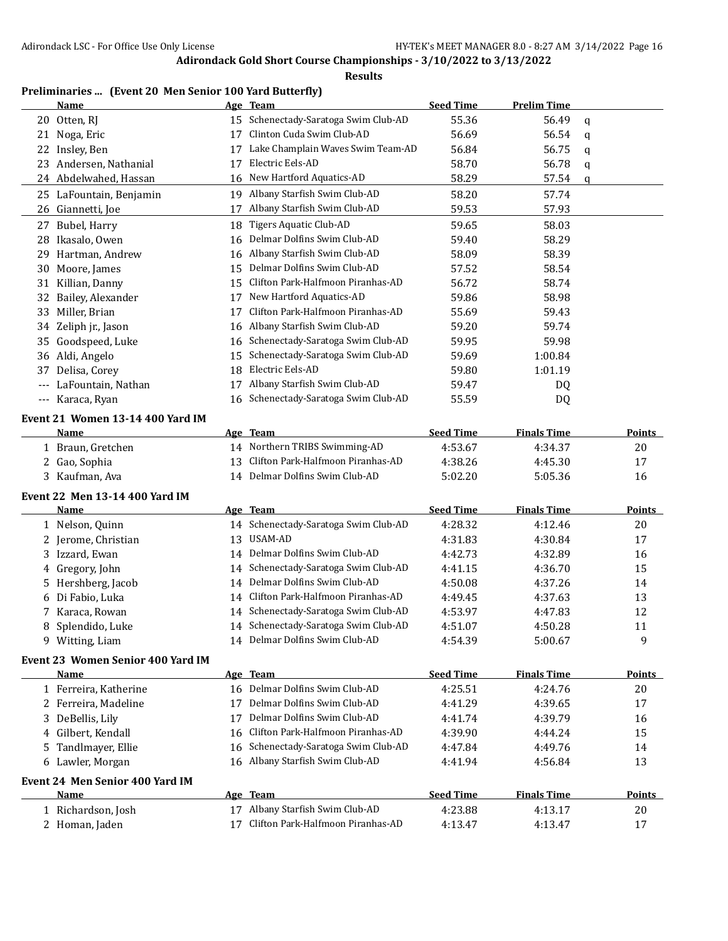**Results**

## **Preliminaries ... (Event 20 Men Senior 100 Yard Butterfly)**

|       | <b>Name</b>                       |    | Age Team                             | <b>Seed Time</b> | <b>Prelim Time</b> |             |               |
|-------|-----------------------------------|----|--------------------------------------|------------------|--------------------|-------------|---------------|
|       | 20 Otten, RJ                      | 15 | Schenectady-Saratoga Swim Club-AD    | 55.36            | 56.49              | $\mathbf q$ |               |
|       | 21 Noga, Eric                     | 17 | Clinton Cuda Swim Club-AD            | 56.69            | 56.54              | q           |               |
|       | 22 Insley, Ben                    | 17 | Lake Champlain Waves Swim Team-AD    | 56.84            | 56.75              | q           |               |
|       | 23 Andersen, Nathanial            | 17 | Electric Eels-AD                     | 58.70            | 56.78              | q           |               |
|       | 24 Abdelwahed, Hassan             | 16 | New Hartford Aquatics-AD             | 58.29            | 57.54              | q           |               |
|       | 25 LaFountain, Benjamin           |    | 19 Albany Starfish Swim Club-AD      | 58.20            | 57.74              |             |               |
| 26    | Giannetti, Joe                    | 17 | Albany Starfish Swim Club-AD         | 59.53            | 57.93              |             |               |
|       | 27 Bubel, Harry                   | 18 | Tigers Aquatic Club-AD               | 59.65            | 58.03              |             |               |
|       | 28 Ikasalo, Owen                  | 16 | Delmar Dolfins Swim Club-AD          | 59.40            | 58.29              |             |               |
| 29    | Hartman, Andrew                   |    | 16 Albany Starfish Swim Club-AD      | 58.09            | 58.39              |             |               |
| 30    | Moore, James                      | 15 | Delmar Dolfins Swim Club-AD          | 57.52            | 58.54              |             |               |
| 31    | Killian, Danny                    | 15 | Clifton Park-Halfmoon Piranhas-AD    | 56.72            | 58.74              |             |               |
| 32    | Bailey, Alexander                 | 17 | New Hartford Aquatics-AD             | 59.86            | 58.98              |             |               |
| 33    | Miller, Brian                     | 17 | Clifton Park-Halfmoon Piranhas-AD    | 55.69            | 59.43              |             |               |
|       | 34 Zeliph jr., Jason              |    | 16 Albany Starfish Swim Club-AD      | 59.20            | 59.74              |             |               |
| 35    | Goodspeed, Luke                   | 16 | Schenectady-Saratoga Swim Club-AD    | 59.95            | 59.98              |             |               |
|       | 36 Aldi, Angelo                   | 15 | Schenectady-Saratoga Swim Club-AD    | 59.69            | 1:00.84            |             |               |
| 37    | Delisa, Corey                     | 18 | Electric Eels-AD                     | 59.80            | 1:01.19            |             |               |
| $---$ | LaFountain, Nathan                | 17 | Albany Starfish Swim Club-AD         | 59.47            | DQ                 |             |               |
| $---$ | Karaca, Ryan                      | 16 | Schenectady-Saratoga Swim Club-AD    | 55.59            | DQ                 |             |               |
|       |                                   |    |                                      |                  |                    |             |               |
|       | Event 21 Women 13-14 400 Yard IM  |    |                                      |                  |                    |             |               |
|       | Name                              |    | Age Team                             | <b>Seed Time</b> | <b>Finals Time</b> |             | <b>Points</b> |
|       | 1 Braun, Gretchen                 |    | 14 Northern TRIBS Swimming-AD        | 4:53.67          | 4:34.37            |             | 20            |
|       | 2 Gao, Sophia                     | 13 | Clifton Park-Halfmoon Piranhas-AD    | 4:38.26          | 4:45.30            |             | 17            |
|       | 3 Kaufman, Ava                    |    | 14 Delmar Dolfins Swim Club-AD       | 5:02.20          | 5:05.36            |             | 16            |
|       | Event 22 Men 13-14 400 Yard IM    |    |                                      |                  |                    |             |               |
|       | Name                              |    | Age Team                             | <b>Seed Time</b> | <b>Finals Time</b> |             | <b>Points</b> |
|       | 1 Nelson, Quinn                   |    | 14 Schenectady-Saratoga Swim Club-AD | 4:28.32          | 4:12.46            |             | 20            |
|       | 2 Jerome, Christian               |    | 13 USAM-AD                           | 4:31.83          | 4:30.84            |             | 17            |
|       | 3 Izzard, Ewan                    |    | 14 Delmar Dolfins Swim Club-AD       | 4:42.73          | 4:32.89            |             | 16            |
|       | 4 Gregory, John                   | 14 | Schenectady-Saratoga Swim Club-AD    | 4:41.15          | 4:36.70            |             | 15            |
| 5.    | Hershberg, Jacob                  | 14 | Delmar Dolfins Swim Club-AD          | 4:50.08          | 4:37.26            |             | 14            |
|       | 6 Di Fabio, Luka                  | 14 | Clifton Park-Halfmoon Piranhas-AD    | 4:49.45          | 4:37.63            |             | 13            |
| 7     | Karaca, Rowan                     | 14 | Schenectady-Saratoga Swim Club-AD    | 4:53.97          | 4:47.83            |             | 12            |
| 8     | Splendido, Luke                   |    | 14 Schenectady-Saratoga Swim Club-AD | 4:51.07          | 4:50.28            |             | 11            |
|       | 9 Witting, Liam                   |    | 14 Delmar Dolfins Swim Club-AD       | 4:54.39          | 5:00.67            |             | 9             |
|       | Event 23 Women Senior 400 Yard IM |    |                                      |                  |                    |             |               |
|       | Name                              |    | Age Team                             | <b>Seed Time</b> | <b>Finals Time</b> |             | <b>Points</b> |
|       | 1 Ferreira, Katherine             |    | 16 Delmar Dolfins Swim Club-AD       | 4:25.51          | 4:24.76            |             | 20            |
|       | 2 Ferreira, Madeline              | 17 | Delmar Dolfins Swim Club-AD          | 4:41.29          | 4:39.65            |             | 17            |
|       | 3 DeBellis, Lily                  | 17 | Delmar Dolfins Swim Club-AD          | 4:41.74          | 4:39.79            |             | 16            |
| 4     | Gilbert, Kendall                  | 16 | Clifton Park-Halfmoon Piranhas-AD    | 4:39.90          | 4:44.24            |             | 15            |
| 5     | Tandlmayer, Ellie                 | 16 | Schenectady-Saratoga Swim Club-AD    | 4:47.84          | 4:49.76            |             | 14            |
|       | 6 Lawler, Morgan                  |    | 16 Albany Starfish Swim Club-AD      | 4:41.94          | 4:56.84            |             | 13            |
|       |                                   |    |                                      |                  |                    |             |               |
|       | Event 24 Men Senior 400 Yard IM   |    |                                      |                  |                    |             |               |
|       | Name                              |    | Age Team                             | <b>Seed Time</b> | <b>Finals Time</b> |             | <b>Points</b> |
|       | 1 Richardson, Josh                |    | 17 Albany Starfish Swim Club-AD      | 4:23.88          | 4:13.17            |             | 20            |
|       | 2 Homan, Jaden                    | 17 | Clifton Park-Halfmoon Piranhas-AD    | 4:13.47          | 4:13.47            |             | 17            |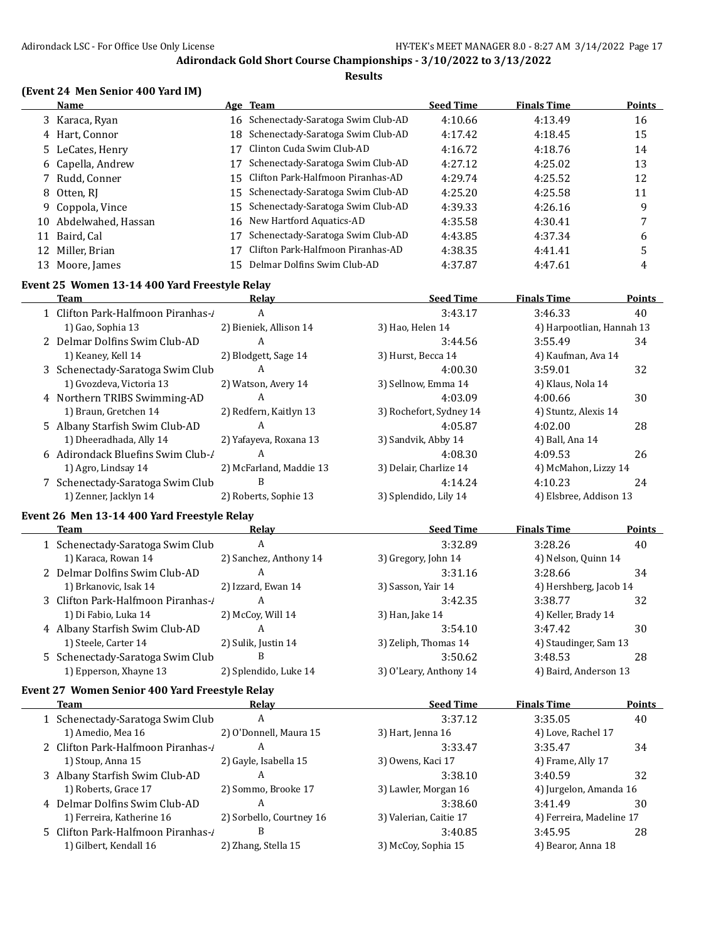#### **Results**

### **(Event 24 Men Senior 400 Yard IM)**

|    | <b>Name</b>        |    | Age Team                             | <b>Seed Time</b> | <b>Finals Time</b> | <b>Points</b> |
|----|--------------------|----|--------------------------------------|------------------|--------------------|---------------|
|    | 3 Karaca, Ryan     |    | 16 Schenectady-Saratoga Swim Club-AD | 4:10.66          | 4:13.49            | 16            |
|    | 4 Hart, Connor     |    | 18 Schenectady-Saratoga Swim Club-AD | 4:17.42          | 4:18.45            | 15            |
|    | 5 LeCates, Henry   |    | Clinton Cuda Swim Club-AD            | 4:16.72          | 4:18.76            | 14            |
|    | 6 Capella, Andrew  | 17 | Schenectady-Saratoga Swim Club-AD    | 4:27.12          | 4:25.02            | 13            |
|    | 7 Rudd, Conner     |    | 15 Clifton Park-Halfmoon Piranhas-AD | 4:29.74          | 4:25.52            | 12            |
|    | 8 Otten, RI        |    | 15 Schenectady-Saratoga Swim Club-AD | 4:25.20          | 4:25.58            | 11            |
|    | 9 Coppola, Vince   |    | 15 Schenectady-Saratoga Swim Club-AD | 4:39.33          | 4:26.16            | 9             |
| 10 | Abdelwahed, Hassan |    | 16 New Hartford Aquatics-AD          | 4:35.58          | 4:30.41            |               |
| 11 | Baird, Cal         |    | Schenectady-Saratoga Swim Club-AD    | 4:43.85          | 4:37.34            | 6             |
| 12 | Miller, Brian      |    | Clifton Park-Halfmoon Piranhas-AD    | 4:38.35          | 4:41.41            | 5             |
|    | 13 Moore, James    |    | Delmar Dolfins Swim Club-AD          | 4:37.87          | 4:47.61            | 4             |

#### **Event 25 Women 13-14 400 Yard Freestyle Relay**

| Team                              | Relay                   | <b>Seed Time</b>        | <b>Finals Time</b>        | <b>Points</b> |
|-----------------------------------|-------------------------|-------------------------|---------------------------|---------------|
| 1 Clifton Park-Halfmoon Piranhas- | A                       | 3:43.17                 | 3:46.33                   | 40            |
| 1) Gao, Sophia 13                 | 2) Bieniek, Allison 14  | 3) Hao, Helen 14        | 4) Harpootlian, Hannah 13 |               |
| 2 Delmar Dolfins Swim Club-AD     | A                       | 3:44.56                 | 3:55.49                   | 34            |
| 1) Keaney, Kell 14                | 2) Blodgett, Sage 14    | 3) Hurst, Becca 14      | 4) Kaufman, Ava 14        |               |
| 3 Schenectady-Saratoga Swim Club  | A                       | 4:00.30                 | 3:59.01                   | 32            |
| 1) Gvozdeva, Victoria 13          | 2) Watson, Avery 14     | 3) Sellnow, Emma 14     | 4) Klaus, Nola 14         |               |
| 4 Northern TRIBS Swimming-AD      | A                       | 4:03.09                 | 4:00.66                   | 30            |
| 1) Braun, Gretchen 14             | 2) Redfern, Kaitlyn 13  | 3) Rochefort, Sydney 14 | 4) Stuntz, Alexis 14      |               |
| 5 Albany Starfish Swim Club-AD    | A                       | 4:05.87                 | 4:02.00                   | 28            |
| 1) Dheeradhada, Ally 14           | 2) Yafayeva, Roxana 13  | 3) Sandvik, Abby 14     | 4) Ball, Ana 14           |               |
| 6 Adirondack Bluefins Swim Club-/ | A                       | 4:08.30                 | 4:09.53                   | 26            |
| 1) Agro, Lindsay 14               | 2) McFarland, Maddie 13 | 3) Delair, Charlize 14  | 4) McMahon, Lizzy 14      |               |
| 7 Schenectady-Saratoga Swim Club  | B                       | 4:14.24                 | 4:10.23                   | 24            |
| 1) Zenner, Jacklyn 14             | 2) Roberts, Sophie 13   | 3) Splendido, Lily 14   | 4) Elsbree, Addison 13    |               |

#### **Event 26 Men 13-14 400 Yard Freestyle Relay**

| Team                               | Relay                  | <b>Seed Time</b>       | <b>Finals Time</b>     | <b>Points</b> |
|------------------------------------|------------------------|------------------------|------------------------|---------------|
| 1 Schenectady-Saratoga Swim Club   | A                      | 3:32.89                | 3:28.26                | 40            |
| 1) Karaca, Rowan 14                | 2) Sanchez, Anthony 14 | 3) Gregory, John 14    | 4) Nelson, Quinn 14    |               |
| 2 Delmar Dolfins Swim Club-AD      | A                      | 3:31.16                | 3:28.66                | 34            |
| 1) Brkanovic, Isak 14              | 2) Izzard, Ewan 14     | 3) Sasson, Yair 14     | 4) Hershberg, Jacob 14 |               |
| 3 Clifton Park-Halfmoon Piranhas-/ | A                      | 3:42.35                | 3:38.77                | 32            |
| 1) Di Fabio, Luka 14               | 2) McCoy, Will 14      | 3) Han, Jake 14        | 4) Keller, Brady 14    |               |
| 4 Albany Starfish Swim Club-AD     | А                      | 3:54.10                | 3:47.42                | 30            |
| 1) Steele, Carter 14               | 2) Sulik, Justin 14    | 3) Zeliph, Thomas 14   | 4) Staudinger, Sam 13  |               |
| 5 Schenectady-Saratoga Swim Club   | B                      | 3:50.62                | 3:48.53                | 28            |
| 1) Epperson, Xhayne 13             | 2) Splendido, Luke 14  | 3) O'Leary, Anthony 14 | 4) Baird, Anderson 13  |               |
|                                    |                        |                        |                        |               |

## **Event 27 Women Senior 400 Yard Freestyle Relay**

| Team                              | Relav                    | <b>Seed Time</b>       | <b>Finals Time</b>       | Points |
|-----------------------------------|--------------------------|------------------------|--------------------------|--------|
| 1 Schenectady-Saratoga Swim Club  | A                        | 3:37.12                | 3:35.05                  | 40     |
| 1) Amedio, Mea 16                 | 2) O'Donnell, Maura 15   | 3) Hart, Jenna 16      | 4) Love, Rachel 17       |        |
| 2 Clifton Park-Halfmoon Piranhas- | А                        | 3:33.47                | 3:35.47                  | 34     |
| 1) Stoup, Anna 15                 | 2) Gayle, Isabella 15    | 3) Owens, Kaci 17      | 4) Frame, Ally 17        |        |
| 3 Albany Starfish Swim Club-AD    | А                        | 3:38.10                | 3:40.59                  | 32     |
| 1) Roberts, Grace 17              | 2) Sommo, Brooke 17      | 3) Lawler, Morgan 16   | 4) Jurgelon, Amanda 16   |        |
| 4 Delmar Dolfins Swim Club-AD     | А                        | 3:38.60                | 3:41.49                  | 30     |
| 1) Ferreira, Katherine 16         | 2) Sorbello, Courtney 16 | 3) Valerian, Caitie 17 | 4) Ferreira, Madeline 17 |        |
| 5 Clifton Park-Halfmoon Piranhas- | В                        | 3:40.85                | 3:45.95                  | 28     |
| 1) Gilbert, Kendall 16            | 2) Zhang, Stella 15      | 3) McCoy, Sophia 15    | 4) Bearor, Anna 18       |        |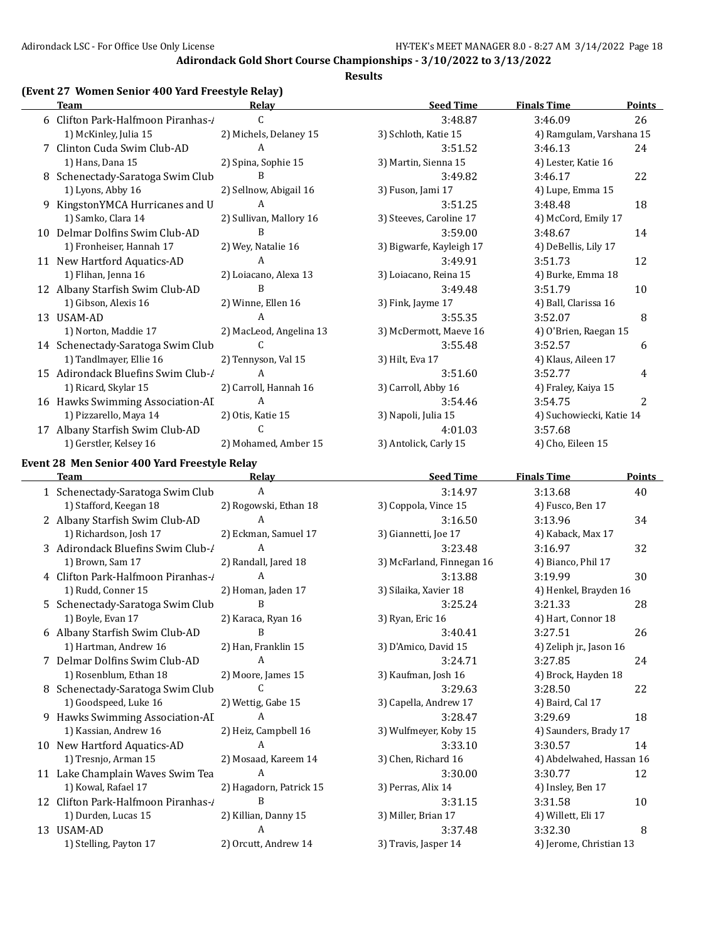#### **Results**

#### **(Event 27 Women Senior 400 Yard Freestyle Relay)**

|    | <b>Team</b>                        | <b>Relay</b>            | <b>Seed Time</b>         | <b>Finals Time</b>       | Points         |
|----|------------------------------------|-------------------------|--------------------------|--------------------------|----------------|
|    | 6 Clifton Park-Halfmoon Piranhas-/ | C                       | 3:48.87                  | 3:46.09                  | 26             |
|    | 1) McKinley, Julia 15              | 2) Michels, Delaney 15  | 3) Schloth, Katie 15     | 4) Ramgulam, Varshana 15 |                |
|    | Clinton Cuda Swim Club-AD          | A                       | 3:51.52                  | 3:46.13                  | 24             |
|    | 1) Hans, Dana 15                   | 2) Spina, Sophie 15     | 3) Martin, Sienna 15     | 4) Lester, Katie 16      |                |
|    | Schenectady-Saratoga Swim Club     | B                       | 3:49.82                  | 3:46.17                  | 22             |
|    | 1) Lyons, Abby 16                  | 2) Sellnow, Abigail 16  | 3) Fuson, Jami 17        | 4) Lupe, Emma 15         |                |
|    | KingstonYMCA Hurricanes and U      | A                       | 3:51.25                  | 3:48.48                  | 18             |
|    | 1) Samko, Clara 14                 | 2) Sullivan, Mallory 16 | 3) Steeves, Caroline 17  | 4) McCord, Emily 17      |                |
| 10 | Delmar Dolfins Swim Club-AD        | B                       | 3:59.00                  | 3:48.67                  | 14             |
|    | 1) Fronheiser, Hannah 17           | 2) Wey, Natalie 16      | 3) Bigwarfe, Kayleigh 17 | 4) DeBellis, Lily 17     |                |
|    | 11 New Hartford Aquatics-AD        | A                       | 3:49.91                  | 3:51.73                  | 12             |
|    | 1) Flihan, Jenna 16                | 2) Loiacano, Alexa 13   | 3) Loiacano, Reina 15    | 4) Burke, Emma 18        |                |
|    | 12 Albany Starfish Swim Club-AD    | B                       | 3:49.48                  | 3:51.79                  | 10             |
|    | 1) Gibson, Alexis 16               | 2) Winne, Ellen 16      | 3) Fink, Jayme 17        | 4) Ball, Clarissa 16     |                |
|    | 13 USAM-AD                         | А                       | 3:55.35                  | 3:52.07                  | 8              |
|    | 1) Norton, Maddie 17               | 2) MacLeod, Angelina 13 | 3) McDermott, Maeve 16   | 4) O'Brien, Raegan 15    |                |
|    | 14 Schenectady-Saratoga Swim Club  | C                       | 3:55.48                  | 3:52.57                  | 6              |
|    | 1) Tandlmayer, Ellie 16            | 2) Tennyson, Val 15     | 3) Hilt, Eva 17          | 4) Klaus, Aileen 17      |                |
|    | 15 Adirondack Bluefins Swim Club-/ | A                       | 3:51.60                  | 3:52.77                  | 4              |
|    | 1) Ricard, Skylar 15               | 2) Carroll, Hannah 16   | 3) Carroll, Abby 16      | 4) Fraley, Kaiya 15      |                |
|    | 16 Hawks Swimming Association-AI   | A                       | 3:54.46                  | 3:54.75                  | $\overline{c}$ |
|    | 1) Pizzarello, Maya 14             | 2) Otis, Katie 15       | 3) Napoli, Julia 15      | 4) Suchowiecki, Katie 14 |                |
| 17 | Albany Starfish Swim Club-AD       | C.                      | 4:01.03                  | 3:57.68                  |                |
|    | 1) Gerstler, Kelsey 16             | 2) Mohamed, Amber 15    | 3) Antolick, Carly 15    | 4) Cho, Eileen 15        |                |

#### **Event 28 Men Senior 400 Yard Freestyle Relay**

 $\overline{\phantom{0}}$ 

| <b>Team</b>                        | Relay                   | <b>Seed Time</b>          | <b>Finals Time</b>       | <b>Points</b> |
|------------------------------------|-------------------------|---------------------------|--------------------------|---------------|
| 1 Schenectady-Saratoga Swim Club   | A                       | 3:14.97                   | 3:13.68                  | 40            |
| 1) Stafford, Keegan 18             | 2) Rogowski, Ethan 18   | 3) Coppola, Vince 15      | 4) Fusco, Ben 17         |               |
| 2 Albany Starfish Swim Club-AD     | A                       | 3:16.50                   | 3:13.96                  | 34            |
| 1) Richardson, Josh 17             | 2) Eckman, Samuel 17    | 3) Giannetti, Joe 17      | 4) Kaback, Max 17        |               |
| 3 Adirondack Bluefins Swim Club-/  | A                       | 3:23.48                   | 3:16.97                  | 32            |
| 1) Brown, Sam 17                   | 2) Randall, Jared 18    | 3) McFarland, Finnegan 16 | 4) Bianco, Phil 17       |               |
| 4 Clifton Park-Halfmoon Piranhas-1 | A                       | 3:13.88                   | 3:19.99                  | 30            |
| 1) Rudd, Conner 15                 | 2) Homan, Jaden 17      | 3) Silaika, Xavier 18     | 4) Henkel, Brayden 16    |               |
| 5 Schenectady-Saratoga Swim Club   | B                       | 3:25.24                   | 3:21.33                  | 28            |
| 1) Boyle, Evan 17                  | 2) Karaca, Ryan 16      | 3) Ryan, Eric 16          | 4) Hart, Connor 18       |               |
| 6 Albany Starfish Swim Club-AD     | B                       | 3:40.41                   | 3:27.51                  | 26            |
| 1) Hartman, Andrew 16              | 2) Han, Franklin 15     | 3) D'Amico, David 15      | 4) Zeliph jr., Jason 16  |               |
| 7 Delmar Dolfins Swim Club-AD      | $\mathsf{A}$            | 3:24.71                   | 3:27.85                  | 24            |
| 1) Rosenblum, Ethan 18             | 2) Moore, James 15      | 3) Kaufman, Josh 16       | 4) Brock, Hayden 18      |               |
| 8 Schenectady-Saratoga Swim Club   | C.                      | 3:29.63                   | 3:28.50                  | 22            |
| 1) Goodspeed, Luke 16              | 2) Wettig, Gabe 15      | 3) Capella, Andrew 17     | 4) Baird, Cal 17         |               |
| 9 Hawks Swimming Association-AI    | A                       | 3:28.47                   | 3:29.69                  | 18            |
| 1) Kassian, Andrew 16              | 2) Heiz, Campbell 16    | 3) Wulfmeyer, Koby 15     | 4) Saunders, Brady 17    |               |
| 10 New Hartford Aquatics-AD        | A                       | 3:33.10                   | 3:30.57                  | 14            |
| 1) Tresnjo, Arman 15               | 2) Mosaad, Kareem 14    | 3) Chen, Richard 16       | 4) Abdelwahed, Hassan 16 |               |
| 11 Lake Champlain Waves Swim Tea   | A                       | 3:30.00                   | 3:30.77                  | 12            |
| 1) Kowal, Rafael 17                | 2) Hagadorn, Patrick 15 | 3) Perras, Alix 14        | 4) Insley, Ben 17        |               |
| 12 Clifton Park-Halfmoon Piranhas- | B                       | 3:31.15                   | 3:31.58                  | 10            |
| 1) Durden, Lucas 15                | 2) Killian, Danny 15    | 3) Miller, Brian 17       | 4) Willett, Eli 17       |               |
| 13 USAM-AD                         | A                       | 3:37.48                   | 3:32.30                  | 8             |
| 1) Stelling, Payton 17             | 2) Orcutt, Andrew 14    | 3) Travis, Jasper 14      | 4) Jerome, Christian 13  |               |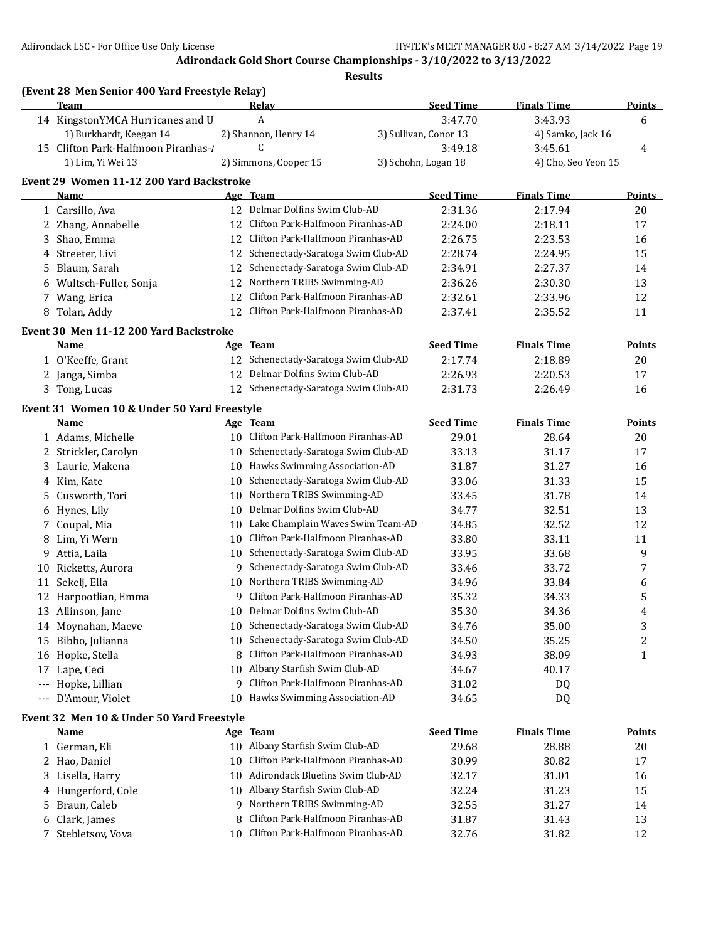| (Event 28 Men Senior 400 Yard Freestyle Relay)<br><b>Team</b> |                                                                                                                                                                                                                                                                                                                                                                                                                                                                                                                                                                                                                  |                                        | <b>Seed Time</b>                                                                                                                                                                                                                                                                                                                                                                                                                                                                                                                                                                                                                                                                                                               |                                                                                                                                                                         | Points                                                                                                                                                                       |
|---------------------------------------------------------------|------------------------------------------------------------------------------------------------------------------------------------------------------------------------------------------------------------------------------------------------------------------------------------------------------------------------------------------------------------------------------------------------------------------------------------------------------------------------------------------------------------------------------------------------------------------------------------------------------------------|----------------------------------------|--------------------------------------------------------------------------------------------------------------------------------------------------------------------------------------------------------------------------------------------------------------------------------------------------------------------------------------------------------------------------------------------------------------------------------------------------------------------------------------------------------------------------------------------------------------------------------------------------------------------------------------------------------------------------------------------------------------------------------|-------------------------------------------------------------------------------------------------------------------------------------------------------------------------|------------------------------------------------------------------------------------------------------------------------------------------------------------------------------|
|                                                               |                                                                                                                                                                                                                                                                                                                                                                                                                                                                                                                                                                                                                  |                                        |                                                                                                                                                                                                                                                                                                                                                                                                                                                                                                                                                                                                                                                                                                                                |                                                                                                                                                                         | 6                                                                                                                                                                            |
|                                                               |                                                                                                                                                                                                                                                                                                                                                                                                                                                                                                                                                                                                                  |                                        |                                                                                                                                                                                                                                                                                                                                                                                                                                                                                                                                                                                                                                                                                                                                |                                                                                                                                                                         |                                                                                                                                                                              |
|                                                               |                                                                                                                                                                                                                                                                                                                                                                                                                                                                                                                                                                                                                  |                                        |                                                                                                                                                                                                                                                                                                                                                                                                                                                                                                                                                                                                                                                                                                                                |                                                                                                                                                                         | 4                                                                                                                                                                            |
|                                                               |                                                                                                                                                                                                                                                                                                                                                                                                                                                                                                                                                                                                                  |                                        |                                                                                                                                                                                                                                                                                                                                                                                                                                                                                                                                                                                                                                                                                                                                |                                                                                                                                                                         |                                                                                                                                                                              |
|                                                               |                                                                                                                                                                                                                                                                                                                                                                                                                                                                                                                                                                                                                  |                                        |                                                                                                                                                                                                                                                                                                                                                                                                                                                                                                                                                                                                                                                                                                                                |                                                                                                                                                                         |                                                                                                                                                                              |
| Name                                                          |                                                                                                                                                                                                                                                                                                                                                                                                                                                                                                                                                                                                                  |                                        |                                                                                                                                                                                                                                                                                                                                                                                                                                                                                                                                                                                                                                                                                                                                |                                                                                                                                                                         | <b>Points</b>                                                                                                                                                                |
|                                                               |                                                                                                                                                                                                                                                                                                                                                                                                                                                                                                                                                                                                                  |                                        | 2:31.36                                                                                                                                                                                                                                                                                                                                                                                                                                                                                                                                                                                                                                                                                                                        | 2:17.94                                                                                                                                                                 | 20                                                                                                                                                                           |
|                                                               |                                                                                                                                                                                                                                                                                                                                                                                                                                                                                                                                                                                                                  | Clifton Park-Halfmoon Piranhas-AD      |                                                                                                                                                                                                                                                                                                                                                                                                                                                                                                                                                                                                                                                                                                                                |                                                                                                                                                                         | 17                                                                                                                                                                           |
|                                                               |                                                                                                                                                                                                                                                                                                                                                                                                                                                                                                                                                                                                                  | Clifton Park-Halfmoon Piranhas-AD      |                                                                                                                                                                                                                                                                                                                                                                                                                                                                                                                                                                                                                                                                                                                                |                                                                                                                                                                         | 16                                                                                                                                                                           |
|                                                               |                                                                                                                                                                                                                                                                                                                                                                                                                                                                                                                                                                                                                  |                                        | 2:28.74                                                                                                                                                                                                                                                                                                                                                                                                                                                                                                                                                                                                                                                                                                                        |                                                                                                                                                                         | 15                                                                                                                                                                           |
|                                                               |                                                                                                                                                                                                                                                                                                                                                                                                                                                                                                                                                                                                                  | Schenectady-Saratoga Swim Club-AD      |                                                                                                                                                                                                                                                                                                                                                                                                                                                                                                                                                                                                                                                                                                                                |                                                                                                                                                                         | 14                                                                                                                                                                           |
|                                                               |                                                                                                                                                                                                                                                                                                                                                                                                                                                                                                                                                                                                                  |                                        | 2:36.26                                                                                                                                                                                                                                                                                                                                                                                                                                                                                                                                                                                                                                                                                                                        |                                                                                                                                                                         | 13                                                                                                                                                                           |
|                                                               |                                                                                                                                                                                                                                                                                                                                                                                                                                                                                                                                                                                                                  | Clifton Park-Halfmoon Piranhas-AD      |                                                                                                                                                                                                                                                                                                                                                                                                                                                                                                                                                                                                                                                                                                                                |                                                                                                                                                                         | 12                                                                                                                                                                           |
|                                                               |                                                                                                                                                                                                                                                                                                                                                                                                                                                                                                                                                                                                                  | Clifton Park-Halfmoon Piranhas-AD      | 2:37.41                                                                                                                                                                                                                                                                                                                                                                                                                                                                                                                                                                                                                                                                                                                        | 2:35.52                                                                                                                                                                 | 11                                                                                                                                                                           |
|                                                               |                                                                                                                                                                                                                                                                                                                                                                                                                                                                                                                                                                                                                  |                                        |                                                                                                                                                                                                                                                                                                                                                                                                                                                                                                                                                                                                                                                                                                                                |                                                                                                                                                                         |                                                                                                                                                                              |
| <b>Name</b>                                                   |                                                                                                                                                                                                                                                                                                                                                                                                                                                                                                                                                                                                                  |                                        | <b>Seed Time</b>                                                                                                                                                                                                                                                                                                                                                                                                                                                                                                                                                                                                                                                                                                               | <b>Finals Time</b>                                                                                                                                                      | <b>Points</b>                                                                                                                                                                |
|                                                               |                                                                                                                                                                                                                                                                                                                                                                                                                                                                                                                                                                                                                  |                                        | 2:17.74                                                                                                                                                                                                                                                                                                                                                                                                                                                                                                                                                                                                                                                                                                                        | 2:18.89                                                                                                                                                                 | 20                                                                                                                                                                           |
|                                                               |                                                                                                                                                                                                                                                                                                                                                                                                                                                                                                                                                                                                                  | Delmar Dolfins Swim Club-AD            | 2:26.93                                                                                                                                                                                                                                                                                                                                                                                                                                                                                                                                                                                                                                                                                                                        | 2:20.53                                                                                                                                                                 | 17                                                                                                                                                                           |
|                                                               |                                                                                                                                                                                                                                                                                                                                                                                                                                                                                                                                                                                                                  |                                        | 2:31.73                                                                                                                                                                                                                                                                                                                                                                                                                                                                                                                                                                                                                                                                                                                        | 2:26.49                                                                                                                                                                 | 16                                                                                                                                                                           |
|                                                               |                                                                                                                                                                                                                                                                                                                                                                                                                                                                                                                                                                                                                  |                                        |                                                                                                                                                                                                                                                                                                                                                                                                                                                                                                                                                                                                                                                                                                                                |                                                                                                                                                                         |                                                                                                                                                                              |
| Name                                                          |                                                                                                                                                                                                                                                                                                                                                                                                                                                                                                                                                                                                                  |                                        | <b>Seed Time</b>                                                                                                                                                                                                                                                                                                                                                                                                                                                                                                                                                                                                                                                                                                               | <b>Finals Time</b>                                                                                                                                                      | Points                                                                                                                                                                       |
|                                                               |                                                                                                                                                                                                                                                                                                                                                                                                                                                                                                                                                                                                                  | Clifton Park-Halfmoon Piranhas-AD      | 29.01                                                                                                                                                                                                                                                                                                                                                                                                                                                                                                                                                                                                                                                                                                                          | 28.64                                                                                                                                                                   | 20                                                                                                                                                                           |
|                                                               |                                                                                                                                                                                                                                                                                                                                                                                                                                                                                                                                                                                                                  | Schenectady-Saratoga Swim Club-AD      | 33.13                                                                                                                                                                                                                                                                                                                                                                                                                                                                                                                                                                                                                                                                                                                          | 31.17                                                                                                                                                                   | 17                                                                                                                                                                           |
| Laurie, Makena                                                |                                                                                                                                                                                                                                                                                                                                                                                                                                                                                                                                                                                                                  | Hawks Swimming Association-AD          | 31.87                                                                                                                                                                                                                                                                                                                                                                                                                                                                                                                                                                                                                                                                                                                          | 31.27                                                                                                                                                                   | 16                                                                                                                                                                           |
| Kim, Kate                                                     |                                                                                                                                                                                                                                                                                                                                                                                                                                                                                                                                                                                                                  | Schenectady-Saratoga Swim Club-AD      | 33.06                                                                                                                                                                                                                                                                                                                                                                                                                                                                                                                                                                                                                                                                                                                          | 31.33                                                                                                                                                                   | 15                                                                                                                                                                           |
| Cusworth, Tori                                                | 10                                                                                                                                                                                                                                                                                                                                                                                                                                                                                                                                                                                                               | Northern TRIBS Swimming-AD             | 33.45                                                                                                                                                                                                                                                                                                                                                                                                                                                                                                                                                                                                                                                                                                                          | 31.78                                                                                                                                                                   | 14                                                                                                                                                                           |
|                                                               |                                                                                                                                                                                                                                                                                                                                                                                                                                                                                                                                                                                                                  | Delmar Dolfins Swim Club-AD            | 34.77                                                                                                                                                                                                                                                                                                                                                                                                                                                                                                                                                                                                                                                                                                                          | 32.51                                                                                                                                                                   | 13                                                                                                                                                                           |
|                                                               |                                                                                                                                                                                                                                                                                                                                                                                                                                                                                                                                                                                                                  |                                        | 34.85                                                                                                                                                                                                                                                                                                                                                                                                                                                                                                                                                                                                                                                                                                                          | 32.52                                                                                                                                                                   | 12                                                                                                                                                                           |
|                                                               |                                                                                                                                                                                                                                                                                                                                                                                                                                                                                                                                                                                                                  | Clifton Park-Halfmoon Piranhas-AD      | 33.80                                                                                                                                                                                                                                                                                                                                                                                                                                                                                                                                                                                                                                                                                                                          | 33.11                                                                                                                                                                   | 11                                                                                                                                                                           |
| Attia, Laila                                                  |                                                                                                                                                                                                                                                                                                                                                                                                                                                                                                                                                                                                                  |                                        | 33.95                                                                                                                                                                                                                                                                                                                                                                                                                                                                                                                                                                                                                                                                                                                          | 33.68                                                                                                                                                                   | 9                                                                                                                                                                            |
| Ricketts, Aurora                                              |                                                                                                                                                                                                                                                                                                                                                                                                                                                                                                                                                                                                                  |                                        | 33.46                                                                                                                                                                                                                                                                                                                                                                                                                                                                                                                                                                                                                                                                                                                          | 33.72                                                                                                                                                                   | 7                                                                                                                                                                            |
| Sekelj, Ella                                                  |                                                                                                                                                                                                                                                                                                                                                                                                                                                                                                                                                                                                                  |                                        | 34.96                                                                                                                                                                                                                                                                                                                                                                                                                                                                                                                                                                                                                                                                                                                          | 33.84                                                                                                                                                                   | 6                                                                                                                                                                            |
|                                                               | 9                                                                                                                                                                                                                                                                                                                                                                                                                                                                                                                                                                                                                | Clifton Park-Halfmoon Piranhas-AD      | 35.32                                                                                                                                                                                                                                                                                                                                                                                                                                                                                                                                                                                                                                                                                                                          | 34.33                                                                                                                                                                   | 5                                                                                                                                                                            |
|                                                               |                                                                                                                                                                                                                                                                                                                                                                                                                                                                                                                                                                                                                  |                                        | 35.30                                                                                                                                                                                                                                                                                                                                                                                                                                                                                                                                                                                                                                                                                                                          | 34.36                                                                                                                                                                   | 4                                                                                                                                                                            |
|                                                               |                                                                                                                                                                                                                                                                                                                                                                                                                                                                                                                                                                                                                  | Schenectady-Saratoga Swim Club-AD      | 34.76                                                                                                                                                                                                                                                                                                                                                                                                                                                                                                                                                                                                                                                                                                                          | 35.00                                                                                                                                                                   | 3                                                                                                                                                                            |
|                                                               |                                                                                                                                                                                                                                                                                                                                                                                                                                                                                                                                                                                                                  | Schenectady-Saratoga Swim Club-AD      | 34.50                                                                                                                                                                                                                                                                                                                                                                                                                                                                                                                                                                                                                                                                                                                          | 35.25                                                                                                                                                                   | 2                                                                                                                                                                            |
|                                                               | 8                                                                                                                                                                                                                                                                                                                                                                                                                                                                                                                                                                                                                | Clifton Park-Halfmoon Piranhas-AD      | 34.93                                                                                                                                                                                                                                                                                                                                                                                                                                                                                                                                                                                                                                                                                                                          | 38.09                                                                                                                                                                   | $\mathbf{1}$                                                                                                                                                                 |
| Lape, Ceci                                                    |                                                                                                                                                                                                                                                                                                                                                                                                                                                                                                                                                                                                                  | Albany Starfish Swim Club-AD           | 34.67                                                                                                                                                                                                                                                                                                                                                                                                                                                                                                                                                                                                                                                                                                                          | 40.17                                                                                                                                                                   |                                                                                                                                                                              |
| Hopke, Lillian                                                | 9                                                                                                                                                                                                                                                                                                                                                                                                                                                                                                                                                                                                                | Clifton Park-Halfmoon Piranhas-AD      | 31.02                                                                                                                                                                                                                                                                                                                                                                                                                                                                                                                                                                                                                                                                                                                          | DQ                                                                                                                                                                      |                                                                                                                                                                              |
| D'Amour, Violet                                               |                                                                                                                                                                                                                                                                                                                                                                                                                                                                                                                                                                                                                  | Hawks Swimming Association-AD          | 34.65                                                                                                                                                                                                                                                                                                                                                                                                                                                                                                                                                                                                                                                                                                                          | DQ                                                                                                                                                                      |                                                                                                                                                                              |
|                                                               |                                                                                                                                                                                                                                                                                                                                                                                                                                                                                                                                                                                                                  |                                        |                                                                                                                                                                                                                                                                                                                                                                                                                                                                                                                                                                                                                                                                                                                                |                                                                                                                                                                         |                                                                                                                                                                              |
| Name                                                          |                                                                                                                                                                                                                                                                                                                                                                                                                                                                                                                                                                                                                  |                                        | <b>Seed Time</b>                                                                                                                                                                                                                                                                                                                                                                                                                                                                                                                                                                                                                                                                                                               | <b>Finals Time</b>                                                                                                                                                      | <b>Points</b>                                                                                                                                                                |
|                                                               |                                                                                                                                                                                                                                                                                                                                                                                                                                                                                                                                                                                                                  | Albany Starfish Swim Club-AD           | 29.68                                                                                                                                                                                                                                                                                                                                                                                                                                                                                                                                                                                                                                                                                                                          | 28.88                                                                                                                                                                   | 20                                                                                                                                                                           |
|                                                               | 10                                                                                                                                                                                                                                                                                                                                                                                                                                                                                                                                                                                                               | Clifton Park-Halfmoon Piranhas-AD      | 30.99                                                                                                                                                                                                                                                                                                                                                                                                                                                                                                                                                                                                                                                                                                                          | 30.82                                                                                                                                                                   | 17                                                                                                                                                                           |
|                                                               | 10                                                                                                                                                                                                                                                                                                                                                                                                                                                                                                                                                                                                               | Adirondack Bluefins Swim Club-AD       | 32.17                                                                                                                                                                                                                                                                                                                                                                                                                                                                                                                                                                                                                                                                                                                          | 31.01                                                                                                                                                                   | 16                                                                                                                                                                           |
| Hungerford, Cole                                              | 10                                                                                                                                                                                                                                                                                                                                                                                                                                                                                                                                                                                                               | Albany Starfish Swim Club-AD           | 32.24                                                                                                                                                                                                                                                                                                                                                                                                                                                                                                                                                                                                                                                                                                                          | 31.23                                                                                                                                                                   | 15                                                                                                                                                                           |
| Braun, Caleb                                                  | 9                                                                                                                                                                                                                                                                                                                                                                                                                                                                                                                                                                                                                | Northern TRIBS Swimming-AD             | 32.55                                                                                                                                                                                                                                                                                                                                                                                                                                                                                                                                                                                                                                                                                                                          | 31.27                                                                                                                                                                   | 14                                                                                                                                                                           |
|                                                               | 8                                                                                                                                                                                                                                                                                                                                                                                                                                                                                                                                                                                                                | Clifton Park-Halfmoon Piranhas-AD      | 31.87                                                                                                                                                                                                                                                                                                                                                                                                                                                                                                                                                                                                                                                                                                                          | 31.43                                                                                                                                                                   | 13                                                                                                                                                                           |
| Clark, James                                                  |                                                                                                                                                                                                                                                                                                                                                                                                                                                                                                                                                                                                                  |                                        |                                                                                                                                                                                                                                                                                                                                                                                                                                                                                                                                                                                                                                                                                                                                |                                                                                                                                                                         |                                                                                                                                                                              |
| 3<br>5.<br>3<br>8<br>11<br>16<br>17                           | 14 KingstonYMCA Hurricanes and U<br>1) Burkhardt, Keegan 14<br>15 Clifton Park-Halfmoon Piranhas-/<br>1) Lim, Yi Wei 13<br>1 Carsillo, Ava<br>2 Zhang, Annabelle<br>Shao, Emma<br>4 Streeter, Livi<br>Blaum, Sarah<br>6 Wultsch-Fuller, Sonja<br>7 Wang, Erica<br>8 Tolan, Addy<br>1 O'Keeffe, Grant<br>2 Janga, Simba<br>3 Tong, Lucas<br>1 Adams, Michelle<br>2 Strickler, Carolyn<br>4<br>6 Hynes, Lily<br>7 Coupal, Mia<br>Lim, Yi Wern<br>12 Harpootlian, Emma<br>13 Allinson, Jane<br>14 Moynahan, Maeve<br>15 Bibbo, Julianna<br>Hopke, Stella<br>1 German, Eli<br>2 Hao, Daniel<br>3 Lisella, Harry<br>4 | Event 30 Men 11-12 200 Yard Backstroke | <u>Relav</u><br>A<br>2) Shannon, Henry 14<br>C<br>2) Simmons, Cooper 15<br>Event 29 Women 11-12 200 Yard Backstroke<br>Age Team<br>12 Delmar Dolfins Swim Club-AD<br>12<br>12<br>Schenectady-Saratoga Swim Club-AD<br>12<br>12<br>Northern TRIBS Swimming-AD<br>12<br>12<br>12<br>Age Team<br>12 Schenectady-Saratoga Swim Club-AD<br>12<br>12 Schenectady-Saratoga Swim Club-AD<br>Event 31 Women 10 & Under 50 Yard Freestyle<br>Age Team<br>10<br>10<br>10<br>10<br>10<br>10<br>10<br>10 Schenectady-Saratoga Swim Club-AD<br>9 Schenectady-Saratoga Swim Club-AD<br>10 Northern TRIBS Swimming-AD<br>10 Delmar Dolfins Swim Club-AD<br>10<br>10<br>10<br>10<br>Event 32 Men 10 & Under 50 Yard Freestyle<br>Age Team<br>10 | 3:47.70<br>3) Sullivan, Conor 13<br>3:49.18<br>3) Schohn, Logan 18<br><b>Seed Time</b><br>2:24.00<br>2:26.75<br>2:34.91<br>2:32.61<br>Lake Champlain Waves Swim Team-AD | <b>Finals Time</b><br>3:43.93<br>4) Samko, Jack 16<br>3:45.61<br>4) Cho, Seo Yeon 15<br><b>Finals Time</b><br>2:18.11<br>2:23.53<br>2:24.95<br>2:27.37<br>2:30.30<br>2:33.96 |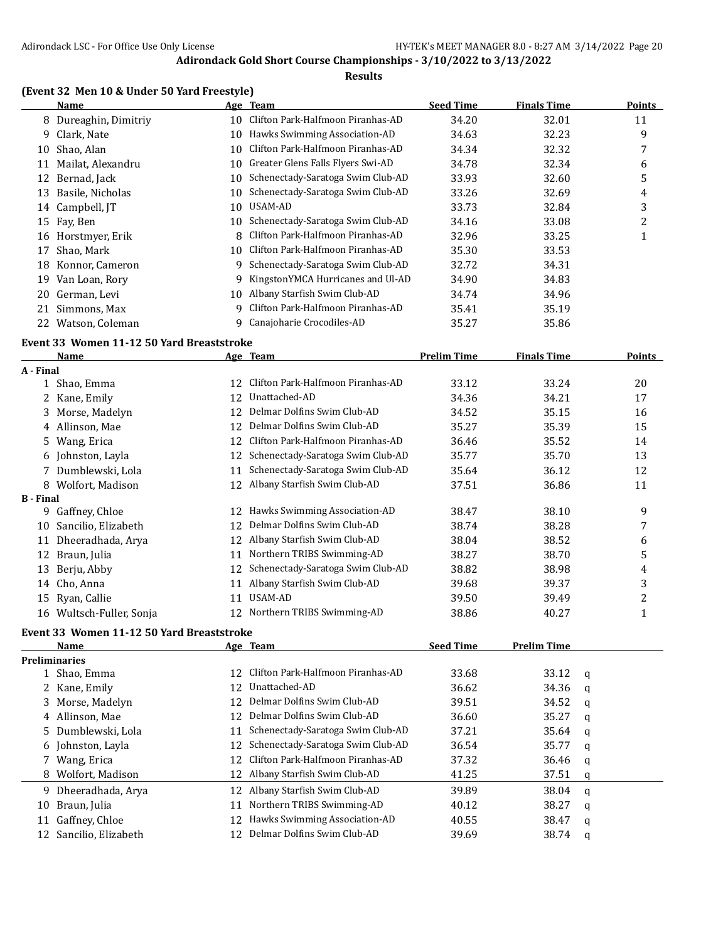#### **Results**

#### **(Event 32 Men 10 & Under 50 Yard Freestyle)**

|    | Name                  |     | Age Team                          | <b>Seed Time</b> | <b>Finals Time</b> | <b>Points</b> |
|----|-----------------------|-----|-----------------------------------|------------------|--------------------|---------------|
|    | 8 Dureaghin, Dimitriy | 10  | Clifton Park-Halfmoon Piranhas-AD | 34.20            | 32.01              | 11            |
| 9  | Clark, Nate           | 10  | Hawks Swimming Association-AD     | 34.63            | 32.23              | 9             |
| 10 | Shao, Alan            | 10  | Clifton Park-Halfmoon Piranhas-AD | 34.34            | 32.32              | 7             |
| 11 | Mailat, Alexandru     | 10. | Greater Glens Falls Flyers Swi-AD | 34.78            | 32.34              | 6             |
| 12 | Bernad, Jack          | 10  | Schenectady-Saratoga Swim Club-AD | 33.93            | 32.60              | 5             |
| 13 | Basile, Nicholas      | 10  | Schenectady-Saratoga Swim Club-AD | 33.26            | 32.69              | 4             |
|    | 14 Campbell, IT       | 10  | USAM-AD                           | 33.73            | 32.84              | 3             |
|    | 15 Fay, Ben           | 10. | Schenectady-Saratoga Swim Club-AD | 34.16            | 33.08              | 2             |
| 16 | Horstmyer, Erik       | 8   | Clifton Park-Halfmoon Piranhas-AD | 32.96            | 33.25              |               |
| 17 | Shao, Mark            | 10  | Clifton Park-Halfmoon Piranhas-AD | 35.30            | 33.53              |               |
| 18 | Konnor, Cameron       | 9   | Schenectady-Saratoga Swim Club-AD | 32.72            | 34.31              |               |
| 19 | Van Loan, Rory        | 9   | KingstonYMCA Hurricanes and Ul-AD | 34.90            | 34.83              |               |
| 20 | German, Levi          | 10  | Albany Starfish Swim Club-AD      | 34.74            | 34.96              |               |
| 21 | Simmons, Max          | 9   | Clifton Park-Halfmoon Piranhas-AD | 35.41            | 35.19              |               |
| 22 | Watson, Coleman       | 9   | Canajoharie Crocodiles-AD         | 35.27            | 35.86              |               |

#### **Event 33 Women 11-12 50 Yard Breaststroke**

|                  | Name                  |    | Age Team                          | <b>Prelim Time</b> | <b>Finals Time</b> | Points |
|------------------|-----------------------|----|-----------------------------------|--------------------|--------------------|--------|
| A - Final        |                       |    |                                   |                    |                    |        |
|                  | 1 Shao, Emma          | 12 | Clifton Park-Halfmoon Piranhas-AD | 33.12              | 33.24              | 20     |
|                  | 2 Kane, Emily         | 12 | Unattached-AD                     | 34.36              | 34.21              | 17     |
|                  | 3 Morse, Madelyn      | 12 | Delmar Dolfins Swim Club-AD       | 34.52              | 35.15              | 16     |
|                  | 4 Allinson, Mae       | 12 | Delmar Dolfins Swim Club-AD       | 35.27              | 35.39              | 15     |
|                  | 5 Wang, Erica         | 12 | Clifton Park-Halfmoon Piranhas-AD | 36.46              | 35.52              | 14     |
|                  | 6 Johnston, Layla     | 12 | Schenectady-Saratoga Swim Club-AD | 35.77              | 35.70              | 13     |
|                  | 7 Dumblewski, Lola    | 11 | Schenectady-Saratoga Swim Club-AD | 35.64              | 36.12              | 12     |
|                  | 8 Wolfort, Madison    | 12 | Albany Starfish Swim Club-AD      | 37.51              | 36.86              | 11     |
| <b>B</b> - Final |                       |    |                                   |                    |                    |        |
| 9                | Gaffney, Chloe        | 12 | Hawks Swimming Association-AD     | 38.47              | 38.10              | 9      |
| 10               | Sancilio, Elizabeth   | 12 | Delmar Dolfins Swim Club-AD       | 38.74              | 38.28              | 7      |
| 11               | Dheeradhada, Arya     | 12 | Albany Starfish Swim Club-AD      | 38.04              | 38.52              | 6      |
| 12               | Braun, Julia          | 11 | Northern TRIBS Swimming-AD        | 38.27              | 38.70              | 5      |
| 13               | Berju, Abby           | 12 | Schenectady-Saratoga Swim Club-AD | 38.82              | 38.98              | 4      |
| 14               | Cho, Anna             |    | Albany Starfish Swim Club-AD      | 39.68              | 39.37              | 3      |
|                  | 15 Ryan, Callie       | 11 | USAM-AD                           | 39.50              | 39.49              | 2      |
| 16               | Wultsch-Fuller, Sonja | 12 | Northern TRIBS Swimming-AD        | 38.86              | 40.27              |        |

### **Event 33 Women 11-12 50 Yard Breaststroke**

|    | Name                   |                 | Age Team                             | <b>Seed Time</b> | <b>Prelim Time</b> |   |
|----|------------------------|-----------------|--------------------------------------|------------------|--------------------|---|
|    | <b>Preliminaries</b>   |                 |                                      |                  |                    |   |
|    | 1 Shao, Emma           | 12.             | Clifton Park-Halfmoon Piranhas-AD    | 33.68            | 33.12              | q |
|    | 2 Kane, Emily          | 12              | Unattached-AD                        | 36.62            | 34.36              | a |
|    | 3 Morse, Madelyn       | 12 <sup>1</sup> | Delmar Dolfins Swim Club-AD          | 39.51            | 34.52              | q |
|    | 4 Allinson, Mae        | 12.             | Delmar Dolfins Swim Club-AD          | 36.60            | 35.27              | a |
|    | 5 Dumblewski, Lola     | 11              | Schenectady-Saratoga Swim Club-AD    | 37.21            | 35.64              | q |
|    | 6 Johnston, Layla      |                 | 12 Schenectady-Saratoga Swim Club-AD | 36.54            | 35.77              | a |
|    | 7 Wang, Erica          | 12.             | Clifton Park-Halfmoon Piranhas-AD    | 37.32            | 36.46              | q |
|    | 8 Wolfort, Madison     |                 | 12 Albany Starfish Swim Club-AD      | 41.25            | 37.51              | a |
| 9. | Dheeradhada, Arya      | 12              | Albany Starfish Swim Club-AD         | 39.89            | 38.04              | q |
| 10 | Braun, Julia           | 11              | Northern TRIBS Swimming-AD           | 40.12            | 38.27              | a |
| 11 | Gaffney, Chloe         | 12.             | Hawks Swimming Association-AD        | 40.55            | 38.47              | a |
|    | 12 Sancilio, Elizabeth |                 | Delmar Dolfins Swim Club-AD          | 39.69            | 38.74              | q |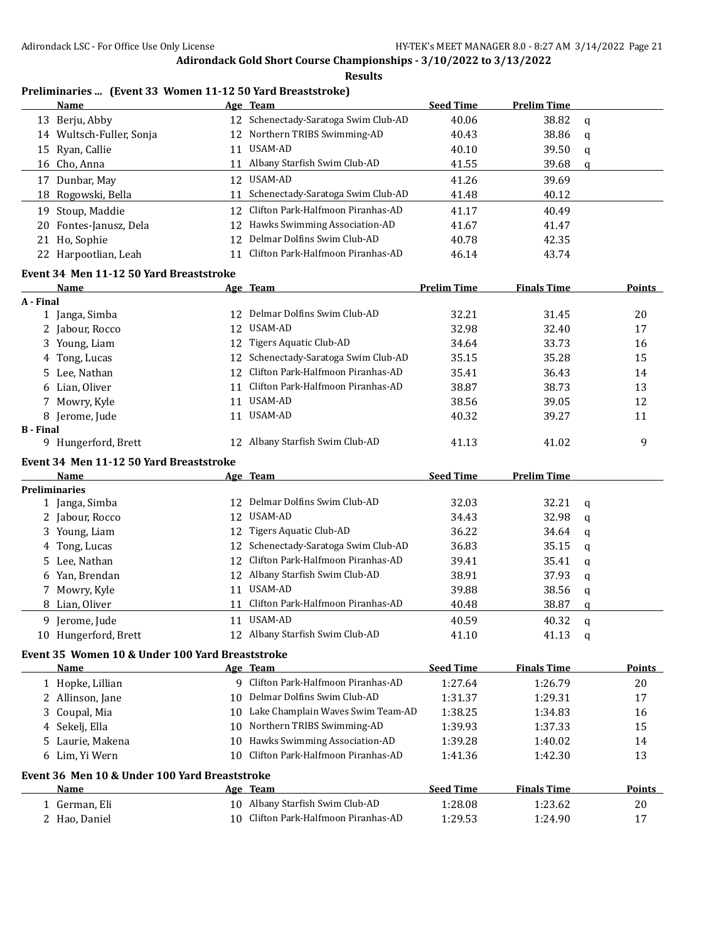**Results**

### **Preliminaries ... (Event 33 Women 11-12 50 Yard Breaststroke)**

| Name                     |    | Age Team                             | <b>Seed Time</b> | <b>Prelim Time</b> |          |
|--------------------------|----|--------------------------------------|------------------|--------------------|----------|
| 13 Berju, Abby           |    | 12 Schenectady-Saratoga Swim Club-AD | 40.06            | 38.82              | $\alpha$ |
| 14 Wultsch-Fuller, Sonja |    | 12 Northern TRIBS Swimming-AD        | 40.43            | 38.86              | q        |
| 15 Ryan, Callie          | 11 | USAM-AD                              | 40.10            | 39.50              | q        |
| 16 Cho, Anna             | 11 | Albany Starfish Swim Club-AD         | 41.55            | 39.68              | q        |
| Dunbar, May<br>17        |    | 12 USAM-AD                           | 41.26            | 39.69              |          |
| 18 Rogowski, Bella       | 11 | Schenectady-Saratoga Swim Club-AD    | 41.48            | 40.12              |          |
| Stoup, Maddie<br>19.     |    | 12 Clifton Park-Halfmoon Piranhas-AD | 41.17            | 40.49              |          |
| 20 Fontes-Janusz, Dela   |    | 12 Hawks Swimming Association-AD     | 41.67            | 41.47              |          |
| 21 Ho, Sophie            |    | 12 Delmar Dolfins Swim Club-AD       | 40.78            | 42.35              |          |
| 22 Harpootlian, Leah     |    | 11 Clifton Park-Halfmoon Piranhas-AD | 46.14            | 43.74              |          |

#### **Event 34 Men 11-12 50 Yard Breaststroke**

|                  | <b>Name</b>                                     |    | Age Team                          | <b>Prelim Time</b> | <b>Finals Time</b> |   | <b>Points</b> |
|------------------|-------------------------------------------------|----|-----------------------------------|--------------------|--------------------|---|---------------|
| A - Final        |                                                 |    |                                   |                    |                    |   |               |
|                  | 1 Janga, Simba                                  |    | Delmar Dolfins Swim Club-AD       | 32.21              | 31.45              |   | 20            |
|                  | Jabour, Rocco                                   | 12 | USAM-AD                           | 32.98              | 32.40              |   | 17            |
| 3.               | Young, Liam                                     | 12 | Tigers Aquatic Club-AD            | 34.64              | 33.73              |   | 16            |
| 4                | Tong, Lucas                                     | 12 | Schenectady-Saratoga Swim Club-AD | 35.15              | 35.28              |   | 15            |
|                  | 5 Lee, Nathan                                   | 12 | Clifton Park-Halfmoon Piranhas-AD | 35.41              | 36.43              |   | 14            |
|                  | 6 Lian, Oliver                                  | 11 | Clifton Park-Halfmoon Piranhas-AD | 38.87              | 38.73              |   | 13            |
| 7                | Mowry, Kyle                                     | 11 | USAM-AD                           | 38.56              | 39.05              |   | 12            |
|                  | 8 Jerome, Jude                                  | 11 | USAM-AD                           | 40.32              | 39.27              |   | 11            |
| <b>B</b> - Final |                                                 |    |                                   |                    |                    |   |               |
|                  | 9 Hungerford, Brett                             | 12 | Albany Starfish Swim Club-AD      | 41.13              | 41.02              |   | 9             |
|                  | Event 34 Men 11-12 50 Yard Breaststroke         |    |                                   |                    |                    |   |               |
|                  | Name                                            |    | Age Team                          | <b>Seed Time</b>   | <b>Prelim Time</b> |   |               |
|                  | <b>Preliminaries</b>                            |    |                                   |                    |                    |   |               |
|                  | 1 Janga, Simba                                  | 12 | Delmar Dolfins Swim Club-AD       | 32.03              | 32.21              | q |               |
|                  | 2 Jabour, Rocco                                 | 12 | <b>USAM-AD</b>                    | 34.43              | 32.98              | a |               |
|                  | 3 Young, Liam                                   | 12 | Tigers Aquatic Club-AD            | 36.22              | 34.64              | q |               |
| 4                | Tong, Lucas                                     | 12 | Schenectady-Saratoga Swim Club-AD | 36.83              | 35.15              | a |               |
|                  | 5 Lee, Nathan                                   | 12 | Clifton Park-Halfmoon Piranhas-AD | 39.41              | 35.41              | q |               |
| 6                | Yan, Brendan                                    | 12 | Albany Starfish Swim Club-AD      | 38.91              | 37.93              | q |               |
|                  | 7 Mowry, Kyle                                   | 11 | <b>USAM-AD</b>                    | 39.88              | 38.56              | q |               |
|                  | 8 Lian, Oliver                                  | 11 | Clifton Park-Halfmoon Piranhas-AD | 40.48              | 38.87              | q |               |
|                  | 9 Jerome, Jude                                  | 11 | USAM-AD                           | 40.59              | 40.32              | q |               |
|                  | 10 Hungerford, Brett                            | 12 | Albany Starfish Swim Club-AD      | 41.10              | 41.13              | q |               |
|                  | Event 35 Women 10 & Under 100 Yard Breaststroke |    |                                   |                    |                    |   |               |
|                  | Name                                            |    | Age Team                          | <b>Seed Time</b>   | <b>Finals Time</b> |   | <b>Points</b> |

| Name                                          |     | лgе теаш                             | зееч типе        | гшаіз і шіе        | rviilis -     |
|-----------------------------------------------|-----|--------------------------------------|------------------|--------------------|---------------|
| 1 Hopke, Lillian                              | 9   | Clifton Park-Halfmoon Piranhas-AD    | 1:27.64          | 1:26.79            | 20            |
| 2 Allinson, Jane                              |     | 10 Delmar Dolfins Swim Club-AD       | 1:31.37          | 1:29.31            | 17            |
| 3 Coupal, Mia                                 | 10- | Lake Champlain Waves Swim Team-AD    | 1:38.25          | 1:34.83            | 16            |
| 4 Sekelj, Ella                                |     | 10 Northern TRIBS Swimming-AD        | 1:39.93          | 1:37.33            | 15            |
| 5 Laurie, Makena                              | 10. | Hawks Swimming Association-AD        | 1:39.28          | 1:40.02            | 14            |
| 6 Lim, Yi Wern                                |     | 10 Clifton Park-Halfmoon Piranhas-AD | 1:41.36          | 1:42.30            | 13            |
| Event 36 Men 10 & Under 100 Yard Breaststroke |     |                                      |                  |                    |               |
| Name                                          | Age | Team                                 | <b>Seed Time</b> | <b>Finals Time</b> | <b>Points</b> |
| 1 German, Eli                                 | 10. | Albany Starfish Swim Club-AD         | 1:28.08          | 1:23.62            | 20            |
| 2 Hao, Daniel                                 |     | Clifton Park-Halfmoon Piranhas-AD    | 1:29.53          | 1:24.90            | 17            |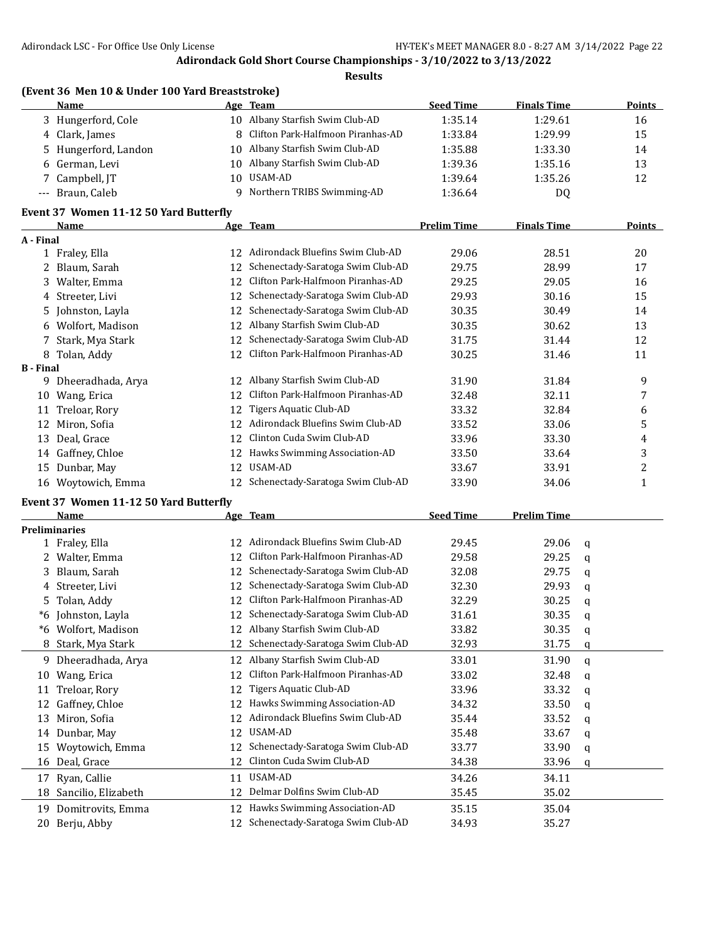|                  | (Event 36 Men 10 & Under 100 Yard Breaststroke) |     |                                   |                          |                    |               |
|------------------|-------------------------------------------------|-----|-----------------------------------|--------------------------|--------------------|---------------|
|                  | Name                                            |     | Age Team                          | <b>Seed Time</b>         | <b>Finals Time</b> | Points        |
|                  | 3 Hungerford, Cole                              | 10  | Albany Starfish Swim Club-AD      | 1:35.14                  | 1:29.61            | 16            |
| 4                | Clark, James                                    | 8   | Clifton Park-Halfmoon Piranhas-AD | 1:33.84                  | 1:29.99            | 15            |
| 5.               | Hungerford, Landon                              | 10  | Albany Starfish Swim Club-AD      | 1:35.88                  | 1:33.30            | 14            |
| 6                | German, Levi                                    | 10  | Albany Starfish Swim Club-AD      | 1:39.36                  | 1:35.16            | 13            |
| 7                | Campbell, JT                                    | 10  | USAM-AD                           | 1:39.64                  | 1:35.26            | 12            |
| $---$            | Braun, Caleb                                    | 9   | Northern TRIBS Swimming-AD        | 1:36.64                  | DQ                 |               |
|                  | Event 37 Women 11-12 50 Yard Butterfly          |     |                                   |                          |                    |               |
|                  | <b>Name</b>                                     |     | Age Team                          | <b>Prelim Time</b>       | <b>Finals Time</b> | <b>Points</b> |
| A - Final        |                                                 |     |                                   |                          |                    |               |
|                  | 1 Fraley, Ella                                  | 12. | Adirondack Bluefins Swim Club-AD  | 29.06                    | 28.51              | 20            |
|                  | Blaum, Sarah                                    | 12  | Schenectady-Saratoga Swim Club-AD | 29.75                    | 28.99              | 17            |
| 3                | Walter, Emma                                    | 12  | Clifton Park-Halfmoon Piranhas-AD | 29.25                    | 29.05              | 16            |
| 4                | Streeter, Livi                                  | 12  | Schenectady-Saratoga Swim Club-AD | 29.93                    | 30.16              | 15            |
| 5.               | Johnston, Layla                                 | 12  | Schenectady-Saratoga Swim Club-AD | 30.35                    | 30.49              | 14            |
| 6                | Wolfort, Madison                                | 12  | Albany Starfish Swim Club-AD      | 30.35                    | 30.62              | 13            |
| 7                | Stark, Mya Stark                                | 12  | Schenectady-Saratoga Swim Club-AD | 31.75                    | 31.44              | 12            |
| 8                | Tolan, Addy                                     | 12  | Clifton Park-Halfmoon Piranhas-AD | 30.25                    | 31.46              | 11            |
| <b>B</b> - Final |                                                 |     |                                   |                          |                    |               |
| 9                | Dheeradhada, Arya                               | 12  | Albany Starfish Swim Club-AD      | 31.90                    | 31.84              | 9             |
| 10               | Wang, Erica                                     | 12  | Clifton Park-Halfmoon Piranhas-AD | 32.48                    | 32.11              | 7             |
| 11               | Treloar, Rory                                   | 12  | Tigers Aquatic Club-AD            | 33.32                    | 32.84              | 6             |
| 12               | Miron, Sofia                                    | 12  | Adirondack Bluefins Swim Club-AD  | 33.52                    | 33.06              | 5             |
| 13               | Deal, Grace                                     | 12  | Clinton Cuda Swim Club-AD         | 33.96                    | 33.30              | 4             |
| 14               | Gaffney, Chloe                                  | 12  | Hawks Swimming Association-AD     | 33.50                    | 33.64              | 3             |
| 15               | Dunbar, May                                     | 12  | <b>USAM-AD</b>                    | 33.67                    | 33.91              | 2             |
|                  | 16 Woytowich, Emma                              | 12  | Schenectady-Saratoga Swim Club-AD | 33.90                    | 34.06              | 1             |
|                  | Event 37 Women 11-12 50 Yard Butterfly          |     |                                   |                          |                    |               |
|                  | Mama <sub>n</sub>                               |     |                                   | $C_{\alpha\alpha}A$ Time | Dualim Time        |               |

|    | Name                 |    | Age Team                          | <b>Seed Time</b> | <b>Prelim Time</b> |   |
|----|----------------------|----|-----------------------------------|------------------|--------------------|---|
|    | <b>Preliminaries</b> |    |                                   |                  |                    |   |
|    | 1 Fraley, Ella       | 12 | Adirondack Bluefins Swim Club-AD  | 29.45            | 29.06              | a |
|    | Walter, Emma         | 12 | Clifton Park-Halfmoon Piranhas-AD | 29.58            | 29.25              | q |
| 3. | Blaum, Sarah         | 12 | Schenectady-Saratoga Swim Club-AD | 32.08            | 29.75              | q |
| 4  | Streeter, Livi       | 12 | Schenectady-Saratoga Swim Club-AD | 32.30            | 29.93              | q |
| 5. | Tolan, Addy          | 12 | Clifton Park-Halfmoon Piranhas-AD | 32.29            | 30.25              | a |
| *6 | Johnston, Layla      | 12 | Schenectady-Saratoga Swim Club-AD | 31.61            | 30.35              | q |
| *6 | Wolfort, Madison     | 12 | Albany Starfish Swim Club-AD      | 33.82            | 30.35              | q |
| 8  | Stark, Mya Stark     |    | Schenectady-Saratoga Swim Club-AD | 32.93            | 31.75              | q |
| 9. | Dheeradhada, Arya    | 12 | Albany Starfish Swim Club-AD      | 33.01            | 31.90              | a |
| 10 | Wang, Erica          | 12 | Clifton Park-Halfmoon Piranhas-AD | 33.02            | 32.48              | q |
| 11 | Treloar, Rory        | 12 | Tigers Aquatic Club-AD            | 33.96            | 33.32              | q |
| 12 | Gaffney, Chloe       | 12 | Hawks Swimming Association-AD     | 34.32            | 33.50              | q |
| 13 | Miron, Sofia         | 12 | Adirondack Bluefins Swim Club-AD  | 35.44            | 33.52              | a |
| 14 | Dunbar, May          | 12 | USAM-AD                           | 35.48            | 33.67              | a |
| 15 | Woytowich, Emma      | 12 | Schenectady-Saratoga Swim Club-AD | 33.77            | 33.90              | q |
| 16 | Deal, Grace          | 12 | Clinton Cuda Swim Club-AD         | 34.38            | 33.96              | q |
| 17 | Ryan, Callie         | 11 | USAM-AD                           | 34.26            | 34.11              |   |
| 18 | Sancilio, Elizabeth  | 12 | Delmar Dolfins Swim Club-AD       | 35.45            | 35.02              |   |
| 19 | Domitrovits, Emma    | 12 | Hawks Swimming Association-AD     | 35.15            | 35.04              |   |
| 20 | Berju, Abby          | 12 | Schenectady-Saratoga Swim Club-AD | 34.93            | 35.27              |   |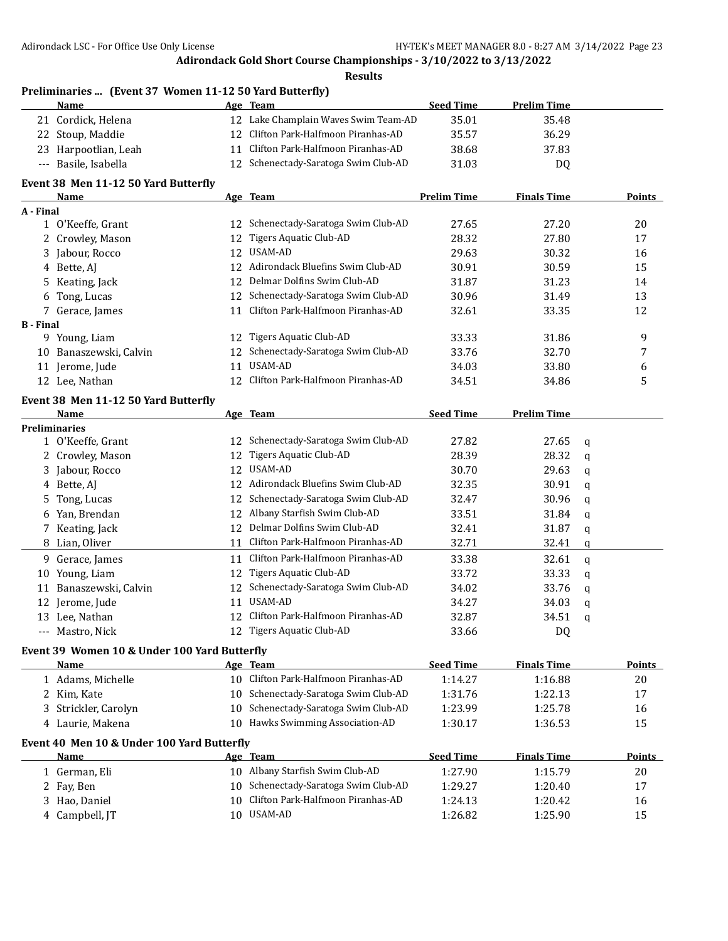**Results**

## **Preliminaries ... (Event 37 Women 11-12 50 Yard Butterfly)**

| <b>Name</b>          | Age | Team                                 | <b>Seed Time</b> | <b>Prelim Time</b> |
|----------------------|-----|--------------------------------------|------------------|--------------------|
| 21 Cordick, Helena   |     | 12 Lake Champlain Waves Swim Team-AD | 35.01            | 35.48              |
| 22 Stoup, Maddie     |     | 12 Clifton Park-Halfmoon Piranhas-AD | 35.57            | 36.29              |
| 23 Harpootlian, Leah |     | 11 Clifton Park-Halfmoon Piranhas-AD | 38.68            | 37.83              |
| --- Basile, Isabella |     | 12 Schenectady-Saratoga Swim Club-AD | 31.03            | DQ                 |

#### **Event 38 Men 11-12 50 Yard Butterfly**

|                  | <b>Name</b>         |     | Age Team                             | <b>Prelim Time</b> | <b>Finals Time</b> | <b>Points</b> |
|------------------|---------------------|-----|--------------------------------------|--------------------|--------------------|---------------|
| A - Final        |                     |     |                                      |                    |                    |               |
|                  | 1 O'Keeffe, Grant   | 12  | Schenectady-Saratoga Swim Club-AD    | 27.65              | 27.20              | 20            |
|                  | 2 Crowley, Mason    | 12  | Tigers Aquatic Club-AD               | 28.32              | 27.80              | 17            |
|                  | 3 Jabour, Rocco     | 12  | USAM-AD                              | 29.63              | 30.32              | 16            |
|                  | 4 Bette, AI         | 12. | Adirondack Bluefins Swim Club-AD     | 30.91              | 30.59              | 15            |
|                  | 5 Keating, Jack     | 12. | Delmar Dolfins Swim Club-AD          | 31.87              | 31.23              | 14            |
|                  | 6 Tong, Lucas       |     | 12 Schenectady-Saratoga Swim Club-AD | 30.96              | 31.49              | 13            |
|                  | 7 Gerace, James     | 11  | Clifton Park-Halfmoon Piranhas-AD    | 32.61              | 33.35              | 12            |
| <b>B</b> - Final |                     |     |                                      |                    |                    |               |
| 9.               | Young, Liam         | 12  | Tigers Aquatic Club-AD               | 33.33              | 31.86              | 9             |
| 10               | Banaszewski, Calvin | 12  | Schenectady-Saratoga Swim Club-AD    | 33.76              | 32.70              | 7             |
| 11               | Jerome, Jude        | 11  | USAM-AD                              | 34.03              | 33.80              | 6             |
| 12.              | Lee. Nathan         | 12. | Clifton Park-Halfmoon Piranhas-AD    | 34.51              | 34.86              | 5             |

#### **Event 38 Men 11-12 50 Yard Butterfly**

|    | Name                 |     | Age Team                             | <b>Seed Time</b> | <b>Prelim Time</b> |   |
|----|----------------------|-----|--------------------------------------|------------------|--------------------|---|
|    | <b>Preliminaries</b> |     |                                      |                  |                    |   |
|    | 1 O'Keeffe, Grant    | 12  | Schenectady-Saratoga Swim Club-AD    | 27.82            | 27.65              | a |
|    | 2 Crowley, Mason     | 12  | Tigers Aquatic Club-AD               | 28.39            | 28.32              | q |
|    | 3 Jabour, Rocco      | 12  | USAM-AD                              | 30.70            | 29.63              | q |
|    | 4 Bette, AJ          |     | 12 Adirondack Bluefins Swim Club-AD  | 32.35            | 30.91              | q |
|    | 5 Tong, Lucas        |     | 12 Schenectady-Saratoga Swim Club-AD | 32.47            | 30.96              | q |
| 6  | Yan, Brendan         | 12  | Albany Starfish Swim Club-AD         | 33.51            | 31.84              | a |
|    | 7 Keating, Jack      | 12. | Delmar Dolfins Swim Club-AD          | 32.41            | 31.87              | q |
|    | 8 Lian, Oliver       | 11  | Clifton Park-Halfmoon Piranhas-AD    | 32.71            | 32.41              | q |
| 9. | Gerace, James        | 11  | Clifton Park-Halfmoon Piranhas-AD    | 33.38            | 32.61              | q |
| 10 | Young, Liam          | 12  | Tigers Aquatic Club-AD               | 33.72            | 33.33              | q |
|    | Banaszewski, Calvin  | 12  | Schenectady-Saratoga Swim Club-AD    | 34.02            | 33.76              | q |
|    | 12 Jerome, Jude      | 11  | USAM-AD                              | 34.27            | 34.03              | a |
| 13 | Lee, Nathan          | 12  | Clifton Park-Halfmoon Piranhas-AD    | 32.87            | 34.51              | q |
|    | --- Mastro, Nick     |     | 12 Tigers Aquatic Club-AD            | 33.66            | DQ                 |   |

## **Event 39 Women 10 & Under 100 Yard Butterfly**

| Name                                       |     | Age Team                             | <b>Seed Time</b> | <b>Finals Time</b> | Points |
|--------------------------------------------|-----|--------------------------------------|------------------|--------------------|--------|
| 1 Adams, Michelle                          |     | 10 Clifton Park-Halfmoon Piranhas-AD | 1:14.27          | 1:16.88            | 20     |
| 2 Kim, Kate                                |     | 10 Schenectady-Saratoga Swim Club-AD | 1:31.76          | 1:22.13            | 17     |
| 3 Strickler, Carolyn                       |     | 10 Schenectady-Saratoga Swim Club-AD | 1:23.99          | 1:25.78            | 16     |
| 4 Laurie, Makena                           | 10. | Hawks Swimming Association-AD        | 1:30.17          | 1:36.53            | 15     |
| Event 40 Men 10 & Under 100 Yard Butterfly |     |                                      |                  |                    |        |
| <b>Name</b>                                |     | Age Team                             | <b>Seed Time</b> | <b>Finals Time</b> | Points |
| 1 German, Eli                              | 10. | Albany Starfish Swim Club-AD         | 1:27.90          | 1:15.79            | 20     |
| 2 Fay, Ben                                 | 10- | Schenectady-Saratoga Swim Club-AD    | 1:29.27          | 1:20.40            | 17     |
| 3 Hao, Daniel                              |     | 10 Clifton Park-Halfmoon Piranhas-AD | 1:24.13          | 1:20.42            | 16     |
| 4 Campbell, IT                             | 10. | USAM-AD                              | 1:26.82          | 1:25.90            | 15     |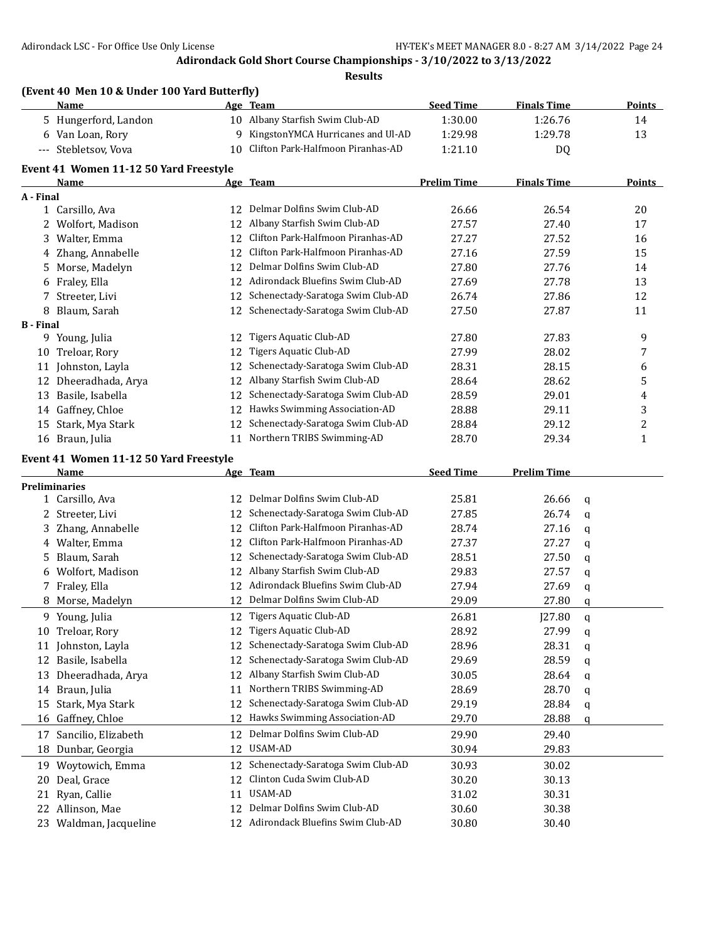|                  | (Event 40 Men 10 & Under 100 Yard Butterfly)<br>Name |    | Age Team                             | <b>Seed Time</b>   | <b>Finals Time</b> |               | <b>Points</b> |
|------------------|------------------------------------------------------|----|--------------------------------------|--------------------|--------------------|---------------|---------------|
|                  | 5 Hungerford, Landon                                 |    | 10 Albany Starfish Swim Club-AD      | 1:30.00            | 1:26.76            |               | 14            |
|                  | 6 Van Loan, Rory                                     | 9  | KingstonYMCA Hurricanes and Ul-AD    | 1:29.98            | 1:29.78            |               | 13            |
|                  | --- Stebletsov, Vova                                 | 10 | Clifton Park-Halfmoon Piranhas-AD    | 1:21.10            | DQ                 |               |               |
|                  | Event 41 Women 11-12 50 Yard Freestyle               |    |                                      |                    |                    |               |               |
|                  | Name                                                 |    | Age Team                             | <b>Prelim Time</b> | <b>Finals Time</b> |               | <b>Points</b> |
| A - Final        |                                                      |    |                                      |                    |                    |               |               |
|                  | 1 Carsillo, Ava                                      |    | 12 Delmar Dolfins Swim Club-AD       | 26.66              | 26.54              |               | 20            |
| 2                | Wolfort, Madison                                     | 12 | Albany Starfish Swim Club-AD         | 27.57              | 27.40              |               | 17            |
| 3                | Walter, Emma                                         |    | 12 Clifton Park-Halfmoon Piranhas-AD | 27.27              | 27.52              |               | 16            |
| 4                | Zhang, Annabelle                                     | 12 | Clifton Park-Halfmoon Piranhas-AD    | 27.16              | 27.59              |               | 15            |
| 5                | Morse, Madelyn                                       | 12 | Delmar Dolfins Swim Club-AD          | 27.80              | 27.76              |               | 14            |
| 6                | Fraley, Ella                                         |    | 12 Adirondack Bluefins Swim Club-AD  | 27.69              | 27.78              |               | 13            |
| 7                | Streeter, Livi                                       | 12 | Schenectady-Saratoga Swim Club-AD    | 26.74              | 27.86              |               | 12            |
| 8                | Blaum, Sarah                                         | 12 | Schenectady-Saratoga Swim Club-AD    | 27.50              | 27.87              |               | 11            |
| <b>B</b> - Final | 9 Young, Julia                                       | 12 | Tigers Aquatic Club-AD               | 27.80              | 27.83              |               | 9             |
| 10               | Treloar, Rory                                        | 12 | Tigers Aquatic Club-AD               | 27.99              | 28.02              |               | 7             |
|                  | 11 Johnston, Layla                                   | 12 | Schenectady-Saratoga Swim Club-AD    | 28.31              | 28.15              |               | 6             |
| 12               | Dheeradhada, Arya                                    | 12 | Albany Starfish Swim Club-AD         | 28.64              | 28.62              |               | 5             |
| 13               | Basile, Isabella                                     | 12 | Schenectady-Saratoga Swim Club-AD    | 28.59              | 29.01              |               | 4             |
|                  | 14 Gaffney, Chloe                                    | 12 | Hawks Swimming Association-AD        | 28.88              | 29.11              |               | 3             |
| 15               | Stark, Mya Stark                                     | 12 | Schenectady-Saratoga Swim Club-AD    | 28.84              | 29.12              |               | 2             |
|                  | 16 Braun, Julia                                      | 11 | Northern TRIBS Swimming-AD           | 28.70              | 29.34              |               | $\mathbf{1}$  |
|                  |                                                      |    |                                      |                    |                    |               |               |
|                  | Event 41 Women 11-12 50 Yard Freestyle<br>Name       |    | Age Team                             | <b>Seed Time</b>   | <b>Prelim Time</b> |               |               |
|                  | <b>Preliminaries</b>                                 |    |                                      |                    |                    |               |               |
|                  | 1 Carsillo, Ava                                      | 12 | Delmar Dolfins Swim Club-AD          | 25.81              | 26.66              | q             |               |
| 2                | Streeter, Livi                                       | 12 | Schenectady-Saratoga Swim Club-AD    | 27.85              | 26.74              | q             |               |
| 3                | Zhang, Annabelle                                     | 12 | Clifton Park-Halfmoon Piranhas-AD    | 28.74              | 27.16              | q             |               |
| 4                | Walter, Emma                                         | 12 | Clifton Park-Halfmoon Piranhas-AD    | 27.37              | 27.27              | q             |               |
| 5                | Blaum, Sarah                                         |    | 12 Schenectady-Saratoga Swim Club-AD | 28.51              | 27.50              | q             |               |
| 6                | Wolfort, Madison                                     | 12 | Albany Starfish Swim Club-AD         | 29.83              | 27.57              | q             |               |
|                  | 7 Fraley, Ella                                       |    | 12 Adirondack Bluefins Swim Club-AD  | 27.94              | 27.69              | q             |               |
|                  | 8 Morse, Madelyn                                     |    | 12 Delmar Dolfins Swim Club-AD       | 29.09              | 27.80              | q             |               |
|                  | 9 Young, Julia                                       |    | 12 Tigers Aquatic Club-AD            | 26.81              | J27.80             | $\mathfrak q$ |               |
|                  | 10 Treloar, Rory                                     |    | 12 Tigers Aquatic Club-AD            | 28.92              | 27.99              | q             |               |
| 11               | Johnston, Layla                                      | 12 | Schenectady-Saratoga Swim Club-AD    | 28.96              | 28.31              | q             |               |
| 12               | Basile, Isabella                                     | 12 | Schenectady-Saratoga Swim Club-AD    | 29.69              | 28.59              | q             |               |
|                  |                                                      |    |                                      |                    |                    |               |               |
| 13               | Dheeradhada, Arya                                    | 12 | Albany Starfish Swim Club-AD         | 30.05              | 28.64              |               |               |
| 14               |                                                      | 11 | Northern TRIBS Swimming-AD           | 28.69              |                    | q             |               |
| 15               | Braun, Julia                                         | 12 | Schenectady-Saratoga Swim Club-AD    | 29.19              | 28.70              | q             |               |
| 16               | Stark, Mya Stark                                     | 12 | Hawks Swimming Association-AD        | 29.70              | 28.84              | q<br>q        |               |
| 17               | Gaffney, Chloe                                       | 12 | Delmar Dolfins Swim Club-AD          |                    | 28.88<br>29.40     |               |               |
| 18               | Sancilio, Elizabeth<br>Dunbar, Georgia               | 12 | USAM-AD                              | 29.90<br>30.94     | 29.83              |               |               |
| 19               | Woytowich, Emma                                      | 12 | Schenectady-Saratoga Swim Club-AD    | 30.93              | 30.02              |               |               |
| 20               | Deal, Grace                                          | 12 | Clinton Cuda Swim Club-AD            | 30.20              | 30.13              |               |               |
| 21               | Ryan, Callie                                         | 11 | USAM-AD                              | 31.02              | 30.31              |               |               |
| 22               | Allinson, Mae                                        | 12 | Delmar Dolfins Swim Club-AD          | 30.60              | 30.38              |               |               |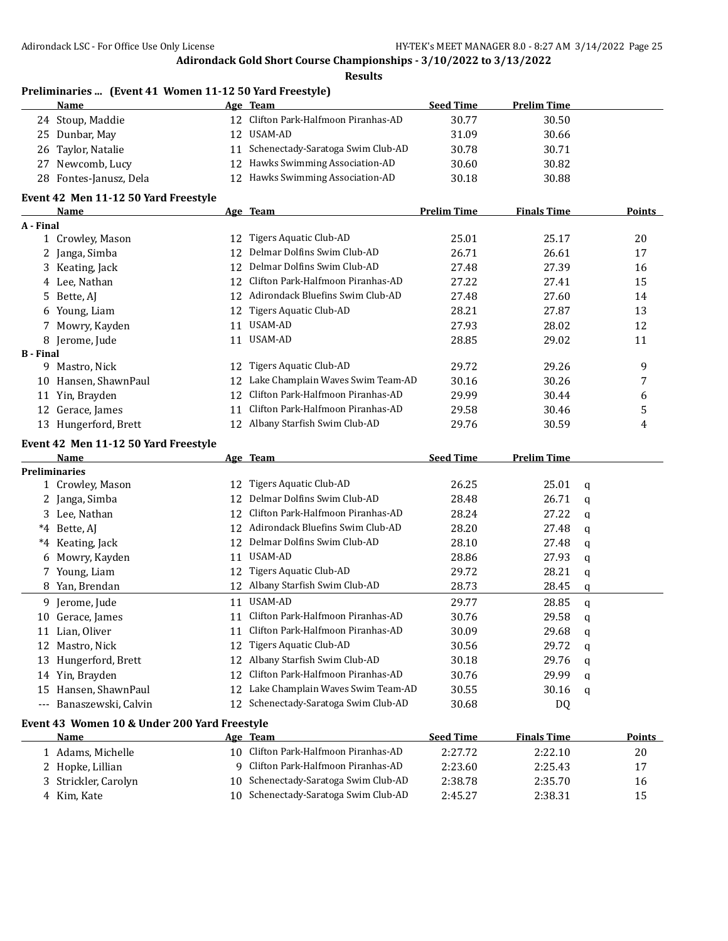**Results**

## **Preliminaries ... (Event 41 Women 11-12 50 Yard Freestyle)**

| Name                   | Age Team                             | <b>Seed Time</b> | <b>Prelim Time</b> |  |
|------------------------|--------------------------------------|------------------|--------------------|--|
| 24 Stoup, Maddie       | 12 Clifton Park-Halfmoon Piranhas-AD | 30.77            | 30.50              |  |
| 25 Dunbar, May         | 12 USAM-AD                           | 31.09            | 30.66              |  |
| 26 Taylor, Natalie     | 11 Schenectady-Saratoga Swim Club-AD | 30.78            | 30.71              |  |
| 27 Newcomb, Lucy       | 12 Hawks Swimming Association-AD     | 30.60            | 30.82              |  |
| 28 Fontes-Janusz, Dela | 12 Hawks Swimming Association-AD     | 30.18            | 30.88              |  |

#### **Event 42 Men 11-12 50 Yard Freestyle**

|                  | Name              |     | Age Team                          | <b>Prelim Time</b> | <b>Finals Time</b> | <b>Points</b> |
|------------------|-------------------|-----|-----------------------------------|--------------------|--------------------|---------------|
| A - Final        |                   |     |                                   |                    |                    |               |
|                  | Crowley, Mason    | 12  | Tigers Aquatic Club-AD            | 25.01              | 25.17              | 20            |
|                  | 2 Janga, Simba    | 12  | Delmar Dolfins Swim Club-AD       | 26.71              | 26.61              | 17            |
|                  | 3 Keating, Jack   | 12  | Delmar Dolfins Swim Club-AD       | 27.48              | 27.39              | 16            |
|                  | 4 Lee, Nathan     | 12. | Clifton Park-Halfmoon Piranhas-AD | 27.22              | 27.41              | 15            |
|                  | 5 Bette, AI       | 12  | Adirondack Bluefins Swim Club-AD  | 27.48              | 27.60              | 14            |
|                  | 6 Young, Liam     | 12  | Tigers Aquatic Club-AD            | 28.21              | 27.87              | 13            |
|                  | 7 Mowry, Kayden   | 11  | USAM-AD                           | 27.93              | 28.02              | 12            |
|                  | 8 Jerome, Jude    | 11  | USAM-AD                           | 28.85              | 29.02              | 11            |
| <b>B</b> - Final |                   |     |                                   |                    |                    |               |
| 9.               | Mastro, Nick      | 12  | Tigers Aquatic Club-AD            | 29.72              | 29.26              | 9             |
| 10               | Hansen, ShawnPaul | 12  | Lake Champlain Waves Swim Team-AD | 30.16              | 30.26              | 7             |
|                  | 11 Yin, Brayden   | 12  | Clifton Park-Halfmoon Piranhas-AD | 29.99              | 30.44              | 6             |
| 12               | Gerace, James     | 11  | Clifton Park-Halfmoon Piranhas-AD | 29.58              | 30.46              | 5             |
| 13               | Hungerford, Brett |     | Albany Starfish Swim Club-AD      | 29.76              | 30.59              | 4             |
|                  |                   |     |                                   |                    |                    |               |

#### **Event 42 Men 11-12 50 Yard Freestyle**

|              | <b>Name</b>                                  |    | Age Team                          | <b>Seed Time</b> | <b>Prelim Time</b> |              |        |
|--------------|----------------------------------------------|----|-----------------------------------|------------------|--------------------|--------------|--------|
|              | <b>Preliminaries</b>                         |    |                                   |                  |                    |              |        |
|              | 1 Crowley, Mason                             | 12 | Tigers Aquatic Club-AD            | 26.25            | 25.01              | a            |        |
|              | Janga, Simba                                 | 12 | Delmar Dolfins Swim Club-AD       | 28.48            | 26.71              | a            |        |
| 3.           | Lee, Nathan                                  | 12 | Clifton Park-Halfmoon Piranhas-AD | 28.24            | 27.22              | a            |        |
| $^*4$        | Bette, AJ                                    | 12 | Adirondack Bluefins Swim Club-AD  | 28.20            | 27.48              | a            |        |
| $^*4$        | Keating, Jack                                | 12 | Delmar Dolfins Swim Club-AD       | 28.10            | 27.48              | a            |        |
| 6            | Mowry, Kayden                                | 11 | USAM-AD                           | 28.86            | 27.93              | a            |        |
| 7            | Young, Liam                                  | 12 | Tigers Aquatic Club-AD            | 29.72            | 28.21              | q            |        |
| 8            | Yan, Brendan                                 | 12 | Albany Starfish Swim Club-AD      | 28.73            | 28.45              | q            |        |
| 9.           | Jerome, Jude                                 | 11 | USAM-AD                           | 29.77            | 28.85              | $\mathbf{q}$ |        |
| 10           | Gerace, James                                | 11 | Clifton Park-Halfmoon Piranhas-AD | 30.76            | 29.58              | q            |        |
| 11           | Lian, Oliver                                 | 11 | Clifton Park-Halfmoon Piranhas-AD | 30.09            | 29.68              | a            |        |
| 12           | Mastro, Nick                                 | 12 | Tigers Aquatic Club-AD            | 30.56            | 29.72              | q            |        |
| 13           | Hungerford, Brett                            | 12 | Albany Starfish Swim Club-AD      | 30.18            | 29.76              | a            |        |
| 14           | Yin, Brayden                                 | 12 | Clifton Park-Halfmoon Piranhas-AD | 30.76            | 29.99              | q            |        |
| 15           | Hansen, ShawnPaul                            | 12 | Lake Champlain Waves Swim Team-AD | 30.55            | 30.16              | a            |        |
| $- - -$      | Banaszewski, Calvin                          | 12 | Schenectady-Saratoga Swim Club-AD | 30.68            | DQ                 |              |        |
|              | Event 43 Women 10 & Under 200 Yard Freestyle |    |                                   |                  |                    |              |        |
|              | Name                                         |    | Age Team                          | <b>Seed Time</b> | <b>Finals Time</b> |              | Points |
| $\mathbf{1}$ | Adams, Michelle                              | 10 | Clifton Park-Halfmoon Piranhas-AD | 2:27.72          | 2:22.10            |              | 20     |
| 2            | Hopke, Lillian                               | 9  | Clifton Park-Halfmoon Piranhas-AD | 2:23.60          | 2:25.43            |              | 17     |
| 3            | Strickler, Carolyn                           | 10 | Schenectady-Saratoga Swim Club-AD | 2:38.78          | 2:35.70            |              | 16     |
| 4            | Kim, Kate                                    | 10 | Schenectady-Saratoga Swim Club-AD | 2:45.27          | 2:38.31            |              | 15     |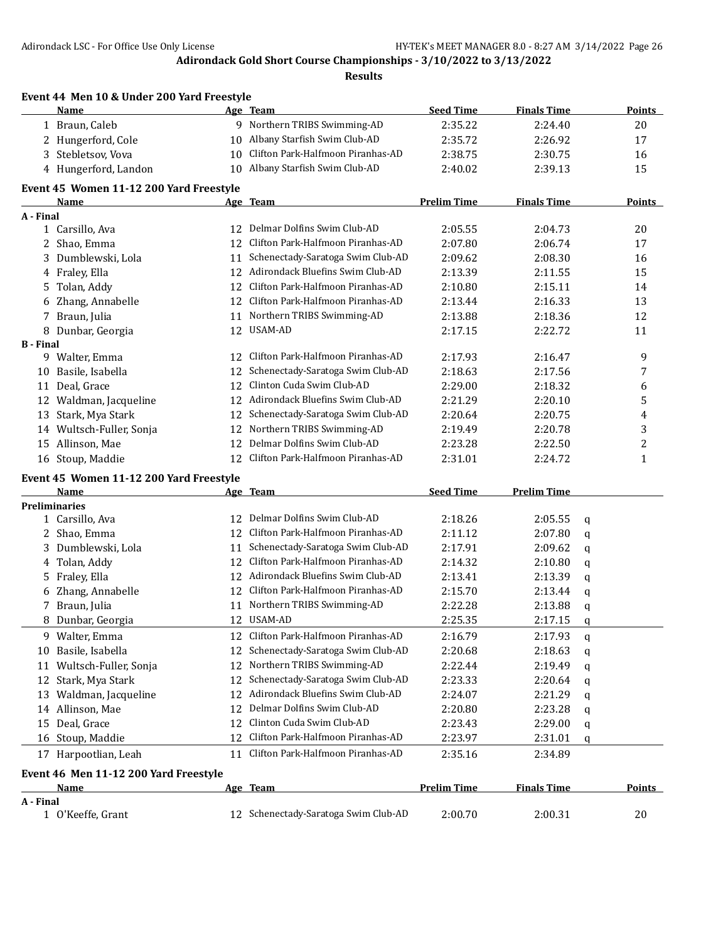|                  | Event 44 Men 10 & Under 200 Yard Freestyle |          |                                      |                    |                    |        |               |
|------------------|--------------------------------------------|----------|--------------------------------------|--------------------|--------------------|--------|---------------|
|                  | Name                                       |          | Age Team                             | <b>Seed Time</b>   | <b>Finals Time</b> |        | Points        |
|                  | 1 Braun, Caleb                             |          | 9 Northern TRIBS Swimming-AD         | 2:35.22            | 2:24.40            |        | 20            |
|                  | 2 Hungerford, Cole                         | 10       | Albany Starfish Swim Club-AD         | 2:35.72            | 2:26.92            |        | 17            |
|                  | 3 Stebletsov, Vova                         | 10       | Clifton Park-Halfmoon Piranhas-AD    | 2:38.75            | 2:30.75            |        | 16            |
|                  | 4 Hungerford, Landon                       |          | 10 Albany Starfish Swim Club-AD      | 2:40.02            | 2:39.13            |        | 15            |
|                  | Event 45 Women 11-12 200 Yard Freestyle    |          |                                      |                    |                    |        |               |
|                  | <b>Name</b>                                |          | Age Team                             | <b>Prelim Time</b> | <b>Finals Time</b> |        | <b>Points</b> |
| A - Final        |                                            |          |                                      |                    |                    |        |               |
|                  | 1 Carsillo, Ava                            |          | 12 Delmar Dolfins Swim Club-AD       | 2:05.55            | 2:04.73            |        | 20            |
|                  | 2 Shao, Emma                               | 12       | Clifton Park-Halfmoon Piranhas-AD    | 2:07.80            | 2:06.74            |        | 17            |
|                  | 3 Dumblewski, Lola                         | 11       | Schenectady-Saratoga Swim Club-AD    | 2:09.62            | 2:08.30            |        | 16            |
|                  | 4 Fraley, Ella                             |          | 12 Adirondack Bluefins Swim Club-AD  | 2:13.39            | 2:11.55            |        | 15            |
|                  | 5 Tolan, Addy                              | 12       | Clifton Park-Halfmoon Piranhas-AD    | 2:10.80            | 2:15.11            |        | 14            |
|                  | 6 Zhang, Annabelle                         |          | 12 Clifton Park-Halfmoon Piranhas-AD | 2:13.44            | 2:16.33            |        | 13            |
|                  | 7 Braun, Julia                             |          | 11 Northern TRIBS Swimming-AD        | 2:13.88            | 2:18.36            |        | 12            |
|                  | 8 Dunbar, Georgia                          |          | 12 USAM-AD                           | 2:17.15            | 2:22.72            |        | 11            |
| <b>B</b> - Final |                                            |          | Clifton Park-Halfmoon Piranhas-AD    |                    |                    |        |               |
|                  | 9 Walter, Emma                             | 12       |                                      | 2:17.93            | 2:16.47            |        | 9             |
|                  | 10 Basile, Isabella                        | 12       | Schenectady-Saratoga Swim Club-AD    | 2:18.63            | 2:17.56            |        | 7             |
|                  | 11 Deal, Grace                             | 12       | Clinton Cuda Swim Club-AD            | 2:29.00            | 2:18.32            |        | 6             |
|                  | 12 Waldman, Jacqueline                     |          | 12 Adirondack Bluefins Swim Club-AD  | 2:21.29            | 2:20.10            |        | 5             |
|                  | 13 Stark, Mya Stark                        | 12       | Schenectady-Saratoga Swim Club-AD    | 2:20.64            | 2:20.75            |        | 4             |
|                  | 14 Wultsch-Fuller, Sonja                   | 12       | Northern TRIBS Swimming-AD           | 2:19.49            | 2:20.78            |        | 3             |
|                  | 15 Allinson, Mae                           | 12       | Delmar Dolfins Swim Club-AD          | 2:23.28            | 2:22.50            |        | 2             |
|                  | 16 Stoup, Maddie                           | 12       | Clifton Park-Halfmoon Piranhas-AD    | 2:31.01            | 2:24.72            |        | $\mathbf{1}$  |
|                  | Event 45 Women 11-12 200 Yard Freestyle    |          |                                      |                    |                    |        |               |
|                  | Name                                       |          | Age Team                             | <b>Seed Time</b>   | <b>Prelim Time</b> |        |               |
|                  | <b>Preliminaries</b><br>1 Carsillo, Ava    |          | 12 Delmar Dolfins Swim Club-AD       | 2:18.26            | 2:05.55            | q      |               |
|                  | 2 Shao, Emma                               |          | 12 Clifton Park-Halfmoon Piranhas-AD | 2:11.12            | 2:07.80            |        |               |
|                  | 3 Dumblewski, Lola                         | 11       | Schenectady-Saratoga Swim Club-AD    | 2:17.91            | 2:09.62            | q<br>q |               |
|                  | 4 Tolan, Addy                              | 12       | Clifton Park-Halfmoon Piranhas-AD    | 2:14.32            | 2:10.80            | q      |               |
|                  | 5 Fraley, Ella                             |          | 12 Adirondack Bluefins Swim Club-AD  | 2:13.41            | 2:13.39            | q      |               |
|                  | 6 Zhang, Annabelle                         |          | 12 Clifton Park-Halfmoon Piranhas-AD | 2:15.70            | 2:13.44            |        |               |
|                  | 7 Braun, Julia                             |          | 11 Northern TRIBS Swimming-AD        | 2:22.28            | 2:13.88            | q      |               |
|                  | 8 Dunbar, Georgia                          |          | 12 USAM-AD                           | 2:25.35            | 2:17.15            | q      |               |
|                  | 9 Walter, Emma                             |          | 12 Clifton Park-Halfmoon Piranhas-AD | 2:16.79            | 2:17.93            | q      |               |
|                  | 10 Basile, Isabella                        | 12       | Schenectady-Saratoga Swim Club-AD    | 2:20.68            | 2:18.63            | q      |               |
|                  | 11 Wultsch-Fuller, Sonja                   | 12       | Northern TRIBS Swimming-AD           | 2:22.44            | 2:19.49            | q      |               |
|                  | 12 Stark, Mya Stark                        | 12       | Schenectady-Saratoga Swim Club-AD    |                    |                    | q      |               |
|                  | 13 Waldman, Jacqueline                     | 12       | Adirondack Bluefins Swim Club-AD     | 2:23.33            | 2:20.64<br>2:21.29 | q      |               |
|                  |                                            | 12       | Delmar Dolfins Swim Club-AD          | 2:24.07            |                    | q      |               |
|                  | 14 Allinson, Mae                           |          | Clinton Cuda Swim Club-AD            | 2:20.80            | 2:23.28            | q      |               |
|                  | 15 Deal, Grace                             | 12<br>12 | Clifton Park-Halfmoon Piranhas-AD    | 2:23.43            | 2:29.00            | q      |               |
|                  | 16 Stoup, Maddie                           |          |                                      | 2:23.97            | 2:31.01            | q      |               |
|                  | 17 Harpootlian, Leah                       |          | 11 Clifton Park-Halfmoon Piranhas-AD | 2:35.16            | 2:34.89            |        |               |
|                  | Event 46 Men 11-12 200 Yard Freestyle      |          |                                      |                    |                    |        |               |
| A - Final        | Name                                       |          | Age Team                             | <b>Prelim Time</b> | <b>Finals Time</b> |        | <b>Points</b> |
|                  | 1 O'Keeffe, Grant                          |          | 12 Schenectady-Saratoga Swim Club-AD | 2:00.70            | 2:00.31            |        | 20            |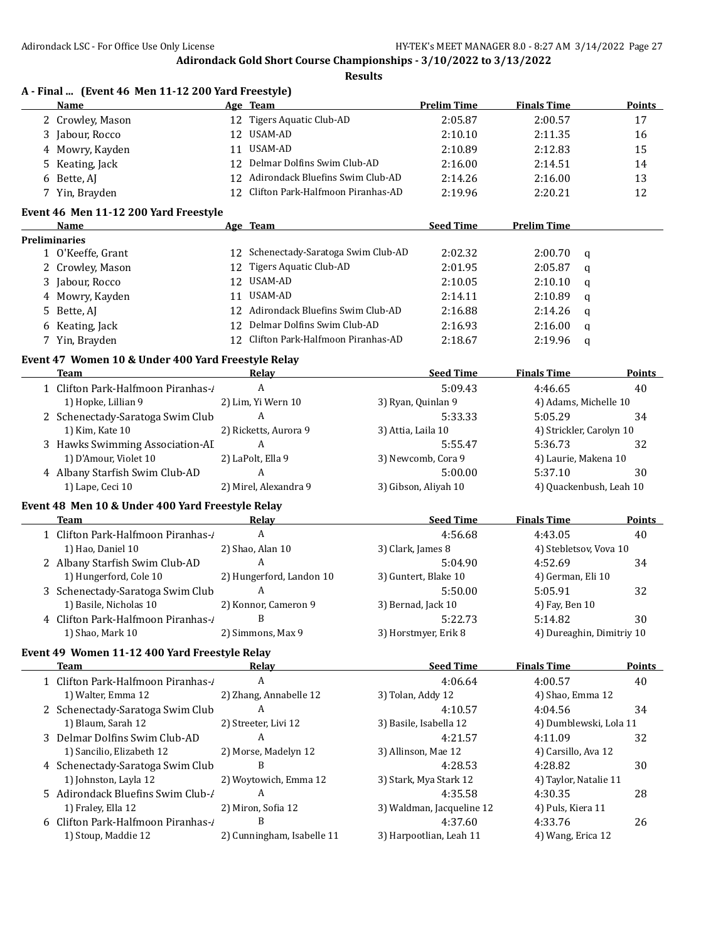|   | A - Final  (Event 46 Men 11-12 200 Yard Freestyle)<br>Name |    | Age Team                             | <b>Prelim Time</b>        | <b>Finals Time</b>        | <b>Points</b> |
|---|------------------------------------------------------------|----|--------------------------------------|---------------------------|---------------------------|---------------|
|   | 2 Crowley, Mason                                           |    | 12 Tigers Aquatic Club-AD            | 2:05.87                   | 2:00.57                   | 17            |
|   | 3 Jabour, Rocco                                            |    | 12 USAM-AD                           | 2:10.10                   | 2:11.35                   | 16            |
|   | 4 Mowry, Kayden                                            | 11 | <b>USAM-AD</b>                       | 2:10.89                   | 2:12.83                   | 15            |
|   | 5 Keating, Jack                                            | 12 | Delmar Dolfins Swim Club-AD          | 2:16.00                   | 2:14.51                   | 14            |
|   | 6 Bette, AJ                                                |    | 12 Adirondack Bluefins Swim Club-AD  | 2:14.26                   | 2:16.00                   | 13            |
|   | 7 Yin, Brayden                                             |    | 12 Clifton Park-Halfmoon Piranhas-AD | 2:19.96                   | 2:20.21                   | 12            |
|   | Event 46 Men 11-12 200 Yard Freestyle                      |    |                                      |                           |                           |               |
|   | Name                                                       |    | Age Team                             | <b>Seed Time</b>          | <b>Prelim Time</b>        |               |
|   | <b>Preliminaries</b>                                       |    |                                      |                           |                           |               |
|   | 1 O'Keeffe, Grant                                          |    | 12 Schenectady-Saratoga Swim Club-AD | 2:02.32                   | 2:00.70<br>q              |               |
|   | 2 Crowley, Mason                                           |    | 12 Tigers Aquatic Club-AD            | 2:01.95                   | 2:05.87<br>a              |               |
|   | 3 Jabour, Rocco                                            |    | 12 USAM-AD                           | 2:10.05                   | 2:10.10<br>q              |               |
|   | 4 Mowry, Kayden                                            | 11 | USAM-AD                              | 2:14.11                   | 2:10.89<br>q              |               |
| 5 | Bette, AJ                                                  |    | 12 Adirondack Bluefins Swim Club-AD  | 2:16.88                   | 2:14.26<br>q              |               |
|   | 6 Keating, Jack                                            | 12 | Delmar Dolfins Swim Club-AD          | 2:16.93                   | 2:16.00<br>q              |               |
|   | 7 Yin, Brayden                                             | 12 | Clifton Park-Halfmoon Piranhas-AD    | 2:18.67                   | 2:19.96<br>q              |               |
|   | Event 47 Women 10 & Under 400 Yard Freestyle Relay         |    |                                      |                           |                           |               |
|   | <b>Team</b>                                                |    | Relay                                | <b>Seed Time</b>          | <b>Finals Time</b>        | <b>Points</b> |
|   | 1 Clifton Park-Halfmoon Piranhas-/                         |    | A                                    | 5:09.43                   | 4:46.65                   | 40            |
|   | 1) Hopke, Lillian 9                                        |    | 2) Lim, Yi Wern 10                   | 3) Ryan, Quinlan 9        | 4) Adams, Michelle 10     |               |
|   | 2 Schenectady-Saratoga Swim Club                           |    | A                                    | 5:33.33                   | 5:05.29                   | 34            |
|   | 1) Kim, Kate 10                                            |    | 2) Ricketts, Aurora 9                | 3) Attia, Laila 10        | 4) Strickler, Carolyn 10  |               |
|   | 3 Hawks Swimming Association-AI                            |    | A                                    | 5:55.47                   | 5:36.73                   | 32            |
|   | 1) D'Amour, Violet 10                                      |    | 2) LaPolt, Ella 9                    | 3) Newcomb, Cora 9        | 4) Laurie, Makena 10      |               |
|   | 4 Albany Starfish Swim Club-AD                             |    | A                                    | 5:00.00                   | 5:37.10                   | 30            |
|   | 1) Lape, Ceci 10                                           |    | 2) Mirel, Alexandra 9                | 3) Gibson, Aliyah 10      | 4) Quackenbush, Leah 10   |               |
|   | Event 48 Men 10 & Under 400 Yard Freestyle Relay           |    |                                      |                           |                           |               |
|   | Team                                                       |    | Relay                                | <b>Seed Time</b>          | <b>Finals Time</b>        | <b>Points</b> |
|   | 1 Clifton Park-Halfmoon Piranhas-/                         |    | A                                    | 4:56.68                   | 4:43.05                   | 40            |
|   | 1) Hao, Daniel 10                                          |    | 2) Shao, Alan 10                     | 3) Clark, James 8         | 4) Stebletsov, Vova 10    |               |
|   | 2 Albany Starfish Swim Club-AD                             |    | A                                    | 5:04.90                   | 4:52.69                   | 34            |
|   | 1) Hungerford, Cole 10                                     |    | 2) Hungerford, Landon 10             | 3) Guntert, Blake 10      | 4) German, Eli 10         |               |
|   | 3 Schenectady-Saratoga Swim Club                           |    | A                                    | 5:50.00                   | 5:05.91                   | 32            |
|   | 1) Basile, Nicholas 10                                     |    | 2) Konnor, Cameron 9                 | 3) Bernad, Jack 10        | 4) Fay, Ben 10            |               |
|   | 4 Clifton Park-Halfmoon Piranhas-                          |    | B                                    | 5:22.73                   | 5:14.82                   | 30            |
|   | 1) Shao, Mark 10                                           |    | 2) Simmons, Max 9                    | 3) Horstmyer, Erik 8      | 4) Dureaghin, Dimitriy 10 |               |
|   | Event 49 Women 11-12 400 Yard Freestyle Relay              |    |                                      |                           |                           |               |
|   | <b>Team</b>                                                |    | Relav                                | <b>Seed Time</b>          | <b>Finals Time</b>        | <b>Points</b> |
|   | 1 Clifton Park-Halfmoon Piranhas-/                         |    | A                                    | 4:06.64                   | 4:00.57                   | 40            |
|   | 1) Walter, Emma 12                                         |    | 2) Zhang, Annabelle 12               | 3) Tolan, Addy 12         | 4) Shao, Emma 12          |               |
|   | 2 Schenectady-Saratoga Swim Club                           |    | A                                    | 4:10.57                   | 4:04.56                   | 34            |
|   | 1) Blaum, Sarah 12                                         |    | 2) Streeter, Livi 12                 | 3) Basile, Isabella 12    | 4) Dumblewski, Lola 11    |               |
|   | 3 Delmar Dolfins Swim Club-AD                              |    | A                                    | 4:21.57                   | 4:11.09                   | 32            |
|   | 1) Sancilio, Elizabeth 12                                  |    | 2) Morse, Madelyn 12                 | 3) Allinson, Mae 12       | 4) Carsillo, Ava 12       |               |
|   | 4 Schenectady-Saratoga Swim Club                           |    | B                                    | 4:28.53                   | 4:28.82                   | 30            |
|   | 1) Johnston, Layla 12                                      |    | 2) Woytowich, Emma 12                | 3) Stark, Mya Stark 12    | 4) Taylor, Natalie 11     |               |
|   | 5 Adirondack Bluefins Swim Club-/                          |    | A                                    | 4:35.58                   | 4:30.35                   | 28            |
|   |                                                            |    |                                      |                           |                           |               |
|   | 1) Fraley, Ella 12                                         |    | 2) Miron, Sofia 12                   | 3) Waldman, Jacqueline 12 | 4) Puls, Kiera 11         |               |
|   | 6 Clifton Park-Halfmoon Piranhas-/                         |    | B                                    | 4:37.60                   | 4:33.76                   | 26            |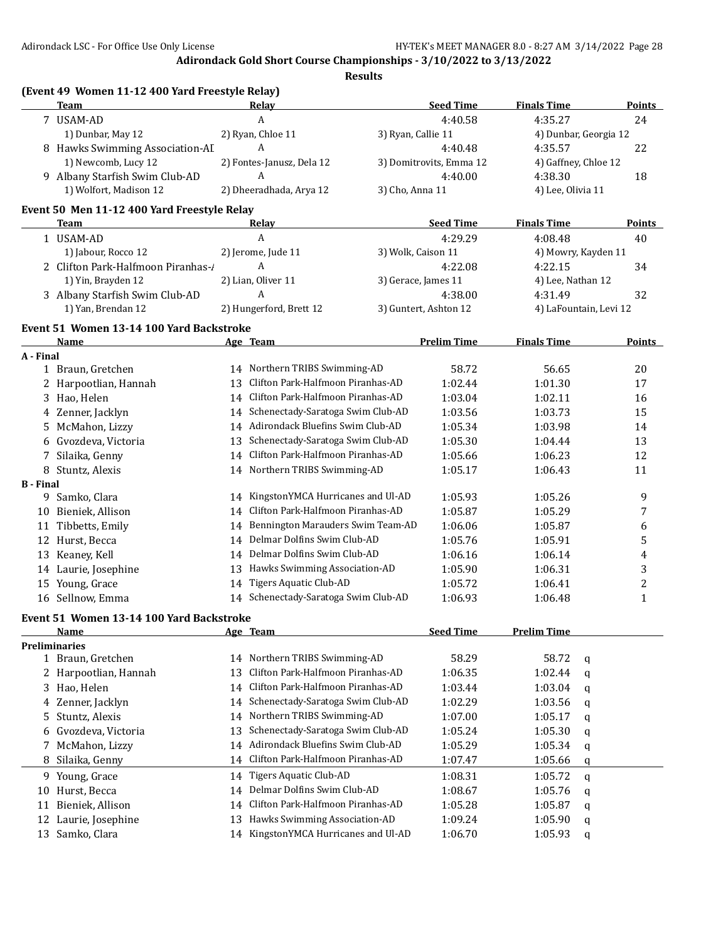|                  | (Event 49 Women 11-12 400 Yard Freestyle Relay)<br>Team |    | Relay                                |                     | <b>Seed Time</b>        | <b>Finals Time</b> | Points                      |
|------------------|---------------------------------------------------------|----|--------------------------------------|---------------------|-------------------------|--------------------|-----------------------------|
|                  |                                                         |    | A                                    |                     |                         |                    |                             |
|                  | 7 USAM-AD<br>1) Dunbar, May 12                          |    | 2) Ryan, Chloe 11                    | 3) Ryan, Callie 11  | 4:40.58                 | 4:35.27            | 24                          |
|                  | 8 Hawks Swimming Association-AI                         |    | A                                    |                     | 4:40.48                 | 4:35.57            | 4) Dunbar, Georgia 12<br>22 |
|                  | 1) Newcomb, Lucy 12                                     |    | 2) Fontes-Janusz, Dela 12            |                     | 3) Domitrovits, Emma 12 |                    | 4) Gaffney, Chloe 12        |
|                  | 9 Albany Starfish Swim Club-AD                          |    | A                                    |                     | 4:40.00                 | 4:38.30            | 18                          |
|                  | 1) Wolfort, Madison 12                                  |    | 2) Dheeradhada, Arya 12              | 3) Cho, Anna 11     |                         | 4) Lee, Olivia 11  |                             |
|                  | Event 50 Men 11-12 400 Yard Freestyle Relay             |    |                                      |                     |                         |                    |                             |
|                  | Team                                                    |    | <b>Relay</b>                         |                     | <b>Seed Time</b>        | <b>Finals Time</b> | <b>Points</b>               |
|                  | 1 USAM-AD                                               |    | A                                    |                     | 4:29.29                 | 4:08.48            | 40                          |
|                  | 1) Jabour, Rocco 12                                     |    | 2) Jerome, Jude 11                   | 3) Wolk, Caison 11  |                         |                    | 4) Mowry, Kayden 11         |
|                  | 2 Clifton Park-Halfmoon Piranhas-                       |    | A                                    |                     | 4:22.08                 | 4:22.15            | 34                          |
|                  | 1) Yin, Brayden 12                                      |    | 2) Lian, Oliver 11                   | 3) Gerace, James 11 |                         | 4) Lee, Nathan 12  |                             |
|                  | 3 Albany Starfish Swim Club-AD                          |    | A                                    |                     | 4:38.00                 | 4:31.49            | 32                          |
|                  | 1) Yan, Brendan 12                                      |    | 2) Hungerford, Brett 12              |                     | 3) Guntert, Ashton 12   |                    | 4) LaFountain, Levi 12      |
|                  | Event 51 Women 13-14 100 Yard Backstroke                |    |                                      |                     |                         |                    |                             |
|                  | Name                                                    |    | Age Team                             |                     | <b>Prelim Time</b>      | <b>Finals Time</b> | Points                      |
| A - Final        | 1 Braun, Gretchen                                       |    | 14 Northern TRIBS Swimming-AD        |                     | 58.72                   | 56.65              | 20                          |
|                  |                                                         |    | Clifton Park-Halfmoon Piranhas-AD    |                     |                         |                    |                             |
|                  | 2 Harpootlian, Hannah                                   | 13 |                                      |                     | 1:02.44                 | 1:01.30            | 17                          |
|                  | 3 Hao, Helen                                            |    | 14 Clifton Park-Halfmoon Piranhas-AD |                     | 1:03.04                 | 1:02.11            | 16                          |
|                  | 4 Zenner, Jacklyn                                       |    | 14 Schenectady-Saratoga Swim Club-AD |                     | 1:03.56                 | 1:03.73            | 15                          |
| 5                | McMahon, Lizzy                                          |    | 14 Adirondack Bluefins Swim Club-AD  |                     | 1:05.34                 | 1:03.98            | 14                          |
|                  | 6 Gvozdeva, Victoria                                    | 13 | Schenectady-Saratoga Swim Club-AD    |                     | 1:05.30                 | 1:04.44            | 13                          |
| 7                | Silaika, Genny                                          |    | 14 Clifton Park-Halfmoon Piranhas-AD |                     | 1:05.66                 | 1:06.23            | 12                          |
|                  | 8 Stuntz, Alexis                                        |    | 14 Northern TRIBS Swimming-AD        |                     | 1:05.17                 | 1:06.43            | 11                          |
| <b>B</b> - Final |                                                         |    | 14 KingstonYMCA Hurricanes and Ul-AD |                     |                         |                    |                             |
| 9                | Samko, Clara                                            |    | 14 Clifton Park-Halfmoon Piranhas-AD |                     | 1:05.93                 | 1:05.26            | 9                           |
|                  | 10 Bieniek, Allison                                     |    | 14 Bennington Marauders Swim Team-AD |                     | 1:05.87                 | 1:05.29            | 7                           |
| 11               | Tibbetts, Emily                                         |    | 14 Delmar Dolfins Swim Club-AD       |                     | 1:06.06                 | 1:05.87            | 6                           |
|                  | 12 Hurst, Becca                                         |    |                                      |                     | 1:05.76                 | 1:05.91            | 5                           |
| 13               | Keaney, Kell                                            |    | 14 Delmar Dolfins Swim Club-AD       |                     | 1:06.16                 | 1:06.14            | 4                           |
|                  | 14 Laurie, Josephine                                    |    | 13 Hawks Swimming Association-AD     |                     | 1:05.90                 | 1:06.31            | 3                           |
| 15               | Young, Grace                                            | 14 | Tigers Aquatic Club-AD               |                     | 1:05.72                 | 1:06.41            | 2                           |
|                  | 16 Sellnow, Emma                                        |    | 14 Schenectady-Saratoga Swim Club-AD |                     | 1:06.93                 | 1:06.48            | $\mathbf{1}$                |
|                  | Event 51 Women 13-14 100 Yard Backstroke<br>Name        |    | Age Team                             |                     | <b>Seed Time</b>        | <b>Prelim Time</b> |                             |
|                  | <b>Preliminaries</b>                                    |    |                                      |                     |                         |                    |                             |
|                  | 1 Braun, Gretchen                                       |    | 14 Northern TRIBS Swimming-AD        |                     | 58.29                   | 58.72              | q                           |
|                  | 2 Harpootlian, Hannah                                   | 13 | Clifton Park-Halfmoon Piranhas-AD    |                     | 1:06.35                 | 1:02.44            | q                           |
|                  | 3 Hao, Helen                                            |    | 14 Clifton Park-Halfmoon Piranhas-AD |                     | 1:03.44                 | 1:03.04            | q                           |
|                  | 4 Zenner, Jacklyn                                       | 14 | Schenectady-Saratoga Swim Club-AD    |                     | 1:02.29                 | 1:03.56            |                             |
| 5                | Stuntz, Alexis                                          | 14 | Northern TRIBS Swimming-AD           |                     | 1:07.00                 | 1:05.17            | q                           |
| 6                | Gvozdeva, Victoria                                      | 13 | Schenectady-Saratoga Swim Club-AD    |                     | 1:05.24                 | 1:05.30            | q                           |
|                  | McMahon, Lizzy                                          | 14 | Adirondack Bluefins Swim Club-AD     |                     | 1:05.29                 | 1:05.34            | q                           |
| 8                | Silaika, Genny                                          | 14 | Clifton Park-Halfmoon Piranhas-AD    |                     | 1:07.47                 | 1:05.66            | q                           |
|                  |                                                         |    |                                      |                     |                         |                    | q                           |
|                  | 9 Young, Grace                                          | 14 | Tigers Aquatic Club-AD               |                     | 1:08.31                 | 1:05.72            | q                           |
| 10               | Hurst, Becca                                            |    | 14 Delmar Dolfins Swim Club-AD       |                     | 1:08.67                 | 1:05.76            | q                           |
| 11               | Bieniek, Allison                                        | 14 | Clifton Park-Halfmoon Piranhas-AD    |                     | 1:05.28                 | 1:05.87            | q                           |
| 12               | Laurie, Josephine                                       | 13 | Hawks Swimming Association-AD        |                     | 1:09.24                 | 1:05.90            | q                           |
|                  | 13 Samko, Clara                                         |    | 14 KingstonYMCA Hurricanes and Ul-AD |                     | 1:06.70                 | 1:05.93            | q                           |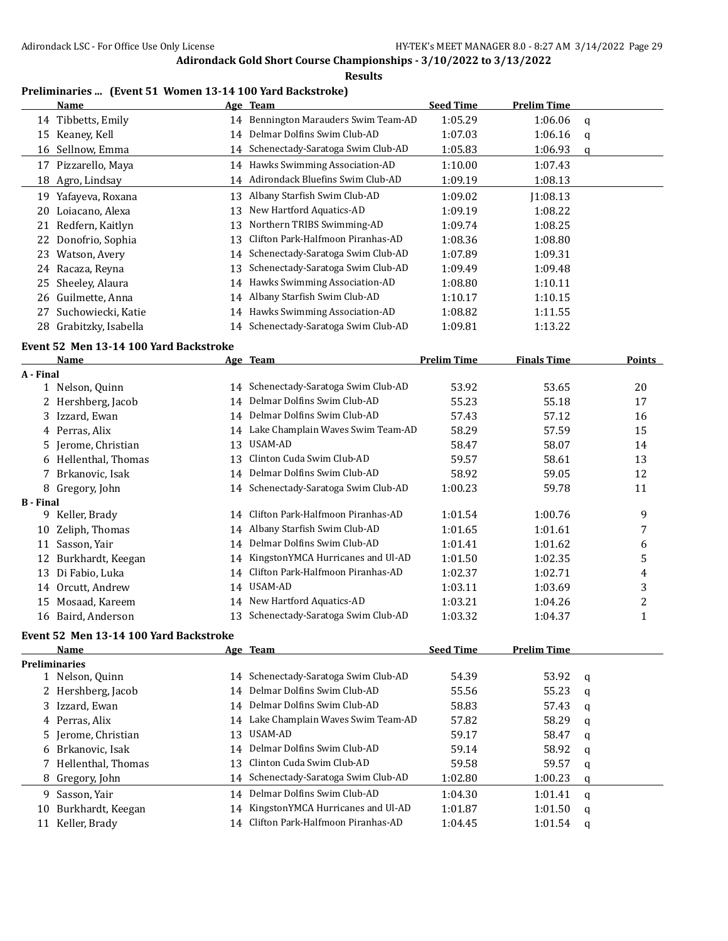**Results**

## **Preliminaries ... (Event 51 Women 13-14 100 Yard Backstroke)**

|    | Name                |    | Age Team                            | <b>Seed Time</b> | <b>Prelim Time</b> |   |
|----|---------------------|----|-------------------------------------|------------------|--------------------|---|
|    | 14 Tibbetts, Emily  | 14 | Bennington Marauders Swim Team-AD   | 1:05.29          | 1:06.06            | q |
| 15 | Keanev, Kell        | 14 | Delmar Dolfins Swim Club-AD         | 1:07.03          | 1:06.16            | a |
|    | 16 Sellnow, Emma    | 14 | Schenectady-Saratoga Swim Club-AD   | 1:05.83          | 1:06.93            | q |
| 17 | Pizzarello, Maya    |    | 14 Hawks Swimming Association-AD    | 1:10.00          | 1:07.43            |   |
|    | 18 Agro, Lindsay    |    | 14 Adirondack Bluefins Swim Club-AD | 1:09.19          | 1:08.13            |   |
| 19 | Yafayeva, Roxana    | 13 | Albany Starfish Swim Club-AD        | 1:09.02          | 1:08.13            |   |
| 20 | Loiacano, Alexa     | 13 | New Hartford Aquatics-AD            | 1:09.19          | 1:08.22            |   |
| 21 | Redfern, Kaitlyn    | 13 | Northern TRIBS Swimming-AD          | 1:09.74          | 1:08.25            |   |
| 22 | Donofrio, Sophia    | 13 | Clifton Park-Halfmoon Piranhas-AD   | 1:08.36          | 1:08.80            |   |
| 23 | Watson, Avery       | 14 | Schenectady-Saratoga Swim Club-AD   | 1:07.89          | 1:09.31            |   |
| 24 | Racaza, Reyna       | 13 | Schenectady-Saratoga Swim Club-AD   | 1:09.49          | 1:09.48            |   |
|    | 25 Sheeley, Alaura  | 14 | Hawks Swimming Association-AD       | 1:08.80          | 1:10.11            |   |
|    | 26 Guilmette, Anna  | 14 | Albany Starfish Swim Club-AD        | 1:10.17          | 1:10.15            |   |
| 27 | Suchowiecki, Katie  |    | 14 Hawks Swimming Association-AD    | 1:08.82          | 1:11.55            |   |
| 28 | Grabitzky, Isabella | 14 | Schenectady-Saratoga Swim Club-AD   | 1:09.81          | 1:13.22            |   |

## **Event 52 Men 13-14 100 Yard Backstroke**

|                  | <b>Name</b>          |    | Age Team                             | <b>Prelim Time</b> | <b>Finals Time</b> | Points |
|------------------|----------------------|----|--------------------------------------|--------------------|--------------------|--------|
| A - Final        |                      |    |                                      |                    |                    |        |
|                  | 1 Nelson, Quinn      | 14 | Schenectady-Saratoga Swim Club-AD    | 53.92              | 53.65              | 20     |
|                  | 2 Hershberg, Jacob   |    | 14 Delmar Dolfins Swim Club-AD       | 55.23              | 55.18              | 17     |
|                  | 3 Izzard, Ewan       |    | 14 Delmar Dolfins Swim Club-AD       | 57.43              | 57.12              | 16     |
|                  | 4 Perras, Alix       | 14 | Lake Champlain Waves Swim Team-AD    | 58.29              | 57.59              | 15     |
|                  | 5 Jerome, Christian  | 13 | USAM-AD                              | 58.47              | 58.07              | 14     |
|                  | 6 Hellenthal, Thomas | 13 | Clinton Cuda Swim Club-AD            | 59.57              | 58.61              | 13     |
|                  | 7 Brkanovic, Isak    |    | 14 Delmar Dolfins Swim Club-AD       | 58.92              | 59.05              | 12     |
|                  | 8 Gregory, John      |    | 14 Schenectady-Saratoga Swim Club-AD | 1:00.23            | 59.78              | 11     |
| <b>B</b> - Final |                      |    |                                      |                    |                    |        |
| 9                | Keller, Brady        | 14 | Clifton Park-Halfmoon Piranhas-AD    | 1:01.54            | 1:00.76            | 9      |
| 10               | Zeliph, Thomas       | 14 | Albany Starfish Swim Club-AD         | 1:01.65            | 1:01.61            | 7      |
| 11               | Sasson, Yair         | 14 | Delmar Dolfins Swim Club-AD          | 1:01.41            | 1:01.62            | 6      |
| 12               | Burkhardt, Keegan    | 14 | KingstonYMCA Hurricanes and Ul-AD    | 1:01.50            | 1:02.35            | 5      |
| 13               | Di Fabio, Luka       | 14 | Clifton Park-Halfmoon Piranhas-AD    | 1:02.37            | 1:02.71            | 4      |
| 14               | Orcutt, Andrew       | 14 | USAM-AD                              | 1:03.11            | 1:03.69            | 3      |
| 15               | Mosaad, Kareem       | 14 | New Hartford Aquatics-AD             | 1:03.21            | 1:04.26            | 2      |
| 16               | Baird, Anderson      | 13 | Schenectady-Saratoga Swim Club-AD    | 1:03.32            | 1:04.37            |        |

## **Event 52 Men 13-14 100 Yard Backstroke**

|    | <b>Name</b>          |                 | Age Team                             | <b>Seed Time</b> | <b>Prelim Time</b> |   |
|----|----------------------|-----------------|--------------------------------------|------------------|--------------------|---|
|    | <b>Preliminaries</b> |                 |                                      |                  |                    |   |
|    | 1 Nelson, Quinn      | 14              | Schenectady-Saratoga Swim Club-AD    | 54.39            | 53.92              | q |
|    | 2 Hershberg, Jacob   |                 | 14 Delmar Dolfins Swim Club-AD       | 55.56            | 55.23              | q |
|    | 3 Izzard, Ewan       |                 | 14 Delmar Dolfins Swim Club-AD       | 58.83            | 57.43              | q |
|    | 4 Perras, Alix       |                 | 14 Lake Champlain Waves Swim Team-AD | 57.82            | 58.29              | q |
|    | 5 Jerome, Christian  | 13 <sup>7</sup> | USAM-AD                              | 59.17            | 58.47              | a |
|    | 6 Brkanovic. Isak    | 14              | Delmar Dolfins Swim Club-AD          | 59.14            | 58.92              | a |
|    | 7 Hellenthal, Thomas | 13              | Clinton Cuda Swim Club-AD            | 59.58            | 59.57              | a |
|    | 8 Gregory, John      |                 | 14 Schenectady-Saratoga Swim Club-AD | 1:02.80          | 1:00.23            | q |
| 9. | Sasson, Yair         | 14              | Delmar Dolfins Swim Club-AD          | 1:04.30          | 1:01.41            | a |
| 10 | Burkhardt, Keegan    | 14              | KingstonYMCA Hurricanes and Ul-AD    | 1:01.87          | 1:01.50            | q |
| 11 | Keller, Brady        | 14              | Clifton Park-Halfmoon Piranhas-AD    | 1:04.45          | 1:01.54            | a |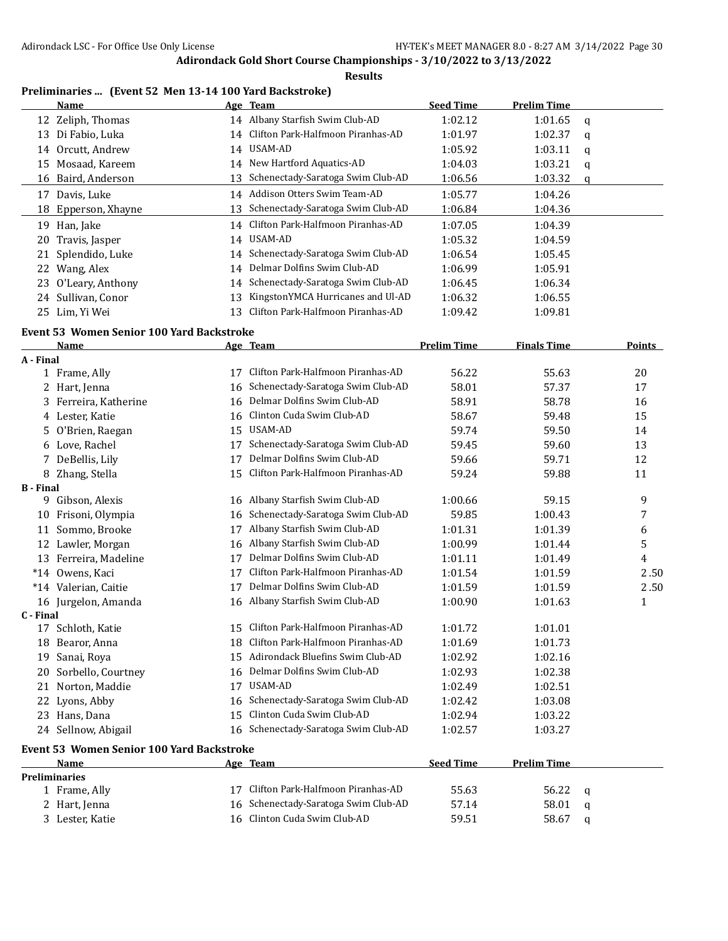**Results**

## **Preliminaries ... (Event 52 Men 13-14 100 Yard Backstroke)**

|                  | <b>Name</b>                                      |    | Age Team                             | <b>Seed Time</b>   | <b>Prelim Time</b> |   |               |
|------------------|--------------------------------------------------|----|--------------------------------------|--------------------|--------------------|---|---------------|
|                  | 12 Zeliph, Thomas                                |    | 14 Albany Starfish Swim Club-AD      | 1:02.12            | 1:01.65            | q |               |
|                  | 13 Di Fabio, Luka                                |    | 14 Clifton Park-Halfmoon Piranhas-AD | 1:01.97            | 1:02.37            | q |               |
|                  | 14 Orcutt, Andrew                                |    | 14 USAM-AD                           | 1:05.92            | 1:03.11            | q |               |
|                  | 15 Mosaad, Kareem                                |    | 14 New Hartford Aquatics-AD          | 1:04.03            | 1:03.21            | q |               |
|                  | 16 Baird, Anderson                               | 13 | Schenectady-Saratoga Swim Club-AD    | 1:06.56            | 1:03.32            | q |               |
|                  | 17 Davis, Luke                                   |    | 14 Addison Otters Swim Team-AD       | 1:05.77            | 1:04.26            |   |               |
|                  | 18 Epperson, Xhayne                              |    | 13 Schenectady-Saratoga Swim Club-AD | 1:06.84            | 1:04.36            |   |               |
|                  | 19 Han, Jake                                     |    | 14 Clifton Park-Halfmoon Piranhas-AD | 1:07.05            | 1:04.39            |   |               |
| 20               | Travis, Jasper                                   |    | 14 USAM-AD                           | 1:05.32            | 1:04.59            |   |               |
| 21               | Splendido, Luke                                  | 14 | Schenectady-Saratoga Swim Club-AD    | 1:06.54            | 1:05.45            |   |               |
| 22               | Wang, Alex                                       | 14 | Delmar Dolfins Swim Club-AD          | 1:06.99            | 1:05.91            |   |               |
| 23               | O'Leary, Anthony                                 | 14 | Schenectady-Saratoga Swim Club-AD    | 1:06.45            | 1:06.34            |   |               |
|                  | 24 Sullivan, Conor                               | 13 | KingstonYMCA Hurricanes and Ul-AD    | 1:06.32            | 1:06.55            |   |               |
|                  | 25 Lim, Yi Wei                                   | 13 | Clifton Park-Halfmoon Piranhas-AD    | 1:09.42            | 1:09.81            |   |               |
|                  | <b>Event 53 Women Senior 100 Yard Backstroke</b> |    |                                      |                    |                    |   |               |
|                  | Name                                             |    | Age Team                             | <b>Prelim Time</b> | <b>Finals Time</b> |   | <b>Points</b> |
| A - Final        |                                                  |    |                                      |                    |                    |   |               |
|                  | 1 Frame, Ally                                    | 17 | Clifton Park-Halfmoon Piranhas-AD    | 56.22              | 55.63              |   | 20            |
|                  | 2 Hart, Jenna                                    | 16 | Schenectady-Saratoga Swim Club-AD    | 58.01              | 57.37              |   | 17            |
|                  | 3 Ferreira, Katherine                            | 16 | Delmar Dolfins Swim Club-AD          | 58.91              | 58.78              |   | 16            |
|                  | 4 Lester, Katie                                  | 16 | Clinton Cuda Swim Club-AD            | 58.67              | 59.48              |   | 15            |
| 5.               | O'Brien, Raegan                                  | 15 | <b>USAM-AD</b>                       | 59.74              | 59.50              |   | 14            |
|                  | 6 Love, Rachel                                   | 17 | Schenectady-Saratoga Swim Club-AD    | 59.45              | 59.60              |   | 13            |
|                  | 7 DeBellis, Lily                                 | 17 | Delmar Dolfins Swim Club-AD          | 59.66              | 59.71              |   | 12            |
|                  | 8 Zhang, Stella                                  | 15 | Clifton Park-Halfmoon Piranhas-AD    | 59.24              | 59.88              |   | 11            |
| <b>B</b> - Final |                                                  |    |                                      |                    |                    |   |               |
|                  | 9 Gibson, Alexis                                 | 16 | Albany Starfish Swim Club-AD         | 1:00.66            | 59.15              |   | 9             |
|                  | 10 Frisoni, Olympia                              | 16 | Schenectady-Saratoga Swim Club-AD    | 59.85              | 1:00.43            |   | 7             |
|                  | 11 Sommo, Brooke                                 | 17 | Albany Starfish Swim Club-AD         | 1:01.31            | 1:01.39            |   | 6             |
|                  | 12 Lawler, Morgan                                | 16 | Albany Starfish Swim Club-AD         | 1:00.99            | 1:01.44            |   | 5             |
|                  | 13 Ferreira, Madeline                            | 17 | Delmar Dolfins Swim Club-AD          | 1:01.11            | 1:01.49            |   | 4             |
|                  | *14 Owens, Kaci                                  | 17 | Clifton Park-Halfmoon Piranhas-AD    | 1:01.54            | 1:01.59            |   | 2.50          |
|                  | *14 Valerian, Caitie                             | 17 | Delmar Dolfins Swim Club-AD          | 1:01.59            | 1:01.59            |   | 2.50          |
|                  | 16 Jurgelon, Amanda                              |    | 16 Albany Starfish Swim Club-AD      | 1:00.90            | 1:01.63            |   | $\mathbf{1}$  |
| C - Final        |                                                  |    |                                      |                    |                    |   |               |
|                  | 17 Schloth, Katie                                |    | 15 Clifton Park-Halfmoon Piranhas-AD | 1:01.72            | 1:01.01            |   |               |
|                  | 18 Bearor, Anna                                  |    | 18 Clifton Park-Halfmoon Piranhas-AD | 1:01.69            | 1:01.73            |   |               |
|                  | 19 Sanai, Roya                                   |    | 15 Adirondack Bluefins Swim Club-AD  | 1:02.92            | 1:02.16            |   |               |
|                  | 20 Sorbello, Courtney                            |    | 16 Delmar Dolfins Swim Club-AD       | 1:02.93            | 1:02.38            |   |               |
|                  | 21 Norton, Maddie                                |    | 17 USAM-AD                           | 1:02.49            | 1:02.51            |   |               |
|                  | 22 Lyons, Abby                                   |    | 16 Schenectady-Saratoga Swim Club-AD | 1:02.42            | 1:03.08            |   |               |
|                  | 23 Hans, Dana                                    |    | 15 Clinton Cuda Swim Club-AD         | 1:02.94            | 1:03.22            |   |               |
|                  | 24 Sellnow, Abigail                              |    | 16 Schenectady-Saratoga Swim Club-AD | 1:02.57            | 1:03.27            |   |               |
|                  | Event 53 Women Senior 100 Yard Backstroke        |    |                                      |                    |                    |   |               |
|                  | <b>Name</b>                                      |    | Age Team                             | <b>Seed Time</b>   | <b>Prelim Time</b> |   |               |
|                  | <b>Preliminaries</b>                             |    |                                      |                    |                    |   |               |
|                  | 1 Frame, Ally                                    |    | 17 Clifton Park-Halfmoon Piranhas-AD | 55.63              | 56.22              | q |               |
|                  | 2 Hart, Jenna                                    |    | 16 Schenectady-Saratoga Swim Club-AD | 57.14              | 58.01              | q |               |
|                  | 3 Lester, Katie                                  |    | 16 Clinton Cuda Swim Club-AD         | 59.51              | 58.67              | q |               |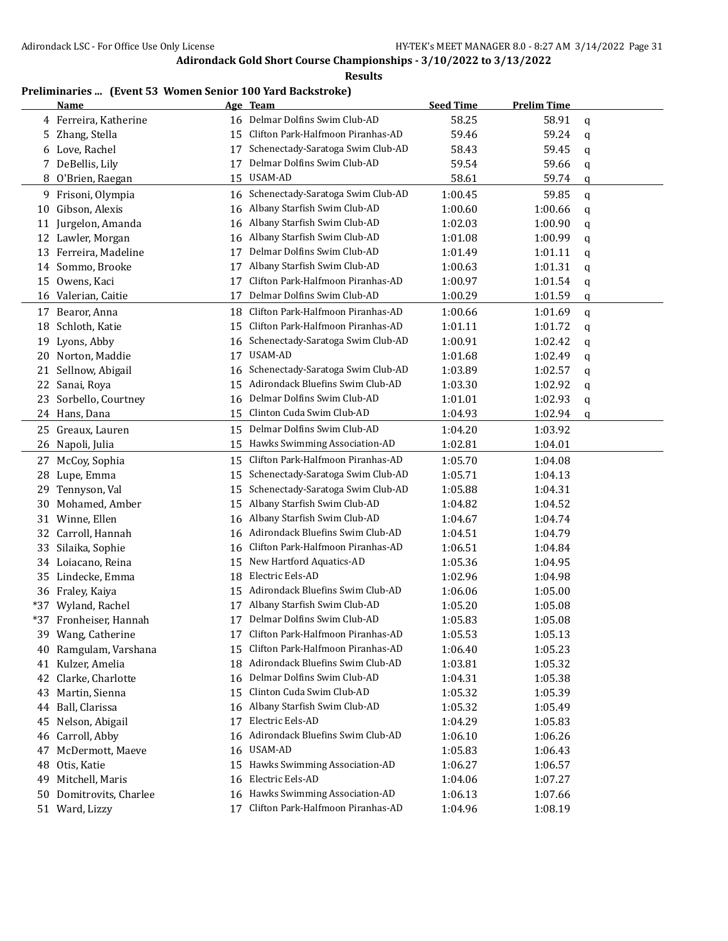**Results**

## **Preliminaries ... (Event 53 Women Senior 100 Yard Backstroke)**

|    | <b>Name</b>            |    | Age Team                             | <b>Seed Time</b> | <b>Prelim Time</b> |             |
|----|------------------------|----|--------------------------------------|------------------|--------------------|-------------|
|    | 4 Ferreira, Katherine  |    | 16 Delmar Dolfins Swim Club-AD       | 58.25            | 58.91              | $\mathbf q$ |
| 5. | Zhang, Stella          | 15 | Clifton Park-Halfmoon Piranhas-AD    | 59.46            | 59.24              | q           |
|    | 6 Love, Rachel         | 17 | Schenectady-Saratoga Swim Club-AD    | 58.43            | 59.45              | q           |
|    | 7 DeBellis, Lily       | 17 | Delmar Dolfins Swim Club-AD          | 59.54            | 59.66              | q           |
|    | 8 O'Brien, Raegan      | 15 | USAM-AD                              | 58.61            | 59.74              | q           |
|    | 9 Frisoni, Olympia     |    | 16 Schenectady-Saratoga Swim Club-AD | 1:00.45          | 59.85              | q           |
| 10 | Gibson, Alexis         | 16 | Albany Starfish Swim Club-AD         | 1:00.60          | 1:00.66            | q           |
| 11 | Jurgelon, Amanda       | 16 | Albany Starfish Swim Club-AD         | 1:02.03          | 1:00.90            | q           |
|    | 12 Lawler, Morgan      | 16 | Albany Starfish Swim Club-AD         | 1:01.08          | 1:00.99            | q           |
|    | 13 Ferreira, Madeline  | 17 | Delmar Dolfins Swim Club-AD          | 1:01.49          | 1:01.11            | q           |
|    | 14 Sommo, Brooke       | 17 | Albany Starfish Swim Club-AD         | 1:00.63          | 1:01.31            | q           |
| 15 | Owens, Kaci            | 17 | Clifton Park-Halfmoon Piranhas-AD    | 1:00.97          | 1:01.54            | q           |
|    | 16 Valerian, Caitie    | 17 | Delmar Dolfins Swim Club-AD          | 1:00.29          | 1:01.59            | q           |
|    | 17 Bearor, Anna        | 18 | Clifton Park-Halfmoon Piranhas-AD    | 1:00.66          | 1:01.69            | q           |
| 18 | Schloth, Katie         | 15 | Clifton Park-Halfmoon Piranhas-AD    | 1:01.11          | 1:01.72            | q           |
| 19 | Lyons, Abby            | 16 | Schenectady-Saratoga Swim Club-AD    | 1:00.91          | 1:02.42            | q           |
|    | 20 Norton, Maddie      | 17 | USAM-AD                              | 1:01.68          | 1:02.49            | q           |
| 21 | Sellnow, Abigail       | 16 | Schenectady-Saratoga Swim Club-AD    | 1:03.89          | 1:02.57            | q           |
| 22 | Sanai, Roya            | 15 | Adirondack Bluefins Swim Club-AD     | 1:03.30          | 1:02.92            | q           |
| 23 | Sorbello, Courtney     | 16 | Delmar Dolfins Swim Club-AD          | 1:01.01          | 1:02.93            | q           |
|    | 24 Hans, Dana          | 15 | Clinton Cuda Swim Club-AD            | 1:04.93          | 1:02.94            | q           |
|    | 25 Greaux, Lauren      | 15 | Delmar Dolfins Swim Club-AD          | 1:04.20          | 1:03.92            |             |
| 26 | Napoli, Julia          | 15 | Hawks Swimming Association-AD        | 1:02.81          | 1:04.01            |             |
|    | 27 McCoy, Sophia       | 15 | Clifton Park-Halfmoon Piranhas-AD    | 1:05.70          | 1:04.08            |             |
| 28 | Lupe, Emma             | 15 | Schenectady-Saratoga Swim Club-AD    | 1:05.71          | 1:04.13            |             |
| 29 | Tennyson, Val          | 15 | Schenectady-Saratoga Swim Club-AD    | 1:05.88          | 1:04.31            |             |
| 30 | Mohamed, Amber         | 15 | Albany Starfish Swim Club-AD         | 1:04.82          | 1:04.52            |             |
| 31 | Winne, Ellen           | 16 | Albany Starfish Swim Club-AD         | 1:04.67          | 1:04.74            |             |
| 32 | Carroll, Hannah        | 16 | Adirondack Bluefins Swim Club-AD     | 1:04.51          | 1:04.79            |             |
| 33 | Silaika, Sophie        | 16 | Clifton Park-Halfmoon Piranhas-AD    | 1:06.51          | 1:04.84            |             |
| 34 | Loiacano, Reina        | 15 | New Hartford Aquatics-AD             | 1:05.36          | 1:04.95            |             |
|    | 35 Lindecke, Emma      | 18 | Electric Eels-AD                     | 1:02.96          | 1:04.98            |             |
|    | 36 Fraley, Kaiya       | 15 | Adirondack Bluefins Swim Club-AD     | 1:06.06          | 1:05.00            |             |
|    | *37 Wyland, Rachel     | 17 | Albany Starfish Swim Club-AD         | 1:05.20          | 1:05.08            |             |
|    | *37 Fronheiser, Hannah | 17 | Delmar Dolfins Swim Club-AD          | 1:05.83          | 1:05.08            |             |
|    | 39 Wang, Catherine     | 17 | Clifton Park-Halfmoon Piranhas-AD    | 1:05.53          | 1:05.13            |             |
|    | 40 Ramgulam, Varshana  |    | 15 Clifton Park-Halfmoon Piranhas-AD | 1:06.40          | 1:05.23            |             |
|    | 41 Kulzer, Amelia      |    | 18 Adirondack Bluefins Swim Club-AD  | 1:03.81          | 1:05.32            |             |
| 42 | Clarke, Charlotte      |    | 16 Delmar Dolfins Swim Club-AD       | 1:04.31          | 1:05.38            |             |
|    | 43 Martin, Sienna      |    | 15 Clinton Cuda Swim Club-AD         | 1:05.32          | 1:05.39            |             |
|    | 44 Ball, Clarissa      | 16 | Albany Starfish Swim Club-AD         | 1:05.32          | 1:05.49            |             |
|    | 45 Nelson, Abigail     | 17 | Electric Eels-AD                     | 1:04.29          | 1:05.83            |             |
| 46 | Carroll, Abby          | 16 | Adirondack Bluefins Swim Club-AD     | 1:06.10          | 1:06.26            |             |
| 47 | McDermott, Maeve       | 16 | USAM-AD                              | 1:05.83          | 1:06.43            |             |
| 48 | Otis, Katie            | 15 | Hawks Swimming Association-AD        | 1:06.27          | 1:06.57            |             |
| 49 | Mitchell, Maris        | 16 | Electric Eels-AD                     | 1:04.06          | 1:07.27            |             |
| 50 | Domitrovits, Charlee   | 16 | Hawks Swimming Association-AD        | 1:06.13          | 1:07.66            |             |
|    | 51 Ward, Lizzy         | 17 | Clifton Park-Halfmoon Piranhas-AD    | 1:04.96          | 1:08.19            |             |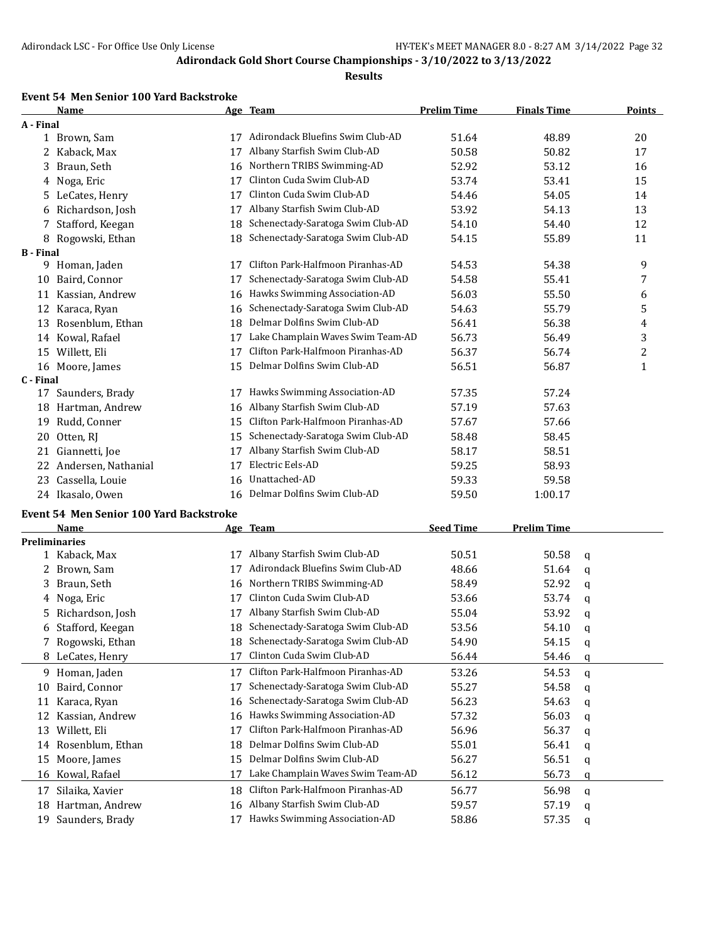#### **Results**

#### **Event 54 Men Senior 100 Yard Backstroke**

|                  | <b>Name</b>         |    | Age Team                          | <b>Prelim Time</b> | <b>Finals Time</b> | Points           |
|------------------|---------------------|----|-----------------------------------|--------------------|--------------------|------------------|
| A - Final        |                     |    |                                   |                    |                    |                  |
|                  | 1 Brown, Sam        | 17 | Adirondack Bluefins Swim Club-AD  | 51.64              | 48.89              | 20               |
| 2                | Kaback, Max         | 17 | Albany Starfish Swim Club-AD      | 50.58              | 50.82              | 17               |
| 3                | Braun, Seth         | 16 | Northern TRIBS Swimming-AD        | 52.92              | 53.12              | 16               |
| 4                | Noga, Eric          | 17 | Clinton Cuda Swim Club-AD         | 53.74              | 53.41              | 15               |
| 5.               | LeCates, Henry      | 17 | Clinton Cuda Swim Club-AD         | 54.46              | 54.05              | 14               |
| 6                | Richardson, Josh    | 17 | Albany Starfish Swim Club-AD      | 53.92              | 54.13              | 13               |
| 7                | Stafford, Keegan    | 18 | Schenectady-Saratoga Swim Club-AD | 54.10              | 54.40              | 12               |
| 8                | Rogowski, Ethan     | 18 | Schenectady-Saratoga Swim Club-AD | 54.15              | 55.89              | 11               |
| <b>B</b> - Final |                     |    |                                   |                    |                    |                  |
| 9.               | Homan, Jaden        | 17 | Clifton Park-Halfmoon Piranhas-AD | 54.53              | 54.38              | 9                |
| 10               | Baird, Connor       | 17 | Schenectady-Saratoga Swim Club-AD | 54.58              | 55.41              | 7                |
| 11               | Kassian, Andrew     | 16 | Hawks Swimming Association-AD     | 56.03              | 55.50              | 6                |
| 12               | Karaca, Ryan        | 16 | Schenectady-Saratoga Swim Club-AD | 54.63              | 55.79              | 5                |
| 13               | Rosenblum, Ethan    | 18 | Delmar Dolfins Swim Club-AD       | 56.41              | 56.38              | 4                |
| 14               | Kowal, Rafael       | 17 | Lake Champlain Waves Swim Team-AD | 56.73              | 56.49              | 3                |
| 15               | Willett, Eli        | 17 | Clifton Park-Halfmoon Piranhas-AD | 56.37              | 56.74              | $\boldsymbol{2}$ |
| 16               | Moore, James        | 15 | Delmar Dolfins Swim Club-AD       | 56.51              | 56.87              | $\mathbf{1}$     |
| C - Final        |                     |    |                                   |                    |                    |                  |
| 17               | Saunders, Brady     | 17 | Hawks Swimming Association-AD     | 57.35              | 57.24              |                  |
| 18               | Hartman, Andrew     | 16 | Albany Starfish Swim Club-AD      | 57.19              | 57.63              |                  |
| 19               | Rudd, Conner        | 15 | Clifton Park-Halfmoon Piranhas-AD | 57.67              | 57.66              |                  |
| 20               | Otten, RI           | 15 | Schenectady-Saratoga Swim Club-AD | 58.48              | 58.45              |                  |
| 21               | Giannetti, Joe      | 17 | Albany Starfish Swim Club-AD      | 58.17              | 58.51              |                  |
| 22               | Andersen, Nathanial | 17 | Electric Eels-AD                  | 59.25              | 58.93              |                  |
| 23               | Cassella, Louie     | 16 | Unattached-AD                     | 59.33              | 59.58              |                  |
| 24               | Ikasalo, Owen       | 16 | Delmar Dolfins Swim Club-AD       | 59.50              | 1:00.17            |                  |

# **Event 54 Men Senior 100 Yard Backstroke**

|    | <b>Name</b>          |    | Age Team                          | <b>Seed Time</b> | <b>Prelim Time</b> |   |
|----|----------------------|----|-----------------------------------|------------------|--------------------|---|
|    | <b>Preliminaries</b> |    |                                   |                  |                    |   |
|    | 1 Kaback, Max        | 17 | Albany Starfish Swim Club-AD      | 50.51            | 50.58              | a |
| 2. | Brown, Sam           | 17 | Adirondack Bluefins Swim Club-AD  | 48.66            | 51.64              | a |
| 3. | Braun, Seth          | 16 | Northern TRIBS Swimming-AD        | 58.49            | 52.92              | a |
|    | 4 Noga, Eric         | 17 | Clinton Cuda Swim Club-AD         | 53.66            | 53.74              | q |
| 5. | Richardson, Josh     |    | Albany Starfish Swim Club-AD      | 55.04            | 53.92              | a |
| 6  | Stafford, Keegan     | 18 | Schenectady-Saratoga Swim Club-AD | 53.56            | 54.10              | q |
|    | Rogowski, Ethan      | 18 | Schenectady-Saratoga Swim Club-AD | 54.90            | 54.15              | q |
|    | 8 LeCates, Henry     |    | Clinton Cuda Swim Club-AD         | 56.44            | 54.46              | q |
| 9. | Homan, Jaden         | 17 | Clifton Park-Halfmoon Piranhas-AD | 53.26            | 54.53              | q |
| 10 | Baird, Connor        | 17 | Schenectady-Saratoga Swim Club-AD | 55.27            | 54.58              | a |
| 11 | Karaca, Ryan         | 16 | Schenectady-Saratoga Swim Club-AD | 56.23            | 54.63              | q |
|    | Kassian, Andrew      | 16 | Hawks Swimming Association-AD     | 57.32            | 56.03              | q |
| 13 | Willett, Eli         | 17 | Clifton Park-Halfmoon Piranhas-AD | 56.96            | 56.37              | q |
| 14 | Rosenblum, Ethan     | 18 | Delmar Dolfins Swim Club-AD       | 55.01            | 56.41              | q |
| 15 | Moore, James         | 15 | Delmar Dolfins Swim Club-AD       | 56.27            | 56.51              | q |
| 16 | Kowal, Rafael        |    | Lake Champlain Waves Swim Team-AD | 56.12            | 56.73              | q |
| 17 | Silaika, Xavier      | 18 | Clifton Park-Halfmoon Piranhas-AD | 56.77            | 56.98              | a |
| 18 | Hartman, Andrew      | 16 | Albany Starfish Swim Club-AD      | 59.57            | 57.19              | q |
| 19 | Saunders, Brady      |    | Hawks Swimming Association-AD     | 58.86            | 57.35              | q |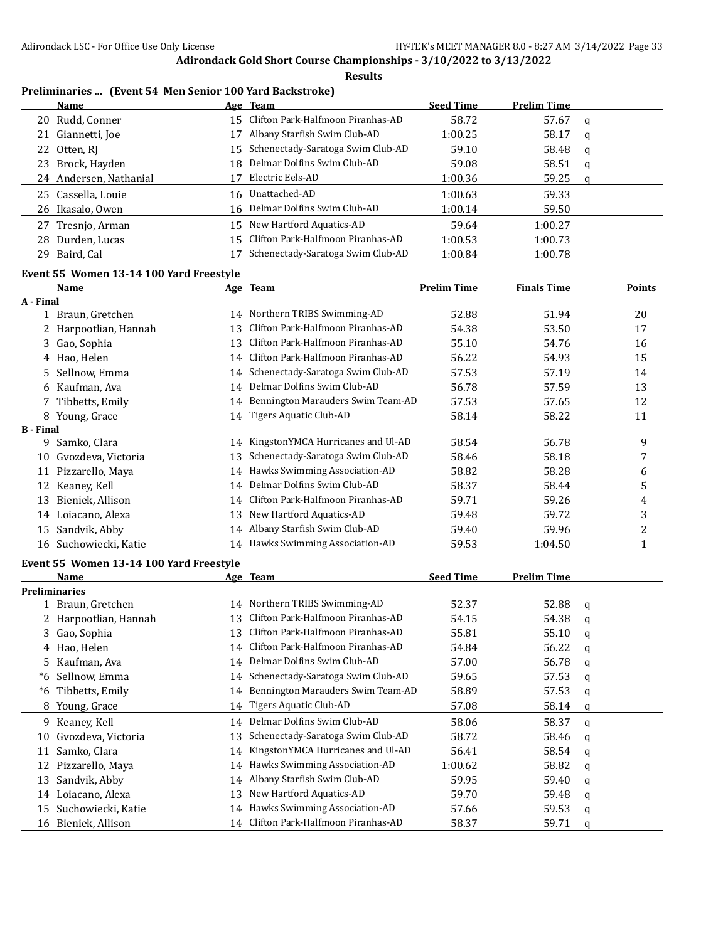**Results**

### **Preliminaries ... (Event 54 Men Senior 100 Yard Backstroke)**

| <b>Name</b> |                                                                                                                                                                                                     |                                   | <b>Seed Time</b>                                                                                                                                                                                                               | <b>Prelim Time</b> |   |
|-------------|-----------------------------------------------------------------------------------------------------------------------------------------------------------------------------------------------------|-----------------------------------|--------------------------------------------------------------------------------------------------------------------------------------------------------------------------------------------------------------------------------|--------------------|---|
|             |                                                                                                                                                                                                     |                                   | 58.72                                                                                                                                                                                                                          | 57.67              | q |
|             |                                                                                                                                                                                                     | Albany Starfish Swim Club-AD      | 1:00.25                                                                                                                                                                                                                        | 58.17              | a |
|             |                                                                                                                                                                                                     |                                   | 59.10                                                                                                                                                                                                                          | 58.48              | q |
|             |                                                                                                                                                                                                     |                                   | 59.08                                                                                                                                                                                                                          | 58.51              | q |
|             |                                                                                                                                                                                                     | Electric Eels-AD                  | 1:00.36                                                                                                                                                                                                                        | 59.25              | q |
|             |                                                                                                                                                                                                     |                                   | 1:00.63                                                                                                                                                                                                                        | 59.33              |   |
|             |                                                                                                                                                                                                     |                                   | 1:00.14                                                                                                                                                                                                                        | 59.50              |   |
|             |                                                                                                                                                                                                     | New Hartford Aquatics-AD          | 59.64                                                                                                                                                                                                                          | 1:00.27            |   |
|             |                                                                                                                                                                                                     |                                   | 1:00.53                                                                                                                                                                                                                        | 1:00.73            |   |
|             |                                                                                                                                                                                                     | Schenectady-Saratoga Swim Club-AD | 1:00.84                                                                                                                                                                                                                        | 1:00.78            |   |
| 27          | 20 Rudd, Conner<br>21 Giannetti, Joe<br>22 Otten, RJ<br>23 Brock, Hayden<br>24 Andersen, Nathanial<br>25 Cassella, Louie<br>26 Ikasalo, Owen<br>Tresnjo, Arman<br>28 Durden, Lucas<br>29 Baird, Cal |                                   | Age Team<br>15 Clifton Park-Halfmoon Piranhas-AD<br>15 Schenectady-Saratoga Swim Club-AD<br>18 Delmar Dolfins Swim Club-AD<br>16 Unattached-AD<br>16 Delmar Dolfins Swim Club-AD<br>15<br>15 Clifton Park-Halfmoon Piranhas-AD |                    |   |

# **Event 55 Women 13-14 100 Yard Freestyle**

|                  | Name                                    |    | Age Team                             | <b>Prelim Time</b> | <b>Finals Time</b> |              | <b>Points</b>    |
|------------------|-----------------------------------------|----|--------------------------------------|--------------------|--------------------|--------------|------------------|
| A - Final        |                                         |    |                                      |                    |                    |              |                  |
|                  | 1 Braun, Gretchen                       |    | 14 Northern TRIBS Swimming-AD        | 52.88              | 51.94              |              | 20               |
|                  | 2 Harpootlian, Hannah                   | 13 | Clifton Park-Halfmoon Piranhas-AD    | 54.38              | 53.50              |              | 17               |
| 3                | Gao, Sophia                             | 13 | Clifton Park-Halfmoon Piranhas-AD    | 55.10              | 54.76              |              | 16               |
|                  | 4 Hao, Helen                            | 14 | Clifton Park-Halfmoon Piranhas-AD    | 56.22              | 54.93              |              | 15               |
| 5.               | Sellnow, Emma                           | 14 | Schenectady-Saratoga Swim Club-AD    | 57.53              | 57.19              |              | 14               |
|                  | 6 Kaufman, Ava                          | 14 | Delmar Dolfins Swim Club-AD          | 56.78              | 57.59              |              | 13               |
|                  | 7 Tibbetts, Emily                       | 14 | Bennington Marauders Swim Team-AD    | 57.53              | 57.65              |              | 12               |
|                  | 8 Young, Grace                          |    | 14 Tigers Aquatic Club-AD            | 58.14              | 58.22              |              | 11               |
| <b>B</b> - Final |                                         |    |                                      |                    |                    |              |                  |
|                  | 9 Samko, Clara                          |    | 14 KingstonYMCA Hurricanes and Ul-AD | 58.54              | 56.78              |              | 9                |
|                  | 10 Gvozdeva, Victoria                   | 13 | Schenectady-Saratoga Swim Club-AD    | 58.46              | 58.18              |              | $\boldsymbol{7}$ |
|                  | 11 Pizzarello, Maya                     |    | 14 Hawks Swimming Association-AD     | 58.82              | 58.28              |              | 6                |
|                  | 12 Keaney, Kell                         |    | 14 Delmar Dolfins Swim Club-AD       | 58.37              | 58.44              |              | 5                |
|                  | 13 Bieniek, Allison                     | 14 | Clifton Park-Halfmoon Piranhas-AD    | 59.71              | 59.26              |              | 4                |
|                  | 14 Loiacano, Alexa                      | 13 | New Hartford Aquatics-AD             | 59.48              | 59.72              |              | 3                |
|                  | 15 Sandvik, Abby                        |    | 14 Albany Starfish Swim Club-AD      | 59.40              | 59.96              |              | 2                |
|                  | 16 Suchowiecki, Katie                   |    | 14 Hawks Swimming Association-AD     | 59.53              | 1:04.50            |              | $\mathbf{1}$     |
|                  | Event 55 Women 13-14 100 Yard Freestyle |    |                                      |                    |                    |              |                  |
|                  | Name                                    |    | Age Team                             | <b>Seed Time</b>   | <b>Prelim Time</b> |              |                  |
|                  | <b>Preliminaries</b>                    |    |                                      |                    |                    |              |                  |
|                  | 1 Braun, Gretchen                       |    | 14 Northern TRIBS Swimming-AD        | 52.37              | 52.88              | q            |                  |
|                  | 2 Harpootlian, Hannah                   | 13 | Clifton Park-Halfmoon Piranhas-AD    | 54.15              | 54.38              | q            |                  |
|                  | 3 Gao, Sophia                           | 13 | Clifton Park-Halfmoon Piranhas-AD    | 55.81              | 55.10              | $\mathbf q$  |                  |
|                  | 4 Hao, Helen                            |    | 14 Clifton Park-Halfmoon Piranhas-AD | 54.84              | 56.22              | q            |                  |
|                  | 5 Kaufman, Ava                          | 14 | Delmar Dolfins Swim Club-AD          | 57.00              | 56.78              | q            |                  |
|                  | *6 Sellnow, Emma                        | 14 | Schenectady-Saratoga Swim Club-AD    | 59.65              | 57.53              | q            |                  |
|                  | *6 Tibbetts, Emily                      | 14 | Bennington Marauders Swim Team-AD    | 58.89              | 57.53              | $\mathbf q$  |                  |
|                  | 8 Young, Grace                          | 14 | Tigers Aquatic Club-AD               | 57.08              | 58.14              | q            |                  |
|                  | 9 Keaney, Kell                          |    | 14 Delmar Dolfins Swim Club-AD       | 58.06              | 58.37              | q            |                  |
| 10               | Gvozdeva, Victoria                      | 13 | Schenectady-Saratoga Swim Club-AD    | 58.72              | 58.46              | q            |                  |
| 11               | Samko, Clara                            | 14 | KingstonYMCA Hurricanes and Ul-AD    | 56.41              | 58.54              | q            |                  |
|                  | 12 Pizzarello, Maya                     | 14 | Hawks Swimming Association-AD        | 1:00.62            | 58.82              | q            |                  |
| 13               | Sandvik, Abby                           | 14 | Albany Starfish Swim Club-AD         | 59.95              | 59.40              | q            |                  |
|                  | 14 Loiacano, Alexa                      | 13 | New Hartford Aquatics-AD             | 59.70              | 59.48              | q            |                  |
|                  | 15 Suchowiecki, Katie                   |    | 14 Hawks Swimming Association-AD     | 57.66              | 59.53              | q            |                  |
|                  | 16 Bieniek, Allison                     |    | 14 Clifton Park-Halfmoon Piranhas-AD | 58.37              | 59.71              | $\mathbf{q}$ |                  |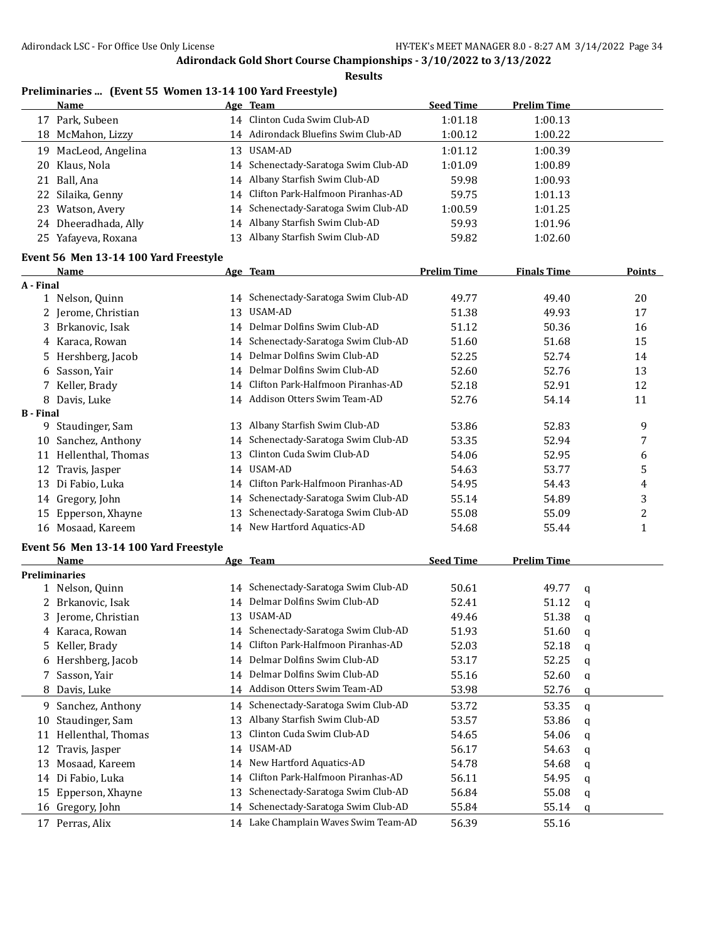**Results**

## **Preliminaries ... (Event 55 Women 13-14 100 Yard Freestyle)**

|    | Name                 |     | Age Team                             | <b>Seed Time</b> | <b>Prelim Time</b> |  |
|----|----------------------|-----|--------------------------------------|------------------|--------------------|--|
| 17 | Park, Subeen         |     | 14 Clinton Cuda Swim Club-AD         | 1:01.18          | 1:00.13            |  |
|    | 18 McMahon, Lizzy    |     | 14 Adirondack Bluefins Swim Club-AD  | 1:00.12          | 1:00.22            |  |
| 19 | MacLeod, Angelina    | 13. | USAM-AD                              | 1:01.12          | 1:00.39            |  |
|    | 20 Klaus, Nola       |     | 14 Schenectady-Saratoga Swim Club-AD | 1:01.09          | 1:00.89            |  |
|    | 21 Ball, Ana         |     | 14 Albany Starfish Swim Club-AD      | 59.98            | 1:00.93            |  |
|    | 22 Silaika, Genny    |     | 14 Clifton Park-Halfmoon Piranhas-AD | 59.75            | 1:01.13            |  |
|    | 23 Watson, Avery     |     | 14 Schenectady-Saratoga Swim Club-AD | 1:00.59          | 1:01.25            |  |
|    | 24 Dheeradhada, Ally |     | 14 Albany Starfish Swim Club-AD      | 59.93            | 1:01.96            |  |
|    | 25 Yafayeva, Roxana  | 13  | Albany Starfish Swim Club-AD         | 59.82            | 1:02.60            |  |

# **Event 56 Men 13-14 100 Yard Freestyle**

|                  | <b>Name</b>                           |    | Age Team                             | <b>Prelim Time</b> | <b>Finals Time</b> |               | <b>Points</b> |
|------------------|---------------------------------------|----|--------------------------------------|--------------------|--------------------|---------------|---------------|
| A - Final        |                                       |    |                                      |                    |                    |               |               |
|                  | 1 Nelson, Quinn                       |    | 14 Schenectady-Saratoga Swim Club-AD | 49.77              | 49.40              |               | 20            |
|                  | 2 Jerome, Christian                   | 13 | USAM-AD                              | 51.38              | 49.93              |               | 17            |
|                  | 3 Brkanovic, Isak                     | 14 | Delmar Dolfins Swim Club-AD          | 51.12              | 50.36              |               | 16            |
|                  | 4 Karaca, Rowan                       | 14 | Schenectady-Saratoga Swim Club-AD    | 51.60              | 51.68              |               | 15            |
|                  | 5 Hershberg, Jacob                    | 14 | Delmar Dolfins Swim Club-AD          | 52.25              | 52.74              |               | 14            |
|                  | 6 Sasson, Yair                        | 14 | Delmar Dolfins Swim Club-AD          | 52.60              | 52.76              |               | 13            |
|                  | 7 Keller, Brady                       | 14 | Clifton Park-Halfmoon Piranhas-AD    | 52.18              | 52.91              |               | 12            |
|                  | 8 Davis, Luke                         |    | 14 Addison Otters Swim Team-AD       | 52.76              | 54.14              |               | 11            |
| <b>B</b> - Final |                                       |    |                                      |                    |                    |               |               |
|                  | 9 Staudinger, Sam                     |    | 13 Albany Starfish Swim Club-AD      | 53.86              | 52.83              |               | 9             |
|                  | 10 Sanchez, Anthony                   | 14 | Schenectady-Saratoga Swim Club-AD    | 53.35              | 52.94              |               | 7             |
|                  | 11 Hellenthal, Thomas                 | 13 | Clinton Cuda Swim Club-AD            | 54.06              | 52.95              |               | 6             |
|                  | 12 Travis, Jasper                     | 14 | USAM-AD                              | 54.63              | 53.77              |               | 5             |
|                  | 13 Di Fabio, Luka                     | 14 | Clifton Park-Halfmoon Piranhas-AD    | 54.95              | 54.43              |               | 4             |
|                  | 14 Gregory, John                      | 14 | Schenectady-Saratoga Swim Club-AD    | 55.14              | 54.89              |               | 3             |
|                  | 15 Epperson, Xhayne                   | 13 | Schenectady-Saratoga Swim Club-AD    | 55.08              | 55.09              |               | 2             |
|                  | 16 Mosaad, Kareem                     | 14 | New Hartford Aquatics-AD             | 54.68              | 55.44              |               | $\mathbf{1}$  |
|                  | Event 56 Men 13-14 100 Yard Freestyle |    |                                      |                    |                    |               |               |
|                  | Name                                  |    | Age Team                             | <b>Seed Time</b>   | <b>Prelim Time</b> |               |               |
|                  | <b>Preliminaries</b>                  |    |                                      |                    |                    |               |               |
|                  | 1 Nelson, Quinn                       |    | 14 Schenectady-Saratoga Swim Club-AD | 50.61              | 49.77              | q             |               |
|                  | 2 Brkanovic, Isak                     | 14 | Delmar Dolfins Swim Club-AD          | 52.41              | 51.12              | $\mathfrak q$ |               |
|                  | 3 Jerome, Christian                   | 13 | USAM-AD                              | 49.46              | 51.38              | q             |               |
|                  | 4 Karaca, Rowan                       |    | 14 Schenectady-Saratoga Swim Club-AD | 51.93              | 51.60              | q             |               |
|                  | 5 Keller, Brady                       |    | 14 Clifton Park-Halfmoon Piranhas-AD | 52.03              | 52.18              | q             |               |
|                  | 6 Hershberg, Jacob                    | 14 | Delmar Dolfins Swim Club-AD          | 53.17              | 52.25              | q             |               |
|                  | Sasson, Yair                          |    | 14 Delmar Dolfins Swim Club-AD       | 55.16              | 52.60              | q             |               |
|                  | 8 Davis, Luke                         |    | 14 Addison Otters Swim Team-AD       | 53.98              | 52.76              | q             |               |
|                  | 9 Sanchez, Anthony                    |    | 14 Schenectady-Saratoga Swim Club-AD | 53.72              | 53.35              | q             |               |
|                  | 10 Staudinger, Sam                    | 13 | Albany Starfish Swim Club-AD         | 53.57              | 53.86              | q             |               |
|                  | 11 Hellenthal, Thomas                 | 13 | Clinton Cuda Swim Club-AD            | 54.65              | 54.06              | q             |               |
|                  | 12 Travis, Jasper                     | 14 | USAM-AD                              | 56.17              | 54.63              | q             |               |
|                  | 13 Mosaad, Kareem                     | 14 | New Hartford Aquatics-AD             | 54.78              | 54.68              | q             |               |
|                  | 14 Di Fabio, Luka                     | 14 | Clifton Park-Halfmoon Piranhas-AD    | 56.11              | 54.95              | q             |               |
|                  | 15 Epperson, Xhayne                   | 13 | Schenectady-Saratoga Swim Club-AD    | 56.84              | 55.08              | q             |               |
|                  | 16 Gregory, John                      |    | 14 Schenectady-Saratoga Swim Club-AD | 55.84              | 55.14              | q             |               |
|                  | 17 Perras, Alix                       |    | 14 Lake Champlain Waves Swim Team-AD | 56.39              | 55.16              |               |               |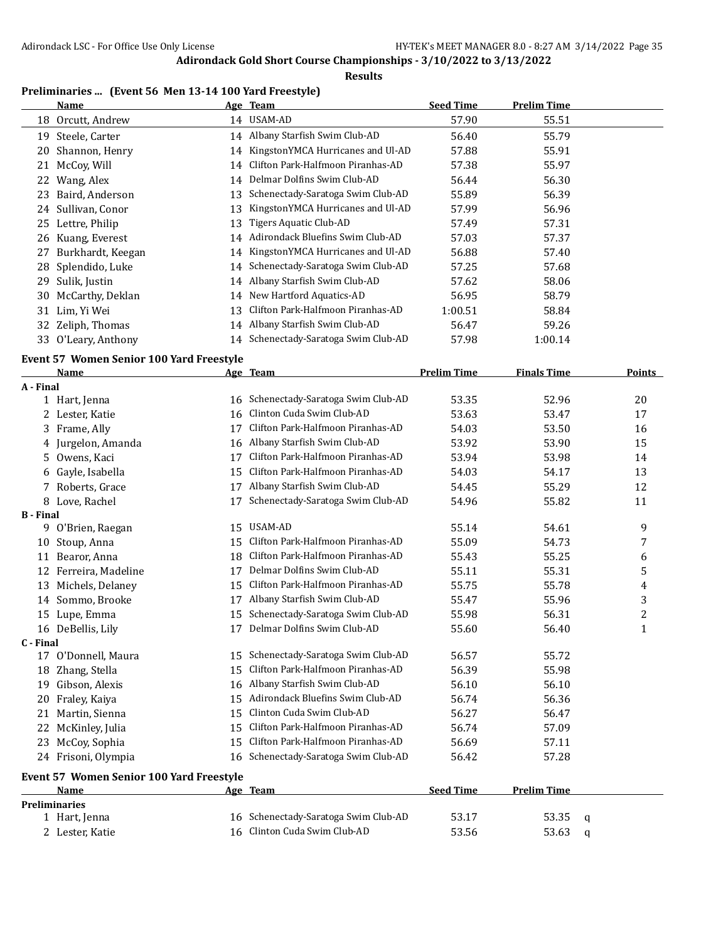#### **Results**

## **Preliminaries ... (Event 56 Men 13-14 100 Yard Freestyle)**

|    | Name                |    | <u>Age Team</u>                      | <b>Seed Time</b> | <b>Prelim Time</b> |
|----|---------------------|----|--------------------------------------|------------------|--------------------|
|    | 18 Orcutt, Andrew   |    | 14 USAM-AD                           | 57.90            | 55.51              |
| 19 | Steele, Carter      |    | 14 Albany Starfish Swim Club-AD      | 56.40            | 55.79              |
| 20 | Shannon, Henry      |    | 14 KingstonYMCA Hurricanes and Ul-AD | 57.88            | 55.91              |
|    | 21 McCoy, Will      |    | 14 Clifton Park-Halfmoon Piranhas-AD | 57.38            | 55.97              |
| 22 | Wang, Alex          |    | 14 Delmar Dolfins Swim Club-AD       | 56.44            | 56.30              |
| 23 | Baird, Anderson     |    | 13 Schenectady-Saratoga Swim Club-AD | 55.89            | 56.39              |
|    | 24 Sullivan, Conor  |    | KingstonYMCA Hurricanes and Ul-AD    | 57.99            | 56.96              |
|    | 25 Lettre, Philip   | 13 | Tigers Aquatic Club-AD               | 57.49            | 57.31              |
| 26 | Kuang, Everest      |    | 14 Adirondack Bluefins Swim Club-AD  | 57.03            | 57.37              |
| 27 | Burkhardt, Keegan   |    | 14 KingstonYMCA Hurricanes and Ul-AD | 56.88            | 57.40              |
|    | 28 Splendido, Luke  |    | 14 Schenectady-Saratoga Swim Club-AD | 57.25            | 57.68              |
| 29 | Sulik, Justin       |    | 14 Albany Starfish Swim Club-AD      | 57.62            | 58.06              |
| 30 | McCarthy, Deklan    |    | 14 New Hartford Aquatics-AD          | 56.95            | 58.79              |
|    | 31 Lim, Yi Wei      |    | 13 Clifton Park-Halfmoon Piranhas-AD | 1:00.51          | 58.84              |
|    | 32 Zeliph, Thomas   |    | 14 Albany Starfish Swim Club-AD      | 56.47            | 59.26              |
|    | 33 O'Leary, Anthony |    | 14 Schenectady-Saratoga Swim Club-AD | 57.98            | 1:00.14            |

#### **Event 57 Women Senior 100 Yard Freestyle**

|                  | <b>Name</b>                                     |    | Age Team                             | <b>Prelim Time</b> | <b>Finals Time</b> |   | <b>Points</b> |
|------------------|-------------------------------------------------|----|--------------------------------------|--------------------|--------------------|---|---------------|
| A - Final        |                                                 |    |                                      |                    |                    |   |               |
|                  | 1 Hart, Jenna                                   | 16 | Schenectady-Saratoga Swim Club-AD    | 53.35              | 52.96              |   | 20            |
|                  | 2 Lester, Katie                                 | 16 | Clinton Cuda Swim Club-AD            | 53.63              | 53.47              |   | 17            |
| 3                | Frame, Ally                                     | 17 | Clifton Park-Halfmoon Piranhas-AD    | 54.03              | 53.50              |   | 16            |
| 4                | Jurgelon, Amanda                                | 16 | Albany Starfish Swim Club-AD         | 53.92              | 53.90              |   | 15            |
| 5                | Owens, Kaci                                     | 17 | Clifton Park-Halfmoon Piranhas-AD    | 53.94              | 53.98              |   | 14            |
| 6                | Gayle, Isabella                                 | 15 | Clifton Park-Halfmoon Piranhas-AD    | 54.03              | 54.17              |   | 13            |
|                  | Roberts, Grace                                  | 17 | Albany Starfish Swim Club-AD         | 54.45              | 55.29              |   | 12            |
|                  | 8 Love, Rachel                                  | 17 | Schenectady-Saratoga Swim Club-AD    | 54.96              | 55.82              |   | 11            |
| <b>B</b> - Final |                                                 |    |                                      |                    |                    |   |               |
| 9                | O'Brien, Raegan                                 | 15 | USAM-AD                              | 55.14              | 54.61              |   | 9             |
| 10               | Stoup, Anna                                     | 15 | Clifton Park-Halfmoon Piranhas-AD    | 55.09              | 54.73              |   | 7             |
| 11               | Bearor, Anna                                    | 18 | Clifton Park-Halfmoon Piranhas-AD    | 55.43              | 55.25              |   | 6             |
| 12               | Ferreira, Madeline                              | 17 | Delmar Dolfins Swim Club-AD          | 55.11              | 55.31              |   | 5             |
| 13               | Michels, Delaney                                | 15 | Clifton Park-Halfmoon Piranhas-AD    | 55.75              | 55.78              |   | 4             |
| 14               | Sommo, Brooke                                   | 17 | Albany Starfish Swim Club-AD         | 55.47              | 55.96              |   | 3             |
| 15               | Lupe, Emma                                      | 15 | Schenectady-Saratoga Swim Club-AD    | 55.98              | 56.31              |   | 2             |
|                  | 16 DeBellis, Lily                               | 17 | Delmar Dolfins Swim Club-AD          | 55.60              | 56.40              |   | $\mathbf{1}$  |
| C - Final        |                                                 |    |                                      |                    |                    |   |               |
|                  | 17 O'Donnell, Maura                             | 15 | Schenectady-Saratoga Swim Club-AD    | 56.57              | 55.72              |   |               |
| 18               | Zhang, Stella                                   | 15 | Clifton Park-Halfmoon Piranhas-AD    | 56.39              | 55.98              |   |               |
| 19               | Gibson, Alexis                                  | 16 | Albany Starfish Swim Club-AD         | 56.10              | 56.10              |   |               |
| 20               | Fraley, Kaiya                                   | 15 | Adirondack Bluefins Swim Club-AD     | 56.74              | 56.36              |   |               |
| 21               | Martin, Sienna                                  | 15 | Clinton Cuda Swim Club-AD            | 56.27              | 56.47              |   |               |
| 22               | McKinley, Julia                                 | 15 | Clifton Park-Halfmoon Piranhas-AD    | 56.74              | 57.09              |   |               |
| 23               | McCoy, Sophia                                   | 15 | Clifton Park-Halfmoon Piranhas-AD    | 56.69              | 57.11              |   |               |
|                  | 24 Frisoni, Olympia                             | 16 | Schenectady-Saratoga Swim Club-AD    | 56.42              | 57.28              |   |               |
|                  | <b>Event 57 Women Senior 100 Yard Freestyle</b> |    |                                      |                    |                    |   |               |
|                  | <b>Name</b>                                     |    | Age Team                             | <b>Seed Time</b>   | <b>Prelim Time</b> |   |               |
|                  | <b>Preliminaries</b>                            |    |                                      |                    |                    |   |               |
|                  | 1 Hart, Jenna                                   |    | 16 Schenectady-Saratoga Swim Club-AD | 53.17              | 53.35              | q |               |
|                  | 2 Lester, Katie                                 |    | 16 Clinton Cuda Swim Club-AD         | 53.56              | 53.63              | a |               |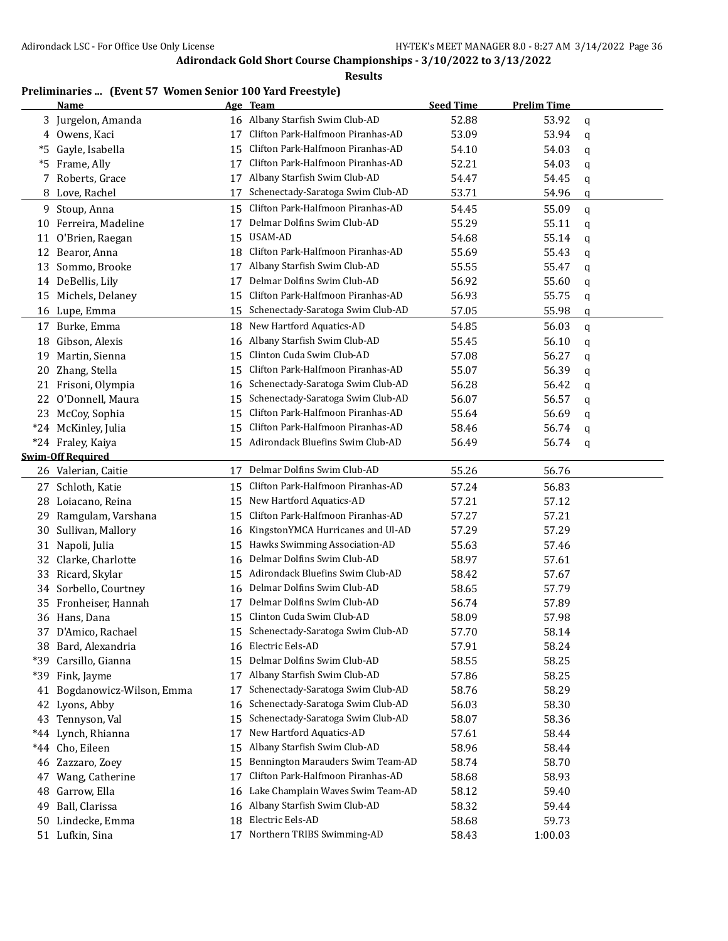**Results**

## **Preliminaries ... (Event 57 Women Senior 100 Yard Freestyle)**

|       | Name                     |    | Age Team                             | <b>Seed Time</b> | <b>Prelim Time</b> |   |
|-------|--------------------------|----|--------------------------------------|------------------|--------------------|---|
|       | 3 Jurgelon, Amanda       | 16 | Albany Starfish Swim Club-AD         | 52.88            | 53.92              | q |
|       | 4 Owens, Kaci            | 17 | Clifton Park-Halfmoon Piranhas-AD    | 53.09            | 53.94              | q |
| *5    | Gayle, Isabella          | 15 | Clifton Park-Halfmoon Piranhas-AD    | 54.10            | 54.03              | q |
| *5    | Frame, Ally              | 17 | Clifton Park-Halfmoon Piranhas-AD    | 52.21            | 54.03              | q |
| 7     | Roberts, Grace           | 17 | Albany Starfish Swim Club-AD         | 54.47            | 54.45              | q |
| 8     | Love, Rachel             | 17 | Schenectady-Saratoga Swim Club-AD    | 53.71            | 54.96              | q |
| 9     | Stoup, Anna              | 15 | Clifton Park-Halfmoon Piranhas-AD    | 54.45            | 55.09              | q |
| 10    | Ferreira, Madeline       | 17 | Delmar Dolfins Swim Club-AD          | 55.29            | 55.11              | q |
| 11    | O'Brien, Raegan          |    | 15 USAM-AD                           | 54.68            | 55.14              | q |
| 12    | Bearor, Anna             | 18 | Clifton Park-Halfmoon Piranhas-AD    | 55.69            | 55.43              | q |
| 13    | Sommo, Brooke            | 17 | Albany Starfish Swim Club-AD         | 55.55            | 55.47              | q |
|       | 14 DeBellis, Lily        | 17 | Delmar Dolfins Swim Club-AD          | 56.92            | 55.60              | q |
| 15    | Michels, Delaney         | 15 | Clifton Park-Halfmoon Piranhas-AD    | 56.93            | 55.75              | q |
|       | 16 Lupe, Emma            | 15 | Schenectady-Saratoga Swim Club-AD    | 57.05            | 55.98              | q |
| 17    | Burke, Emma              | 18 | New Hartford Aquatics-AD             | 54.85            | 56.03              | q |
| 18    | Gibson, Alexis           | 16 | Albany Starfish Swim Club-AD         | 55.45            | 56.10              | q |
| 19    | Martin, Sienna           | 15 | Clinton Cuda Swim Club-AD            | 57.08            | 56.27              | q |
| 20    | Zhang, Stella            | 15 | Clifton Park-Halfmoon Piranhas-AD    | 55.07            | 56.39              | q |
| 21    | Frisoni, Olympia         | 16 | Schenectady-Saratoga Swim Club-AD    | 56.28            | 56.42              | q |
| 22    | O'Donnell, Maura         | 15 | Schenectady-Saratoga Swim Club-AD    | 56.07            | 56.57              | q |
| 23    | McCoy, Sophia            | 15 | Clifton Park-Halfmoon Piranhas-AD    | 55.64            | 56.69              | q |
| $*24$ | McKinley, Julia          | 15 | Clifton Park-Halfmoon Piranhas-AD    | 58.46            | 56.74              | q |
|       | *24 Fraley, Kaiya        | 15 | Adirondack Bluefins Swim Club-AD     | 56.49            | 56.74              | q |
|       | <b>Swim-Off Required</b> |    |                                      |                  |                    |   |
|       | 26 Valerian, Caitie      | 17 | Delmar Dolfins Swim Club-AD          | 55.26            | 56.76              |   |
|       | 27 Schloth, Katie        | 15 | Clifton Park-Halfmoon Piranhas-AD    | 57.24            | 56.83              |   |
| 28    | Loiacano, Reina          | 15 | New Hartford Aquatics-AD             | 57.21            | 57.12              |   |
| 29    | Ramgulam, Varshana       | 15 | Clifton Park-Halfmoon Piranhas-AD    | 57.27            | 57.21              |   |
| 30    | Sullivan, Mallory        | 16 | KingstonYMCA Hurricanes and Ul-AD    | 57.29            | 57.29              |   |
| 31    | Napoli, Julia            | 15 | Hawks Swimming Association-AD        | 55.63            | 57.46              |   |
| 32    | Clarke, Charlotte        | 16 | Delmar Dolfins Swim Club-AD          | 58.97            | 57.61              |   |
| 33    | Ricard, Skylar           | 15 | Adirondack Bluefins Swim Club-AD     | 58.42            | 57.67              |   |
| 34    | Sorbello, Courtney       | 16 | Delmar Dolfins Swim Club-AD          | 58.65            | 57.79              |   |
| 35    | Fronheiser, Hannah       | 17 | Delmar Dolfins Swim Club-AD          | 56.74            | 57.89              |   |
|       | 36 Hans, Dana            | 15 | Clinton Cuda Swim Club-AD            | 58.09            | 57.98              |   |
|       | 37 D'Amico, Rachael      |    | 15 Schenectady-Saratoga Swim Club-AD | 57.70            | 58.14              |   |
|       | 38 Bard, Alexandria      |    | 16 Electric Eels-AD                  | 57.91            | 58.24              |   |
|       | *39 Carsillo, Gianna     | 15 | Delmar Dolfins Swim Club-AD          | 58.55            | 58.25              |   |
|       | *39 Fink, Jayme          | 17 | Albany Starfish Swim Club-AD         | 57.86            | 58.25              |   |
| 41    | Bogdanowicz-Wilson, Emma | 17 | Schenectady-Saratoga Swim Club-AD    | 58.76            | 58.29              |   |
| 42    | Lyons, Abby              | 16 | Schenectady-Saratoga Swim Club-AD    | 56.03            | 58.30              |   |
| 43    | Tennyson, Val            | 15 | Schenectady-Saratoga Swim Club-AD    | 58.07            | 58.36              |   |
| *44   | Lynch, Rhianna           | 17 | New Hartford Aquatics-AD             | 57.61            | 58.44              |   |
| $*44$ | Cho, Eileen              | 15 | Albany Starfish Swim Club-AD         | 58.96            | 58.44              |   |
|       | 46 Zazzaro, Zoey         | 15 | Bennington Marauders Swim Team-AD    | 58.74            | 58.70              |   |
| 47    | Wang, Catherine          | 17 | Clifton Park-Halfmoon Piranhas-AD    | 58.68            | 58.93              |   |
| 48    | Garrow, Ella             | 16 | Lake Champlain Waves Swim Team-AD    | 58.12            | 59.40              |   |
| 49    | Ball, Clarissa           | 16 | Albany Starfish Swim Club-AD         | 58.32            | 59.44              |   |
| 50    | Lindecke, Emma           | 18 | Electric Eels-AD                     | 58.68            | 59.73              |   |
|       | 51 Lufkin, Sina          | 17 | Northern TRIBS Swimming-AD           | 58.43            | 1:00.03            |   |
|       |                          |    |                                      |                  |                    |   |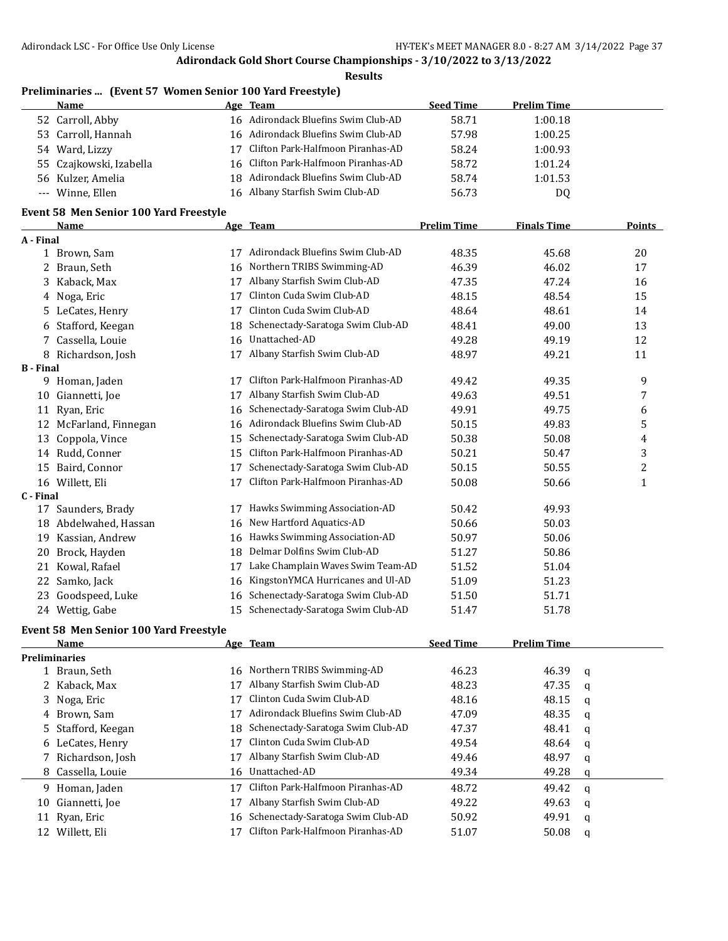**Results**

|      | Preliminaries  (Event 57 Women Senior 100 Yard Freestyle) |  |
|------|-----------------------------------------------------------|--|
| Name | Ago Toam                                                  |  |

| Name                    | Age Team                             | <b>Seed Time</b> | <b>Prelim Time</b> |  |
|-------------------------|--------------------------------------|------------------|--------------------|--|
| 52 Carroll, Abby        | 16 Adirondack Bluefins Swim Club-AD  | 58.71            | 1:00.18            |  |
| 53 Carroll, Hannah      | 16 Adirondack Bluefins Swim Club-AD  | 57.98            | 1:00.25            |  |
| Ward, Lizzy<br>54       | Clifton Park-Halfmoon Piranhas-AD    | 58.24            | 1:00.93            |  |
| 55 Czajkowski, Izabella | 16 Clifton Park-Halfmoon Piranhas-AD | 58.72            | 1:01.24            |  |
| 56 Kulzer, Amelia       | 18 Adirondack Bluefins Swim Club-AD  | 58.74            | 1:01.53            |  |
| --- Winne, Ellen        | Albany Starfish Swim Club-AD<br>16.  | 56.73            | DO                 |  |

#### **Event 58 Men Senior 100 Yard Freestyle**

|                  | <b>Name</b>         |    | Age Team                          | <b>Prelim Time</b> | <b>Finals Time</b> | <b>Points</b> |
|------------------|---------------------|----|-----------------------------------|--------------------|--------------------|---------------|
| A - Final        |                     |    |                                   |                    |                    |               |
| $\mathbf{1}$     | Brown, Sam          | 17 | Adirondack Bluefins Swim Club-AD  | 48.35              | 45.68              | 20            |
| 2                | Braun, Seth         | 16 | Northern TRIBS Swimming-AD        | 46.39              | 46.02              | 17            |
| 3                | Kaback, Max         | 17 | Albany Starfish Swim Club-AD      | 47.35              | 47.24              | 16            |
| 4                | Noga, Eric          | 17 | Clinton Cuda Swim Club-AD         | 48.15              | 48.54              | 15            |
| 5.               | LeCates, Henry      | 17 | Clinton Cuda Swim Club-AD         | 48.64              | 48.61              | 14            |
| 6                | Stafford, Keegan    | 18 | Schenectady-Saratoga Swim Club-AD | 48.41              | 49.00              | 13            |
| 7                | Cassella, Louie     | 16 | Unattached-AD                     | 49.28              | 49.19              | 12            |
| 8                | Richardson, Josh    | 17 | Albany Starfish Swim Club-AD      | 48.97              | 49.21              | 11            |
| <b>B</b> - Final |                     |    |                                   |                    |                    |               |
| 9                | Homan, Jaden        | 17 | Clifton Park-Halfmoon Piranhas-AD | 49.42              | 49.35              | 9             |
| 10               | Giannetti, Joe      | 17 | Albany Starfish Swim Club-AD      | 49.63              | 49.51              | 7             |
| 11               | Ryan, Eric          | 16 | Schenectady-Saratoga Swim Club-AD | 49.91              | 49.75              | 6             |
| 12               | McFarland, Finnegan | 16 | Adirondack Bluefins Swim Club-AD  | 50.15              | 49.83              | 5             |
| 13               | Coppola, Vince      | 15 | Schenectady-Saratoga Swim Club-AD | 50.38              | 50.08              | 4             |
| 14               | Rudd, Conner        | 15 | Clifton Park-Halfmoon Piranhas-AD | 50.21              | 50.47              | 3             |
| 15               | Baird, Connor       | 17 | Schenectady-Saratoga Swim Club-AD | 50.15              | 50.55              | 2             |
| 16               | Willett, Eli        | 17 | Clifton Park-Halfmoon Piranhas-AD | 50.08              | 50.66              | 1             |
| C - Final        |                     |    |                                   |                    |                    |               |
| 17               | Saunders, Brady     | 17 | Hawks Swimming Association-AD     | 50.42              | 49.93              |               |
| 18               | Abdelwahed, Hassan  | 16 | New Hartford Aquatics-AD          | 50.66              | 50.03              |               |
| 19               | Kassian, Andrew     | 16 | Hawks Swimming Association-AD     | 50.97              | 50.06              |               |
| 20               | Brock, Hayden       | 18 | Delmar Dolfins Swim Club-AD       | 51.27              | 50.86              |               |
| 21               | Kowal, Rafael       | 17 | Lake Champlain Waves Swim Team-AD | 51.52              | 51.04              |               |
| 22               | Samko, Jack         | 16 | KingstonYMCA Hurricanes and Ul-AD | 51.09              | 51.23              |               |
| 23               | Goodspeed, Luke     | 16 | Schenectady-Saratoga Swim Club-AD | 51.50              | 51.71              |               |
| 24               | Wettig, Gabe        | 15 | Schenectady-Saratoga Swim Club-AD | 51.47              | 51.78              |               |

## **Event 58 Men Senior 100 Yard Freestyle**

|    | <b>Name</b>          |    | Age Team                             | <b>Seed Time</b> | <b>Prelim Time</b> |   |
|----|----------------------|----|--------------------------------------|------------------|--------------------|---|
|    | <b>Preliminaries</b> |    |                                      |                  |                    |   |
|    | 1 Braun, Seth        |    | 16 Northern TRIBS Swimming-AD        | 46.23            | 46.39              | a |
|    | 2 Kaback, Max        | 17 | Albany Starfish Swim Club-AD         | 48.23            | 47.35              | q |
|    | 3 Noga, Eric         |    | Clinton Cuda Swim Club-AD            | 48.16            | 48.15              | q |
|    | 4 Brown, Sam         | 17 | Adirondack Bluefins Swim Club-AD     | 47.09            | 48.35              | q |
|    | 5 Stafford, Keegan   |    | 18 Schenectady-Saratoga Swim Club-AD | 47.37            | 48.41              | a |
|    | 6 LeCates, Henry     | 17 | Clinton Cuda Swim Club-AD            | 49.54            | 48.64              | q |
|    | 7 Richardson, Josh   |    | Albany Starfish Swim Club-AD         | 49.46            | 48.97              | a |
|    | 8 Cassella, Louie    |    | 16 Unattached-AD                     | 49.34            | 49.28              | q |
| 9  | Homan, Jaden         |    | Clifton Park-Halfmoon Piranhas-AD    | 48.72            | 49.42              | a |
|    | 10 Giannetti, Joe    |    | Albany Starfish Swim Club-AD         | 49.22            | 49.63              | a |
| 11 | Ryan, Eric           |    | 16 Schenectady-Saratoga Swim Club-AD | 50.92            | 49.91              | q |
| 12 | Willett. Eli         |    | Clifton Park-Halfmoon Piranhas-AD    | 51.07            | 50.08              | q |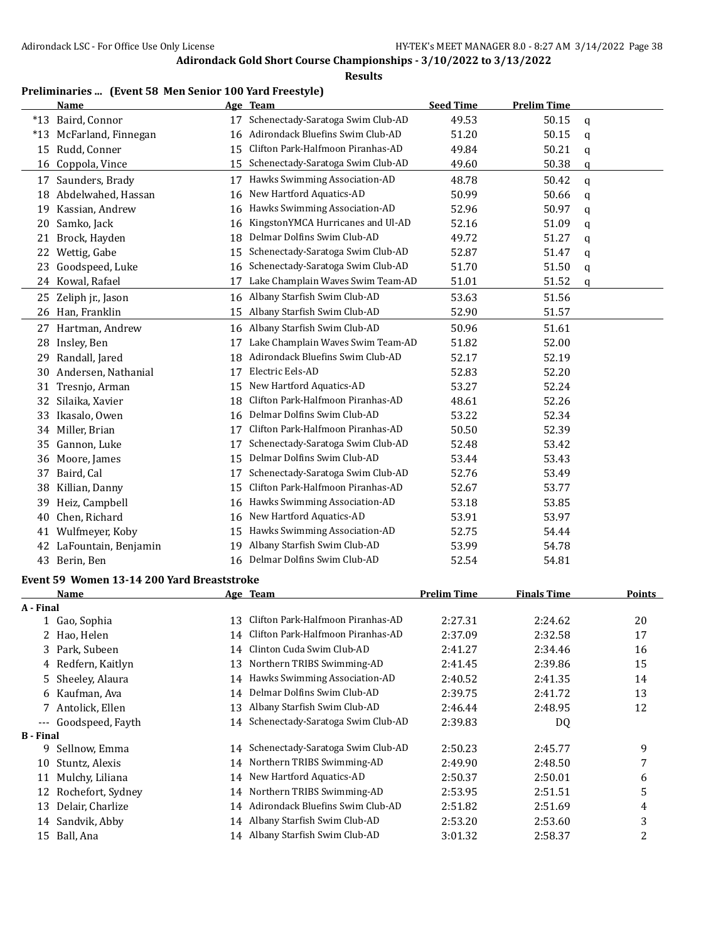**Results**

# **Preliminaries ... (Event 58 Men Senior 100 Yard Freestyle)**

|                  | <b>Name</b>                                |    | Age Team                             | <b>Seed Time</b>   | <b>Prelim Time</b> |   |               |
|------------------|--------------------------------------------|----|--------------------------------------|--------------------|--------------------|---|---------------|
|                  | *13 Baird, Connor                          | 17 | Schenectady-Saratoga Swim Club-AD    | 49.53              | 50.15              | q |               |
|                  | *13 McFarland, Finnegan                    | 16 | Adirondack Bluefins Swim Club-AD     | 51.20              | 50.15              | q |               |
| 15               | Rudd, Conner                               | 15 | Clifton Park-Halfmoon Piranhas-AD    | 49.84              | 50.21              | q |               |
| 16               | Coppola, Vince                             | 15 | Schenectady-Saratoga Swim Club-AD    | 49.60              | 50.38              | q |               |
|                  | 17 Saunders, Brady                         | 17 | Hawks Swimming Association-AD        | 48.78              | 50.42              | q |               |
|                  | 18 Abdelwahed, Hassan                      | 16 | New Hartford Aquatics-AD             | 50.99              | 50.66              | q |               |
|                  | 19 Kassian, Andrew                         |    | 16 Hawks Swimming Association-AD     | 52.96              | 50.97              | q |               |
| 20               | Samko, Jack                                | 16 | KingstonYMCA Hurricanes and Ul-AD    | 52.16              | 51.09              | q |               |
| 21               | Brock, Hayden                              | 18 | Delmar Dolfins Swim Club-AD          | 49.72              | 51.27              | q |               |
| 22               | Wettig, Gabe                               | 15 | Schenectady-Saratoga Swim Club-AD    | 52.87              | 51.47              | q |               |
| 23               | Goodspeed, Luke                            | 16 | Schenectady-Saratoga Swim Club-AD    | 51.70              | 51.50              |   |               |
|                  | 24 Kowal, Rafael                           | 17 | Lake Champlain Waves Swim Team-AD    | 51.01              | 51.52              | q |               |
|                  |                                            |    |                                      |                    |                    | q |               |
|                  | 25 Zeliph jr., Jason                       | 16 | Albany Starfish Swim Club-AD         | 53.63              | 51.56              |   |               |
|                  | 26 Han, Franklin                           |    | 15 Albany Starfish Swim Club-AD      | 52.90              | 51.57              |   |               |
|                  | 27 Hartman, Andrew                         |    | 16 Albany Starfish Swim Club-AD      | 50.96              | 51.61              |   |               |
|                  | 28 Insley, Ben                             | 17 | Lake Champlain Waves Swim Team-AD    | 51.82              | 52.00              |   |               |
| 29               | Randall, Jared                             | 18 | Adirondack Bluefins Swim Club-AD     | 52.17              | 52.19              |   |               |
| 30               | Andersen, Nathanial                        | 17 | Electric Eels-AD                     | 52.83              | 52.20              |   |               |
| 31               | Tresnjo, Arman                             | 15 | New Hartford Aquatics-AD             | 53.27              | 52.24              |   |               |
| 32               | Silaika, Xavier                            | 18 | Clifton Park-Halfmoon Piranhas-AD    | 48.61              | 52.26              |   |               |
| 33               | Ikasalo, Owen                              | 16 | Delmar Dolfins Swim Club-AD          | 53.22              | 52.34              |   |               |
|                  | 34 Miller, Brian                           | 17 | Clifton Park-Halfmoon Piranhas-AD    | 50.50              | 52.39              |   |               |
| 35               | Gannon, Luke                               | 17 | Schenectady-Saratoga Swim Club-AD    | 52.48              | 53.42              |   |               |
| 36               | Moore, James                               | 15 | Delmar Dolfins Swim Club-AD          | 53.44              | 53.43              |   |               |
| 37               | Baird, Cal                                 | 17 | Schenectady-Saratoga Swim Club-AD    | 52.76              | 53.49              |   |               |
| 38               | Killian, Danny                             | 15 | Clifton Park-Halfmoon Piranhas-AD    | 52.67              | 53.77              |   |               |
| 39               | Heiz, Campbell                             | 16 | Hawks Swimming Association-AD        | 53.18              | 53.85              |   |               |
| 40               | Chen, Richard                              | 16 | New Hartford Aquatics-AD             | 53.91              | 53.97              |   |               |
| 41               | Wulfmeyer, Koby                            | 15 | Hawks Swimming Association-AD        | 52.75              | 54.44              |   |               |
| 42               | LaFountain, Benjamin                       | 19 | Albany Starfish Swim Club-AD         | 53.99              | 54.78              |   |               |
|                  | 43 Berin, Ben                              |    | 16 Delmar Dolfins Swim Club-AD       | 52.54              | 54.81              |   |               |
|                  | Event 59 Women 13-14 200 Yard Breaststroke |    |                                      |                    |                    |   |               |
|                  | <b>Name</b>                                |    | <u>Age Team</u>                      | <b>Prelim Time</b> | <b>Finals Time</b> |   | <b>Points</b> |
| A - Final        |                                            |    |                                      |                    |                    |   |               |
|                  | 1 Gao, Sophia                              |    | 13 Clifton Park-Halfmoon Piranhas-AD | 2:27.31            | 2:24.62            |   | 20            |
| 2                | Hao, Helen                                 | 14 | Clifton Park-Halfmoon Piranhas-AD    | 2:37.09            | 2:32.58            |   | 17            |
| 3                | Park, Subeen                               | 14 | Clinton Cuda Swim Club-AD            | 2:41.27            | 2:34.46            |   | 16            |
|                  | 4 Redfern, Kaitlyn                         | 13 | Northern TRIBS Swimming-AD           | 2:41.45            | 2:39.86            |   | 15            |
| 5.               | Sheeley, Alaura                            | 14 | Hawks Swimming Association-AD        | 2:40.52            | 2:41.35            |   | 14            |
|                  | 6 Kaufman, Ava                             | 14 | Delmar Dolfins Swim Club-AD          | 2:39.75            | 2:41.72            |   | 13            |
| 7                | Antolick, Ellen                            | 13 | Albany Starfish Swim Club-AD         | 2:46.44            | 2:48.95            |   | 12            |
| ---              | Goodspeed, Fayth                           | 14 | Schenectady-Saratoga Swim Club-AD    | 2:39.83            | DQ                 |   |               |
| <b>B</b> - Final |                                            |    |                                      |                    |                    |   |               |
| 9                | Sellnow, Emma                              | 14 | Schenectady-Saratoga Swim Club-AD    | 2:50.23            | 2:45.77            |   | 9             |
| 10               | Stuntz, Alexis                             | 14 | Northern TRIBS Swimming-AD           | 2:49.90            | 2:48.50            |   | 7             |
|                  | 11 Mulchy, Liliana                         | 14 | New Hartford Aquatics-AD             | 2:50.37            | 2:50.01            |   | 6             |
| 12               | Rochefort, Sydney                          | 14 | Northern TRIBS Swimming-AD           | 2:53.95            | 2:51.51            |   | 5             |
|                  | 13 Delair, Charlize                        | 14 | Adirondack Bluefins Swim Club-AD     | 2:51.82            | 2:51.69            |   | 4             |
|                  | 14 Sandvik, Abby                           | 14 | Albany Starfish Swim Club-AD         | 2:53.20            | 2:53.60            |   | 3             |
|                  | 15 Ball, Ana                               |    | 14 Albany Starfish Swim Club-AD      | 3:01.32            | 2:58.37            |   | 2             |
|                  |                                            |    |                                      |                    |                    |   |               |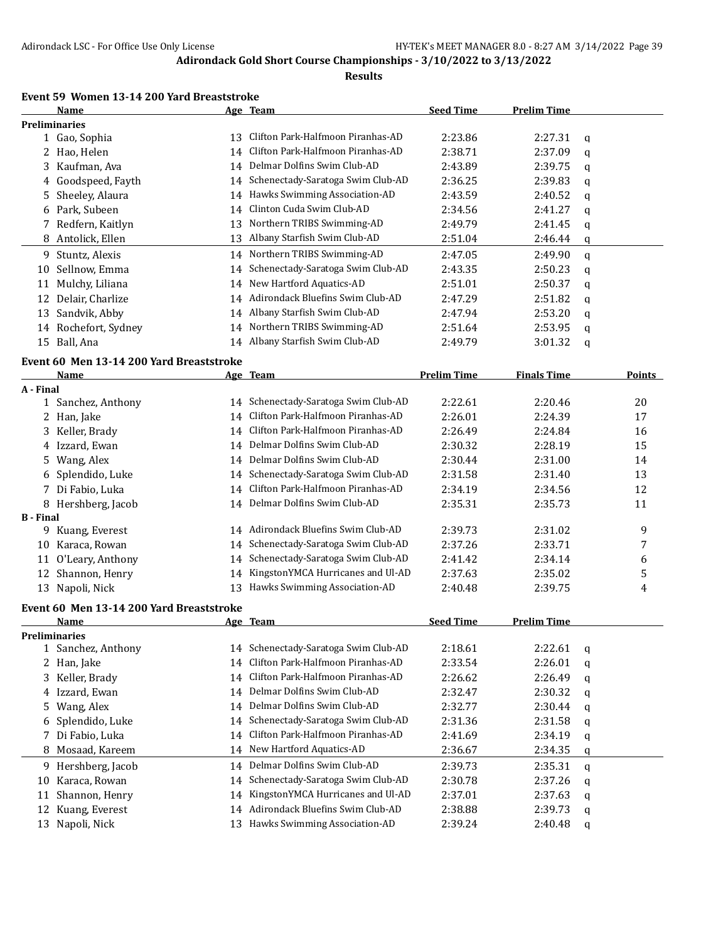#### **Results**

## **Event 59 Women 13-14 200 Yard Breaststroke**

|    | Name                 |    | Age Team                             | <b>Seed Time</b> | <b>Prelim Time</b> |   |
|----|----------------------|----|--------------------------------------|------------------|--------------------|---|
|    | <b>Preliminaries</b> |    |                                      |                  |                    |   |
|    | 1 Gao, Sophia        | 13 | Clifton Park-Halfmoon Piranhas-AD    | 2:23.86          | 2:27.31            | a |
|    | 2 Hao, Helen         | 14 | Clifton Park-Halfmoon Piranhas-AD    | 2:38.71          | 2:37.09            | q |
|    | 3 Kaufman, Ava       | 14 | Delmar Dolfins Swim Club-AD          | 2:43.89          | 2:39.75            | a |
|    | 4 Goodspeed, Fayth   | 14 | Schenectady-Saratoga Swim Club-AD    | 2:36.25          | 2:39.83            | q |
|    | 5 Sheeley, Alaura    |    | 14 Hawks Swimming Association-AD     | 2:43.59          | 2:40.52            | a |
|    | 6 Park, Subeen       | 14 | Clinton Cuda Swim Club-AD            | 2:34.56          | 2:41.27            | q |
|    | 7 Redfern, Kaitlyn   | 13 | Northern TRIBS Swimming-AD           | 2:49.79          | 2:41.45            | q |
|    | 8 Antolick, Ellen    | 13 | Albany Starfish Swim Club-AD         | 2:51.04          | 2:46.44            | q |
| 9. | Stuntz, Alexis       |    | 14 Northern TRIBS Swimming-AD        | 2:47.05          | 2:49.90            | a |
| 10 | Sellnow, Emma        |    | 14 Schenectady-Saratoga Swim Club-AD | 2:43.35          | 2:50.23            | a |
| 11 | Mulchy, Liliana      |    | 14 New Hartford Aquatics-AD          | 2:51.01          | 2:50.37            | a |
| 12 | Delair, Charlize     | 14 | Adirondack Bluefins Swim Club-AD     | 2:47.29          | 2:51.82            | a |
| 13 | Sandvik, Abby        | 14 | Albany Starfish Swim Club-AD         | 2:47.94          | 2:53.20            | a |
| 14 | Rochefort, Sydney    | 14 | Northern TRIBS Swimming-AD           | 2:51.64          | 2:53.95            | q |
| 15 | Ball, Ana            |    | 14 Albany Starfish Swim Club-AD      | 2:49.79          | 3:01.32            | q |

#### **Event 60 Men 13-14 200 Yard Breaststroke**

|                  | <b>Name</b>                              |    | Age Team                             | <b>Prelim Time</b> | <b>Finals Time</b> |             | Points |
|------------------|------------------------------------------|----|--------------------------------------|--------------------|--------------------|-------------|--------|
| A - Final        |                                          |    |                                      |                    |                    |             |        |
|                  | 1 Sanchez, Anthony                       |    | 14 Schenectady-Saratoga Swim Club-AD | 2:22.61            | 2:20.46            |             | 20     |
| 2                | Han, Jake                                | 14 | Clifton Park-Halfmoon Piranhas-AD    | 2:26.01            | 2:24.39            |             | 17     |
| 3                | Keller, Brady                            | 14 | Clifton Park-Halfmoon Piranhas-AD    | 2:26.49            | 2:24.84            |             | 16     |
| 4                | Izzard, Ewan                             | 14 | Delmar Dolfins Swim Club-AD          | 2:30.32            | 2:28.19            |             | 15     |
| 5.               | Wang, Alex                               | 14 | Delmar Dolfins Swim Club-AD          | 2:30.44            | 2:31.00            |             | 14     |
| 6                | Splendido, Luke                          | 14 | Schenectady-Saratoga Swim Club-AD    | 2:31.58            | 2:31.40            |             | 13     |
| 7                | Di Fabio, Luka                           | 14 | Clifton Park-Halfmoon Piranhas-AD    | 2:34.19            | 2:34.56            |             | 12     |
| 8                | Hershberg, Jacob                         |    | 14 Delmar Dolfins Swim Club-AD       | 2:35.31            | 2:35.73            |             | 11     |
| <b>B</b> - Final |                                          |    |                                      |                    |                    |             |        |
| 9                | Kuang, Everest                           |    | 14 Adirondack Bluefins Swim Club-AD  | 2:39.73            | 2:31.02            |             | 9      |
| 10               | Karaca, Rowan                            | 14 | Schenectady-Saratoga Swim Club-AD    | 2:37.26            | 2:33.71            |             | 7      |
| 11               | O'Leary, Anthony                         | 14 | Schenectady-Saratoga Swim Club-AD    | 2:41.42            | 2:34.14            |             | 6      |
| 12               | Shannon, Henry                           | 14 | KingstonYMCA Hurricanes and Ul-AD    | 2:37.63            | 2:35.02            |             | 5      |
| 13               | Napoli, Nick                             | 13 | Hawks Swimming Association-AD        | 2:40.48            | 2:39.75            |             | 4      |
|                  | Event 60 Men 13-14 200 Yard Breaststroke |    |                                      |                    |                    |             |        |
|                  | <b>Name</b>                              |    | Age Team                             | <b>Seed Time</b>   | <b>Prelim Time</b> |             |        |
|                  | <b>Preliminaries</b>                     |    |                                      |                    |                    |             |        |
|                  | 1 Sanchez, Anthony                       |    | 14 Schenectady-Saratoga Swim Club-AD | 2:18.61            | 2:22.61            | $\mathbf q$ |        |
|                  | 2 Han, Jake                              | 14 | Clifton Park-Halfmoon Piranhas-AD    | 2:33.54            | 2:26.01            | q           |        |
| 3                | Keller, Brady                            | 14 | Clifton Park-Halfmoon Piranhas-AD    | 2:26.62            | 2:26.49            | q           |        |
| 4                | Izzard, Ewan                             | 14 | Delmar Dolfins Swim Club-AD          | 2:32.47            | 2:30.32            | $\mathbf q$ |        |
| 5.               | Wang, Alex                               | 14 | Delmar Dolfins Swim Club-AD          | 2:32.77            | 2:30.44            | q           |        |
| 6                | Splendido, Luke                          | 14 | Schenectady-Saratoga Swim Club-AD    | 2:31.36            | 2:31.58            | q           |        |
| 7                | Di Fabio, Luka                           | 14 | Clifton Park-Halfmoon Piranhas-AD    | 2:41.69            | 2:34.19            | q           |        |
| 8                | Mosaad, Kareem                           |    | 14 New Hartford Aquatics-AD          | 2:36.67            | 2:34.35            | $\mathbf q$ |        |
| 9                | Hershberg, Jacob                         | 14 | Delmar Dolfins Swim Club-AD          | 2:39.73            | 2:35.31            | q           |        |
| 10               | Karaca, Rowan                            | 14 | Schenectady-Saratoga Swim Club-AD    | 2:30.78            | 2:37.26            | q           |        |
| 11               | Shannon, Henry                           | 14 | KingstonYMCA Hurricanes and Ul-AD    | 2:37.01            | 2:37.63            | q           |        |
| 12               | Kuang, Everest                           | 14 | Adirondack Bluefins Swim Club-AD     | 2:38.88            | 2:39.73            | q           |        |
| 13               | Napoli, Nick                             |    | 13 Hawks Swimming Association-AD     | 2:39.24            | 2:40.48            | a           |        |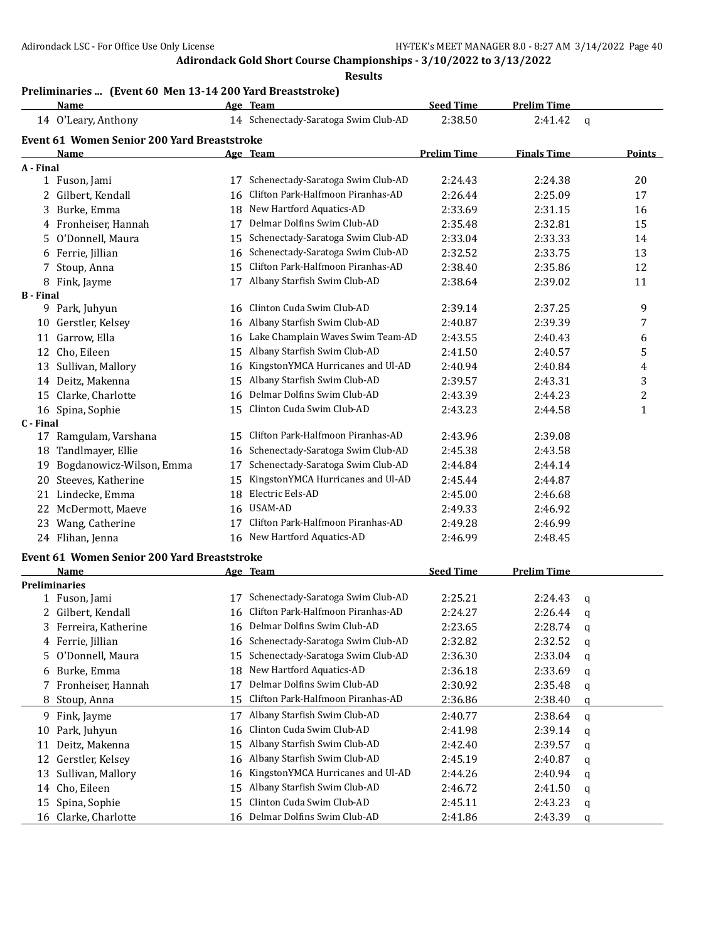**Results**

# **Preliminaries ... (Event 60 Men 13-14 200 Yard Breaststroke)**

| 14 Schenectady-Saratoga Swim Club-AD<br>2:38.50<br>2:41.42<br>14 O'Leary, Anthony<br>$\mathbf q$<br>Event 61 Women Senior 200 Yard Breaststroke<br><b>Prelim Time</b><br><b>Name</b><br>Age Team<br><b>Finals Time</b><br><b>Points</b><br>A - Final<br>17 Schenectady-Saratoga Swim Club-AD<br>2:24.43<br>2:24.38<br>1 Fuson, Jami<br>20<br>Clifton Park-Halfmoon Piranhas-AD<br>2 Gilbert, Kendall<br>2:26.44<br>2:25.09<br>17<br>16<br>18 New Hartford Aquatics-AD<br>Burke, Emma<br>2:33.69<br>2:31.15<br>16<br>3<br>Delmar Dolfins Swim Club-AD<br>2:32.81<br>15<br>4 Fronheiser, Hannah<br>2:35.48<br>17<br>Schenectady-Saratoga Swim Club-AD<br>5 O'Donnell, Maura<br>2:33.04<br>2:33.33<br>14<br>15<br>Schenectady-Saratoga Swim Club-AD<br>6 Ferrie, Jillian<br>13<br>2:32.52<br>2:33.75<br>16<br>Clifton Park-Halfmoon Piranhas-AD<br>12<br>Stoup, Anna<br>2:38.40<br>2:35.86<br>7<br>15<br>17 Albany Starfish Swim Club-AD<br>11<br>8 Fink, Jayme<br>2:38.64<br>2:39.02<br><b>B</b> - Final<br>Clinton Cuda Swim Club-AD<br>9 Park, Juhyun<br>9<br>2:39.14<br>2:37.25<br>16<br>16 Albany Starfish Swim Club-AD<br>10 Gerstler, Kelsey<br>2:39.39<br>2:40.87<br>7<br>Lake Champlain Waves Swim Team-AD<br>11 Garrow, Ella<br>2:43.55<br>2:40.43<br>16<br>6<br>15 Albany Starfish Swim Club-AD<br>12 Cho, Eileen<br>2:40.57<br>5<br>2:41.50<br>KingstonYMCA Hurricanes and Ul-AD<br>13 Sullivan, Mallory<br>2:40.94<br>2:40.84<br>4<br>16<br>15 Albany Starfish Swim Club-AD<br>3<br>14 Deitz, Makenna<br>2:39.57<br>2:43.31<br>Delmar Dolfins Swim Club-AD<br>2<br>15 Clarke, Charlotte<br>2:43.39<br>2:44.23<br>16<br>Clinton Cuda Swim Club-AD<br>16 Spina, Sophie<br>$\mathbf{1}$<br>15<br>2:43.23<br>2:44.58<br>C - Final<br>15 Clifton Park-Halfmoon Piranhas-AD<br>2:43.96<br>17 Ramgulam, Varshana<br>2:39.08<br>Schenectady-Saratoga Swim Club-AD<br>Tandlmayer, Ellie<br>2:45.38<br>2:43.58<br>18<br>16<br>Bogdanowicz-Wilson, Emma<br>Schenectady-Saratoga Swim Club-AD<br>2:44.84<br>2:44.14<br>19<br>17<br>KingstonYMCA Hurricanes and Ul-AD<br>20 Steeves, Katherine<br>2:45.44<br>2:44.87<br>15<br>Lindecke, Emma<br>18 Electric Eels-AD<br>2:45.00<br>2:46.68<br>21<br>USAM-AD<br>22 McDermott, Maeve<br>2:49.33<br>2:46.92<br>16<br>Clifton Park-Halfmoon Piranhas-AD<br>23 Wang, Catherine<br>17<br>2:49.28<br>2:46.99<br>16 New Hartford Aquatics-AD<br>24 Flihan, Jenna<br>2:46.99<br>2:48.45<br><b>Event 61 Women Senior 200 Yard Breaststroke</b><br><b>Seed Time</b><br><b>Prelim Time</b><br>Name<br>Age Team<br><b>Preliminaries</b><br>Schenectady-Saratoga Swim Club-AD<br>2:25.21<br>2:24.43<br>1 Fuson, Jami<br>17<br>q<br>Clifton Park-Halfmoon Piranhas-AD<br>2 Gilbert, Kendall<br>2:24.27<br>2:26.44<br>16<br>q<br>16 Delmar Dolfins Swim Club-AD<br>3 Ferreira, Katherine<br>2:23.65<br>2:28.74<br>q<br>Schenectady-Saratoga Swim Club-AD<br>2:32.82<br>2:32.52<br>4 Ferrie, Jillian<br>16<br>q<br>Schenectady-Saratoga Swim Club-AD<br>O'Donnell, Maura<br>2:36.30<br>2:33.04<br>15<br>5.<br>q<br>New Hartford Aquatics-AD<br>Burke, Emma<br>18<br>2:36.18<br>2:33.69<br>6<br>q<br>Delmar Dolfins Swim Club-AD<br>Fronheiser, Hannah<br>2:30.92<br>2:35.48<br>17<br>7.<br>q<br>Clifton Park-Halfmoon Piranhas-AD<br>Stoup, Anna<br>15<br>2:36.86<br>2:38.40<br>8<br>q<br>Albany Starfish Swim Club-AD<br>2:38.64<br>Fink, Jayme<br>2:40.77<br>9<br>17<br>$\mathbf q$<br>Clinton Cuda Swim Club-AD<br>Park, Juhyun<br>2:39.14<br>2:41.98<br>10<br>16<br>q<br>Albany Starfish Swim Club-AD<br>Deitz, Makenna<br>2:42.40<br>2:39.57<br>11<br>15<br>q<br>Albany Starfish Swim Club-AD<br>Gerstler, Kelsey<br>12<br>2:45.19<br>2:40.87<br>16<br>q<br>Sullivan, Mallory<br>KingstonYMCA Hurricanes and Ul-AD<br>13<br>2:44.26<br>2:40.94<br>16<br>q<br>Albany Starfish Swim Club-AD<br>14 Cho, Eileen<br>2:41.50<br>15<br>2:46.72<br>q<br>Clinton Cuda Swim Club-AD<br>Spina, Sophie<br>15<br>15<br>2:45.11<br>2:43.23<br>q | <b>Name</b>          | Age Team                       | <b>Seed Time</b> | <b>Prelim Time</b> |  |
|-------------------------------------------------------------------------------------------------------------------------------------------------------------------------------------------------------------------------------------------------------------------------------------------------------------------------------------------------------------------------------------------------------------------------------------------------------------------------------------------------------------------------------------------------------------------------------------------------------------------------------------------------------------------------------------------------------------------------------------------------------------------------------------------------------------------------------------------------------------------------------------------------------------------------------------------------------------------------------------------------------------------------------------------------------------------------------------------------------------------------------------------------------------------------------------------------------------------------------------------------------------------------------------------------------------------------------------------------------------------------------------------------------------------------------------------------------------------------------------------------------------------------------------------------------------------------------------------------------------------------------------------------------------------------------------------------------------------------------------------------------------------------------------------------------------------------------------------------------------------------------------------------------------------------------------------------------------------------------------------------------------------------------------------------------------------------------------------------------------------------------------------------------------------------------------------------------------------------------------------------------------------------------------------------------------------------------------------------------------------------------------------------------------------------------------------------------------------------------------------------------------------------------------------------------------------------------------------------------------------------------------------------------------------------------------------------------------------------------------------------------------------------------------------------------------------------------------------------------------------------------------------------------------------------------------------------------------------------------------------------------------------------------------------------------------------------------------------------------------------------------------------------------------------------------------------------------------------------------------------------------------------------------------------------------------------------------------------------------------------------------------------------------------------------------------------------------------------------------------------------------------------------------------------------------------------------------------------------------------------------------------------------------------------------------------------------------------------------------------------------------------------------------------------------------------------------------------------------------------------------------------------------------------------------------------------------------------------|----------------------|--------------------------------|------------------|--------------------|--|
|                                                                                                                                                                                                                                                                                                                                                                                                                                                                                                                                                                                                                                                                                                                                                                                                                                                                                                                                                                                                                                                                                                                                                                                                                                                                                                                                                                                                                                                                                                                                                                                                                                                                                                                                                                                                                                                                                                                                                                                                                                                                                                                                                                                                                                                                                                                                                                                                                                                                                                                                                                                                                                                                                                                                                                                                                                                                                                                                                                                                                                                                                                                                                                                                                                                                                                                                                                                                                                                                                                                                                                                                                                                                                                                                                                                                                                                                                                                                                                   |                      |                                |                  |                    |  |
|                                                                                                                                                                                                                                                                                                                                                                                                                                                                                                                                                                                                                                                                                                                                                                                                                                                                                                                                                                                                                                                                                                                                                                                                                                                                                                                                                                                                                                                                                                                                                                                                                                                                                                                                                                                                                                                                                                                                                                                                                                                                                                                                                                                                                                                                                                                                                                                                                                                                                                                                                                                                                                                                                                                                                                                                                                                                                                                                                                                                                                                                                                                                                                                                                                                                                                                                                                                                                                                                                                                                                                                                                                                                                                                                                                                                                                                                                                                                                                   |                      |                                |                  |                    |  |
|                                                                                                                                                                                                                                                                                                                                                                                                                                                                                                                                                                                                                                                                                                                                                                                                                                                                                                                                                                                                                                                                                                                                                                                                                                                                                                                                                                                                                                                                                                                                                                                                                                                                                                                                                                                                                                                                                                                                                                                                                                                                                                                                                                                                                                                                                                                                                                                                                                                                                                                                                                                                                                                                                                                                                                                                                                                                                                                                                                                                                                                                                                                                                                                                                                                                                                                                                                                                                                                                                                                                                                                                                                                                                                                                                                                                                                                                                                                                                                   |                      |                                |                  |                    |  |
|                                                                                                                                                                                                                                                                                                                                                                                                                                                                                                                                                                                                                                                                                                                                                                                                                                                                                                                                                                                                                                                                                                                                                                                                                                                                                                                                                                                                                                                                                                                                                                                                                                                                                                                                                                                                                                                                                                                                                                                                                                                                                                                                                                                                                                                                                                                                                                                                                                                                                                                                                                                                                                                                                                                                                                                                                                                                                                                                                                                                                                                                                                                                                                                                                                                                                                                                                                                                                                                                                                                                                                                                                                                                                                                                                                                                                                                                                                                                                                   |                      |                                |                  |                    |  |
|                                                                                                                                                                                                                                                                                                                                                                                                                                                                                                                                                                                                                                                                                                                                                                                                                                                                                                                                                                                                                                                                                                                                                                                                                                                                                                                                                                                                                                                                                                                                                                                                                                                                                                                                                                                                                                                                                                                                                                                                                                                                                                                                                                                                                                                                                                                                                                                                                                                                                                                                                                                                                                                                                                                                                                                                                                                                                                                                                                                                                                                                                                                                                                                                                                                                                                                                                                                                                                                                                                                                                                                                                                                                                                                                                                                                                                                                                                                                                                   |                      |                                |                  |                    |  |
|                                                                                                                                                                                                                                                                                                                                                                                                                                                                                                                                                                                                                                                                                                                                                                                                                                                                                                                                                                                                                                                                                                                                                                                                                                                                                                                                                                                                                                                                                                                                                                                                                                                                                                                                                                                                                                                                                                                                                                                                                                                                                                                                                                                                                                                                                                                                                                                                                                                                                                                                                                                                                                                                                                                                                                                                                                                                                                                                                                                                                                                                                                                                                                                                                                                                                                                                                                                                                                                                                                                                                                                                                                                                                                                                                                                                                                                                                                                                                                   |                      |                                |                  |                    |  |
|                                                                                                                                                                                                                                                                                                                                                                                                                                                                                                                                                                                                                                                                                                                                                                                                                                                                                                                                                                                                                                                                                                                                                                                                                                                                                                                                                                                                                                                                                                                                                                                                                                                                                                                                                                                                                                                                                                                                                                                                                                                                                                                                                                                                                                                                                                                                                                                                                                                                                                                                                                                                                                                                                                                                                                                                                                                                                                                                                                                                                                                                                                                                                                                                                                                                                                                                                                                                                                                                                                                                                                                                                                                                                                                                                                                                                                                                                                                                                                   |                      |                                |                  |                    |  |
|                                                                                                                                                                                                                                                                                                                                                                                                                                                                                                                                                                                                                                                                                                                                                                                                                                                                                                                                                                                                                                                                                                                                                                                                                                                                                                                                                                                                                                                                                                                                                                                                                                                                                                                                                                                                                                                                                                                                                                                                                                                                                                                                                                                                                                                                                                                                                                                                                                                                                                                                                                                                                                                                                                                                                                                                                                                                                                                                                                                                                                                                                                                                                                                                                                                                                                                                                                                                                                                                                                                                                                                                                                                                                                                                                                                                                                                                                                                                                                   |                      |                                |                  |                    |  |
|                                                                                                                                                                                                                                                                                                                                                                                                                                                                                                                                                                                                                                                                                                                                                                                                                                                                                                                                                                                                                                                                                                                                                                                                                                                                                                                                                                                                                                                                                                                                                                                                                                                                                                                                                                                                                                                                                                                                                                                                                                                                                                                                                                                                                                                                                                                                                                                                                                                                                                                                                                                                                                                                                                                                                                                                                                                                                                                                                                                                                                                                                                                                                                                                                                                                                                                                                                                                                                                                                                                                                                                                                                                                                                                                                                                                                                                                                                                                                                   |                      |                                |                  |                    |  |
|                                                                                                                                                                                                                                                                                                                                                                                                                                                                                                                                                                                                                                                                                                                                                                                                                                                                                                                                                                                                                                                                                                                                                                                                                                                                                                                                                                                                                                                                                                                                                                                                                                                                                                                                                                                                                                                                                                                                                                                                                                                                                                                                                                                                                                                                                                                                                                                                                                                                                                                                                                                                                                                                                                                                                                                                                                                                                                                                                                                                                                                                                                                                                                                                                                                                                                                                                                                                                                                                                                                                                                                                                                                                                                                                                                                                                                                                                                                                                                   |                      |                                |                  |                    |  |
|                                                                                                                                                                                                                                                                                                                                                                                                                                                                                                                                                                                                                                                                                                                                                                                                                                                                                                                                                                                                                                                                                                                                                                                                                                                                                                                                                                                                                                                                                                                                                                                                                                                                                                                                                                                                                                                                                                                                                                                                                                                                                                                                                                                                                                                                                                                                                                                                                                                                                                                                                                                                                                                                                                                                                                                                                                                                                                                                                                                                                                                                                                                                                                                                                                                                                                                                                                                                                                                                                                                                                                                                                                                                                                                                                                                                                                                                                                                                                                   |                      |                                |                  |                    |  |
|                                                                                                                                                                                                                                                                                                                                                                                                                                                                                                                                                                                                                                                                                                                                                                                                                                                                                                                                                                                                                                                                                                                                                                                                                                                                                                                                                                                                                                                                                                                                                                                                                                                                                                                                                                                                                                                                                                                                                                                                                                                                                                                                                                                                                                                                                                                                                                                                                                                                                                                                                                                                                                                                                                                                                                                                                                                                                                                                                                                                                                                                                                                                                                                                                                                                                                                                                                                                                                                                                                                                                                                                                                                                                                                                                                                                                                                                                                                                                                   |                      |                                |                  |                    |  |
|                                                                                                                                                                                                                                                                                                                                                                                                                                                                                                                                                                                                                                                                                                                                                                                                                                                                                                                                                                                                                                                                                                                                                                                                                                                                                                                                                                                                                                                                                                                                                                                                                                                                                                                                                                                                                                                                                                                                                                                                                                                                                                                                                                                                                                                                                                                                                                                                                                                                                                                                                                                                                                                                                                                                                                                                                                                                                                                                                                                                                                                                                                                                                                                                                                                                                                                                                                                                                                                                                                                                                                                                                                                                                                                                                                                                                                                                                                                                                                   |                      |                                |                  |                    |  |
|                                                                                                                                                                                                                                                                                                                                                                                                                                                                                                                                                                                                                                                                                                                                                                                                                                                                                                                                                                                                                                                                                                                                                                                                                                                                                                                                                                                                                                                                                                                                                                                                                                                                                                                                                                                                                                                                                                                                                                                                                                                                                                                                                                                                                                                                                                                                                                                                                                                                                                                                                                                                                                                                                                                                                                                                                                                                                                                                                                                                                                                                                                                                                                                                                                                                                                                                                                                                                                                                                                                                                                                                                                                                                                                                                                                                                                                                                                                                                                   |                      |                                |                  |                    |  |
|                                                                                                                                                                                                                                                                                                                                                                                                                                                                                                                                                                                                                                                                                                                                                                                                                                                                                                                                                                                                                                                                                                                                                                                                                                                                                                                                                                                                                                                                                                                                                                                                                                                                                                                                                                                                                                                                                                                                                                                                                                                                                                                                                                                                                                                                                                                                                                                                                                                                                                                                                                                                                                                                                                                                                                                                                                                                                                                                                                                                                                                                                                                                                                                                                                                                                                                                                                                                                                                                                                                                                                                                                                                                                                                                                                                                                                                                                                                                                                   |                      |                                |                  |                    |  |
|                                                                                                                                                                                                                                                                                                                                                                                                                                                                                                                                                                                                                                                                                                                                                                                                                                                                                                                                                                                                                                                                                                                                                                                                                                                                                                                                                                                                                                                                                                                                                                                                                                                                                                                                                                                                                                                                                                                                                                                                                                                                                                                                                                                                                                                                                                                                                                                                                                                                                                                                                                                                                                                                                                                                                                                                                                                                                                                                                                                                                                                                                                                                                                                                                                                                                                                                                                                                                                                                                                                                                                                                                                                                                                                                                                                                                                                                                                                                                                   |                      |                                |                  |                    |  |
|                                                                                                                                                                                                                                                                                                                                                                                                                                                                                                                                                                                                                                                                                                                                                                                                                                                                                                                                                                                                                                                                                                                                                                                                                                                                                                                                                                                                                                                                                                                                                                                                                                                                                                                                                                                                                                                                                                                                                                                                                                                                                                                                                                                                                                                                                                                                                                                                                                                                                                                                                                                                                                                                                                                                                                                                                                                                                                                                                                                                                                                                                                                                                                                                                                                                                                                                                                                                                                                                                                                                                                                                                                                                                                                                                                                                                                                                                                                                                                   |                      |                                |                  |                    |  |
|                                                                                                                                                                                                                                                                                                                                                                                                                                                                                                                                                                                                                                                                                                                                                                                                                                                                                                                                                                                                                                                                                                                                                                                                                                                                                                                                                                                                                                                                                                                                                                                                                                                                                                                                                                                                                                                                                                                                                                                                                                                                                                                                                                                                                                                                                                                                                                                                                                                                                                                                                                                                                                                                                                                                                                                                                                                                                                                                                                                                                                                                                                                                                                                                                                                                                                                                                                                                                                                                                                                                                                                                                                                                                                                                                                                                                                                                                                                                                                   |                      |                                |                  |                    |  |
|                                                                                                                                                                                                                                                                                                                                                                                                                                                                                                                                                                                                                                                                                                                                                                                                                                                                                                                                                                                                                                                                                                                                                                                                                                                                                                                                                                                                                                                                                                                                                                                                                                                                                                                                                                                                                                                                                                                                                                                                                                                                                                                                                                                                                                                                                                                                                                                                                                                                                                                                                                                                                                                                                                                                                                                                                                                                                                                                                                                                                                                                                                                                                                                                                                                                                                                                                                                                                                                                                                                                                                                                                                                                                                                                                                                                                                                                                                                                                                   |                      |                                |                  |                    |  |
|                                                                                                                                                                                                                                                                                                                                                                                                                                                                                                                                                                                                                                                                                                                                                                                                                                                                                                                                                                                                                                                                                                                                                                                                                                                                                                                                                                                                                                                                                                                                                                                                                                                                                                                                                                                                                                                                                                                                                                                                                                                                                                                                                                                                                                                                                                                                                                                                                                                                                                                                                                                                                                                                                                                                                                                                                                                                                                                                                                                                                                                                                                                                                                                                                                                                                                                                                                                                                                                                                                                                                                                                                                                                                                                                                                                                                                                                                                                                                                   |                      |                                |                  |                    |  |
|                                                                                                                                                                                                                                                                                                                                                                                                                                                                                                                                                                                                                                                                                                                                                                                                                                                                                                                                                                                                                                                                                                                                                                                                                                                                                                                                                                                                                                                                                                                                                                                                                                                                                                                                                                                                                                                                                                                                                                                                                                                                                                                                                                                                                                                                                                                                                                                                                                                                                                                                                                                                                                                                                                                                                                                                                                                                                                                                                                                                                                                                                                                                                                                                                                                                                                                                                                                                                                                                                                                                                                                                                                                                                                                                                                                                                                                                                                                                                                   |                      |                                |                  |                    |  |
|                                                                                                                                                                                                                                                                                                                                                                                                                                                                                                                                                                                                                                                                                                                                                                                                                                                                                                                                                                                                                                                                                                                                                                                                                                                                                                                                                                                                                                                                                                                                                                                                                                                                                                                                                                                                                                                                                                                                                                                                                                                                                                                                                                                                                                                                                                                                                                                                                                                                                                                                                                                                                                                                                                                                                                                                                                                                                                                                                                                                                                                                                                                                                                                                                                                                                                                                                                                                                                                                                                                                                                                                                                                                                                                                                                                                                                                                                                                                                                   |                      |                                |                  |                    |  |
|                                                                                                                                                                                                                                                                                                                                                                                                                                                                                                                                                                                                                                                                                                                                                                                                                                                                                                                                                                                                                                                                                                                                                                                                                                                                                                                                                                                                                                                                                                                                                                                                                                                                                                                                                                                                                                                                                                                                                                                                                                                                                                                                                                                                                                                                                                                                                                                                                                                                                                                                                                                                                                                                                                                                                                                                                                                                                                                                                                                                                                                                                                                                                                                                                                                                                                                                                                                                                                                                                                                                                                                                                                                                                                                                                                                                                                                                                                                                                                   |                      |                                |                  |                    |  |
|                                                                                                                                                                                                                                                                                                                                                                                                                                                                                                                                                                                                                                                                                                                                                                                                                                                                                                                                                                                                                                                                                                                                                                                                                                                                                                                                                                                                                                                                                                                                                                                                                                                                                                                                                                                                                                                                                                                                                                                                                                                                                                                                                                                                                                                                                                                                                                                                                                                                                                                                                                                                                                                                                                                                                                                                                                                                                                                                                                                                                                                                                                                                                                                                                                                                                                                                                                                                                                                                                                                                                                                                                                                                                                                                                                                                                                                                                                                                                                   |                      |                                |                  |                    |  |
|                                                                                                                                                                                                                                                                                                                                                                                                                                                                                                                                                                                                                                                                                                                                                                                                                                                                                                                                                                                                                                                                                                                                                                                                                                                                                                                                                                                                                                                                                                                                                                                                                                                                                                                                                                                                                                                                                                                                                                                                                                                                                                                                                                                                                                                                                                                                                                                                                                                                                                                                                                                                                                                                                                                                                                                                                                                                                                                                                                                                                                                                                                                                                                                                                                                                                                                                                                                                                                                                                                                                                                                                                                                                                                                                                                                                                                                                                                                                                                   |                      |                                |                  |                    |  |
|                                                                                                                                                                                                                                                                                                                                                                                                                                                                                                                                                                                                                                                                                                                                                                                                                                                                                                                                                                                                                                                                                                                                                                                                                                                                                                                                                                                                                                                                                                                                                                                                                                                                                                                                                                                                                                                                                                                                                                                                                                                                                                                                                                                                                                                                                                                                                                                                                                                                                                                                                                                                                                                                                                                                                                                                                                                                                                                                                                                                                                                                                                                                                                                                                                                                                                                                                                                                                                                                                                                                                                                                                                                                                                                                                                                                                                                                                                                                                                   |                      |                                |                  |                    |  |
|                                                                                                                                                                                                                                                                                                                                                                                                                                                                                                                                                                                                                                                                                                                                                                                                                                                                                                                                                                                                                                                                                                                                                                                                                                                                                                                                                                                                                                                                                                                                                                                                                                                                                                                                                                                                                                                                                                                                                                                                                                                                                                                                                                                                                                                                                                                                                                                                                                                                                                                                                                                                                                                                                                                                                                                                                                                                                                                                                                                                                                                                                                                                                                                                                                                                                                                                                                                                                                                                                                                                                                                                                                                                                                                                                                                                                                                                                                                                                                   |                      |                                |                  |                    |  |
|                                                                                                                                                                                                                                                                                                                                                                                                                                                                                                                                                                                                                                                                                                                                                                                                                                                                                                                                                                                                                                                                                                                                                                                                                                                                                                                                                                                                                                                                                                                                                                                                                                                                                                                                                                                                                                                                                                                                                                                                                                                                                                                                                                                                                                                                                                                                                                                                                                                                                                                                                                                                                                                                                                                                                                                                                                                                                                                                                                                                                                                                                                                                                                                                                                                                                                                                                                                                                                                                                                                                                                                                                                                                                                                                                                                                                                                                                                                                                                   |                      |                                |                  |                    |  |
|                                                                                                                                                                                                                                                                                                                                                                                                                                                                                                                                                                                                                                                                                                                                                                                                                                                                                                                                                                                                                                                                                                                                                                                                                                                                                                                                                                                                                                                                                                                                                                                                                                                                                                                                                                                                                                                                                                                                                                                                                                                                                                                                                                                                                                                                                                                                                                                                                                                                                                                                                                                                                                                                                                                                                                                                                                                                                                                                                                                                                                                                                                                                                                                                                                                                                                                                                                                                                                                                                                                                                                                                                                                                                                                                                                                                                                                                                                                                                                   |                      |                                |                  |                    |  |
|                                                                                                                                                                                                                                                                                                                                                                                                                                                                                                                                                                                                                                                                                                                                                                                                                                                                                                                                                                                                                                                                                                                                                                                                                                                                                                                                                                                                                                                                                                                                                                                                                                                                                                                                                                                                                                                                                                                                                                                                                                                                                                                                                                                                                                                                                                                                                                                                                                                                                                                                                                                                                                                                                                                                                                                                                                                                                                                                                                                                                                                                                                                                                                                                                                                                                                                                                                                                                                                                                                                                                                                                                                                                                                                                                                                                                                                                                                                                                                   |                      |                                |                  |                    |  |
|                                                                                                                                                                                                                                                                                                                                                                                                                                                                                                                                                                                                                                                                                                                                                                                                                                                                                                                                                                                                                                                                                                                                                                                                                                                                                                                                                                                                                                                                                                                                                                                                                                                                                                                                                                                                                                                                                                                                                                                                                                                                                                                                                                                                                                                                                                                                                                                                                                                                                                                                                                                                                                                                                                                                                                                                                                                                                                                                                                                                                                                                                                                                                                                                                                                                                                                                                                                                                                                                                                                                                                                                                                                                                                                                                                                                                                                                                                                                                                   |                      |                                |                  |                    |  |
|                                                                                                                                                                                                                                                                                                                                                                                                                                                                                                                                                                                                                                                                                                                                                                                                                                                                                                                                                                                                                                                                                                                                                                                                                                                                                                                                                                                                                                                                                                                                                                                                                                                                                                                                                                                                                                                                                                                                                                                                                                                                                                                                                                                                                                                                                                                                                                                                                                                                                                                                                                                                                                                                                                                                                                                                                                                                                                                                                                                                                                                                                                                                                                                                                                                                                                                                                                                                                                                                                                                                                                                                                                                                                                                                                                                                                                                                                                                                                                   |                      |                                |                  |                    |  |
|                                                                                                                                                                                                                                                                                                                                                                                                                                                                                                                                                                                                                                                                                                                                                                                                                                                                                                                                                                                                                                                                                                                                                                                                                                                                                                                                                                                                                                                                                                                                                                                                                                                                                                                                                                                                                                                                                                                                                                                                                                                                                                                                                                                                                                                                                                                                                                                                                                                                                                                                                                                                                                                                                                                                                                                                                                                                                                                                                                                                                                                                                                                                                                                                                                                                                                                                                                                                                                                                                                                                                                                                                                                                                                                                                                                                                                                                                                                                                                   |                      |                                |                  |                    |  |
|                                                                                                                                                                                                                                                                                                                                                                                                                                                                                                                                                                                                                                                                                                                                                                                                                                                                                                                                                                                                                                                                                                                                                                                                                                                                                                                                                                                                                                                                                                                                                                                                                                                                                                                                                                                                                                                                                                                                                                                                                                                                                                                                                                                                                                                                                                                                                                                                                                                                                                                                                                                                                                                                                                                                                                                                                                                                                                                                                                                                                                                                                                                                                                                                                                                                                                                                                                                                                                                                                                                                                                                                                                                                                                                                                                                                                                                                                                                                                                   |                      |                                |                  |                    |  |
|                                                                                                                                                                                                                                                                                                                                                                                                                                                                                                                                                                                                                                                                                                                                                                                                                                                                                                                                                                                                                                                                                                                                                                                                                                                                                                                                                                                                                                                                                                                                                                                                                                                                                                                                                                                                                                                                                                                                                                                                                                                                                                                                                                                                                                                                                                                                                                                                                                                                                                                                                                                                                                                                                                                                                                                                                                                                                                                                                                                                                                                                                                                                                                                                                                                                                                                                                                                                                                                                                                                                                                                                                                                                                                                                                                                                                                                                                                                                                                   |                      |                                |                  |                    |  |
|                                                                                                                                                                                                                                                                                                                                                                                                                                                                                                                                                                                                                                                                                                                                                                                                                                                                                                                                                                                                                                                                                                                                                                                                                                                                                                                                                                                                                                                                                                                                                                                                                                                                                                                                                                                                                                                                                                                                                                                                                                                                                                                                                                                                                                                                                                                                                                                                                                                                                                                                                                                                                                                                                                                                                                                                                                                                                                                                                                                                                                                                                                                                                                                                                                                                                                                                                                                                                                                                                                                                                                                                                                                                                                                                                                                                                                                                                                                                                                   |                      |                                |                  |                    |  |
|                                                                                                                                                                                                                                                                                                                                                                                                                                                                                                                                                                                                                                                                                                                                                                                                                                                                                                                                                                                                                                                                                                                                                                                                                                                                                                                                                                                                                                                                                                                                                                                                                                                                                                                                                                                                                                                                                                                                                                                                                                                                                                                                                                                                                                                                                                                                                                                                                                                                                                                                                                                                                                                                                                                                                                                                                                                                                                                                                                                                                                                                                                                                                                                                                                                                                                                                                                                                                                                                                                                                                                                                                                                                                                                                                                                                                                                                                                                                                                   |                      |                                |                  |                    |  |
|                                                                                                                                                                                                                                                                                                                                                                                                                                                                                                                                                                                                                                                                                                                                                                                                                                                                                                                                                                                                                                                                                                                                                                                                                                                                                                                                                                                                                                                                                                                                                                                                                                                                                                                                                                                                                                                                                                                                                                                                                                                                                                                                                                                                                                                                                                                                                                                                                                                                                                                                                                                                                                                                                                                                                                                                                                                                                                                                                                                                                                                                                                                                                                                                                                                                                                                                                                                                                                                                                                                                                                                                                                                                                                                                                                                                                                                                                                                                                                   |                      |                                |                  |                    |  |
|                                                                                                                                                                                                                                                                                                                                                                                                                                                                                                                                                                                                                                                                                                                                                                                                                                                                                                                                                                                                                                                                                                                                                                                                                                                                                                                                                                                                                                                                                                                                                                                                                                                                                                                                                                                                                                                                                                                                                                                                                                                                                                                                                                                                                                                                                                                                                                                                                                                                                                                                                                                                                                                                                                                                                                                                                                                                                                                                                                                                                                                                                                                                                                                                                                                                                                                                                                                                                                                                                                                                                                                                                                                                                                                                                                                                                                                                                                                                                                   |                      |                                |                  |                    |  |
|                                                                                                                                                                                                                                                                                                                                                                                                                                                                                                                                                                                                                                                                                                                                                                                                                                                                                                                                                                                                                                                                                                                                                                                                                                                                                                                                                                                                                                                                                                                                                                                                                                                                                                                                                                                                                                                                                                                                                                                                                                                                                                                                                                                                                                                                                                                                                                                                                                                                                                                                                                                                                                                                                                                                                                                                                                                                                                                                                                                                                                                                                                                                                                                                                                                                                                                                                                                                                                                                                                                                                                                                                                                                                                                                                                                                                                                                                                                                                                   |                      |                                |                  |                    |  |
|                                                                                                                                                                                                                                                                                                                                                                                                                                                                                                                                                                                                                                                                                                                                                                                                                                                                                                                                                                                                                                                                                                                                                                                                                                                                                                                                                                                                                                                                                                                                                                                                                                                                                                                                                                                                                                                                                                                                                                                                                                                                                                                                                                                                                                                                                                                                                                                                                                                                                                                                                                                                                                                                                                                                                                                                                                                                                                                                                                                                                                                                                                                                                                                                                                                                                                                                                                                                                                                                                                                                                                                                                                                                                                                                                                                                                                                                                                                                                                   |                      |                                |                  |                    |  |
|                                                                                                                                                                                                                                                                                                                                                                                                                                                                                                                                                                                                                                                                                                                                                                                                                                                                                                                                                                                                                                                                                                                                                                                                                                                                                                                                                                                                                                                                                                                                                                                                                                                                                                                                                                                                                                                                                                                                                                                                                                                                                                                                                                                                                                                                                                                                                                                                                                                                                                                                                                                                                                                                                                                                                                                                                                                                                                                                                                                                                                                                                                                                                                                                                                                                                                                                                                                                                                                                                                                                                                                                                                                                                                                                                                                                                                                                                                                                                                   |                      |                                |                  |                    |  |
|                                                                                                                                                                                                                                                                                                                                                                                                                                                                                                                                                                                                                                                                                                                                                                                                                                                                                                                                                                                                                                                                                                                                                                                                                                                                                                                                                                                                                                                                                                                                                                                                                                                                                                                                                                                                                                                                                                                                                                                                                                                                                                                                                                                                                                                                                                                                                                                                                                                                                                                                                                                                                                                                                                                                                                                                                                                                                                                                                                                                                                                                                                                                                                                                                                                                                                                                                                                                                                                                                                                                                                                                                                                                                                                                                                                                                                                                                                                                                                   |                      |                                |                  |                    |  |
|                                                                                                                                                                                                                                                                                                                                                                                                                                                                                                                                                                                                                                                                                                                                                                                                                                                                                                                                                                                                                                                                                                                                                                                                                                                                                                                                                                                                                                                                                                                                                                                                                                                                                                                                                                                                                                                                                                                                                                                                                                                                                                                                                                                                                                                                                                                                                                                                                                                                                                                                                                                                                                                                                                                                                                                                                                                                                                                                                                                                                                                                                                                                                                                                                                                                                                                                                                                                                                                                                                                                                                                                                                                                                                                                                                                                                                                                                                                                                                   |                      |                                |                  |                    |  |
|                                                                                                                                                                                                                                                                                                                                                                                                                                                                                                                                                                                                                                                                                                                                                                                                                                                                                                                                                                                                                                                                                                                                                                                                                                                                                                                                                                                                                                                                                                                                                                                                                                                                                                                                                                                                                                                                                                                                                                                                                                                                                                                                                                                                                                                                                                                                                                                                                                                                                                                                                                                                                                                                                                                                                                                                                                                                                                                                                                                                                                                                                                                                                                                                                                                                                                                                                                                                                                                                                                                                                                                                                                                                                                                                                                                                                                                                                                                                                                   |                      |                                |                  |                    |  |
|                                                                                                                                                                                                                                                                                                                                                                                                                                                                                                                                                                                                                                                                                                                                                                                                                                                                                                                                                                                                                                                                                                                                                                                                                                                                                                                                                                                                                                                                                                                                                                                                                                                                                                                                                                                                                                                                                                                                                                                                                                                                                                                                                                                                                                                                                                                                                                                                                                                                                                                                                                                                                                                                                                                                                                                                                                                                                                                                                                                                                                                                                                                                                                                                                                                                                                                                                                                                                                                                                                                                                                                                                                                                                                                                                                                                                                                                                                                                                                   |                      |                                |                  |                    |  |
|                                                                                                                                                                                                                                                                                                                                                                                                                                                                                                                                                                                                                                                                                                                                                                                                                                                                                                                                                                                                                                                                                                                                                                                                                                                                                                                                                                                                                                                                                                                                                                                                                                                                                                                                                                                                                                                                                                                                                                                                                                                                                                                                                                                                                                                                                                                                                                                                                                                                                                                                                                                                                                                                                                                                                                                                                                                                                                                                                                                                                                                                                                                                                                                                                                                                                                                                                                                                                                                                                                                                                                                                                                                                                                                                                                                                                                                                                                                                                                   |                      |                                |                  |                    |  |
|                                                                                                                                                                                                                                                                                                                                                                                                                                                                                                                                                                                                                                                                                                                                                                                                                                                                                                                                                                                                                                                                                                                                                                                                                                                                                                                                                                                                                                                                                                                                                                                                                                                                                                                                                                                                                                                                                                                                                                                                                                                                                                                                                                                                                                                                                                                                                                                                                                                                                                                                                                                                                                                                                                                                                                                                                                                                                                                                                                                                                                                                                                                                                                                                                                                                                                                                                                                                                                                                                                                                                                                                                                                                                                                                                                                                                                                                                                                                                                   |                      |                                |                  |                    |  |
| q                                                                                                                                                                                                                                                                                                                                                                                                                                                                                                                                                                                                                                                                                                                                                                                                                                                                                                                                                                                                                                                                                                                                                                                                                                                                                                                                                                                                                                                                                                                                                                                                                                                                                                                                                                                                                                                                                                                                                                                                                                                                                                                                                                                                                                                                                                                                                                                                                                                                                                                                                                                                                                                                                                                                                                                                                                                                                                                                                                                                                                                                                                                                                                                                                                                                                                                                                                                                                                                                                                                                                                                                                                                                                                                                                                                                                                                                                                                                                                 | 16 Clarke, Charlotte | 16 Delmar Dolfins Swim Club-AD | 2:41.86          | 2:43.39            |  |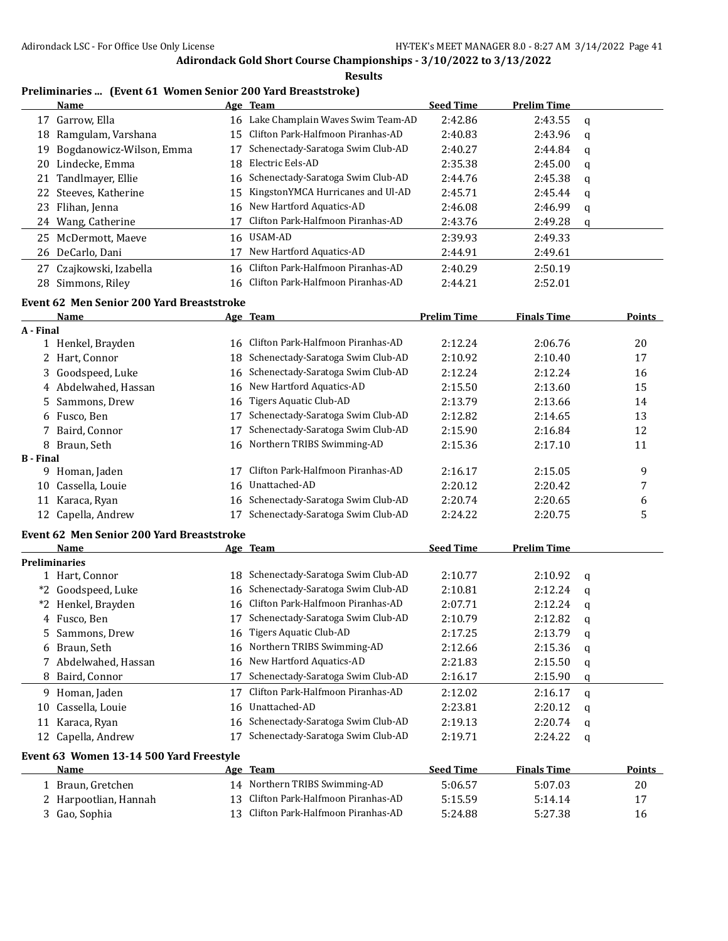**Results**

# **Preliminaries ... (Event 61 Women Senior 200 Yard Breaststroke)**

|     | Name                     |     | Age Team                             | <b>Seed Time</b> | <b>Prelim Time</b> |   |
|-----|--------------------------|-----|--------------------------------------|------------------|--------------------|---|
| 17  | Garrow, Ella             |     | 16 Lake Champlain Waves Swim Team-AD | 2:42.86          | 2:43.55            | a |
| 18  | Ramgulam, Varshana       |     | 15 Clifton Park-Halfmoon Piranhas-AD | 2:40.83          | 2:43.96            | q |
| 19  | Bogdanowicz-Wilson, Emma |     | Schenectady-Saratoga Swim Club-AD    | 2:40.27          | 2:44.84            | q |
| 20  | Lindecke, Emma           | 18. | Electric Eels-AD                     | 2:35.38          | 2:45.00            | a |
|     | 21 Tandlmayer, Ellie     |     | 16 Schenectady-Saratoga Swim Club-AD | 2:44.76          | 2:45.38            | a |
|     | 22 Steeves, Katherine    |     | 15 KingstonYMCA Hurricanes and Ul-AD | 2:45.71          | 2:45.44            | q |
| 23  | Flihan, Jenna            |     | 16 New Hartford Aquatics-AD          | 2:46.08          | 2:46.99            | q |
|     | 24 Wang, Catherine       |     | Clifton Park-Halfmoon Piranhas-AD    | 2:43.76          | 2:49.28            | q |
| 25. | McDermott, Maeve         |     | 16 USAM-AD                           | 2:39.93          | 2:49.33            |   |
|     | 26 DeCarlo, Dani         |     | New Hartford Aquatics-AD             | 2:44.91          | 2:49.61            |   |
| 27  | Czajkowski, Izabella     |     | 16 Clifton Park-Halfmoon Piranhas-AD | 2:40.29          | 2:50.19            |   |
| 28  | Simmons, Riley           |     | 16 Clifton Park-Halfmoon Piranhas-AD | 2:44.21          | 2:52.01            |   |
|     |                          |     |                                      |                  |                    |   |

# **Event 62 Men Senior 200 Yard Breaststroke**

|           | <b>Name</b>          |     | Age Team                             | <b>Prelim Time</b> | <b>Finals Time</b> | <b>Points</b> |
|-----------|----------------------|-----|--------------------------------------|--------------------|--------------------|---------------|
| A - Final |                      |     |                                      |                    |                    |               |
|           | 1 Henkel, Brayden    | 16. | Clifton Park-Halfmoon Piranhas-AD    | 2:12.24            | 2:06.76            | 20            |
|           | 2 Hart, Connor       | 18. | Schenectady-Saratoga Swim Club-AD    | 2:10.92            | 2:10.40            | 17            |
|           | 3 Goodspeed, Luke    |     | 16 Schenectady-Saratoga Swim Club-AD | 2:12.24            | 2:12.24            | 16            |
|           | 4 Abdelwahed, Hassan |     | 16 New Hartford Aquatics-AD          | 2:15.50            | 2:13.60            | 15            |
|           | 5 Sammons, Drew      |     | 16 Tigers Aquatic Club-AD            | 2:13.79            | 2:13.66            | 14            |
|           | 6 Fusco, Ben         | 17  | Schenectady-Saratoga Swim Club-AD    | 2:12.82            | 2:14.65            | 13            |
|           | 7 Baird, Connor      | 17  | Schenectady-Saratoga Swim Club-AD    | 2:15.90            | 2:16.84            | 12            |
|           | 8 Braun, Seth        |     | 16 Northern TRIBS Swimming-AD        | 2:15.36            | 2:17.10            | 11            |
| B - Final |                      |     |                                      |                    |                    |               |
|           | 9 Homan, Jaden       |     | Clifton Park-Halfmoon Piranhas-AD    | 2:16.17            | 2:15.05            | 9             |
| 10        | Cassella, Louie      | 16  | Unattached-AD                        | 2:20.12            | 2:20.42            | 7             |
| 11        | Karaca, Ryan         | 16  | Schenectady-Saratoga Swim Club-AD    | 2:20.74            | 2:20.65            | 6             |
|           | 12 Capella, Andrew   |     | Schenectady-Saratoga Swim Club-AD    | 2:24.22            | 2:20.75            | 5             |

#### **Event 62 Men Senior 200 Yard Breaststroke**

|    | Name                 |    | Age Team                             | <b>Seed Time</b> | <b>Prelim Time</b> |   |
|----|----------------------|----|--------------------------------------|------------------|--------------------|---|
|    | <b>Preliminaries</b> |    |                                      |                  |                    |   |
|    | Hart, Connor         |    | 18 Schenectady-Saratoga Swim Club-AD | 2:10.77          | 2:10.92            | q |
|    | *2 Goodspeed, Luke   |    | 16 Schenectady-Saratoga Swim Club-AD | 2:10.81          | 2:12.24            | q |
|    | *2 Henkel, Brayden   | 16 | Clifton Park-Halfmoon Piranhas-AD    | 2:07.71          | 2:12.24            | a |
|    | 4 Fusco, Ben         |    | Schenectady-Saratoga Swim Club-AD    | 2:10.79          | 2:12.82            | q |
|    | 5 Sammons, Drew      |    | 16 Tigers Aquatic Club-AD            | 2:17.25          | 2:13.79            | a |
|    | 6 Braun, Seth        |    | 16 Northern TRIBS Swimming-AD        | 2:12.66          | 2:15.36            | q |
|    | 7 Abdelwahed, Hassan | 16 | New Hartford Aquatics-AD             | 2:21.83          | 2:15.50            | q |
|    | 8 Baird, Connor      | 17 | Schenectady-Saratoga Swim Club-AD    | 2:16.17          | 2:15.90            | q |
| 9  | Homan, Jaden         |    | Clifton Park-Halfmoon Piranhas-AD    | 2:12.02          | 2:16.17            | a |
| 10 | Cassella, Louie      | 16 | Unattached-AD                        | 2:23.81          | 2:20.12            | q |
| 11 | Karaca, Ryan         |    | 16 Schenectady-Saratoga Swim Club-AD | 2:19.13          | 2:20.74            | q |
|    | 12 Capella, Andrew   |    | Schenectady-Saratoga Swim Club-AD    | 2:19.71          | 2:24.22            | a |

#### **Event 63 Women 13-14 500 Yard Freestyle**

 $\overline{\phantom{0}}$ 

| <b>Name</b>           | Age Team                             | <b>Seed Time</b> | <b>Finals Time</b> | Points |
|-----------------------|--------------------------------------|------------------|--------------------|--------|
| 1 Braun. Gretchen     | 14 Northern TRIBS Swimming-AD        | 5:06.57          | 5:07.03            | 20     |
| 2 Harpootlian, Hannah | 13 Clifton Park-Halfmoon Piranhas-AD | 5:15.59          | 5:14.14            |        |
| 3 Gao, Sophia         | 13 Clifton Park-Halfmoon Piranhas-AD | 5:24.88          | 5:27.38            | 16     |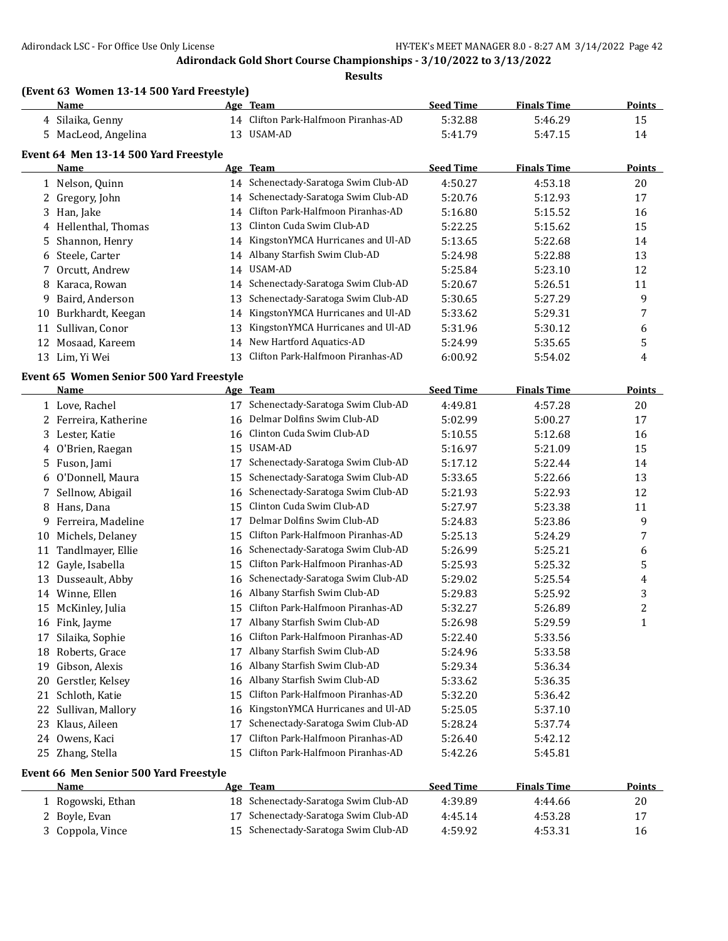|    | (Event 63 Women 13-14 500 Yard Freestyle)<br>Name |    | Age Team                             | <b>Seed Time</b> | <b>Finals Time</b> | <b>Points</b> |
|----|---------------------------------------------------|----|--------------------------------------|------------------|--------------------|---------------|
|    | 4 Silaika, Genny                                  |    | 14 Clifton Park-Halfmoon Piranhas-AD | 5:32.88          | 5:46.29            | 15            |
| 5. | MacLeod, Angelina                                 | 13 | USAM-AD                              | 5:41.79          | 5:47.15            | 14            |
|    | Event 64 Men 13-14 500 Yard Freestyle             |    |                                      |                  |                    |               |
|    | Name                                              |    | Age Team                             | <b>Seed Time</b> | <b>Finals Time</b> | <b>Points</b> |
|    | 1 Nelson, Quinn                                   |    | 14 Schenectady-Saratoga Swim Club-AD | 4:50.27          | 4:53.18            | 20            |
|    | 2 Gregory, John                                   |    | 14 Schenectady-Saratoga Swim Club-AD | 5:20.76          | 5:12.93            | 17            |
| 3  | Han, Jake                                         | 14 | Clifton Park-Halfmoon Piranhas-AD    | 5:16.80          | 5:15.52            | 16            |
|    | 4 Hellenthal, Thomas                              | 13 | Clinton Cuda Swim Club-AD            | 5:22.25          | 5:15.62            | 15            |
| 5. | Shannon, Henry                                    |    | 14 KingstonYMCA Hurricanes and Ul-AD | 5:13.65          | 5:22.68            | 14            |
| 6  | Steele, Carter                                    |    | 14 Albany Starfish Swim Club-AD      | 5:24.98          | 5:22.88            | 13            |
| 7  | Orcutt, Andrew                                    | 14 | USAM-AD                              | 5:25.84          | 5:23.10            | 12            |
| 8  | Karaca, Rowan                                     |    | 14 Schenectady-Saratoga Swim Club-AD | 5:20.67          | 5:26.51            | 11            |
| 9  | Baird, Anderson                                   | 13 | Schenectady-Saratoga Swim Club-AD    | 5:30.65          | 5:27.29            | 9             |
| 10 | Burkhardt, Keegan                                 | 14 | KingstonYMCA Hurricanes and Ul-AD    | 5:33.62          | 5:29.31            | 7             |
|    | 11 Sullivan, Conor                                | 13 | KingstonYMCA Hurricanes and Ul-AD    | 5:31.96          | 5:30.12            | 6             |
|    | 12 Mosaad, Kareem                                 | 14 | New Hartford Aquatics-AD             | 5:24.99          | 5:35.65            | 5             |
|    | 13 Lim, Yi Wei                                    | 13 | Clifton Park-Halfmoon Piranhas-AD    | 6:00.92          | 5:54.02            | 4             |
|    |                                                   |    |                                      |                  |                    |               |
|    | Event 65 Women Senior 500 Yard Freestyle          |    |                                      |                  |                    |               |
|    | Name                                              |    | Age Team                             | <b>Seed Time</b> | <b>Finals Time</b> | <b>Points</b> |
|    | 1 Love, Rachel                                    |    | 17 Schenectady-Saratoga Swim Club-AD | 4:49.81          | 4:57.28            | 20            |
|    | 2 Ferreira, Katherine                             | 16 | Delmar Dolfins Swim Club-AD          | 5:02.99          | 5:00.27            | 17            |
| 3  | Lester, Katie                                     | 16 | Clinton Cuda Swim Club-AD            | 5:10.55          | 5:12.68            | 16            |
| 4  | O'Brien, Raegan                                   | 15 | USAM-AD                              | 5:16.97          | 5:21.09            | 15            |
| 5. | Fuson, Jami                                       | 17 | Schenectady-Saratoga Swim Club-AD    | 5:17.12          | 5:22.44            | 14            |
| 6  | O'Donnell, Maura                                  | 15 | Schenectady-Saratoga Swim Club-AD    | 5:33.65          | 5:22.66            | 13            |
| 7  | Sellnow, Abigail                                  | 16 | Schenectady-Saratoga Swim Club-AD    | 5:21.93          | 5:22.93            | 12            |
| 8  | Hans, Dana                                        | 15 | Clinton Cuda Swim Club-AD            | 5:27.97          | 5:23.38            | 11            |
| 9. | Ferreira, Madeline                                | 17 | Delmar Dolfins Swim Club-AD          | 5:24.83          | 5:23.86            | 9             |
| 10 | Michels, Delaney                                  | 15 | Clifton Park-Halfmoon Piranhas-AD    | 5:25.13          | 5:24.29            | 7             |
| 11 | Tandlmayer, Ellie                                 | 16 | Schenectady-Saratoga Swim Club-AD    | 5:26.99          | 5:25.21            | 6             |
| 12 | Gayle, Isabella                                   | 15 | Clifton Park-Halfmoon Piranhas-AD    | 5:25.93          | 5:25.32            | 5             |
|    | 13 Dusseault, Abby                                | 16 | Schenectady-Saratoga Swim Club-AD    | 5:29.02          | 5:25.54            | 4             |
|    | 14 Winne, Ellen                                   | 16 | Albany Starfish Swim Club-AD         | 5:29.83          | 5:25.92            | 3             |
|    | 15 McKinley, Julia                                |    | Clifton Park-Halfmoon Piranhas-AD    | 5:32.27          | 5:26.89            | 2             |
|    | 16 Fink, Jayme                                    |    | Albany Starfish Swim Club-AD         | 5:26.98          | 5:29.59            | 1             |
| 17 | Silaika, Sophie                                   | 16 | Clifton Park-Halfmoon Piranhas-AD    | 5:22.40          | 5:33.56            |               |
| 18 | Roberts, Grace                                    | 17 | Albany Starfish Swim Club-AD         | 5:24.96          | 5:33.58            |               |
| 19 | Gibson, Alexis                                    | 16 | Albany Starfish Swim Club-AD         | 5:29.34          | 5:36.34            |               |
|    | 20 Gerstler, Kelsey                               | 16 | Albany Starfish Swim Club-AD         | 5:33.62          | 5:36.35            |               |
|    | 21 Schloth, Katie                                 | 15 | Clifton Park-Halfmoon Piranhas-AD    | 5:32.20          | 5:36.42            |               |
| 22 | Sullivan, Mallory                                 | 16 | KingstonYMCA Hurricanes and Ul-AD    | 5:25.05          | 5:37.10            |               |
| 23 | Klaus, Aileen                                     | 17 | Schenectady-Saratoga Swim Club-AD    | 5:28.24          | 5:37.74            |               |
|    | 24 Owens, Kaci                                    | 17 | Clifton Park-Halfmoon Piranhas-AD    | 5:26.40          | 5:42.12            |               |
|    | 25 Zhang, Stella                                  | 15 | Clifton Park-Halfmoon Piranhas-AD    | 5:42.26          | 5:45.81            |               |
|    | Event 66 Men Senior 500 Yard Freestyle            |    |                                      |                  |                    |               |
|    | <b>Name</b>                                       |    | Age Team                             | <b>Seed Time</b> | <b>Finals Time</b> | <b>Points</b> |
|    | 1 Rogowski, Ethan                                 |    | 18 Schenectady-Saratoga Swim Club-AD | 4:39.89          | 4:44.66            | 20            |
| 2  | Boyle, Evan                                       | 17 | Schenectady-Saratoga Swim Club-AD    | 4:45.14          | 4:53.28            | 17            |
|    | 3 Coppola, Vince                                  | 15 | Schenectady-Saratoga Swim Club-AD    | 4:59.92          | 4:53.31            | 16            |
|    |                                                   |    |                                      |                  |                    |               |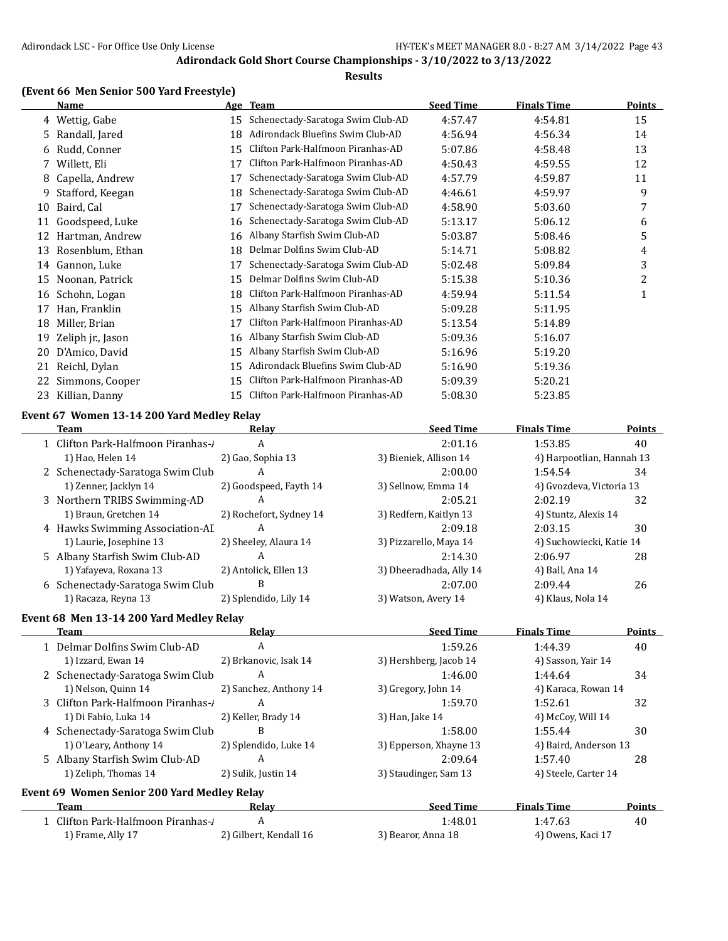#### **Results**

## **(Event 66 Men Senior 500 Yard Freestyle)**

|    | Name              |    | Age Team                          | <b>Seed Time</b> | <b>Finals Time</b> | Points |
|----|-------------------|----|-----------------------------------|------------------|--------------------|--------|
| 4  | Wettig, Gabe      | 15 | Schenectady-Saratoga Swim Club-AD | 4:57.47          | 4:54.81            | 15     |
| 5. | Randall, Jared    | 18 | Adirondack Bluefins Swim Club-AD  | 4:56.94          | 4:56.34            | 14     |
| 6  | Rudd, Conner      | 15 | Clifton Park-Halfmoon Piranhas-AD | 5:07.86          | 4:58.48            | 13     |
|    | Willett, Eli      | 17 | Clifton Park-Halfmoon Piranhas-AD | 4:50.43          | 4:59.55            | 12     |
| 8  | Capella, Andrew   | 17 | Schenectady-Saratoga Swim Club-AD | 4:57.79          | 4:59.87            | 11     |
| 9  | Stafford, Keegan  | 18 | Schenectady-Saratoga Swim Club-AD | 4:46.61          | 4:59.97            | 9      |
| 10 | Baird, Cal        | 17 | Schenectady-Saratoga Swim Club-AD | 4:58.90          | 5:03.60            | 7      |
| 11 | Goodspeed, Luke   | 16 | Schenectady-Saratoga Swim Club-AD | 5:13.17          | 5:06.12            | 6      |
| 12 | Hartman, Andrew   | 16 | Albany Starfish Swim Club-AD      | 5:03.87          | 5:08.46            | 5      |
| 13 | Rosenblum, Ethan  | 18 | Delmar Dolfins Swim Club-AD       | 5:14.71          | 5:08.82            | 4      |
| 14 | Gannon, Luke      | 17 | Schenectady-Saratoga Swim Club-AD | 5:02.48          | 5:09.84            | 3      |
| 15 | Noonan, Patrick   | 15 | Delmar Dolfins Swim Club-AD       | 5:15.38          | 5:10.36            | 2      |
| 16 | Schohn, Logan     | 18 | Clifton Park-Halfmoon Piranhas-AD | 4:59.94          | 5:11.54            | 1      |
| 17 | Han, Franklin     | 15 | Albany Starfish Swim Club-AD      | 5:09.28          | 5:11.95            |        |
| 18 | Miller, Brian     | 17 | Clifton Park-Halfmoon Piranhas-AD | 5:13.54          | 5:14.89            |        |
| 19 | Zeliph jr., Jason | 16 | Albany Starfish Swim Club-AD      | 5:09.36          | 5:16.07            |        |
| 20 | D'Amico, David    | 15 | Albany Starfish Swim Club-AD      | 5:16.96          | 5:19.20            |        |
| 21 | Reichl, Dylan     | 15 | Adirondack Bluefins Swim Club-AD  | 5:16.90          | 5:19.36            |        |
| 22 | Simmons, Cooper   | 15 | Clifton Park-Halfmoon Piranhas-AD | 5:09.39          | 5:20.21            |        |
| 23 | Killian, Danny    | 15 | Clifton Park-Halfmoon Piranhas-AD | 5:08.30          | 5:23.85            |        |

# **Event 67 Women 13-14 200 Yard Medley Relay**

| Team                              | Relav                   | <b>Seed Time</b>        | <b>Finals Time</b>        | Points |
|-----------------------------------|-------------------------|-------------------------|---------------------------|--------|
| 1 Clifton Park-Halfmoon Piranhas- | A                       | 2:01.16                 | 1:53.85                   | 40     |
| 1) Hao, Helen 14                  | 2) Gao, Sophia 13       | 3) Bieniek, Allison 14  | 4) Harpootlian, Hannah 13 |        |
| 2 Schenectady-Saratoga Swim Club  | А                       | 2:00.00                 | 1:54.54                   | 34     |
| 1) Zenner, Jacklyn 14             | 2) Goodspeed, Fayth 14  | 3) Sellnow, Emma 14     | 4) Gvozdeva, Victoria 13  |        |
| 3 Northern TRIBS Swimming-AD      | A                       | 2:05.21                 | 2:02.19                   | 32     |
| 1) Braun, Gretchen 14             | 2) Rochefort, Sydney 14 | 3) Redfern, Kaitlyn 13  | 4) Stuntz, Alexis 14      |        |
| 4 Hawks Swimming Association-AI   | A                       | 2:09.18                 | 2:03.15                   | 30     |
| 1) Laurie, Josephine 13           | 2) Sheeley, Alaura 14   | 3) Pizzarello, Maya 14  | 4) Suchowiecki, Katie 14  |        |
| 5 Albany Starfish Swim Club-AD    | А                       | 2:14.30                 | 2:06.97                   | 28     |
| 1) Yafayeva, Roxana 13            | 2) Antolick, Ellen 13   | 3) Dheeradhada, Ally 14 | 4) Ball, Ana 14           |        |
| 6 Schenectady-Saratoga Swim Club  | В                       | 2:07.00                 | 2:09.44                   | 26     |
| 1) Racaza, Reyna 13               | 2) Splendido, Lily 14   | 3) Watson, Avery 14     | 4) Klaus, Nola 14         |        |

#### **Event 68 Men 13-14 200 Yard Medley Relay**

| Team                                        | Relay                  | <b>Seed Time</b>       | <b>Finals Time</b>    | <b>Points</b> |
|---------------------------------------------|------------------------|------------------------|-----------------------|---------------|
| 1 Delmar Dolfins Swim Club-AD               | A                      | 1:59.26                | 1:44.39               | 40            |
| 1) Izzard, Ewan 14                          | 2) Brkanovic, Isak 14  | 3) Hershberg, Jacob 14 | 4) Sasson, Yair 14    |               |
| 2 Schenectady-Saratoga Swim Club            | A                      | 1:46.00                | 1:44.64               | 34            |
| 1) Nelson, Quinn 14                         | 2) Sanchez, Anthony 14 | 3) Gregory, John 14    | 4) Karaca, Rowan 14   |               |
| 3 Clifton Park-Halfmoon Piranhas-           | A                      | 1:59.70                | 1:52.61               | 32            |
| 1) Di Fabio, Luka 14                        | 2) Keller, Brady 14    | 3) Han, Jake 14        | 4) McCoy, Will 14     |               |
| 4 Schenectady-Saratoga Swim Club            | B                      | 1:58.00                | 1:55.44               | 30            |
| 1) O'Leary, Anthony 14                      | 2) Splendido, Luke 14  | 3) Epperson, Xhayne 13 | 4) Baird, Anderson 13 |               |
| 5 Albany Starfish Swim Club-AD              | A                      | 2:09.64                | 1:57.40               | 28            |
| 1) Zeliph, Thomas 14                        | 2) Sulik, Justin 14    | 3) Staudinger, Sam 13  | 4) Steele, Carter 14  |               |
| Event 69 Women Senior 200 Yard Medley Relay |                        |                        |                       |               |
| Team                                        | Relav                  | <b>Seed Time</b>       | <b>Finals Time</b>    | <b>Points</b> |
| 1 Clifton Park-Halfmoon Piranhas-/          | A                      | 1:48.01                | 1:47.63               | 40            |
| 1) Frame, Ally 17                           | 2) Gilbert, Kendall 16 | 3) Bearor, Anna 18     | 4) Owens, Kaci 17     |               |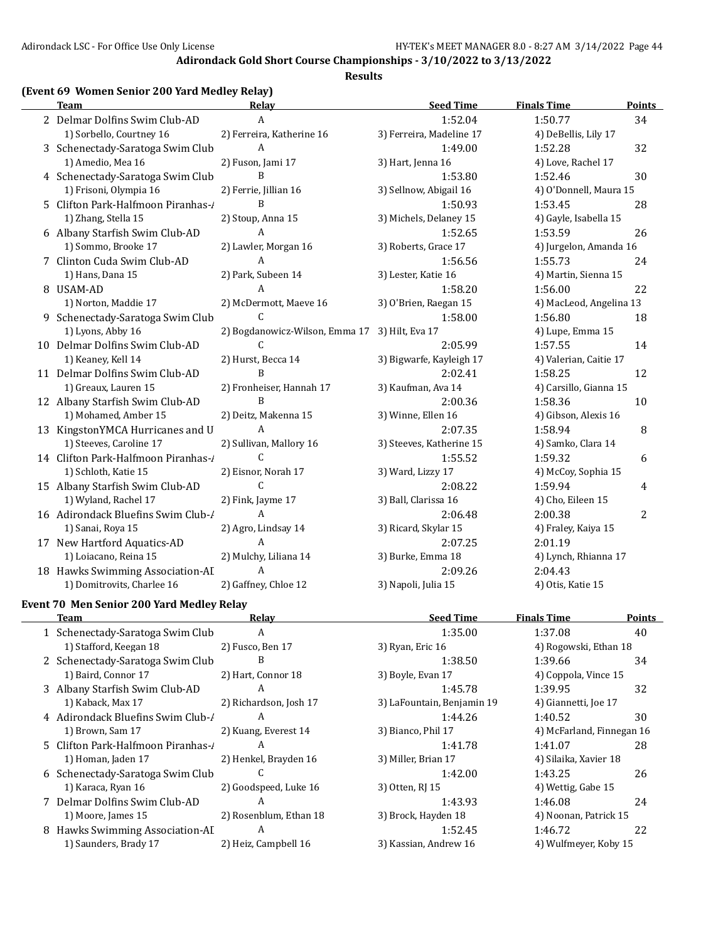#### **Results**

## **(Event 69 Women Senior 200 Yard Medley Relay)**

| <b>Team</b>                         | Relay                          | <b>Seed Time</b>         | <b>Finals Time</b>      | <b>Points</b> |
|-------------------------------------|--------------------------------|--------------------------|-------------------------|---------------|
| 2 Delmar Dolfins Swim Club-AD       | $\mathbf{A}$                   | 1:52.04                  | 1:50.77                 | 34            |
| 1) Sorbello, Courtney 16            | 2) Ferreira, Katherine 16      | 3) Ferreira, Madeline 17 | 4) DeBellis, Lily 17    |               |
| 3 Schenectady-Saratoga Swim Club    | A                              | 1:49.00                  | 1:52.28                 | 32            |
| 1) Amedio, Mea 16                   | 2) Fuson, Jami 17              | 3) Hart, Jenna 16        | 4) Love, Rachel 17      |               |
| 4 Schenectady-Saratoga Swim Club    | B                              | 1:53.80                  | 1:52.46                 | 30            |
| 1) Frisoni, Olympia 16              | 2) Ferrie, Jillian 16          | 3) Sellnow, Abigail 16   | 4) O'Donnell, Maura 15  |               |
| 5 Clifton Park-Halfmoon Piranhas-1  | B                              | 1:50.93                  | 1:53.45                 | 28            |
| 1) Zhang, Stella 15                 | 2) Stoup, Anna 15              | 3) Michels, Delaney 15   | 4) Gayle, Isabella 15   |               |
| 6 Albany Starfish Swim Club-AD      | A                              | 1:52.65                  | 1:53.59                 | 26            |
| 1) Sommo, Brooke 17                 | 2) Lawler, Morgan 16           | 3) Roberts, Grace 17     | 4) Jurgelon, Amanda 16  |               |
| 7 Clinton Cuda Swim Club-AD         | $\mathbf{A}$                   | 1:56.56                  | 1:55.73                 | 24            |
| 1) Hans, Dana 15                    | 2) Park, Subeen 14             | 3) Lester, Katie 16      | 4) Martin, Sienna 15    |               |
| 8 USAM-AD                           | A                              | 1:58.20                  | 1:56.00                 | 22            |
| 1) Norton, Maddie 17                | 2) McDermott, Maeve 16         | 3) O'Brien, Raegan 15    | 4) MacLeod, Angelina 13 |               |
| 9 Schenectady-Saratoga Swim Club    | C                              | 1:58.00                  | 1:56.80                 | 18            |
| 1) Lyons, Abby 16                   | 2) Bogdanowicz-Wilson, Emma 17 | 3) Hilt, Eva 17          | 4) Lupe, Emma 15        |               |
| 10 Delmar Dolfins Swim Club-AD      | C                              | 2:05.99                  | 1:57.55                 | 14            |
| 1) Keaney, Kell 14                  | 2) Hurst, Becca 14             | 3) Bigwarfe, Kayleigh 17 | 4) Valerian, Caitie 17  |               |
| 11 Delmar Dolfins Swim Club-AD      | $\mathbf B$                    | 2:02.41                  | 1:58.25                 | 12            |
| 1) Greaux, Lauren 15                | 2) Fronheiser, Hannah 17       | 3) Kaufman, Ava 14       | 4) Carsillo, Gianna 15  |               |
| 12 Albany Starfish Swim Club-AD     | B                              | 2:00.36                  | 1:58.36                 | 10            |
| 1) Mohamed, Amber 15                | 2) Deitz, Makenna 15           | 3) Winne, Ellen 16       | 4) Gibson, Alexis 16    |               |
| 13 KingstonYMCA Hurricanes and U    | A                              | 2:07.35                  | 1:58.94                 | 8             |
| 1) Steeves, Caroline 17             | 2) Sullivan, Mallory 16        | 3) Steeves, Katherine 15 | 4) Samko, Clara 14      |               |
| 14 Clifton Park-Halfmoon Piranhas-/ | C                              | 1:55.52                  | 1:59.32                 | 6             |
| 1) Schloth, Katie 15                | 2) Eisnor, Norah 17            | 3) Ward, Lizzy 17        | 4) McCoy, Sophia 15     |               |
| 15 Albany Starfish Swim Club-AD     | $\mathcal{C}$                  | 2:08.22                  | 1:59.94                 | 4             |
| 1) Wyland, Rachel 17                | 2) Fink, Jayme 17              | 3) Ball, Clarissa 16     | 4) Cho, Eileen 15       |               |
| 16 Adirondack Bluefins Swim Club-/  | A                              | 2:06.48                  | 2:00.38                 | 2             |
| 1) Sanai, Roya 15                   | 2) Agro, Lindsay 14            | 3) Ricard, Skylar 15     | 4) Fraley, Kaiya 15     |               |
| 17 New Hartford Aquatics-AD         | $\mathbf{A}$                   | 2:07.25                  | 2:01.19                 |               |
| 1) Loiacano, Reina 15               | 2) Mulchy, Liliana 14          | 3) Burke, Emma 18        | 4) Lynch, Rhianna 17    |               |
| 18 Hawks Swimming Association-AI    | A                              | 2:09.26                  | 2:04.43                 |               |
| 1) Domitrovits, Charlee 16          | 2) Gaffney, Chloe 12           | 3) Napoli, Julia 15      | 4) Otis, Katie 15       |               |

## **Event 70 Men Senior 200 Yard Medley Relay**

| Team                              | Relay                  | <b>Seed Time</b>           | <b>Finals Time</b>        | Points |
|-----------------------------------|------------------------|----------------------------|---------------------------|--------|
| 1 Schenectady-Saratoga Swim Club  | A                      | 1:35.00                    | 1:37.08                   | 40     |
| 1) Stafford, Keegan 18            | 2) Fusco, Ben 17       | 3) Ryan, Eric 16           | 4) Rogowski, Ethan 18     |        |
| 2 Schenectady-Saratoga Swim Club  | B                      | 1:38.50                    | 1:39.66                   | 34     |
| 1) Baird, Connor 17               | 2) Hart, Connor 18     | 3) Boyle, Evan 17          | 4) Coppola, Vince 15      |        |
| 3 Albany Starfish Swim Club-AD    | A                      | 1:45.78                    | 1:39.95                   | 32     |
| 1) Kaback, Max 17                 | 2) Richardson, Josh 17 | 3) LaFountain, Benjamin 19 | 4) Giannetti, Joe 17      |        |
| 4 Adirondack Bluefins Swim Club-/ | A                      | 1:44.26                    | 1:40.52                   | 30     |
| 1) Brown, Sam 17                  | 2) Kuang, Everest 14   | 3) Bianco, Phil 17         | 4) McFarland, Finnegan 16 |        |
| 5 Clifton Park-Halfmoon Piranhas- | A                      | 1:41.78                    | 1:41.07                   | 28     |
| 1) Homan, Jaden 17                | 2) Henkel, Brayden 16  | 3) Miller, Brian 17        | 4) Silaika, Xavier 18     |        |
| 6 Schenectady-Saratoga Swim Club  |                        | 1:42.00                    | 1:43.25                   | 26     |
| 1) Karaca, Ryan 16                | 2) Goodspeed, Luke 16  | 3) Otten, RJ 15            | 4) Wettig, Gabe 15        |        |
| 7 Delmar Dolfins Swim Club-AD     | A                      | 1:43.93                    | 1:46.08                   | 24     |
| 1) Moore, James 15                | 2) Rosenblum, Ethan 18 | 3) Brock, Hayden 18        | 4) Noonan, Patrick 15     |        |
| 8 Hawks Swimming Association-AI   | A                      | 1:52.45                    | 1:46.72                   | 22     |
| 1) Saunders, Brady 17             | 2) Heiz, Campbell 16   | 3) Kassian, Andrew 16      | 4) Wulfmeyer, Koby 15     |        |
|                                   |                        |                            |                           |        |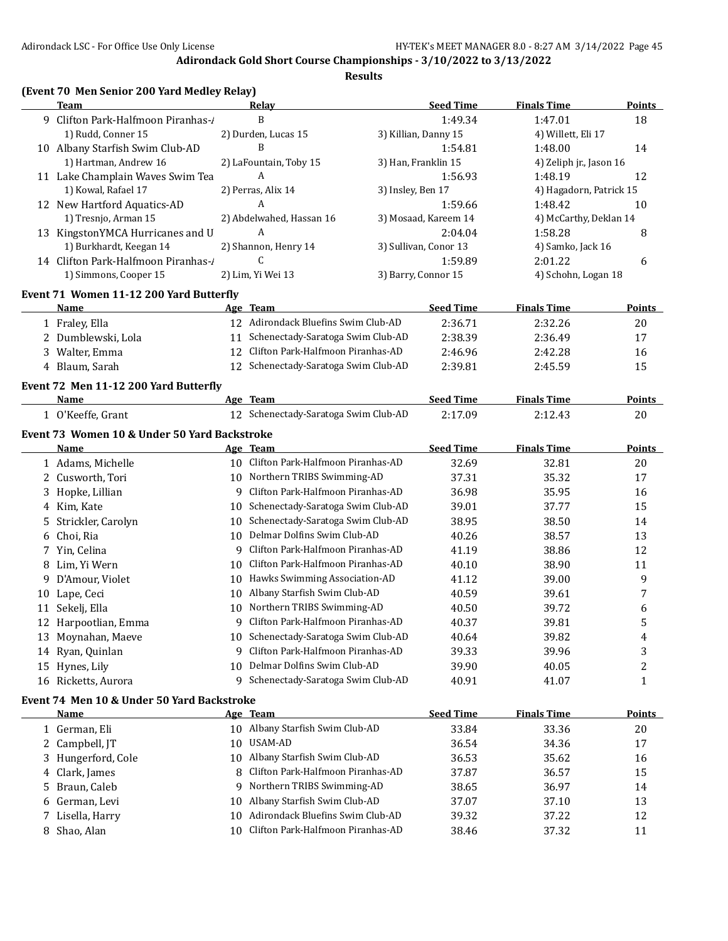|    | (Event 70 Men Senior 200 Yard Medley Relay)  |    |                                      |                   |                       |                         |                         |
|----|----------------------------------------------|----|--------------------------------------|-------------------|-----------------------|-------------------------|-------------------------|
|    | Team                                         |    | Relay                                |                   | <b>Seed Time</b>      | <b>Finals Time</b>      | <b>Points</b>           |
|    | 9 Clifton Park-Halfmoon Piranhas-/           |    | B                                    |                   | 1:49.34               | 1:47.01                 | 18                      |
|    | 1) Rudd, Conner 15                           |    | 2) Durden, Lucas 15                  |                   | 3) Killian, Danny 15  | 4) Willett, Eli 17      |                         |
|    | 10 Albany Starfish Swim Club-AD              |    | B                                    |                   | 1:54.81               | 1:48.00                 | 14                      |
|    | 1) Hartman, Andrew 16                        |    | 2) LaFountain, Toby 15               |                   | 3) Han, Franklin 15   | 4) Zeliph jr., Jason 16 |                         |
|    | 11 Lake Champlain Waves Swim Tea             |    | A                                    |                   | 1:56.93               | 1:48.19                 | 12                      |
|    | 1) Kowal, Rafael 17                          |    | 2) Perras, Alix 14                   | 3) Insley, Ben 17 |                       | 4) Hagadorn, Patrick 15 |                         |
|    | 12 New Hartford Aquatics-AD                  |    | $\overline{A}$                       |                   | 1:59.66               | 1:48.42                 | 10                      |
|    | 1) Tresnjo, Arman 15                         |    | 2) Abdelwahed, Hassan 16             |                   | 3) Mosaad, Kareem 14  | 4) McCarthy, Deklan 14  |                         |
|    | 13 KingstonYMCA Hurricanes and U             |    | A                                    |                   | 2:04.04               | 1:58.28                 | 8                       |
|    | 1) Burkhardt, Keegan 14                      |    | 2) Shannon, Henry 14                 |                   | 3) Sullivan, Conor 13 | 4) Samko, Jack 16       |                         |
|    | 14 Clifton Park-Halfmoon Piranhas-/          |    | C                                    |                   | 1:59.89               | 2:01.22                 | 6                       |
|    | 1) Simmons, Cooper 15                        |    | 2) Lim, Yi Wei 13                    |                   | 3) Barry, Connor 15   | 4) Schohn, Logan 18     |                         |
|    | Event 71 Women 11-12 200 Yard Butterfly      |    |                                      |                   |                       |                         |                         |
|    | Name                                         |    | Age Team                             |                   | <b>Seed Time</b>      | <b>Finals Time</b>      | Points                  |
|    | 1 Fraley, Ella                               |    | 12 Adirondack Bluefins Swim Club-AD  |                   | 2:36.71               | 2:32.26                 | 20                      |
|    | 2 Dumblewski, Lola                           | 11 | Schenectady-Saratoga Swim Club-AD    |                   | 2:38.39               | 2:36.49                 | 17                      |
|    | 3 Walter, Emma                               | 12 | Clifton Park-Halfmoon Piranhas-AD    |                   | 2:46.96               | 2:42.28                 | 16                      |
|    | 4 Blaum, Sarah                               |    | 12 Schenectady-Saratoga Swim Club-AD |                   | 2:39.81               | 2:45.59                 | 15                      |
|    | Event 72 Men 11-12 200 Yard Butterfly        |    |                                      |                   |                       |                         |                         |
|    | Name                                         |    | Age Team                             |                   | <b>Seed Time</b>      | <b>Finals Time</b>      | <b>Points</b>           |
|    | 1 O'Keeffe, Grant                            |    | 12 Schenectady-Saratoga Swim Club-AD |                   | 2:17.09               | 2:12.43                 | 20                      |
|    | Event 73 Women 10 & Under 50 Yard Backstroke |    |                                      |                   |                       |                         |                         |
|    | Name                                         |    | Age Team                             |                   | <b>Seed Time</b>      | <b>Finals Time</b>      | <b>Points</b>           |
|    | 1 Adams, Michelle                            |    | 10 Clifton Park-Halfmoon Piranhas-AD |                   | 32.69                 | 32.81                   | 20                      |
|    | 2 Cusworth, Tori                             |    | 10 Northern TRIBS Swimming-AD        |                   | 37.31                 | 35.32                   | 17                      |
| 3. | Hopke, Lillian                               |    | 9 Clifton Park-Halfmoon Piranhas-AD  |                   | 36.98                 | 35.95                   | 16                      |
|    | 4 Kim, Kate                                  | 10 | Schenectady-Saratoga Swim Club-AD    |                   | 39.01                 | 37.77                   | 15                      |
| 5. | Strickler, Carolyn                           | 10 | Schenectady-Saratoga Swim Club-AD    |                   | 38.95                 | 38.50                   | 14                      |
| 6  | Choi, Ria                                    | 10 | Delmar Dolfins Swim Club-AD          |                   | 40.26                 | 38.57                   | 13                      |
| 7  | Yin, Celina                                  | 9  | Clifton Park-Halfmoon Piranhas-AD    |                   | 41.19                 | 38.86                   | 12                      |
| 8  | Lim, Yi Wern                                 | 10 | Clifton Park-Halfmoon Piranhas-AD    |                   | 40.10                 | 38.90                   | 11                      |
| 9  | D'Amour, Violet                              | 10 | Hawks Swimming Association-AD        |                   | 41.12                 | 39.00                   | 9                       |
| 10 | Lape, Ceci                                   | 10 | Albany Starfish Swim Club-AD         |                   | 40.59                 | 39.61                   | 7                       |
|    | 11 Sekelj, Ella                              | 10 | Northern TRIBS Swimming-AD           |                   | 40.50                 | 39.72                   | 6                       |
|    | 12 Harpootlian, Emma                         | 9. | Clifton Park-Halfmoon Piranhas-AD    |                   | 40.37                 | 39.81                   | 5                       |
| 13 | Moynahan, Maeve                              | 10 | Schenectady-Saratoga Swim Club-AD    |                   | 40.64                 | 39.82                   | 4                       |
|    | 14 Ryan, Quinlan                             | 9  | Clifton Park-Halfmoon Piranhas-AD    |                   | 39.33                 | 39.96                   | 3                       |
|    | 15 Hynes, Lily                               | 10 | Delmar Dolfins Swim Club-AD          |                   | 39.90                 | 40.05                   | $\overline{\mathbf{c}}$ |
|    | 16 Ricketts, Aurora                          | 9  | Schenectady-Saratoga Swim Club-AD    |                   | 40.91                 | 41.07                   | $\mathbf{1}$            |
|    | Event 74 Men 10 & Under 50 Yard Backstroke   |    |                                      |                   |                       |                         |                         |
|    | <b>Name</b>                                  |    | Age Team                             |                   | <b>Seed Time</b>      | <b>Finals Time</b>      | <b>Points</b>           |
|    | 1 German, Eli                                |    | 10 Albany Starfish Swim Club-AD      |                   | 33.84                 | 33.36                   | 20                      |
| 2  | Campbell, JT                                 | 10 | USAM-AD                              |                   | 36.54                 | 34.36                   | 17                      |
| 3  | Hungerford, Cole                             | 10 | Albany Starfish Swim Club-AD         |                   | 36.53                 | 35.62                   | 16                      |
| 4  | Clark, James                                 | 8  | Clifton Park-Halfmoon Piranhas-AD    |                   | 37.87                 | 36.57                   | 15                      |
|    | Braun, Caleb                                 | 9  | Northern TRIBS Swimming-AD           |                   | 38.65                 | 36.97                   | 14                      |
| 5. |                                              | 10 | Albany Starfish Swim Club-AD         |                   | 37.07                 | 37.10                   | 13                      |
| 6  | German, Levi                                 |    |                                      |                   |                       |                         |                         |
| 7  | Lisella, Harry                               | 10 | Adirondack Bluefins Swim Club-AD     |                   | 39.32                 | 37.22                   | 12                      |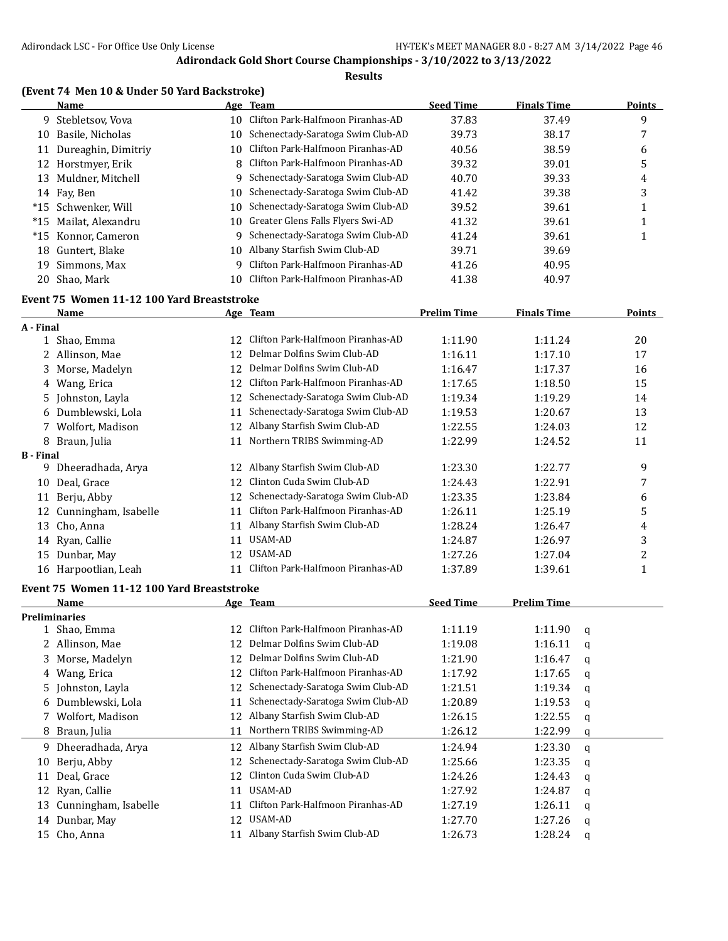#### **Results**

|  |  |  | (Event 74 Men 10 & Under 50 Yard Backstroke) |  |
|--|--|--|----------------------------------------------|--|
|--|--|--|----------------------------------------------|--|

|    | Name                  |     | Age Team                             | <b>Seed Time</b> | <b>Finals Time</b> | <b>Points</b> |
|----|-----------------------|-----|--------------------------------------|------------------|--------------------|---------------|
|    | 9 Stebletsov, Vova    | 10. | Clifton Park-Halfmoon Piranhas-AD    | 37.83            | 37.49              | 9             |
| 10 | Basile, Nicholas      | 10. | Schenectady-Saratoga Swim Club-AD    | 39.73            | 38.17              | 7             |
| 11 | Dureaghin, Dimitriy   | 10  | Clifton Park-Halfmoon Piranhas-AD    | 40.56            | 38.59              | 6             |
|    | 12 Horstmyer, Erik    |     | 8 Clifton Park-Halfmoon Piranhas-AD  | 39.32            | 39.01              | 5             |
| 13 | Muldner, Mitchell     | 9.  | Schenectady-Saratoga Swim Club-AD    | 40.70            | 39.33              | 4             |
|    | 14 Fay, Ben           | 10. | Schenectady-Saratoga Swim Club-AD    | 41.42            | 39.38              | 3             |
|    | *15 Schwenker. Will   | 10  | Schenectady-Saratoga Swim Club-AD    | 39.52            | 39.61              |               |
|    | *15 Mailat, Alexandru |     | 10 Greater Glens Falls Flyers Swi-AD | 41.32            | 39.61              |               |
|    | *15 Konnor, Cameron   | 9   | Schenectady-Saratoga Swim Club-AD    | 41.24            | 39.61              |               |
|    | 18 Guntert, Blake     | 10  | Albany Starfish Swim Club-AD         | 39.71            | 39.69              |               |
| 19 | Simmons, Max          | q   | Clifton Park-Halfmoon Piranhas-AD    | 41.26            | 40.95              |               |
| 20 | Shao. Mark            |     | Clifton Park-Halfmoon Piranhas-AD    | 41.38            | 40.97              |               |
|    |                       |     |                                      |                  |                    |               |

## **Event 75 Women 11-12 100 Yard Breaststroke**

|                  | <b>Name</b>                                |    | Age Team                          | <b>Prelim Time</b> | <b>Finals Time</b> |             | <b>Points</b>           |
|------------------|--------------------------------------------|----|-----------------------------------|--------------------|--------------------|-------------|-------------------------|
| A - Final        |                                            |    |                                   |                    |                    |             |                         |
|                  | 1 Shao, Emma                               | 12 | Clifton Park-Halfmoon Piranhas-AD | 1:11.90            | 1:11.24            |             | 20                      |
|                  | 2 Allinson, Mae                            | 12 | Delmar Dolfins Swim Club-AD       | 1:16.11            | 1:17.10            |             | 17                      |
| 3                | Morse, Madelyn                             | 12 | Delmar Dolfins Swim Club-AD       | 1:16.47            | 1:17.37            |             | 16                      |
| 4                | Wang, Erica                                | 12 | Clifton Park-Halfmoon Piranhas-AD | 1:17.65            | 1:18.50            |             | 15                      |
| 5.               | Johnston, Layla                            | 12 | Schenectady-Saratoga Swim Club-AD | 1:19.34            | 1:19.29            |             | 14                      |
| 6                | Dumblewski, Lola                           | 11 | Schenectady-Saratoga Swim Club-AD | 1:19.53            | 1:20.67            |             | 13                      |
| 7                | Wolfort, Madison                           | 12 | Albany Starfish Swim Club-AD      | 1:22.55            | 1:24.03            |             | 12                      |
| 8                | Braun, Julia                               | 11 | Northern TRIBS Swimming-AD        | 1:22.99            | 1:24.52            |             | 11                      |
| <b>B</b> - Final |                                            |    |                                   |                    |                    |             |                         |
|                  | 9 Dheeradhada, Arya                        |    | 12 Albany Starfish Swim Club-AD   | 1:23.30            | 1:22.77            |             | 9                       |
| 10               | Deal, Grace                                | 12 | Clinton Cuda Swim Club-AD         | 1:24.43            | 1:22.91            |             | 7                       |
| 11               | Berju, Abby                                | 12 | Schenectady-Saratoga Swim Club-AD | 1:23.35            | 1:23.84            |             | 6                       |
| 12               | Cunningham, Isabelle                       | 11 | Clifton Park-Halfmoon Piranhas-AD | 1:26.11            | 1:25.19            |             | 5                       |
| 13               | Cho, Anna                                  | 11 | Albany Starfish Swim Club-AD      | 1:28.24            | 1:26.47            |             | 4                       |
|                  | 14 Ryan, Callie                            | 11 | <b>USAM-AD</b>                    | 1:24.87            | 1:26.97            |             | 3                       |
| 15               | Dunbar, May                                | 12 | USAM-AD                           | 1:27.26            | 1:27.04            |             | $\overline{\mathbf{c}}$ |
|                  | 16 Harpootlian, Leah                       | 11 | Clifton Park-Halfmoon Piranhas-AD | 1:37.89            | 1:39.61            |             | $\mathbf{1}$            |
|                  | Event 75 Women 11-12 100 Yard Breaststroke |    |                                   |                    |                    |             |                         |
|                  | <b>Name</b>                                |    | Age Team                          | <b>Seed Time</b>   | <b>Prelim Time</b> |             |                         |
|                  | <b>Preliminaries</b>                       |    |                                   |                    |                    |             |                         |
|                  | 1 Shao, Emma                               | 12 | Clifton Park-Halfmoon Piranhas-AD | 1:11.19            | 1:11.90            | q           |                         |
|                  | 2 Allinson, Mae                            | 12 | Delmar Dolfins Swim Club-AD       | 1:19.08            | 1:16.11            | q           |                         |
| 3                | Morse, Madelyn                             | 12 | Delmar Dolfins Swim Club-AD       | 1:21.90            | 1:16.47            | q           |                         |
| 4                | Wang, Erica                                | 12 | Clifton Park-Halfmoon Piranhas-AD | 1:17.92            | 1:17.65            | q           |                         |
| 5.               | Johnston, Layla                            | 12 | Schenectady-Saratoga Swim Club-AD | 1:21.51            | 1:19.34            | q           |                         |
| 6                | Dumblewski, Lola                           | 11 | Schenectady-Saratoga Swim Club-AD | 1:20.89            | 1:19.53            | q           |                         |
| 7                | Wolfort, Madison                           | 12 | Albany Starfish Swim Club-AD      | 1:26.15            | 1:22.55            | q           |                         |
|                  | 8 Braun, Julia                             | 11 | Northern TRIBS Swimming-AD        | 1:26.12            | 1:22.99            | q           |                         |
| 9                | Dheeradhada, Arya                          |    | 12 Albany Starfish Swim Club-AD   | 1:24.94            | 1:23.30            | q           |                         |
| 10               | Berju, Abby                                | 12 | Schenectady-Saratoga Swim Club-AD | 1:25.66            | 1:23.35            | q           |                         |
| 11               | Deal, Grace                                | 12 | Clinton Cuda Swim Club-AD         | 1:24.26            | 1:24.43            | q           |                         |
| 12               | Ryan, Callie                               | 11 | <b>USAM-AD</b>                    | 1:27.92            | 1:24.87            | q           |                         |
| 13               | Cunningham, Isabelle                       | 11 | Clifton Park-Halfmoon Piranhas-AD | 1:27.19            | 1:26.11            | q           |                         |
|                  | 14 Dunbar, May                             | 12 | USAM-AD                           | 1:27.70            | 1:27.26            | q           |                         |
|                  | 15 Cho, Anna                               |    | 11 Albany Starfish Swim Club-AD   | 1:26.73            | 1:28.24            | $\mathbf q$ |                         |
|                  |                                            |    |                                   |                    |                    |             |                         |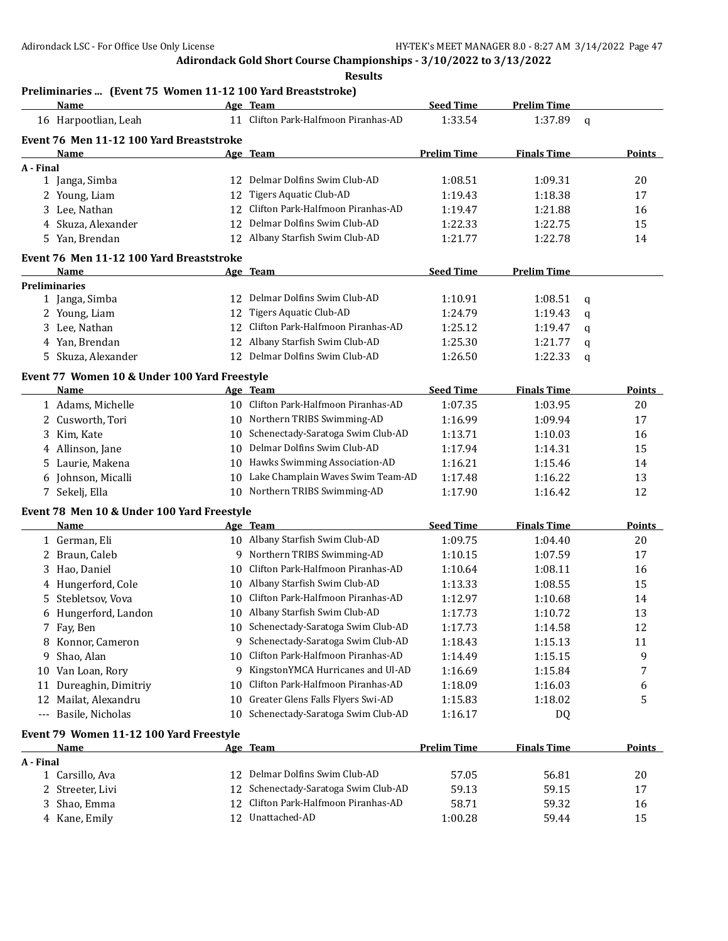**Results**

# **Preliminaries ... (Event 75 Women 11-12 100 Yard Breaststroke)**

|           | <b>Name</b>                                  |    | Age Team                             | <b>Seed Time</b>   | <b>Prelim Time</b> |             |               |
|-----------|----------------------------------------------|----|--------------------------------------|--------------------|--------------------|-------------|---------------|
|           | 16 Harpootlian, Leah                         | 11 | Clifton Park-Halfmoon Piranhas-AD    | 1:33.54            | 1:37.89            | $\mathbf q$ |               |
|           | Event 76 Men 11-12 100 Yard Breaststroke     |    |                                      |                    |                    |             |               |
|           | Name                                         |    | Age Team                             | <b>Prelim Time</b> | <b>Finals Time</b> |             | <b>Points</b> |
| A - Final |                                              |    |                                      |                    |                    |             |               |
|           | 1 Janga, Simba                               |    | 12 Delmar Dolfins Swim Club-AD       | 1:08.51            | 1:09.31            |             | 20            |
|           | 2 Young, Liam                                | 12 | <b>Tigers Aquatic Club-AD</b>        | 1:19.43            | 1:18.38            |             | 17            |
|           | 3 Lee, Nathan                                | 12 | Clifton Park-Halfmoon Piranhas-AD    | 1:19.47            | 1:21.88            |             | 16            |
|           | 4 Skuza, Alexander                           | 12 | Delmar Dolfins Swim Club-AD          | 1:22.33            | 1:22.75            |             | 15            |
|           | 5 Yan, Brendan                               |    | 12 Albany Starfish Swim Club-AD      | 1:21.77            | 1:22.78            |             | 14            |
|           | Event 76 Men 11-12 100 Yard Breaststroke     |    |                                      |                    |                    |             |               |
|           | Name                                         |    | Age Team                             | <b>Seed Time</b>   | <b>Prelim Time</b> |             |               |
|           | <b>Preliminaries</b>                         |    |                                      |                    |                    |             |               |
|           | 1 Janga, Simba                               | 12 | Delmar Dolfins Swim Club-AD          | 1:10.91            | 1:08.51            | q           |               |
|           | 2 Young, Liam                                | 12 | Tigers Aquatic Club-AD               | 1:24.79            | 1:19.43            | q           |               |
|           | 3 Lee, Nathan                                | 12 | Clifton Park-Halfmoon Piranhas-AD    | 1:25.12            | 1:19.47            | q           |               |
|           | 4 Yan, Brendan                               | 12 | Albany Starfish Swim Club-AD         | 1:25.30            | 1:21.77            | q           |               |
|           | 5 Skuza, Alexander                           | 12 | Delmar Dolfins Swim Club-AD          | 1:26.50            | 1:22.33            | q           |               |
|           | Event 77 Women 10 & Under 100 Yard Freestyle |    |                                      |                    |                    |             |               |
|           | <b>Name</b>                                  |    | Age Team                             | <b>Seed Time</b>   | <b>Finals Time</b> |             | Points        |
|           | 1 Adams, Michelle                            |    | 10 Clifton Park-Halfmoon Piranhas-AD | 1:07.35            | 1:03.95            |             | 20            |
|           | 2 Cusworth, Tori                             |    | 10 Northern TRIBS Swimming-AD        | 1:16.99            | 1:09.94            |             | 17            |
| 3         | Kim, Kate                                    | 10 | Schenectady-Saratoga Swim Club-AD    | 1:13.71            | 1:10.03            |             | 16            |
|           | 4 Allinson, Jane                             | 10 | Delmar Dolfins Swim Club-AD          | 1:17.94            | 1:14.31            |             | 15            |
| 5.        | Laurie, Makena                               |    | 10 Hawks Swimming Association-AD     | 1:16.21            | 1:15.46            |             | 14            |
|           | 6 Johnson, Micalli                           | 10 | Lake Champlain Waves Swim Team-AD    | 1:17.48            | 1:16.22            |             | 13            |
|           | 7 Sekelj, Ella                               |    | 10 Northern TRIBS Swimming-AD        | 1:17.90            | 1:16.42            |             | 12            |
|           | Event 78 Men 10 & Under 100 Yard Freestyle   |    |                                      |                    |                    |             |               |
|           | Name                                         |    | Age Team                             | <b>Seed Time</b>   | <b>Finals Time</b> |             | <b>Points</b> |
|           | 1 German, Eli                                |    | 10 Albany Starfish Swim Club-AD      | 1:09.75            | 1:04.40            |             | 20            |
|           | 2 Braun, Caleb                               |    | 9 Northern TRIBS Swimming-AD         | 1:10.15            | 1:07.59            |             | 17            |
|           | 3 Hao, Daniel                                | 10 | Clifton Park-Halfmoon Piranhas-AD    | 1:10.64            | 1:08.11            |             | 16            |
|           | 4 Hungerford, Cole                           |    | 10 Albany Starfish Swim Club-AD      | 1:13.33            | 1:08.55            |             | 15            |
| 5         | Stebletsov, Vova                             | 10 | Clifton Park-Halfmoon Piranhas-AD    | 1:12.97            | 1:10.68            |             | 14            |
|           | 6 Hungerford, Landon                         |    | 10 Albany Starfish Swim Club-AD      | 1:17.73            | 1:10.72            |             | 13            |
|           | 7 Fay, Ben                                   |    | 10 Schenectady-Saratoga Swim Club-AD | 1:17.73            | 1:14.58            |             | 12            |
|           | 8 Konnor, Cameron                            |    | 9 Schenectady-Saratoga Swim Club-AD  | 1:18.43            | 1:15.13            |             | 11            |
| 9         | Shao, Alan                                   | 10 | Clifton Park-Halfmoon Piranhas-AD    | 1:14.49            | 1:15.15            |             | 9             |
|           | 10 Van Loan, Rory                            | 9  | KingstonYMCA Hurricanes and Ul-AD    | 1:16.69            | 1:15.84            |             | 7             |
| 11        | Dureaghin, Dimitriy                          | 10 | Clifton Park-Halfmoon Piranhas-AD    | 1:18.09            | 1:16.03            |             | 6             |
| 12        | Mailat, Alexandru                            | 10 | Greater Glens Falls Flyers Swi-AD    | 1:15.83            | 1:18.02            |             | 5             |
|           | --- Basile, Nicholas                         | 10 | Schenectady-Saratoga Swim Club-AD    | 1:16.17            | DQ                 |             |               |
|           | Event 79 Women 11-12 100 Yard Freestyle      |    |                                      |                    |                    |             |               |
|           | <u>Name</u>                                  |    | Age Team                             | <b>Prelim Time</b> | <b>Finals Time</b> |             | <b>Points</b> |
| A - Final |                                              |    |                                      |                    |                    |             |               |
|           | 1 Carsillo, Ava                              | 12 | Delmar Dolfins Swim Club-AD          | 57.05              | 56.81              |             | 20            |
|           | 2 Streeter, Livi                             | 12 | Schenectady-Saratoga Swim Club-AD    | 59.13              | 59.15              |             | 17            |
| 3         | Shao, Emma                                   | 12 | Clifton Park-Halfmoon Piranhas-AD    | 58.71              | 59.32              |             | 16            |
|           | 4 Kane, Emily                                |    | 12 Unattached-AD                     | 1:00.28            | 59.44              |             | 15            |
|           |                                              |    |                                      |                    |                    |             |               |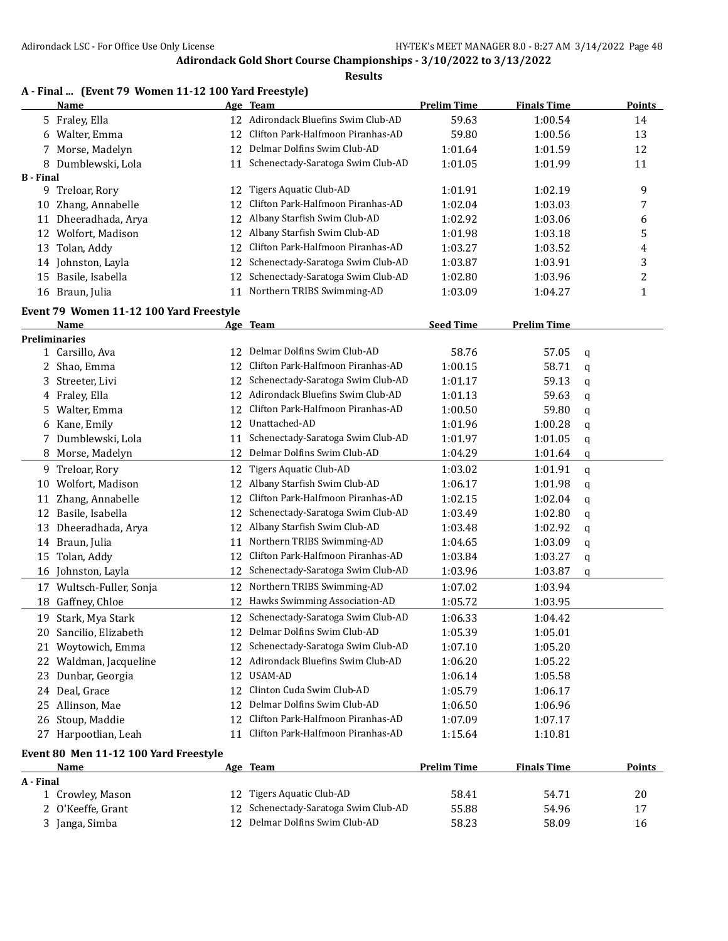#### **Results**

|                  | A - Final  (Event 79 Women 11-12 100 Yard Freestyle) |    |                                      |                    |                    |   |        |
|------------------|------------------------------------------------------|----|--------------------------------------|--------------------|--------------------|---|--------|
|                  | Name                                                 |    | Age Team                             | <b>Prelim Time</b> | <b>Finals Time</b> |   | Points |
|                  | 5 Fraley, Ella                                       |    | 12 Adirondack Bluefins Swim Club-AD  | 59.63              | 1:00.54            |   | 14     |
|                  | 6 Walter, Emma                                       |    | 12 Clifton Park-Halfmoon Piranhas-AD | 59.80              | 1:00.56            |   | 13     |
|                  | 7 Morse, Madelyn                                     |    | 12 Delmar Dolfins Swim Club-AD       | 1:01.64            | 1:01.59            |   | 12     |
|                  | 8 Dumblewski, Lola                                   |    | 11 Schenectady-Saratoga Swim Club-AD | 1:01.05            | 1:01.99            |   | 11     |
| <b>B</b> - Final |                                                      |    |                                      |                    |                    |   |        |
|                  | 9 Treloar, Rory                                      | 12 | Tigers Aquatic Club-AD               | 1:01.91            | 1:02.19            |   | 9      |
| 10               | Zhang, Annabelle                                     | 12 | Clifton Park-Halfmoon Piranhas-AD    | 1:02.04            | 1:03.03            |   | 7      |
| 11               | Dheeradhada, Arya                                    | 12 | Albany Starfish Swim Club-AD         | 1:02.92            | 1:03.06            |   | 6      |
|                  | 12 Wolfort, Madison                                  | 12 | Albany Starfish Swim Club-AD         | 1:01.98            | 1:03.18            |   | 5      |
| 13               | Tolan, Addy                                          | 12 | Clifton Park-Halfmoon Piranhas-AD    | 1:03.27            | 1:03.52            |   | 4      |
|                  | 14 Johnston, Layla                                   | 12 | Schenectady-Saratoga Swim Club-AD    | 1:03.87            | 1:03.91            |   | 3      |
|                  | 15 Basile, Isabella                                  | 12 | Schenectady-Saratoga Swim Club-AD    | 1:02.80            | 1:03.96            |   | 2      |
|                  | 16 Braun, Julia                                      |    | 11 Northern TRIBS Swimming-AD        | 1:03.09            | 1:04.27            |   | 1      |
|                  | Event 79 Women 11-12 100 Yard Freestyle              |    |                                      |                    |                    |   |        |
|                  | Name                                                 |    | Age Team                             | <b>Seed Time</b>   | <b>Prelim Time</b> |   |        |
|                  | <b>Preliminaries</b>                                 |    |                                      |                    |                    |   |        |
|                  | 1 Carsillo, Ava                                      | 12 | Delmar Dolfins Swim Club-AD          | 58.76              | 57.05              | q |        |
|                  | 2 Shao, Emma                                         | 12 | Clifton Park-Halfmoon Piranhas-AD    | 1:00.15            | 58.71              | q |        |
| 3                | Streeter, Livi                                       | 12 | Schenectady-Saratoga Swim Club-AD    | 1:01.17            | 59.13              | q |        |
|                  | 4 Fraley, Ella                                       | 12 | Adirondack Bluefins Swim Club-AD     | 1:01.13            | 59.63              | q |        |
| 5.               | Walter, Emma                                         | 12 | Clifton Park-Halfmoon Piranhas-AD    | 1:00.50            | 59.80              | q |        |
| 6                | Kane, Emily                                          | 12 | Unattached-AD                        | 1:01.96            | 1:00.28            | q |        |
| 7                | Dumblewski, Lola                                     | 11 | Schenectady-Saratoga Swim Club-AD    | 1:01.97            | 1:01.05            | q |        |
| 8                | Morse, Madelyn                                       | 12 | Delmar Dolfins Swim Club-AD          | 1:04.29            | 1:01.64            | q |        |
|                  | 9 Treloar, Rory                                      | 12 | Tigers Aquatic Club-AD               | 1:03.02            | 1:01.91            | q |        |
| 10               | Wolfort, Madison                                     |    | 12 Albany Starfish Swim Club-AD      | 1:06.17            | 1:01.98            | q |        |
| 11               | Zhang, Annabelle                                     | 12 | Clifton Park-Halfmoon Piranhas-AD    | 1:02.15            | 1:02.04            | q |        |
| 12               | Basile, Isabella                                     | 12 | Schenectady-Saratoga Swim Club-AD    | 1:03.49            | 1:02.80            | q |        |
| 13               | Dheeradhada, Arya                                    | 12 | Albany Starfish Swim Club-AD         | 1:03.48            | 1:02.92            | q |        |
| 14               | Braun, Julia                                         | 11 | Northern TRIBS Swimming-AD           | 1:04.65            | 1:03.09            | q |        |
| 15               | Tolan, Addy                                          | 12 | Clifton Park-Halfmoon Piranhas-AD    | 1:03.84            | 1:03.27            | q |        |
|                  | 16 Johnston, Layla                                   | 12 | Schenectady-Saratoga Swim Club-AD    | 1:03.96            | 1:03.87            | q |        |
|                  | 17 Wultsch-Fuller, Sonja                             |    | 12 Northern TRIBS Swimming-AD        | 1:07.02            | 1:03.94            |   |        |
|                  | 18 Gaffney, Chloe                                    |    | 12 Hawks Swimming Association-AD     | 1:05.72            | 1:03.95            |   |        |
|                  | 19 Stark, Mya Stark                                  |    | 12 Schenectady-Saratoga Swim Club-AD | 1:06.33            | 1:04.42            |   |        |
|                  | 20 Sancilio, Elizabeth                               | 12 | Delmar Dolfins Swim Club-AD          | 1:05.39            | 1:05.01            |   |        |
|                  | 21 Woytowich, Emma                                   | 12 | Schenectady-Saratoga Swim Club-AD    | 1:07.10            | 1:05.20            |   |        |
|                  | 22 Waldman, Jacqueline                               | 12 | Adirondack Bluefins Swim Club-AD     | 1:06.20            | 1:05.22            |   |        |
|                  | 23 Dunbar, Georgia                                   | 12 | USAM-AD                              | 1:06.14            | 1:05.58            |   |        |
|                  | 24 Deal, Grace                                       | 12 | Clinton Cuda Swim Club-AD            | 1:05.79            | 1:06.17            |   |        |
|                  | 25 Allinson, Mae                                     |    | 12 Delmar Dolfins Swim Club-AD       | 1:06.50            | 1:06.96            |   |        |
| 26               | Stoup, Maddie                                        |    | 12 Clifton Park-Halfmoon Piranhas-AD | 1:07.09            | 1:07.17            |   |        |
|                  | 27 Harpootlian, Leah                                 |    | 11 Clifton Park-Halfmoon Piranhas-AD | 1:15.64            | 1:10.81            |   |        |
|                  | Event 80 Men 11-12 100 Yard Freestyle                |    |                                      |                    |                    |   |        |
|                  | Name                                                 |    | Age Team                             | <b>Prelim Time</b> | <b>Finals Time</b> |   | Points |
| A - Final        |                                                      |    |                                      |                    |                    |   |        |
|                  | 1 Crowley, Mason                                     | 12 | Tigers Aquatic Club-AD               | 58.41              | 54.71              |   | 20     |
|                  | 2 O'Keeffe, Grant                                    |    | 12 Schenectady-Saratoga Swim Club-AD | 55.88              | 54.96              |   | 17     |

3 Janga, Simba 12 Delmar Dolfins Swim Club-AD 58.23 58.09 58.09 58.09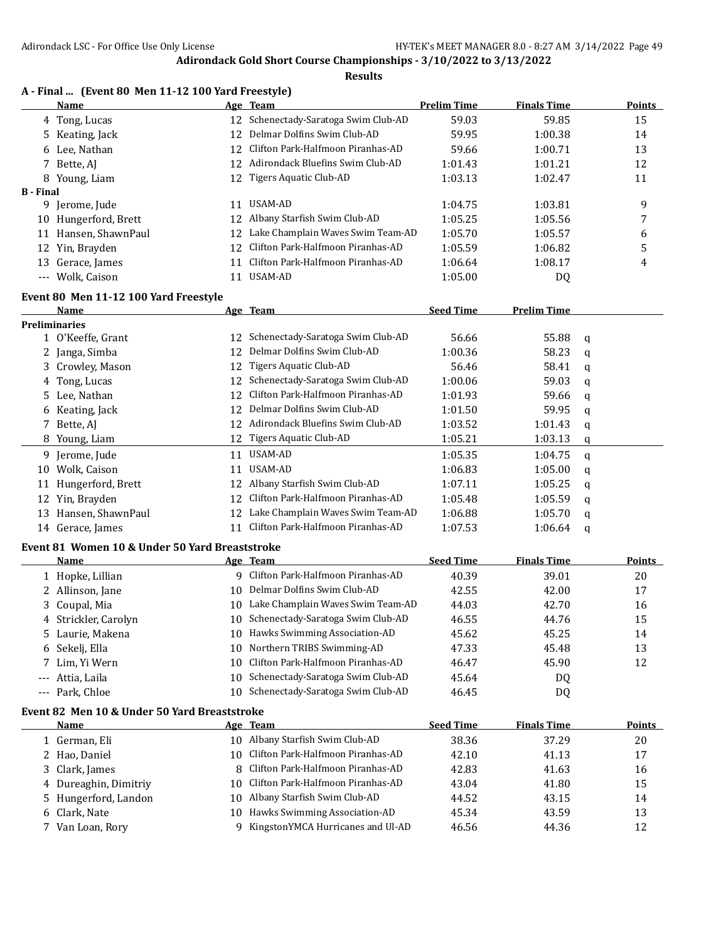|      | A - Final  (Event 80 Men 11-12 100 Yard Freestyle) |
|------|----------------------------------------------------|
| Name | Age Team                                           |

|                  | Name                                           |          | Age Team                             | <b>Prelim Time</b> | <b>Finals Time</b> |   | Points        |
|------------------|------------------------------------------------|----------|--------------------------------------|--------------------|--------------------|---|---------------|
|                  | 4 Tong, Lucas                                  | 12       | Schenectady-Saratoga Swim Club-AD    | 59.03              | 59.85              |   | 15            |
| 5.               | Keating, Jack                                  | 12       | Delmar Dolfins Swim Club-AD          | 59.95              | 1:00.38            |   | 14            |
|                  | 6 Lee, Nathan                                  | 12       | Clifton Park-Halfmoon Piranhas-AD    | 59.66              | 1:00.71            |   | 13            |
|                  | 7 Bette, AJ                                    | 12       | Adirondack Bluefins Swim Club-AD     | 1:01.43            | 1:01.21            |   | 12            |
|                  | 8 Young, Liam                                  | 12       | Tigers Aquatic Club-AD               | 1:03.13            | 1:02.47            |   | 11            |
| <b>B</b> - Final |                                                |          |                                      |                    |                    |   |               |
|                  | 9 Jerome, Jude                                 | 11       | USAM-AD                              | 1:04.75            | 1:03.81            |   | 9             |
|                  | 10 Hungerford, Brett                           | 12       | Albany Starfish Swim Club-AD         | 1:05.25            | 1:05.56            |   | 7             |
|                  | 11 Hansen, ShawnPaul                           | 12       | Lake Champlain Waves Swim Team-AD    | 1:05.70            | 1:05.57            |   | 6             |
|                  | 12 Yin, Brayden                                | 12       | Clifton Park-Halfmoon Piranhas-AD    | 1:05.59            | 1:06.82            |   | 5             |
| 13               | Gerace, James                                  | 11       | Clifton Park-Halfmoon Piranhas-AD    | 1:06.64            | 1:08.17            |   | 4             |
|                  | --- Wolk, Caison                               | 11       | USAM-AD                              | 1:05.00            | DQ                 |   |               |
|                  | Event 80 Men 11-12 100 Yard Freestyle          |          |                                      |                    |                    |   |               |
|                  | Name                                           |          | Age Team                             | <b>Seed Time</b>   | <b>Prelim Time</b> |   |               |
|                  | <b>Preliminaries</b>                           |          |                                      |                    |                    |   |               |
|                  | 1 O'Keeffe, Grant                              | 12       | Schenectady-Saratoga Swim Club-AD    | 56.66              | 55.88              | q |               |
|                  | 2 Janga, Simba                                 | 12       | Delmar Dolfins Swim Club-AD          | 1:00.36            | 58.23              | q |               |
| 3                | Crowley, Mason                                 | 12       | <b>Tigers Aquatic Club-AD</b>        | 56.46              | 58.41              | q |               |
|                  | 4 Tong, Lucas                                  | 12       | Schenectady-Saratoga Swim Club-AD    | 1:00.06            | 59.03              | q |               |
|                  | 5 Lee, Nathan                                  | 12       | Clifton Park-Halfmoon Piranhas-AD    | 1:01.93            | 59.66              | q |               |
|                  | 6 Keating, Jack                                | 12       | Delmar Dolfins Swim Club-AD          | 1:01.50            | 59.95              | q |               |
|                  | 7 Bette, AJ                                    |          | 12 Adirondack Bluefins Swim Club-AD  | 1:03.52            | 1:01.43            | q |               |
|                  | 8 Young, Liam                                  | 12       | Tigers Aquatic Club-AD               | 1:05.21            | 1:03.13            |   |               |
|                  |                                                |          | USAM-AD                              |                    |                    | q |               |
|                  | 9 Jerome, Jude                                 | 11       | USAM-AD                              | 1:05.35            | 1:04.75            | q |               |
| 10               | Wolk, Caison                                   | 11       |                                      | 1:06.83            | 1:05.00            | q |               |
|                  | 11 Hungerford, Brett                           |          | 12 Albany Starfish Swim Club-AD      | 1:07.11            | 1:05.25            | q |               |
|                  | 12 Yin, Brayden                                | 12       | Clifton Park-Halfmoon Piranhas-AD    | 1:05.48            | 1:05.59            | q |               |
|                  | 13 Hansen, ShawnPaul                           | 12       | Lake Champlain Waves Swim Team-AD    | 1:06.88            | 1:05.70            | q |               |
|                  | 14 Gerace, James                               | 11       | Clifton Park-Halfmoon Piranhas-AD    | 1:07.53            | 1:06.64            | q |               |
|                  | Event 81 Women 10 & Under 50 Yard Breaststroke |          |                                      |                    |                    |   |               |
|                  | Name                                           |          | Age Team                             | <b>Seed Time</b>   | <b>Finals Time</b> |   | <b>Points</b> |
|                  | 1 Hopke, Lillian                               |          | 9 Clifton Park-Halfmoon Piranhas-AD  | 40.39              | 39.01              |   | 20            |
|                  | 2 Allinson, Jane                               | 10       | Delmar Dolfins Swim Club-AD          | 42.55              | 42.00              |   | 17            |
|                  | 3 Coupal, Mia                                  |          | 10 Lake Champlain Waves Swim Team-AD | 44.03              | 42.70              |   | 16            |
|                  | 4 Strickler, Carolyn                           |          | 10 Schenectady-Saratoga Swim Club-AD | 46.55              | 44.76              |   | 15            |
|                  | 5 Laurie, Makena                               |          | 10 Hawks Swimming Association-AD     | 45.62              | 45.25              |   | 14            |
|                  | 6 Sekelj, Ella                                 |          | 10 Northern TRIBS Swimming-AD        | 47.33              | 45.48              |   | 13            |
| 7                | Lim, Yi Wern                                   | 10       | Clifton Park-Halfmoon Piranhas-AD    | 46.47              | 45.90              |   | 12            |
| ---              | Attia, Laila                                   | 10       | Schenectady-Saratoga Swim Club-AD    | 45.64              | DQ                 |   |               |
| ---              | Park, Chloe                                    | 10       | Schenectady-Saratoga Swim Club-AD    | 46.45              | DQ                 |   |               |
|                  | Event 82 Men 10 & Under 50 Yard Breaststroke   |          |                                      |                    |                    |   |               |
|                  | <b>Name</b>                                    |          | Age Team                             | <b>Seed Time</b>   | <b>Finals Time</b> |   | <b>Points</b> |
|                  | 1 German, Eli                                  |          | 10 Albany Starfish Swim Club-AD      | 38.36              | 37.29              |   | 20            |
|                  | 2 Hao, Daniel                                  | 10       | Clifton Park-Halfmoon Piranhas-AD    | 42.10              | 41.13              |   | 17            |
| 3                | Clark, James                                   | 8        | Clifton Park-Halfmoon Piranhas-AD    | 42.83              | 41.63              |   | 16            |
|                  |                                                | 10       | Clifton Park-Halfmoon Piranhas-AD    | 43.04              |                    |   |               |
| 4                | Dureaghin, Dimitriy                            |          | Albany Starfish Swim Club-AD         | 44.52              | 41.80<br>43.15     |   | 15            |
| 5.               | Hungerford, Landon                             | 10<br>10 | Hawks Swimming Association-AD        |                    |                    |   | 14            |
| 6                | Clark, Nate                                    | 9.       | KingstonYMCA Hurricanes and Ul-AD    | 45.34<br>46.56     | 43.59              |   | 13            |
| 7                | Van Loan, Rory                                 |          |                                      |                    | 44.36              |   | 12            |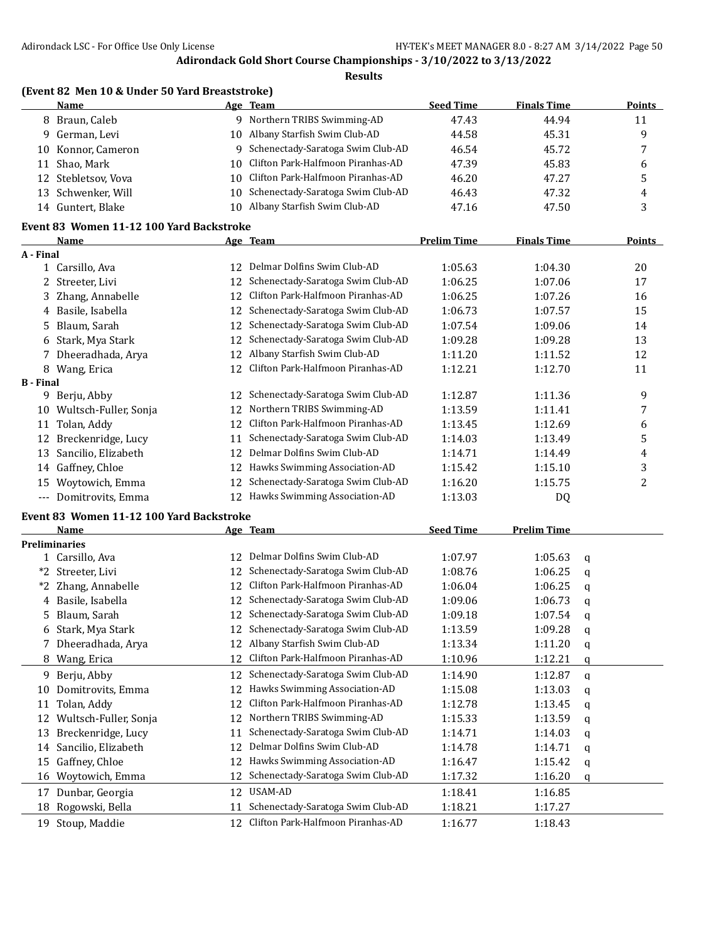**Results**

|                  | (Event 82 Men 10 & Under 50 Yard Breaststroke) |    |                                      |                    |                    |   |                |
|------------------|------------------------------------------------|----|--------------------------------------|--------------------|--------------------|---|----------------|
|                  | Name                                           |    | Age Team                             | <b>Seed Time</b>   | <b>Finals Time</b> |   | <b>Points</b>  |
|                  | 8 Braun, Caleb                                 |    | 9 Northern TRIBS Swimming-AD         | 47.43              | 44.94              |   | 11             |
|                  | 9 German, Levi                                 |    | 10 Albany Starfish Swim Club-AD      | 44.58              | 45.31              |   | 9              |
| 10               | Konnor, Cameron                                |    | 9 Schenectady-Saratoga Swim Club-AD  | 46.54              | 45.72              |   | 7              |
|                  | 11 Shao, Mark                                  | 10 | Clifton Park-Halfmoon Piranhas-AD    | 47.39              | 45.83              |   | 6              |
|                  | 12 Stebletsov, Vova                            | 10 | Clifton Park-Halfmoon Piranhas-AD    | 46.20              | 47.27              |   | 5              |
|                  | 13 Schwenker, Will                             | 10 | Schenectady-Saratoga Swim Club-AD    | 46.43              | 47.32              |   | 4              |
|                  | 14 Guntert, Blake                              |    | 10 Albany Starfish Swim Club-AD      | 47.16              | 47.50              |   | 3              |
|                  | Event 83 Women 11-12 100 Yard Backstroke       |    |                                      |                    |                    |   |                |
|                  | <b>Name</b>                                    |    | Age Team                             | <b>Prelim Time</b> | <b>Finals Time</b> |   | <b>Points</b>  |
| A - Final        |                                                |    |                                      |                    |                    |   |                |
|                  | 1 Carsillo, Ava                                |    | 12 Delmar Dolfins Swim Club-AD       | 1:05.63            | 1:04.30            |   | 20             |
|                  | 2 Streeter, Livi                               | 12 | Schenectady-Saratoga Swim Club-AD    | 1:06.25            | 1:07.06            |   | 17             |
|                  | 3 Zhang, Annabelle                             | 12 | Clifton Park-Halfmoon Piranhas-AD    | 1:06.25            | 1:07.26            |   | 16             |
|                  | 4 Basile, Isabella                             | 12 | Schenectady-Saratoga Swim Club-AD    | 1:06.73            | 1:07.57            |   | 15             |
| 5.               | Blaum, Sarah                                   | 12 | Schenectady-Saratoga Swim Club-AD    | 1:07.54            | 1:09.06            |   | 14             |
| 6                | Stark, Mya Stark                               | 12 | Schenectady-Saratoga Swim Club-AD    | 1:09.28            | 1:09.28            |   | 13             |
|                  | 7 Dheeradhada, Arya                            | 12 | Albany Starfish Swim Club-AD         | 1:11.20            | 1:11.52            |   | 12             |
|                  | 8 Wang, Erica                                  | 12 | Clifton Park-Halfmoon Piranhas-AD    | 1:12.21            | 1:12.70            |   | 11             |
| <b>B</b> - Final |                                                |    |                                      |                    |                    |   |                |
|                  | 9 Berju, Abby                                  | 12 | Schenectady-Saratoga Swim Club-AD    | 1:12.87            | 1:11.36            |   | 9              |
|                  | 10 Wultsch-Fuller, Sonja                       | 12 | Northern TRIBS Swimming-AD           | 1:13.59            | 1:11.41            |   | 7              |
| 11               | Tolan, Addy                                    | 12 | Clifton Park-Halfmoon Piranhas-AD    | 1:13.45            | 1:12.69            |   | 6              |
| 12               | Breckenridge, Lucy                             | 11 | Schenectady-Saratoga Swim Club-AD    | 1:14.03            | 1:13.49            |   | 5              |
| 13               | Sancilio, Elizabeth                            | 12 | Delmar Dolfins Swim Club-AD          | 1:14.71            | 1:14.49            |   | 4              |
|                  | 14 Gaffney, Chloe                              | 12 | Hawks Swimming Association-AD        | 1:15.42            | 1:15.10            |   | 3              |
|                  | 15 Woytowich, Emma                             | 12 | Schenectady-Saratoga Swim Club-AD    | 1:16.20            | 1:15.75            |   | $\overline{c}$ |
|                  | --- Domitrovits, Emma                          |    | 12 Hawks Swimming Association-AD     | 1:13.03            | DQ                 |   |                |
|                  | Event 83 Women 11-12 100 Yard Backstroke       |    |                                      |                    |                    |   |                |
|                  | Name                                           |    | Age Team                             | <b>Seed Time</b>   | <b>Prelim Time</b> |   |                |
|                  | <b>Preliminaries</b>                           |    |                                      |                    |                    |   |                |
|                  | 1 Carsillo, Ava                                | 12 | Delmar Dolfins Swim Club-AD          | 1:07.97            | 1:05.63            | q |                |
| *2               | Streeter, Livi                                 | 12 | Schenectady-Saratoga Swim Club-AD    | 1:08.76            | 1:06.25            | q |                |
| *2               | Zhang, Annabelle                               | 12 | Clifton Park-Halfmoon Piranhas-AD    | 1:06.04            | 1:06.25            | q |                |
|                  | 4 Basile, Isabella                             |    | 12 Schenectady-Saratoga Swim Club-AD | 1:09.06            | 1:06.73            | q |                |
| 5.               | Blaum, Sarah                                   |    | 12 Schenectady-Saratoga Swim Club-AD | 1:09.18            | 1:07.54            | q |                |
|                  | 6 Stark, Mya Stark                             |    | 12 Schenectady-Saratoga Swim Club-AD | 1:13.59            | 1:09.28            | q |                |
|                  | Dheeradhada, Arya                              | 12 | Albany Starfish Swim Club-AD         | 1:13.34            | 1:11.20            | q |                |
|                  | 8 Wang, Erica                                  | 12 | Clifton Park-Halfmoon Piranhas-AD    | 1:10.96            | 1:12.21            | q |                |
| 9.               | Berju, Abby                                    | 12 | Schenectady-Saratoga Swim Club-AD    | 1:14.90            | 1:12.87            | q |                |
| 10               | Domitrovits, Emma                              | 12 | Hawks Swimming Association-AD        | 1:15.08            | 1:13.03            | q |                |
|                  | 11 Tolan, Addy                                 | 12 | Clifton Park-Halfmoon Piranhas-AD    | 1:12.78            | 1:13.45            | q |                |

12 Wultsch-Fuller, Sonja 12 Northern TRIBS Swimming-AD 1:15.33 1:13.59 q 13 Breckenridge, Lucy 11 Schenectady-Saratoga Swim Club-AD 1:14.71 1:14.03 q 14 Sancilio, Elizabeth 12 Delmar Dolfins Swim Club-AD 1:14.78 1:14.71 q 15 Gaffney, Chloe 12 Hawks Swimming Association-AD 1:16.47 1:15.42 q 16 Woytowich, Emma 12 Schenectady-Saratoga Swim Club-AD 1:17.32 1:16.20 q 17 Dunbar, Georgia 12 USAM-AD 1:18.41 1:16.85 18 Rogowski, Bella 11 Schenectady-Saratoga Swim Club-AD 1:18.21 1:17.27 19 Stoup, Maddie 12 Clifton Park-Halfmoon Piranhas-AD 1:16.77 1:18.43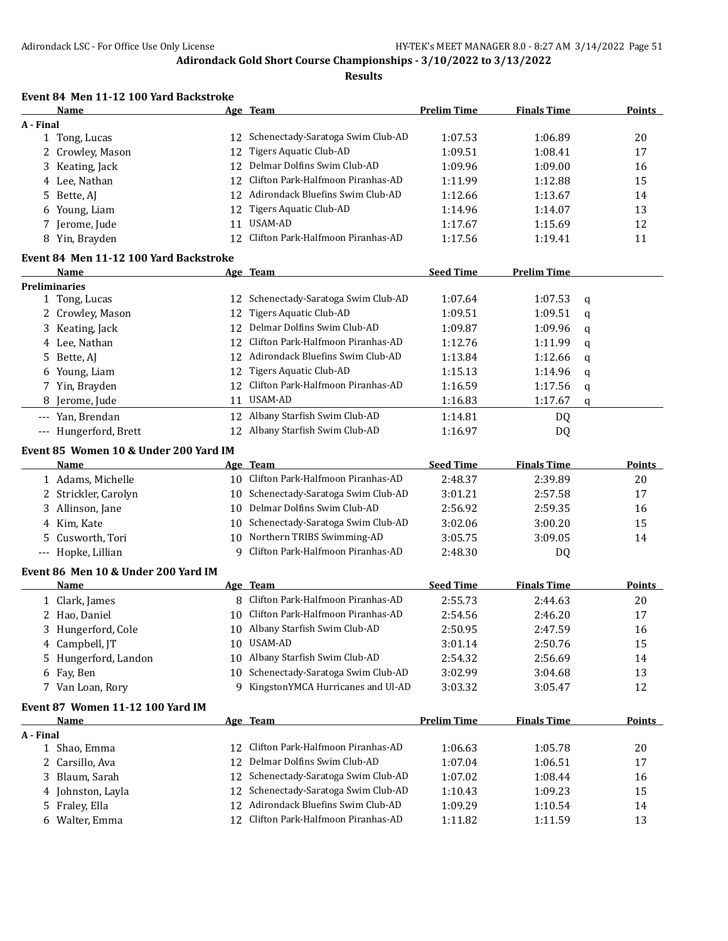#### **Results**

# **Event 84 Men 11-12 100 Yard Backstroke**

|           | Name                                   |    | Age Team                             | <b>Prelim Time</b> | <b>Finals Time</b> |             | Points        |
|-----------|----------------------------------------|----|--------------------------------------|--------------------|--------------------|-------------|---------------|
| A - Final |                                        |    |                                      |                    |                    |             |               |
|           | 1 Tong, Lucas                          |    | 12 Schenectady-Saratoga Swim Club-AD | 1:07.53            | 1:06.89            |             | 20            |
|           | 2 Crowley, Mason                       | 12 | Tigers Aquatic Club-AD               | 1:09.51            | 1:08.41            |             | 17            |
| 3         | Keating, Jack                          | 12 | Delmar Dolfins Swim Club-AD          | 1:09.96            | 1:09.00            |             | 16            |
| 4         | Lee, Nathan                            | 12 | Clifton Park-Halfmoon Piranhas-AD    | 1:11.99            | 1:12.88            |             | 15            |
| 5         | Bette, AJ                              | 12 | Adirondack Bluefins Swim Club-AD     | 1:12.66            | 1:13.67            |             | 14            |
| 6         | Young, Liam                            | 12 | Tigers Aquatic Club-AD               | 1:14.96            | 1:14.07            |             | 13            |
| 7.        | Jerome, Jude                           | 11 | USAM-AD                              | 1:17.67            | 1:15.69            |             | 12            |
|           | 8 Yin, Brayden                         | 12 | Clifton Park-Halfmoon Piranhas-AD    | 1:17.56            | 1:19.41            |             | 11            |
|           | Event 84 Men 11-12 100 Yard Backstroke |    |                                      |                    |                    |             |               |
|           | Name                                   |    | Age Team                             | <b>Seed Time</b>   | <b>Prelim Time</b> |             |               |
|           | <b>Preliminaries</b>                   |    |                                      |                    |                    |             |               |
|           | 1 Tong, Lucas                          | 12 | Schenectady-Saratoga Swim Club-AD    | 1:07.64            | 1:07.53            | q           |               |
|           | 2 Crowley, Mason                       | 12 | <b>Tigers Aquatic Club-AD</b>        | 1:09.51            | 1:09.51            | q           |               |
|           | 3 Keating, Jack                        | 12 | Delmar Dolfins Swim Club-AD          | 1:09.87            | 1:09.96            | q           |               |
|           | 4 Lee, Nathan                          | 12 | Clifton Park-Halfmoon Piranhas-AD    | 1:12.76            | 1:11.99            | q           |               |
| 5.        | Bette, AJ                              | 12 | Adirondack Bluefins Swim Club-AD     | 1:13.84            | 1:12.66            | q           |               |
|           | 6 Young, Liam                          | 12 | <b>Tigers Aquatic Club-AD</b>        | 1:15.13            | 1:14.96            | q           |               |
|           | 7 Yin, Brayden                         | 12 | Clifton Park-Halfmoon Piranhas-AD    | 1:16.59            | 1:17.56            | q           |               |
| 8         | Jerome, Jude                           | 11 | <b>USAM-AD</b>                       | 1:16.83            | 1:17.67            | $\mathbf q$ |               |
| $\cdots$  | Yan, Brendan                           | 12 | Albany Starfish Swim Club-AD         | 1:14.81            | DQ                 |             |               |
|           | --- Hungerford, Brett                  | 12 | Albany Starfish Swim Club-AD         | 1:16.97            | DQ                 |             |               |
|           | Event 85 Women 10 & Under 200 Yard IM  |    |                                      |                    |                    |             |               |
|           | Name                                   |    | Age Team                             | <b>Seed Time</b>   | <b>Finals Time</b> |             | <b>Points</b> |
|           | 1 Adams, Michelle                      | 10 | Clifton Park-Halfmoon Piranhas-AD    | 2:48.37            | 2:39.89            |             | 20            |
|           | 2 Strickler, Carolyn                   | 10 | Schenectady-Saratoga Swim Club-AD    | 3:01.21            | 2:57.58            |             | 17            |
| 3         | Allinson, Jane                         | 10 | Delmar Dolfins Swim Club-AD          | 2:56.92            | 2:59.35            |             | 16            |
| 4         | Kim, Kate                              | 10 | Schenectady-Saratoga Swim Club-AD    | 3:02.06            | 3:00.20            |             | 15            |
| 5         | Cusworth, Tori                         | 10 | Northern TRIBS Swimming-AD           | 3:05.75            | 3:09.05            |             | 14            |
|           | --- Hopke, Lillian                     | 9  | Clifton Park-Halfmoon Piranhas-AD    | 2:48.30            | DQ                 |             |               |
|           | Event 86 Men 10 & Under 200 Yard IM    |    |                                      |                    |                    |             |               |
|           | Name                                   |    | Age Team                             | <b>Seed Time</b>   | <b>Finals Time</b> |             | Points        |
|           | 1 Clark, James                         | 8  | Clifton Park-Halfmoon Piranhas-AD    | 2:55.73            | 2:44.63            |             | 20            |
|           | 2 Hao, Daniel                          | 10 | Clifton Park-Halfmoon Piranhas-AD    | 2:54.56            | 2:46.20            |             | 17            |
|           | 3 Hungerford, Cole                     |    | 10 Albany Starfish Swim Club-AD      | 2:50.95            | 2:47.59            |             | 16            |
|           | 4 Campbell, JT                         | 10 | USAM-AD                              | 3:01.14            | 2:50.76            |             | 15            |
| 5.        | Hungerford, Landon                     | 10 | Albany Starfish Swim Club-AD         | 2:54.32            | 2:56.69            |             | 14            |
| 6         | Fay, Ben                               | 10 | Schenectady-Saratoga Swim Club-AD    | 3:02.99            | 3:04.68            |             | 13            |
|           | 7 Van Loan, Rory                       | 9  | KingstonYMCA Hurricanes and Ul-AD    | 3:03.32            | 3:05.47            |             | 12            |
|           | Event 87 Women 11-12 100 Yard IM       |    |                                      |                    |                    |             |               |
|           | <b>Name</b>                            |    | Age Team                             | <b>Prelim Time</b> | <b>Finals Time</b> |             | <b>Points</b> |
| A - Final |                                        |    |                                      |                    |                    |             |               |
|           | 1 Shao, Emma                           | 12 | Clifton Park-Halfmoon Piranhas-AD    | 1:06.63            | 1:05.78            |             | 20            |
| 2         | Carsillo, Ava                          | 12 | Delmar Dolfins Swim Club-AD          | 1:07.04            | 1:06.51            |             | 17            |
| 3         | Blaum, Sarah                           | 12 | Schenectady-Saratoga Swim Club-AD    | 1:07.02            | 1:08.44            |             | 16            |
|           | 4 Johnston, Layla                      | 12 | Schenectady-Saratoga Swim Club-AD    | 1:10.43            | 1:09.23            |             | 15            |
| 5.        | Fraley, Ella                           | 12 | Adirondack Bluefins Swim Club-AD     | 1:09.29            | 1:10.54            |             | 14            |
|           | 6 Walter, Emma                         | 12 | Clifton Park-Halfmoon Piranhas-AD    | 1:11.82            | 1:11.59            |             | 13            |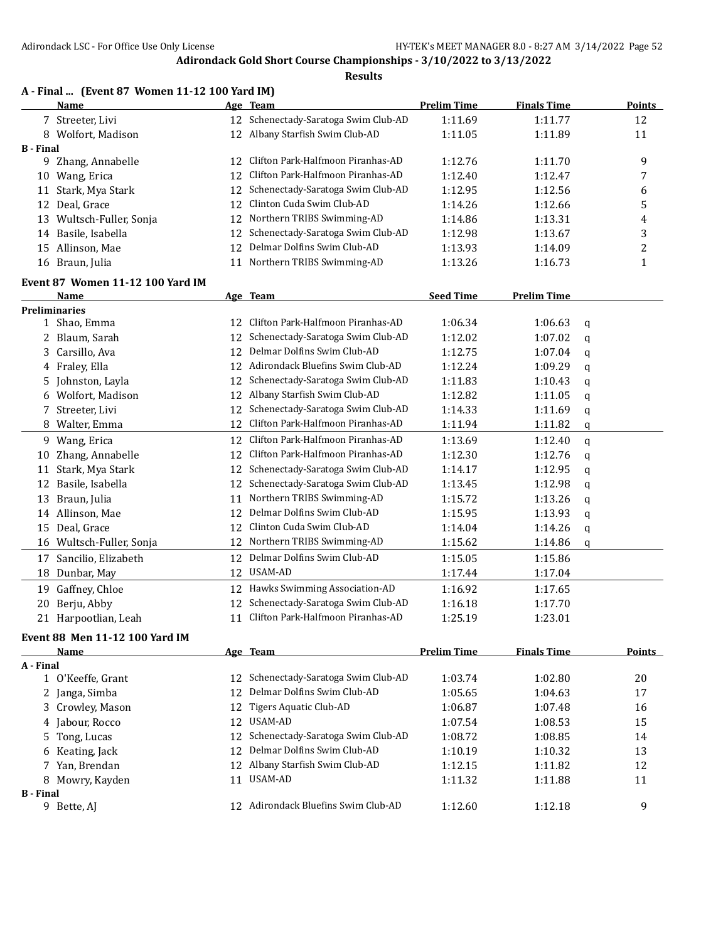|                  | A - Final  (Event 87 Women 11-12 100 Yard IM)<br>Name |     | Age Team                             | <b>Prelim Time</b> | <b>Finals Time</b> |   | <b>Points</b>  |
|------------------|-------------------------------------------------------|-----|--------------------------------------|--------------------|--------------------|---|----------------|
|                  | 7 Streeter, Livi                                      |     | 12 Schenectady-Saratoga Swim Club-AD | 1:11.69            | 1:11.77            |   | 12             |
|                  | 8 Wolfort, Madison                                    |     | 12 Albany Starfish Swim Club-AD      | 1:11.05            | 1:11.89            |   | 11             |
| <b>B</b> - Final |                                                       |     |                                      |                    |                    |   |                |
|                  | 9 Zhang, Annabelle                                    | 12  | Clifton Park-Halfmoon Piranhas-AD    | 1:12.76            | 1:11.70            |   | 9              |
|                  | 10 Wang, Erica                                        | 12  | Clifton Park-Halfmoon Piranhas-AD    | 1:12.40            | 1:12.47            |   | 7              |
| 11               | Stark, Mya Stark                                      | 12  | Schenectady-Saratoga Swim Club-AD    | 1:12.95            | 1:12.56            |   | 6              |
| 12               | Deal, Grace                                           | 12  | Clinton Cuda Swim Club-AD            | 1:14.26            | 1:12.66            |   | 5              |
|                  | 13 Wultsch-Fuller, Sonja                              | 12  | Northern TRIBS Swimming-AD           | 1:14.86            | 1:13.31            |   | 4              |
| 14               | Basile, Isabella                                      | 12  | Schenectady-Saratoga Swim Club-AD    | 1:12.98            | 1:13.67            |   | 3              |
|                  | 15 Allinson, Mae                                      | 12  | Delmar Dolfins Swim Club-AD          | 1:13.93            | 1:14.09            |   | 2              |
|                  | 16 Braun, Julia                                       |     | 11 Northern TRIBS Swimming-AD        | 1:13.26            | 1:16.73            |   | 1              |
|                  | Event 87 Women 11-12 100 Yard IM                      |     |                                      |                    |                    |   |                |
|                  | Name                                                  |     | Age Team                             | <b>Seed Time</b>   | <b>Prelim Time</b> |   |                |
|                  | <b>Preliminaries</b>                                  |     |                                      |                    |                    |   |                |
|                  | 1 Shao, Emma                                          | 12. | Clifton Park-Halfmoon Piranhas-AD    | 1:06.34            | 1:06.63            | q |                |
|                  | 2 Blaum, Sarah                                        | 12  | Schenectady-Saratoga Swim Club-AD    | 1:12.02            | 1:07.02            | q |                |
| 3                | Carsillo, Ava                                         | 12  | Delmar Dolfins Swim Club-AD          | 1:12.75            | 1:07.04            | q |                |
|                  | 4 Fraley, Ella                                        | 12  | Adirondack Bluefins Swim Club-AD     | 1:12.24            | 1:09.29            | q |                |
| 5                | Johnston, Layla                                       | 12  | Schenectady-Saratoga Swim Club-AD    | 1:11.83            | 1:10.43            | q |                |
| 6                | Wolfort, Madison                                      | 12  | Albany Starfish Swim Club-AD         | 1:12.82            | 1:11.05            | q |                |
| 7                | Streeter, Livi                                        | 12  | Schenectady-Saratoga Swim Club-AD    | 1:14.33            | 1:11.69            | q |                |
| 8                | Walter, Emma                                          | 12  | Clifton Park-Halfmoon Piranhas-AD    | 1:11.94            | 1:11.82            | q |                |
|                  | 9 Wang, Erica                                         | 12  | Clifton Park-Halfmoon Piranhas-AD    | 1:13.69            | 1:12.40            | q |                |
| 10               | Zhang, Annabelle                                      | 12  | Clifton Park-Halfmoon Piranhas-AD    | 1:12.30            | 1:12.76            | q |                |
| 11               | Stark, Mya Stark                                      | 12  | Schenectady-Saratoga Swim Club-AD    | 1:14.17            | 1:12.95            | q |                |
| 12               | Basile, Isabella                                      | 12  | Schenectady-Saratoga Swim Club-AD    | 1:13.45            | 1:12.98            | q |                |
| 13               | Braun, Julia                                          | 11  | Northern TRIBS Swimming-AD           | 1:15.72            | 1:13.26            | q |                |
|                  | 14 Allinson, Mae                                      | 12  | Delmar Dolfins Swim Club-AD          | 1:15.95            | 1:13.93            | q |                |
|                  | 15 Deal, Grace                                        | 12  | Clinton Cuda Swim Club-AD            | 1:14.04            | 1:14.26            | q |                |
|                  | 16 Wultsch-Fuller, Sonja                              |     | 12 Northern TRIBS Swimming-AD        | 1:15.62            | 1:14.86            | q |                |
| 17               | Sancilio, Elizabeth                                   | 12  | Delmar Dolfins Swim Club-AD          | 1:15.05            | 1:15.86            |   |                |
|                  | 18 Dunbar, May                                        | 12  | USAM-AD                              | 1:17.44            | 1:17.04            |   |                |
| 19               | Gaffney, Chloe                                        |     | 12 Hawks Swimming Association-AD     | 1:16.92            | 1:17.65            |   |                |
|                  | 20 Berju, Abby                                        |     | 12 Schenectady-Saratoga Swim Club-AD | 1:16.18            | 1:17.70            |   |                |
|                  | 21 Harpootlian, Leah                                  |     | 11 Clifton Park-Halfmoon Piranhas-AD | 1:25.19            | 1:23.01            |   |                |
|                  |                                                       |     |                                      |                    |                    |   |                |
|                  | <b>Event 88 Men 11-12 100 Yard IM</b>                 |     | Age Team                             | <b>Prelim Time</b> |                    |   |                |
| A - Final        | Name                                                  |     |                                      |                    | <b>Finals Time</b> |   | <b>Points</b>  |
|                  | 1 O'Keeffe, Grant                                     | 12  | Schenectady-Saratoga Swim Club-AD    | 1:03.74            | 1:02.80            |   | 20             |
|                  | 2 Janga, Simba                                        | 12  | Delmar Dolfins Swim Club-AD          | 1:05.65            | 1:04.63            |   | 17             |
| 3                | Crowley, Mason                                        | 12  | <b>Tigers Aquatic Club-AD</b>        | 1:06.87            | 1:07.48            |   | 16             |
| 4                | Jabour, Rocco                                         | 12  | USAM-AD                              | 1:07.54            | 1:08.53            |   | 15             |
| 5                | Tong, Lucas                                           | 12  | Schenectady-Saratoga Swim Club-AD    | 1:08.72            | 1:08.85            |   | 14             |
| 6                | Keating, Jack                                         | 12  | Delmar Dolfins Swim Club-AD          | 1:10.19            | 1:10.32            |   | 13             |
| 7                | Yan, Brendan                                          | 12  | Albany Starfish Swim Club-AD         | 1:12.15            | 1:11.82            |   | 12             |
|                  | 8 Mowry, Kayden                                       |     | 11 USAM-AD                           | 1:11.32            | 1:11.88            |   | 11             |
| <b>B</b> - Final |                                                       |     |                                      |                    |                    |   |                |
|                  | 9 Bette, AJ                                           |     | 12 Adirondack Bluefins Swim Club-AD  | 1:12.60            | 1:12.18            |   | $\overline{9}$ |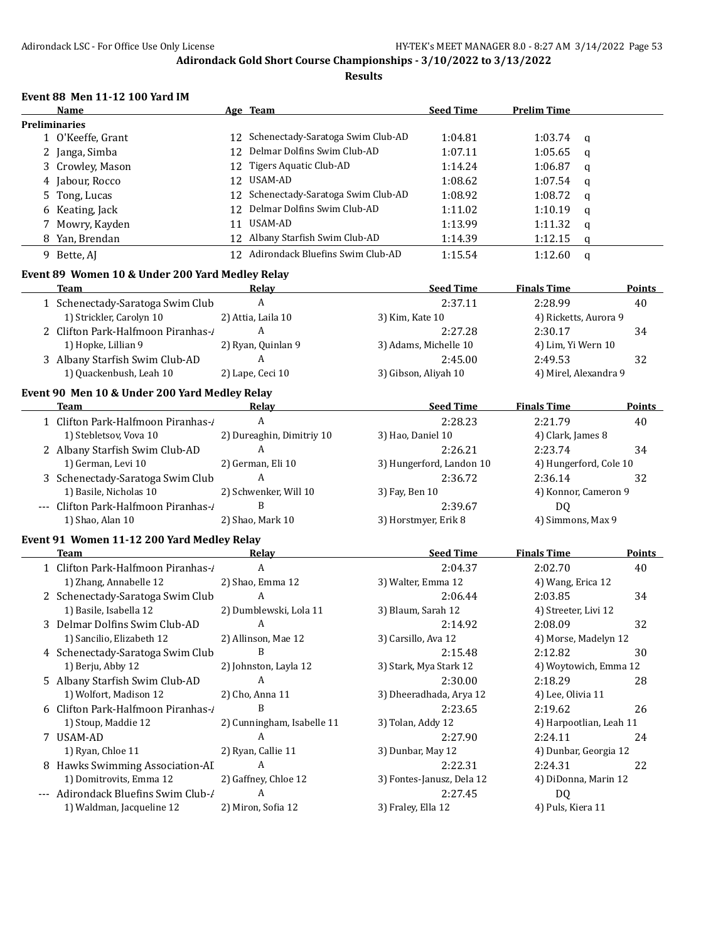#### **Results**

## **Event 88 Men 11-12 100 Yard IM**

| <b>Name</b>          |     | Age Team                             | <b>Seed Time</b> | <b>Prelim Time</b> |   |
|----------------------|-----|--------------------------------------|------------------|--------------------|---|
| <b>Preliminaries</b> |     |                                      |                  |                    |   |
| 1 O'Keeffe, Grant    |     | 12 Schenectady-Saratoga Swim Club-AD | 1:04.81          | 1:03.74            | a |
| 2 Janga, Simba       |     | 12 Delmar Dolfins Swim Club-AD       | 1:07.11          | 1:05.65            | q |
| 3 Crowley, Mason     | 12. | Tigers Aquatic Club-AD               | 1:14.24          | 1:06.87            | q |
| 4 Jabour, Rocco      | 12. | USAM-AD                              | 1:08.62          | 1:07.54            | q |
| 5 Tong, Lucas        |     | 12 Schenectady-Saratoga Swim Club-AD | 1:08.92          | 1:08.72            | a |
| 6 Keating, Jack      |     | 12 Delmar Dolfins Swim Club-AD       | 1:11.02          | 1:10.19            | q |
| 7 Mowry, Kayden      | 11  | USAM-AD                              | 1:13.99          | 1:11.32            | q |
| 8 Yan, Brendan       |     | 12 Albany Starfish Swim Club-AD      | 1:14.39          | 1:12.15            | q |
| 9 Bette, AI          |     | Adirondack Bluefins Swim Club-AD     | 1:15.54          | 1:12.60            | a |

# **Event 89 Women 10 & Under 200 Yard Medley Relay**

| Team                              | Relav              | <b>Seed Time</b>      | <b>Finals Time</b>    | <b>Points</b> |
|-----------------------------------|--------------------|-----------------------|-----------------------|---------------|
| 1 Schenectady-Saratoga Swim Club  |                    | 2:37.11               | 2:28.99               | 40            |
| 1) Strickler, Carolyn 10          | 2) Attia, Laila 10 | 3) Kim, Kate 10       | 4) Ricketts, Aurora 9 |               |
| 2 Clifton Park-Halfmoon Piranhas- |                    | 2:27.28               | 2:30.17               | 34            |
| 1) Hopke, Lillian 9               | 2) Ryan, Quinlan 9 | 3) Adams, Michelle 10 | 4) Lim, Yi Wern 10    |               |
| 3 Albany Starfish Swim Club-AD    |                    | 2:45.00               | 2:49.53               | 32            |
| 1) Quackenbush, Leah 10           | 2) Lape, Ceci 10   | 3) Gibson, Aliyah 10  | 4) Mirel, Alexandra 9 |               |
|                                   |                    |                       |                       |               |

# **Event 90 Men 10 & Under 200 Yard Medley Relay**

| <b>Team</b>                          | Relav                     | <b>Seed Time</b>         | <b>Finals Time</b>     | <b>Points</b> |
|--------------------------------------|---------------------------|--------------------------|------------------------|---------------|
| 1 Clifton Park-Halfmoon Piranhas-/   | A                         | 2:28.23                  | 2:21.79                | 40            |
| 1) Stebletsov, Vova 10               | 2) Dureaghin, Dimitriy 10 | 3) Hao, Daniel 10        | 4) Clark, James 8      |               |
| 2 Albany Starfish Swim Club-AD       | A                         | 2:26.21                  | 2:23.74                | 34            |
| 1) German, Levi 10                   | 2) German, Eli 10         | 3) Hungerford, Landon 10 | 4) Hungerford, Cole 10 |               |
| 3 Schenectady-Saratoga Swim Club     | A                         | 2:36.72                  | 2:36.14                | 32            |
| 1) Basile, Nicholas 10               | 2) Schwenker, Will 10     | 3) Fay, Ben 10           | 4) Konnor, Cameron 9   |               |
| --- Clifton Park-Halfmoon Piranhas-/ | В                         | 2:39.67                  | DO.                    |               |
| 1) Shao, Alan 10                     | 2) Shao, Mark 10          | 3) Horstmyer, Erik 8     | 4) Simmons, Max 9      |               |

## **Event 91 Women 11-12 200 Yard Medley Relay**

| Team                                | Relav                      | <b>Seed Time</b>          | <b>Finals Time</b>      | Points |
|-------------------------------------|----------------------------|---------------------------|-------------------------|--------|
| 1 Clifton Park-Halfmoon Piranhas-   | A                          | 2:04.37                   | 2:02.70                 | 40     |
| 1) Zhang, Annabelle 12              | 2) Shao, Emma 12           | 3) Walter, Emma 12        | 4) Wang, Erica 12       |        |
| 2 Schenectady-Saratoga Swim Club    | A                          | 2:06.44                   | 2:03.85                 | 34     |
| 1) Basile, Isabella 12              | 2) Dumblewski, Lola 11     | 3) Blaum, Sarah 12        | 4) Streeter, Livi 12    |        |
| 3 Delmar Dolfins Swim Club-AD       | A                          | 2:14.92                   | 2:08.09                 | 32     |
| 1) Sancilio, Elizabeth 12           | 2) Allinson, Mae 12        | 3) Carsillo, Ava 12       | 4) Morse, Madelyn 12    |        |
| 4 Schenectady-Saratoga Swim Club    | B                          | 2:15.48                   | 2:12.82                 | 30     |
| 1) Berju, Abby 12                   | 2) Johnston, Layla 12      | 3) Stark, Mya Stark 12    | 4) Woytowich, Emma 12   |        |
| 5 Albany Starfish Swim Club-AD      | A                          | 2:30.00                   | 2:18.29                 | 28     |
| 1) Wolfort, Madison 12              | 2) Cho, Anna 11            | 3) Dheeradhada, Arya 12   | 4) Lee, Olivia 11       |        |
| 6 Clifton Park-Halfmoon Piranhas-   | B                          | 2:23.65                   | 2:19.62                 | 26     |
| 1) Stoup, Maddie 12                 | 2) Cunningham, Isabelle 11 | 3) Tolan, Addy 12         | 4) Harpootlian, Leah 11 |        |
| 7 USAM-AD                           | A                          | 2:27.90                   | 2:24.11                 | 24     |
| 1) Ryan, Chloe 11                   | 2) Ryan, Callie 11         | 3) Dunbar, May 12         | 4) Dunbar, Georgia 12   |        |
| 8 Hawks Swimming Association-AI     | A                          | 2:22.31                   | 2:24.31                 | 22     |
| 1) Domitrovits, Emma 12             | 2) Gaffney, Chloe 12       | 3) Fontes-Janusz, Dela 12 | 4) DiDonna, Marin 12    |        |
| --- Adirondack Bluefins Swim Club-/ | A                          | 2:27.45                   | DQ.                     |        |
| 1) Waldman, Jacqueline 12           | 2) Miron, Sofia 12         | 3) Fraley, Ella 12        | 4) Puls, Kiera 11       |        |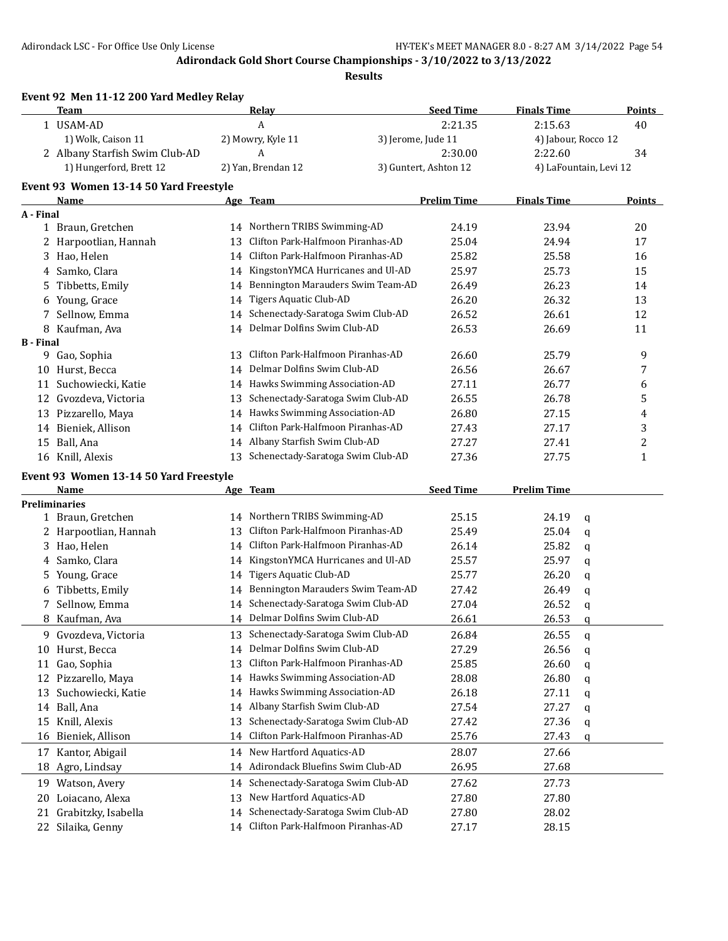**Event 92 Men 11-12 200 Yard Medley Relay**

**Adirondack Gold Short Course Championships - 3/10/2022 to 3/13/2022**

|                  | <b>Team</b>                            |    | Relay                                | <b>Seed Time</b>      | <b>Finals Time</b>  |                        | <b>Points</b>           |
|------------------|----------------------------------------|----|--------------------------------------|-----------------------|---------------------|------------------------|-------------------------|
|                  | 1 USAM-AD                              |    | A                                    | 2:21.35               | 2:15.63             | 40                     |                         |
|                  | 1) Wolk, Caison 11                     |    | 2) Mowry, Kyle 11                    | 3) Jerome, Jude 11    | 4) Jabour, Rocco 12 |                        |                         |
|                  | 2 Albany Starfish Swim Club-AD         |    | A                                    | 2:30.00               | 2:22.60             | 34                     |                         |
|                  | 1) Hungerford, Brett 12                |    | 2) Yan, Brendan 12                   | 3) Guntert, Ashton 12 |                     | 4) LaFountain, Levi 12 |                         |
|                  | Event 93 Women 13-14 50 Yard Freestyle |    |                                      |                       |                     |                        |                         |
|                  | Name                                   |    | Age Team                             | <b>Prelim Time</b>    | <b>Finals Time</b>  |                        | <b>Points</b>           |
| A - Final        |                                        |    |                                      |                       |                     |                        |                         |
|                  | 1 Braun, Gretchen                      |    | 14 Northern TRIBS Swimming-AD        | 24.19                 | 23.94               | 20                     |                         |
|                  | 2 Harpootlian, Hannah                  | 13 | Clifton Park-Halfmoon Piranhas-AD    | 25.04                 | 24.94               | 17                     |                         |
|                  | 3 Hao, Helen                           |    | 14 Clifton Park-Halfmoon Piranhas-AD | 25.82                 | 25.58               | 16                     |                         |
|                  | 4 Samko, Clara                         |    | 14 KingstonYMCA Hurricanes and Ul-AD | 25.97                 | 25.73               | 15                     |                         |
| 5                | Tibbetts, Emily                        | 14 | Bennington Marauders Swim Team-AD    | 26.49                 | 26.23               | 14                     |                         |
|                  | 6 Young, Grace                         | 14 | Tigers Aquatic Club-AD               | 26.20                 | 26.32               | 13                     |                         |
| 7                | Sellnow, Emma                          | 14 | Schenectady-Saratoga Swim Club-AD    | 26.52                 | 26.61               | 12                     |                         |
|                  | 8 Kaufman, Ava                         | 14 | Delmar Dolfins Swim Club-AD          | 26.53                 | 26.69               | 11                     |                         |
| <b>B</b> - Final |                                        |    |                                      |                       |                     |                        |                         |
|                  | 9 Gao, Sophia                          | 13 | Clifton Park-Halfmoon Piranhas-AD    | 26.60                 | 25.79               |                        | 9                       |
|                  | 10 Hurst, Becca                        | 14 | Delmar Dolfins Swim Club-AD          | 26.56                 | 26.67               |                        | 7                       |
|                  | 11 Suchowiecki, Katie                  | 14 | Hawks Swimming Association-AD        | 27.11                 | 26.77               |                        | 6                       |
|                  | 12 Gvozdeva, Victoria                  | 13 | Schenectady-Saratoga Swim Club-AD    | 26.55                 | 26.78               |                        | 5                       |
|                  | 13 Pizzarello, Maya                    | 14 | Hawks Swimming Association-AD        | 26.80                 | 27.15               |                        | 4                       |
|                  | 14 Bieniek, Allison                    | 14 | Clifton Park-Halfmoon Piranhas-AD    | 27.43                 | 27.17               |                        | 3                       |
|                  | 15 Ball, Ana                           |    | 14 Albany Starfish Swim Club-AD      | 27.27                 | 27.41               |                        | $\overline{\mathbf{c}}$ |
|                  | 16 Knill, Alexis                       | 13 | Schenectady-Saratoga Swim Club-AD    | 27.36                 | 27.75               |                        | $\mathbf{1}$            |
|                  | Event 93 Women 13-14 50 Yard Freestyle |    |                                      |                       |                     |                        |                         |
|                  | Name                                   |    | Age Team                             | <b>Seed Time</b>      | <b>Prelim Time</b>  |                        |                         |
|                  | <b>Preliminaries</b>                   |    |                                      |                       |                     |                        |                         |
|                  | 1 Braun, Gretchen                      | 14 | Northern TRIBS Swimming-AD           | 25.15                 | 24.19               | q                      |                         |
|                  | 2 Harpootlian, Hannah                  | 13 | Clifton Park-Halfmoon Piranhas-AD    | 25.49                 | 25.04               | q                      |                         |
|                  | 3 Hao, Helen                           | 14 | Clifton Park-Halfmoon Piranhas-AD    | 26.14                 | 25.82               | q                      |                         |
| 4                | Samko, Clara                           | 14 | KingstonYMCA Hurricanes and Ul-AD    | 25.57                 | 25.97               | q                      |                         |
| 5.               | Young, Grace                           | 14 | Tigers Aquatic Club-AD               | 25.77                 | 26.20               | q                      |                         |
| 6                | Tibbetts, Emily                        | 14 | Bennington Marauders Swim Team-AD    | 27.42                 | 26.49               | q                      |                         |
| 7                | Sellnow, Emma                          | 14 | Schenectady-Saratoga Swim Club-AD    | 27.04                 | 26.52               | q                      |                         |
| 8.               | Kaufman, Ava                           |    | 14 Delmar Dolfins Swim Club-AD       | 26.61                 | 26.53               | q                      |                         |
|                  | 9 Gvozdeva, Victoria                   |    | 13 Schenectady-Saratoga Swim Club-AD | 26.84                 | 26.55               | q                      |                         |
|                  | 10 Hurst, Becca                        |    | 14 Delmar Dolfins Swim Club-AD       | 27.29                 | 26.56               | q                      |                         |
| 11               | Gao, Sophia                            | 13 | Clifton Park-Halfmoon Piranhas-AD    | 25.85                 | 26.60               | q                      |                         |
|                  | 12 Pizzarello, Maya                    | 14 | Hawks Swimming Association-AD        | 28.08                 | 26.80               | q                      |                         |
| 13               | Suchowiecki, Katie                     | 14 | Hawks Swimming Association-AD        | 26.18                 | 27.11               | q                      |                         |
| 14               | Ball, Ana                              | 14 | Albany Starfish Swim Club-AD         | 27.54                 | 27.27               | q                      |                         |
| 15               | Knill, Alexis                          | 13 | Schenectady-Saratoga Swim Club-AD    | 27.42                 | 27.36               | q                      |                         |
| 16               | Bieniek, Allison                       | 14 | Clifton Park-Halfmoon Piranhas-AD    | 25.76                 | 27.43               | q                      |                         |
| 17               | Kantor, Abigail                        | 14 | New Hartford Aquatics-AD             | 28.07                 | 27.66               |                        |                         |
| 18               | Agro, Lindsay                          | 14 | Adirondack Bluefins Swim Club-AD     | 26.95                 | 27.68               |                        |                         |
|                  | 19 Watson, Avery                       | 14 | Schenectady-Saratoga Swim Club-AD    | 27.62                 | 27.73               |                        |                         |
| 20               | Loiacano, Alexa                        | 13 | New Hartford Aquatics-AD             | 27.80                 | 27.80               |                        |                         |
| 21               | Grabitzky, Isabella                    | 14 | Schenectady-Saratoga Swim Club-AD    | 27.80                 | 28.02               |                        |                         |
|                  | 22 Silaika, Genny                      |    | 14 Clifton Park-Halfmoon Piranhas-AD | 27.17                 | 28.15               |                        |                         |
|                  |                                        |    |                                      |                       |                     |                        |                         |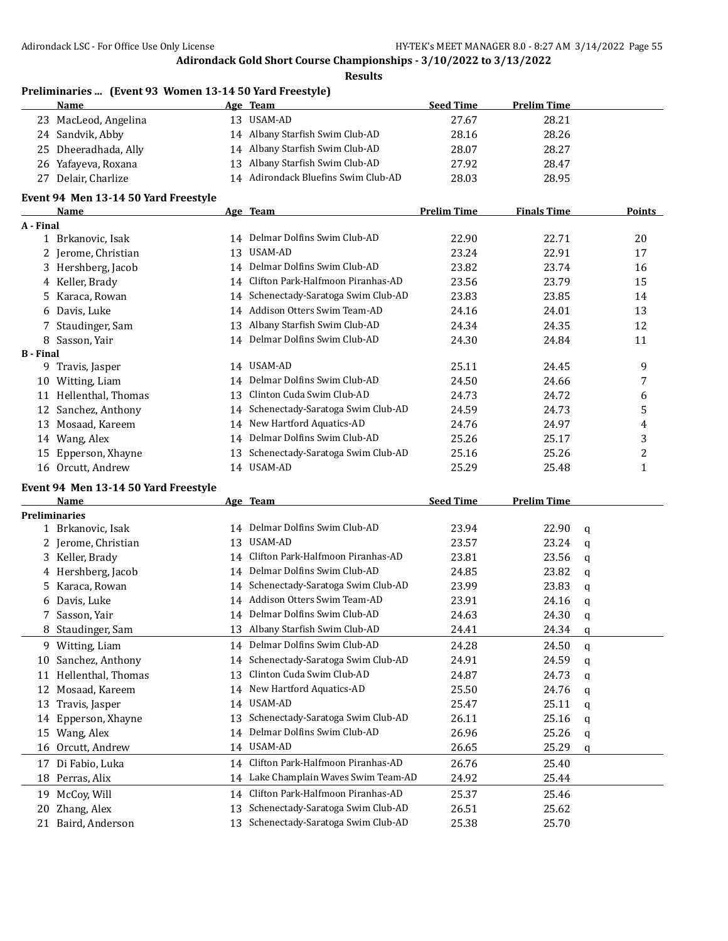**Results**

# **Preliminaries ... (Event 93 Women 13-14 50 Yard Freestyle)**

|    | Name                 | Age Team                            | <b>Seed Time</b> | <b>Prelim Time</b> |
|----|----------------------|-------------------------------------|------------------|--------------------|
|    | 23 MacLeod, Angelina | 13 USAM-AD                          | 27.67            | 28.21              |
|    | 24 Sandvik, Abby     | 14 Albany Starfish Swim Club-AD     | 28.16            | 28.26              |
|    | 25 Dheeradhada, Ally | 14 Albany Starfish Swim Club-AD     | 28.07            | 28.27              |
|    | 26 Yafayeva, Roxana  | 13 Albany Starfish Swim Club-AD     | 27.92            | 28.47              |
| 27 | Delair, Charlize     | 14 Adirondack Bluefins Swim Club-AD | 28.03            | 28.95              |

#### **Event 94 Men 13-14 50 Yard Freestyle**

|                  | <b>Name</b>                          |    | Age Team                             | <b>Prelim Time</b> | <b>Finals Time</b> |             | <b>Points</b> |
|------------------|--------------------------------------|----|--------------------------------------|--------------------|--------------------|-------------|---------------|
| A - Final        |                                      |    |                                      |                    |                    |             |               |
|                  | 1 Brkanovic, Isak                    |    | 14 Delmar Dolfins Swim Club-AD       | 22.90              | 22.71              |             | 20            |
|                  | 2 Jerome, Christian                  | 13 | USAM-AD                              | 23.24              | 22.91              |             | 17            |
|                  | 3 Hershberg, Jacob                   |    | 14 Delmar Dolfins Swim Club-AD       | 23.82              | 23.74              |             | 16            |
|                  | 4 Keller, Brady                      | 14 | Clifton Park-Halfmoon Piranhas-AD    | 23.56              | 23.79              |             | 15            |
| 5.               | Karaca, Rowan                        | 14 | Schenectady-Saratoga Swim Club-AD    | 23.83              | 23.85              |             | 14            |
|                  | 6 Davis, Luke                        | 14 | Addison Otters Swim Team-AD          | 24.16              | 24.01              |             | 13            |
|                  | 7 Staudinger, Sam                    | 13 | Albany Starfish Swim Club-AD         | 24.34              | 24.35              |             | 12            |
|                  | 8 Sasson, Yair                       | 14 | Delmar Dolfins Swim Club-AD          | 24.30              | 24.84              |             | 11            |
| <b>B</b> - Final |                                      |    |                                      |                    |                    |             |               |
|                  | 9 Travis, Jasper                     |    | 14 USAM-AD                           | 25.11              | 24.45              |             | 9             |
|                  | 10 Witting, Liam                     | 14 | Delmar Dolfins Swim Club-AD          | 24.50              | 24.66              |             | 7             |
|                  | 11 Hellenthal, Thomas                | 13 | Clinton Cuda Swim Club-AD            | 24.73              | 24.72              |             | 6             |
|                  | 12 Sanchez, Anthony                  |    | 14 Schenectady-Saratoga Swim Club-AD | 24.59              | 24.73              |             | 5             |
|                  | 13 Mosaad, Kareem                    |    | 14 New Hartford Aquatics-AD          | 24.76              | 24.97              |             | 4             |
|                  | 14 Wang, Alex                        | 14 | Delmar Dolfins Swim Club-AD          | 25.26              | 25.17              |             | 3             |
|                  | 15 Epperson, Xhayne                  | 13 | Schenectady-Saratoga Swim Club-AD    | 25.16              | 25.26              |             | 2             |
|                  | 16 Orcutt, Andrew                    |    | 14 USAM-AD                           | 25.29              | 25.48              |             | $\mathbf{1}$  |
|                  | Event 94 Men 13-14 50 Yard Freestyle |    |                                      |                    |                    |             |               |
|                  | Name                                 |    | Age Team                             | <b>Seed Time</b>   | <b>Prelim Time</b> |             |               |
|                  | <b>Preliminaries</b>                 |    |                                      |                    |                    |             |               |
|                  | 1 Brkanovic, Isak                    |    | 14 Delmar Dolfins Swim Club-AD       | 23.94              | 22.90              | $\mathbf q$ |               |
|                  | 2 Jerome, Christian                  |    | 13 USAM-AD                           | 23.57              | 23.24              | q           |               |
|                  | 3 Keller, Brady                      | 14 | Clifton Park-Halfmoon Piranhas-AD    | 23.81              | 23.56              | q           |               |
|                  | 4 Hershberg, Jacob                   | 14 | Delmar Dolfins Swim Club-AD          | 24.85              | 23.82              | q           |               |
| 5.               | Karaca, Rowan                        | 14 | Schenectady-Saratoga Swim Club-AD    | 23.99              | 23.83              | q           |               |
|                  | 6 Davis, Luke                        |    | 14 Addison Otters Swim Team-AD       | 23.91              | 24.16              | q           |               |
|                  | 7 Sasson, Yair                       |    | 14 Delmar Dolfins Swim Club-AD       | 24.63              | 24.30              | q           |               |
|                  | 8 Staudinger, Sam                    | 13 | Albany Starfish Swim Club-AD         | 24.41              | 24.34              | q           |               |
|                  | 9 Witting, Liam                      |    | 14 Delmar Dolfins Swim Club-AD       | 24.28              | 24.50              | q           |               |
|                  | 10 Sanchez, Anthony                  | 14 | Schenectady-Saratoga Swim Club-AD    | 24.91              | 24.59              | q           |               |
|                  | 11 Hellenthal, Thomas                | 13 | Clinton Cuda Swim Club-AD            | 24.87              | 24.73              | q           |               |
| 12               | Mosaad, Kareem                       | 14 | New Hartford Aquatics-AD             | 25.50              | 24.76              | q           |               |
| 13               | Travis, Jasper                       |    | 14 USAM-AD                           | 25.47              | 25.11              | q           |               |
|                  | 14 Epperson, Xhayne                  |    | 13 Schenectady-Saratoga Swim Club-AD | 26.11              | 25.16              | q           |               |
|                  | 15 Wang, Alex                        |    | 14 Delmar Dolfins Swim Club-AD       | 26.96              | 25.26              | q           |               |
|                  | 16 Orcutt, Andrew                    |    | 14 USAM-AD                           | 26.65              | 25.29              | q           |               |
|                  | 17 Di Fabio, Luka                    |    | 14 Clifton Park-Halfmoon Piranhas-AD | 26.76              | 25.40              |             |               |
|                  | 18 Perras, Alix                      |    | 14 Lake Champlain Waves Swim Team-AD | 24.92              | 25.44              |             |               |
|                  | 19 McCoy, Will                       |    | 14 Clifton Park-Halfmoon Piranhas-AD | 25.37              | 25.46              |             |               |

 Zhang, Alex 13 Schenectady-Saratoga Swim Club-AD 26.51 25.62 Baird, Anderson 13 Schenectady-Saratoga Swim Club-AD 25.38 25.70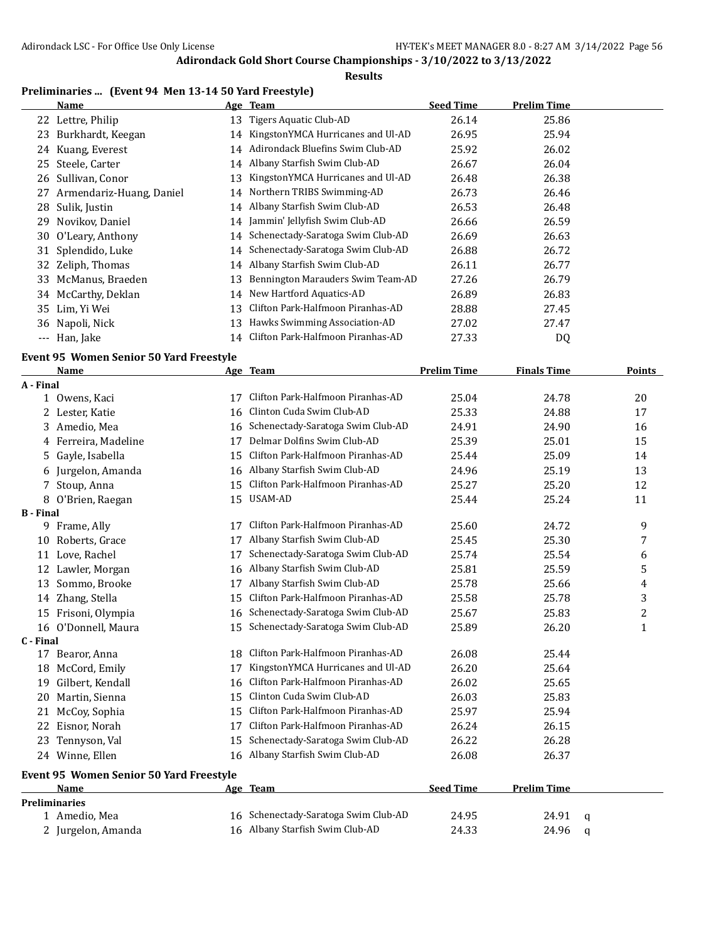$\overline{a}$ 

## **Adirondack Gold Short Course Championships - 3/10/2022 to 3/13/2022**

# **Results**

## **Preliminaries ... (Event 94 Men 13-14 50 Yard Freestyle)**

|     | Name                     |    | Age Team                             | <b>Seed Time</b> | <b>Prelim Time</b> |  |
|-----|--------------------------|----|--------------------------------------|------------------|--------------------|--|
|     | 22 Lettre, Philip        | 13 | Tigers Aquatic Club-AD               | 26.14            | 25.86              |  |
| 23  | Burkhardt, Keegan        | 14 | KingstonYMCA Hurricanes and Ul-AD    | 26.95            | 25.94              |  |
|     | 24 Kuang, Everest        | 14 | Adirondack Bluefins Swim Club-AD     | 25.92            | 26.02              |  |
|     | 25 Steele, Carter        | 14 | Albany Starfish Swim Club-AD         | 26.67            | 26.04              |  |
|     | 26 Sullivan, Conor       | 13 | KingstonYMCA Hurricanes and Ul-AD    | 26.48            | 26.38              |  |
| 27  | Armendariz-Huang, Daniel | 14 | Northern TRIBS Swimming-AD           | 26.73            | 26.46              |  |
|     | 28 Sulik, Justin         |    | 14 Albany Starfish Swim Club-AD      | 26.53            | 26.48              |  |
| 29. | Novikov, Daniel          | 14 | Jammin' Jellyfish Swim Club-AD       | 26.66            | 26.59              |  |
|     | 30 O'Leary, Anthony      |    | 14 Schenectady-Saratoga Swim Club-AD | 26.69            | 26.63              |  |
|     | 31 Splendido, Luke       | 14 | Schenectady-Saratoga Swim Club-AD    | 26.88            | 26.72              |  |
|     | 32 Zeliph, Thomas        | 14 | Albany Starfish Swim Club-AD         | 26.11            | 26.77              |  |
|     | 33 McManus, Braeden      | 13 | Bennington Marauders Swim Team-AD    | 27.26            | 26.79              |  |
|     | 34 McCarthy, Deklan      | 14 | New Hartford Aquatics-AD             | 26.89            | 26.83              |  |
|     | 35 Lim, Yi Wei           | 13 | Clifton Park-Halfmoon Piranhas-AD    | 28.88            | 27.45              |  |
|     | 36 Napoli, Nick          | 13 | Hawks Swimming Association-AD        | 27.02            | 27.47              |  |
|     | --- Han, Jake            | 14 | Clifton Park-Halfmoon Piranhas-AD    | 27.33            | D <sub>0</sub>     |  |

#### **Event 95 Women Senior 50 Yard Freestyle**

|                  | <b>Name</b>                                    |    | Age Team                             | <b>Prelim Time</b> | <b>Finals Time</b> |              | <b>Points</b> |
|------------------|------------------------------------------------|----|--------------------------------------|--------------------|--------------------|--------------|---------------|
| A - Final        |                                                |    |                                      |                    |                    |              |               |
|                  | 1 Owens, Kaci                                  | 17 | Clifton Park-Halfmoon Piranhas-AD    | 25.04              | 24.78              |              | 20            |
|                  | 2 Lester, Katie                                | 16 | Clinton Cuda Swim Club-AD            | 25.33              | 24.88              |              | 17            |
| 3                | Amedio, Mea                                    | 16 | Schenectady-Saratoga Swim Club-AD    | 24.91              | 24.90              |              | 16            |
| 4                | Ferreira, Madeline                             | 17 | Delmar Dolfins Swim Club-AD          | 25.39              | 25.01              |              | 15            |
| 5                | Gayle, Isabella                                | 15 | Clifton Park-Halfmoon Piranhas-AD    | 25.44              | 25.09              |              | 14            |
| 6                | Jurgelon, Amanda                               | 16 | Albany Starfish Swim Club-AD         | 24.96              | 25.19              |              | 13            |
| 7                | Stoup, Anna                                    | 15 | Clifton Park-Halfmoon Piranhas-AD    | 25.27              | 25.20              |              | 12            |
|                  | 8 O'Brien, Raegan                              | 15 | <b>USAM-AD</b>                       | 25.44              | 25.24              |              | 11            |
| <b>B</b> - Final |                                                |    |                                      |                    |                    |              |               |
| 9                | Frame, Ally                                    | 17 | Clifton Park-Halfmoon Piranhas-AD    | 25.60              | 24.72              |              | 9             |
| 10               | Roberts, Grace                                 | 17 | Albany Starfish Swim Club-AD         | 25.45              | 25.30              |              | 7             |
| 11               | Love, Rachel                                   | 17 | Schenectady-Saratoga Swim Club-AD    | 25.74              | 25.54              |              | 6             |
| 12               | Lawler, Morgan                                 | 16 | Albany Starfish Swim Club-AD         | 25.81              | 25.59              |              | 5             |
| 13               | Sommo, Brooke                                  | 17 | Albany Starfish Swim Club-AD         | 25.78              | 25.66              |              | 4             |
| 14               | Zhang, Stella                                  | 15 | Clifton Park-Halfmoon Piranhas-AD    | 25.58              | 25.78              |              | 3             |
| 15               | Frisoni, Olympia                               | 16 | Schenectady-Saratoga Swim Club-AD    | 25.67              | 25.83              |              | 2             |
|                  | 16 O'Donnell, Maura                            | 15 | Schenectady-Saratoga Swim Club-AD    | 25.89              | 26.20              |              | $\mathbf{1}$  |
| C - Final        |                                                |    |                                      |                    |                    |              |               |
| 17               | Bearor, Anna                                   | 18 | Clifton Park-Halfmoon Piranhas-AD    | 26.08              | 25.44              |              |               |
| 18               | McCord, Emily                                  | 17 | KingstonYMCA Hurricanes and Ul-AD    | 26.20              | 25.64              |              |               |
| 19               | Gilbert, Kendall                               | 16 | Clifton Park-Halfmoon Piranhas-AD    | 26.02              | 25.65              |              |               |
| 20               | Martin, Sienna                                 | 15 | Clinton Cuda Swim Club-AD            | 26.03              | 25.83              |              |               |
| 21               | McCoy, Sophia                                  | 15 | Clifton Park-Halfmoon Piranhas-AD    | 25.97              | 25.94              |              |               |
| 22               | Eisnor, Norah                                  | 17 | Clifton Park-Halfmoon Piranhas-AD    | 26.24              | 26.15              |              |               |
| 23               | Tennyson, Val                                  | 15 | Schenectady-Saratoga Swim Club-AD    | 26.22              | 26.28              |              |               |
|                  | 24 Winne, Ellen                                | 16 | Albany Starfish Swim Club-AD         | 26.08              | 26.37              |              |               |
|                  | <b>Event 95 Women Senior 50 Yard Freestyle</b> |    |                                      |                    |                    |              |               |
|                  | <b>Name</b>                                    |    | Age Team                             | <b>Seed Time</b>   | <b>Prelim Time</b> |              |               |
|                  | <b>Preliminaries</b>                           |    |                                      |                    |                    |              |               |
|                  | 1 Amedio, Mea                                  |    | 16 Schenectady-Saratoga Swim Club-AD | 24.95              | 24.91              | $\mathsf{q}$ |               |
|                  | 2 Jurgelon, Amanda                             |    | 16 Albany Starfish Swim Club-AD      | 24.33              | 24.96              | q            |               |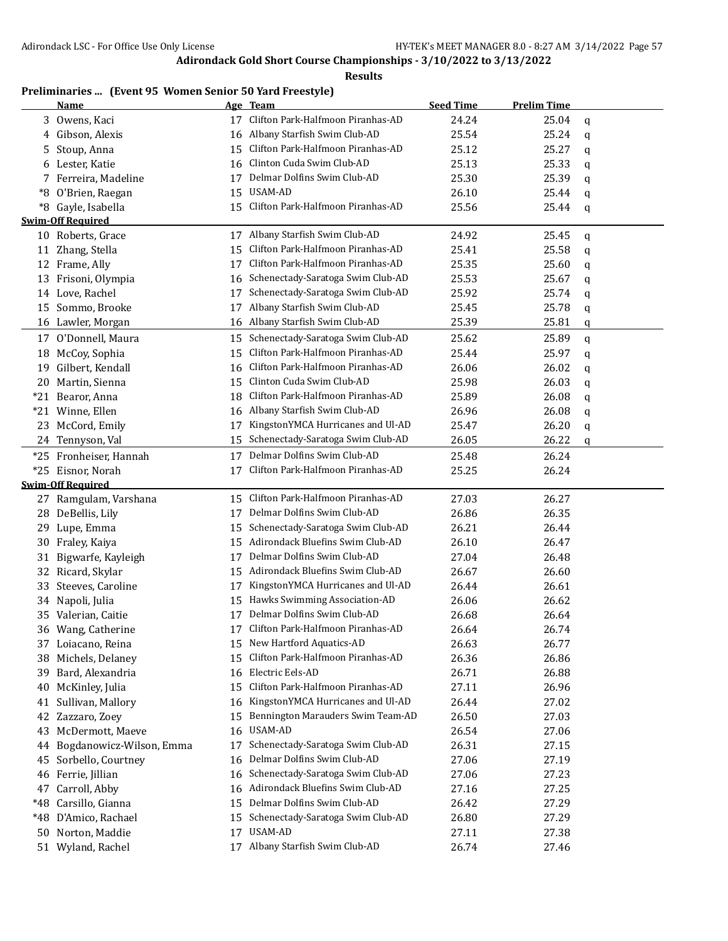## **Results**

# **Preliminaries ... (Event 95 Women Senior 50 Yard Freestyle)**

|       | <b>Name</b>                 |    | Age Team                             | <b>Seed Time</b> | <b>Prelim Time</b> |   |
|-------|-----------------------------|----|--------------------------------------|------------------|--------------------|---|
|       | 3 Owens, Kaci               | 17 | Clifton Park-Halfmoon Piranhas-AD    | 24.24            | 25.04              | q |
|       | Gibson, Alexis              | 16 | Albany Starfish Swim Club-AD         | 25.54            | 25.24              | q |
| 5.    | Stoup, Anna                 | 15 | Clifton Park-Halfmoon Piranhas-AD    | 25.12            | 25.27              | q |
| 6     | Lester, Katie               | 16 | Clinton Cuda Swim Club-AD            | 25.13            | 25.33              | q |
|       | Ferreira, Madeline          | 17 | Delmar Dolfins Swim Club-AD          | 25.30            | 25.39              | q |
| *8    | O'Brien, Raegan             | 15 | <b>USAM-AD</b>                       | 26.10            | 25.44              | q |
|       | *8 Gayle, Isabella          | 15 | Clifton Park-Halfmoon Piranhas-AD    | 25.56            | 25.44              | q |
|       | <b>Swim-Off Required</b>    |    |                                      |                  |                    |   |
|       | 10 Roberts, Grace           |    | 17 Albany Starfish Swim Club-AD      | 24.92            | 25.45              | q |
| 11    | Zhang, Stella               | 15 | Clifton Park-Halfmoon Piranhas-AD    | 25.41            | 25.58              | q |
|       | 12 Frame, Ally              | 17 | Clifton Park-Halfmoon Piranhas-AD    | 25.35            | 25.60              | q |
|       | 13 Frisoni, Olympia         | 16 | Schenectady-Saratoga Swim Club-AD    | 25.53            | 25.67              | q |
|       | 14 Love, Rachel             | 17 | Schenectady-Saratoga Swim Club-AD    | 25.92            | 25.74              | q |
| 15    | Sommo, Brooke               | 17 | Albany Starfish Swim Club-AD         | 25.45            | 25.78              | q |
|       | 16 Lawler, Morgan           |    | 16 Albany Starfish Swim Club-AD      | 25.39            | 25.81              | q |
| 17    | O'Donnell, Maura            | 15 | Schenectady-Saratoga Swim Club-AD    | 25.62            | 25.89              | q |
| 18    | McCoy, Sophia               | 15 | Clifton Park-Halfmoon Piranhas-AD    | 25.44            | 25.97              | q |
| 19    | Gilbert, Kendall            | 16 | Clifton Park-Halfmoon Piranhas-AD    | 26.06            | 26.02              | q |
|       | 20 Martin, Sienna           | 15 | Clinton Cuda Swim Club-AD            | 25.98            | 26.03              | q |
|       | *21 Bearor, Anna            | 18 | Clifton Park-Halfmoon Piranhas-AD    | 25.89            | 26.08              | q |
|       | *21 Winne, Ellen            |    | 16 Albany Starfish Swim Club-AD      | 26.96            | 26.08              | q |
| 23    | McCord, Emily               | 17 | KingstonYMCA Hurricanes and Ul-AD    | 25.47            | 26.20              | q |
| 24    | Tennyson, Val               | 15 | Schenectady-Saratoga Swim Club-AD    | 26.05            | 26.22              | q |
|       | *25 Fronheiser, Hannah      | 17 | Delmar Dolfins Swim Club-AD          | 25.48            | 26.24              |   |
| $*25$ | Eisnor, Norah               | 17 | Clifton Park-Halfmoon Piranhas-AD    | 25.25            | 26.24              |   |
|       | <b>Swim-Off Required</b>    |    |                                      |                  |                    |   |
|       | 27 Ramgulam, Varshana       | 15 | Clifton Park-Halfmoon Piranhas-AD    | 27.03            | 26.27              |   |
|       | 28 DeBellis, Lily           | 17 | Delmar Dolfins Swim Club-AD          | 26.86            | 26.35              |   |
| 29    | Lupe, Emma                  | 15 | Schenectady-Saratoga Swim Club-AD    | 26.21            | 26.44              |   |
| 30-   | Fraley, Kaiya               | 15 | Adirondack Bluefins Swim Club-AD     | 26.10            | 26.47              |   |
| 31    | Bigwarfe, Kayleigh          | 17 | Delmar Dolfins Swim Club-AD          | 27.04            | 26.48              |   |
| 32    | Ricard, Skylar              | 15 | Adirondack Bluefins Swim Club-AD     | 26.67            | 26.60              |   |
| 33    | Steeves, Caroline           | 17 | KingstonYMCA Hurricanes and Ul-AD    | 26.44            | 26.61              |   |
|       | 34 Napoli, Julia            | 15 | Hawks Swimming Association-AD        | 26.06            | 26.62              |   |
|       | 35 Valerian, Caitie         | 17 | Delmar Dolfins Swim Club-AD          | 26.68            | 26.64              |   |
|       | 36 Wang, Catherine          |    | 17 Clifton Park-Halfmoon Piranhas-AD | 26.64            | 26.74              |   |
|       | 37 Loiacano, Reina          |    | 15 New Hartford Aquatics-AD          | 26.63            | 26.77              |   |
| 38.   | Michels, Delaney            | 15 | Clifton Park-Halfmoon Piranhas-AD    | 26.36            | 26.86              |   |
|       | 39 Bard, Alexandria         |    | 16 Electric Eels-AD                  | 26.71            | 26.88              |   |
| 40    | McKinley, Julia             | 15 | Clifton Park-Halfmoon Piranhas-AD    | 27.11            | 26.96              |   |
| 41    | Sullivan, Mallory           |    | 16 KingstonYMCA Hurricanes and Ul-AD | 26.44            | 27.02              |   |
| 42    | Zazzaro, Zoey               | 15 | Bennington Marauders Swim Team-AD    | 26.50            | 27.03              |   |
| 43    | McDermott, Maeve            | 16 | USAM-AD                              | 26.54            | 27.06              |   |
|       | 44 Bogdanowicz-Wilson, Emma | 17 | Schenectady-Saratoga Swim Club-AD    | 26.31            | 27.15              |   |
| 45    | Sorbello, Courtney          | 16 | Delmar Dolfins Swim Club-AD          | 27.06            | 27.19              |   |
|       | 46 Ferrie, Jillian          | 16 | Schenectady-Saratoga Swim Club-AD    | 27.06            | 27.23              |   |
| 47    | Carroll, Abby               |    | 16 Adirondack Bluefins Swim Club-AD  | 27.16            | 27.25              |   |
| *48   | Carsillo, Gianna            | 15 | Delmar Dolfins Swim Club-AD          | 26.42            | 27.29              |   |
|       | *48 D'Amico, Rachael        |    | 15 Schenectady-Saratoga Swim Club-AD | 26.80            | 27.29              |   |
|       | 50 Norton, Maddie           | 17 | USAM-AD                              | 27.11            | 27.38              |   |
|       | 51 Wyland, Rachel           |    | 17 Albany Starfish Swim Club-AD      | 26.74            | 27.46              |   |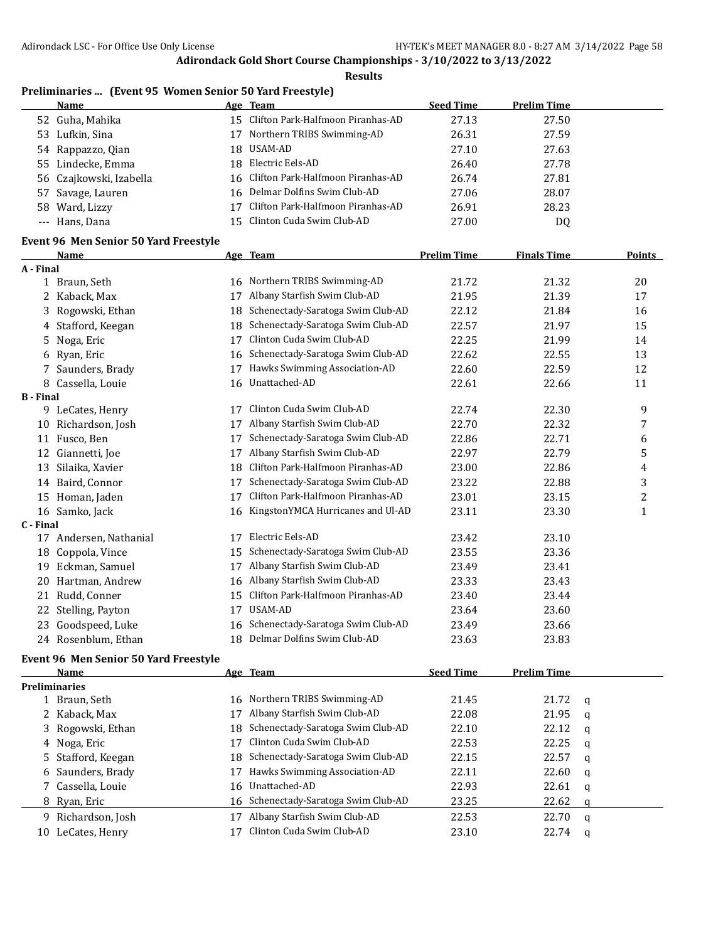**Results**

# **Preliminaries ... (Event 95 Women Senior 50 Yard Freestyle)**

| Name                    |    | Age Team                             | <b>Seed Time</b> | <b>Prelim Time</b> |
|-------------------------|----|--------------------------------------|------------------|--------------------|
| 52 Guha, Mahika         |    | 15 Clifton Park-Halfmoon Piranhas-AD | 27.13            | 27.50              |
| 53 Lufkin, Sina         | 17 | Northern TRIBS Swimming-AD           | 26.31            | 27.59              |
| 54 Rappazzo, Qian       |    | 18 USAM-AD                           | 27.10            | 27.63              |
| 55 Lindecke, Emma       |    | 18 Electric Eels-AD                  | 26.40            | 27.78              |
| 56 Czajkowski, Izabella |    | 16 Clifton Park-Halfmoon Piranhas-AD | 26.74            | 27.81              |
| 57 Savage, Lauren       |    | 16 Delmar Dolfins Swim Club-AD       | 27.06            | 28.07              |
| 58 Ward, Lizzy          | 17 | Clifton Park-Halfmoon Piranhas-AD    | 26.91            | 28.23              |
| --- Hans, Dana          |    | 15 Clinton Cuda Swim Club-AD         | 27.00            | DQ                 |

# **Event 96 Men Senior 50 Yard Freestyle**

|                  | <b>Name</b>         |    | Age Team                          | <b>Prelim Time</b> | <b>Finals Time</b> | Points         |
|------------------|---------------------|----|-----------------------------------|--------------------|--------------------|----------------|
| A - Final        |                     |    |                                   |                    |                    |                |
|                  | 1 Braun, Seth       | 16 | Northern TRIBS Swimming-AD        | 21.72              | 21.32              | 20             |
| 2.               | Kaback, Max         | 17 | Albany Starfish Swim Club-AD      | 21.95              | 21.39              | 17             |
| 3.               | Rogowski, Ethan     | 18 | Schenectady-Saratoga Swim Club-AD | 22.12              | 21.84              | 16             |
| 4                | Stafford, Keegan    | 18 | Schenectady-Saratoga Swim Club-AD | 22.57              | 21.97              | 15             |
| 5.               | Noga, Eric          | 17 | Clinton Cuda Swim Club-AD         | 22.25              | 21.99              | 14             |
| 6.               | Ryan, Eric          | 16 | Schenectady-Saratoga Swim Club-AD | 22.62              | 22.55              | 13             |
|                  | Saunders, Brady     | 17 | Hawks Swimming Association-AD     | 22.60              | 22.59              | 12             |
| 8                | Cassella, Louie     | 16 | Unattached-AD                     | 22.61              | 22.66              | 11             |
| <b>B</b> - Final |                     |    |                                   |                    |                    |                |
| 9.               | LeCates, Henry      | 17 | Clinton Cuda Swim Club-AD         | 22.74              | 22.30              | 9              |
| 10               | Richardson, Josh    | 17 | Albany Starfish Swim Club-AD      | 22.70              | 22.32              | 7              |
| 11               | Fusco, Ben          | 17 | Schenectady-Saratoga Swim Club-AD | 22.86              | 22.71              | 6              |
| 12               | Giannetti, Joe      | 17 | Albany Starfish Swim Club-AD      | 22.97              | 22.79              | 5              |
| 13               | Silaika, Xavier     | 18 | Clifton Park-Halfmoon Piranhas-AD | 23.00              | 22.86              | 4              |
| 14               | Baird, Connor       | 17 | Schenectady-Saratoga Swim Club-AD | 23.22              | 22.88              | 3              |
| 15               | Homan, Jaden        | 17 | Clifton Park-Halfmoon Piranhas-AD | 23.01              | 23.15              | $\overline{c}$ |
|                  | 16 Samko, Jack      | 16 | KingstonYMCA Hurricanes and Ul-AD | 23.11              | 23.30              | 1              |
| C - Final        |                     |    |                                   |                    |                    |                |
| 17               | Andersen, Nathanial | 17 | Electric Eels-AD                  | 23.42              | 23.10              |                |
| 18               | Coppola, Vince      | 15 | Schenectady-Saratoga Swim Club-AD | 23.55              | 23.36              |                |
| 19               | Eckman, Samuel      | 17 | Albany Starfish Swim Club-AD      | 23.49              | 23.41              |                |
| 20               | Hartman, Andrew     | 16 | Albany Starfish Swim Club-AD      | 23.33              | 23.43              |                |
| 21               | Rudd, Conner        | 15 | Clifton Park-Halfmoon Piranhas-AD | 23.40              | 23.44              |                |
| 22               | Stelling, Payton    | 17 | USAM-AD                           | 23.64              | 23.60              |                |
| 23               | Goodspeed, Luke     | 16 | Schenectady-Saratoga Swim Club-AD | 23.49              | 23.66              |                |
|                  | 24 Rosenblum, Ethan | 18 | Delmar Dolfins Swim Club-AD       | 23.63              | 23.83              |                |

#### **Event 96 Men Senior 50 Yard Freestyle**

|    | Name                 |     | Age Team                             | <b>Seed Time</b> | <b>Prelim Time</b> |          |
|----|----------------------|-----|--------------------------------------|------------------|--------------------|----------|
|    | <b>Preliminaries</b> |     |                                      |                  |                    |          |
|    | 1 Braun, Seth        |     | 16 Northern TRIBS Swimming-AD        | 21.45            | 21.72              | <b>a</b> |
|    | 2 Kaback, Max        |     | Albany Starfish Swim Club-AD         | 22.08            | 21.95              | q        |
|    | 3 Rogowski, Ethan    | 18. | Schenectady-Saratoga Swim Club-AD    | 22.10            | 22.12              | a        |
|    | 4 Noga, Eric         |     | Clinton Cuda Swim Club-AD            | 22.53            | 22.25              | q        |
|    | 5 Stafford, Keegan   |     | 18 Schenectady-Saratoga Swim Club-AD | 22.15            | 22.57              | a        |
|    | 6 Saunders, Brady    | 17  | Hawks Swimming Association-AD        | 22.11            | 22.60              | q        |
|    | 7 Cassella, Louie    |     | 16 Unattached-AD                     | 22.93            | 22.61              | q        |
|    | 8 Ryan, Eric         |     | 16 Schenectady-Saratoga Swim Club-AD | 23.25            | 22.62              | a        |
|    | 9 Richardson, Josh   |     | Albany Starfish Swim Club-AD         | 22.53            | 22.70              | a        |
| 10 | LeCates, Henry       |     | Clinton Cuda Swim Club-AD            | 23.10            | 22.74              | a        |
|    |                      |     |                                      |                  |                    |          |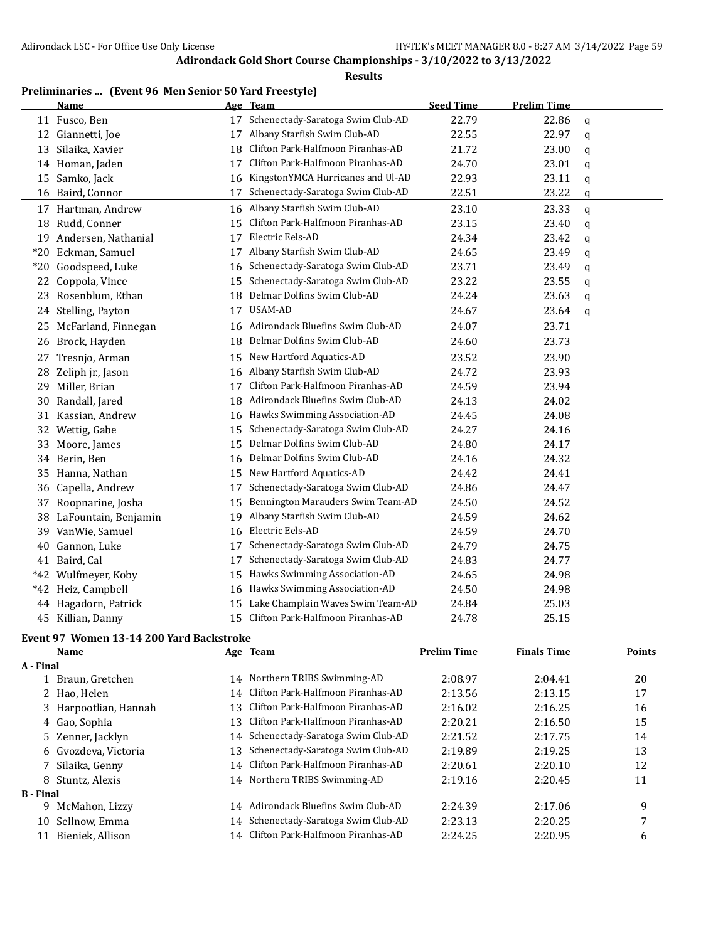**Results**

|       | <b>Name</b>            |    | Age Team                          | <b>Seed Time</b> | <b>Prelim Time</b> |   |
|-------|------------------------|----|-----------------------------------|------------------|--------------------|---|
|       | 11 Fusco, Ben          | 17 | Schenectady-Saratoga Swim Club-AD | 22.79            | 22.86              | q |
|       | 12 Giannetti, Joe      | 17 | Albany Starfish Swim Club-AD      | 22.55            | 22.97              | q |
| 13    | Silaika, Xavier        | 18 | Clifton Park-Halfmoon Piranhas-AD | 21.72            | 23.00              | q |
|       | 14 Homan, Jaden        | 17 | Clifton Park-Halfmoon Piranhas-AD | 24.70            | 23.01              | q |
| 15    | Samko, Jack            | 16 | KingstonYMCA Hurricanes and Ul-AD | 22.93            | 23.11              | q |
| 16    | Baird, Connor          | 17 | Schenectady-Saratoga Swim Club-AD | 22.51            | 23.22              | q |
|       | 17 Hartman, Andrew     | 16 | Albany Starfish Swim Club-AD      | 23.10            | 23.33              | q |
|       | 18 Rudd, Conner        | 15 | Clifton Park-Halfmoon Piranhas-AD | 23.15            | 23.40              | q |
|       | 19 Andersen, Nathanial | 17 | Electric Eels-AD                  | 24.34            | 23.42              | q |
| $*20$ | Eckman, Samuel         | 17 | Albany Starfish Swim Club-AD      | 24.65            | 23.49              | q |
| $*20$ | Goodspeed, Luke        | 16 | Schenectady-Saratoga Swim Club-AD | 23.71            | 23.49              | q |
| 22    | Coppola, Vince         | 15 | Schenectady-Saratoga Swim Club-AD | 23.22            | 23.55              | q |
| 23    | Rosenblum, Ethan       | 18 | Delmar Dolfins Swim Club-AD       | 24.24            | 23.63              | q |
|       | 24 Stelling, Payton    | 17 | USAM-AD                           | 24.67            | 23.64              | q |
|       | 25 McFarland, Finnegan | 16 | Adirondack Bluefins Swim Club-AD  | 24.07            | 23.71              |   |
|       | 26 Brock, Hayden       | 18 | Delmar Dolfins Swim Club-AD       | 24.60            | 23.73              |   |
|       | 27 Tresnjo, Arman      | 15 | New Hartford Aquatics-AD          | 23.52            | 23.90              |   |
| 28    | Zeliph jr., Jason      | 16 | Albany Starfish Swim Club-AD      | 24.72            | 23.93              |   |
| 29    | Miller, Brian          | 17 | Clifton Park-Halfmoon Piranhas-AD | 24.59            | 23.94              |   |
| 30    | Randall, Jared         | 18 | Adirondack Bluefins Swim Club-AD  | 24.13            | 24.02              |   |
| 31    | Kassian, Andrew        | 16 | Hawks Swimming Association-AD     | 24.45            | 24.08              |   |
| 32    | Wettig, Gabe           | 15 | Schenectady-Saratoga Swim Club-AD | 24.27            | 24.16              |   |
| 33    | Moore, James           | 15 | Delmar Dolfins Swim Club-AD       | 24.80            | 24.17              |   |
| 34    | Berin, Ben             | 16 | Delmar Dolfins Swim Club-AD       | 24.16            | 24.32              |   |
| 35    | Hanna, Nathan          | 15 | New Hartford Aquatics-AD          | 24.42            | 24.41              |   |
| 36    | Capella, Andrew        | 17 | Schenectady-Saratoga Swim Club-AD | 24.86            | 24.47              |   |
| 37    | Roopnarine, Josha      | 15 | Bennington Marauders Swim Team-AD | 24.50            | 24.52              |   |
| 38    | LaFountain, Benjamin   | 19 | Albany Starfish Swim Club-AD      | 24.59            | 24.62              |   |
| 39    | VanWie, Samuel         | 16 | Electric Eels-AD                  | 24.59            | 24.70              |   |
| 40    | Gannon, Luke           | 17 | Schenectady-Saratoga Swim Club-AD | 24.79            | 24.75              |   |
|       | 41 Baird, Cal          | 17 | Schenectady-Saratoga Swim Club-AD | 24.83            | 24.77              |   |
| $*42$ | Wulfmeyer, Koby        | 15 | Hawks Swimming Association-AD     | 24.65            | 24.98              |   |
|       | *42 Heiz, Campbell     | 16 | Hawks Swimming Association-AD     | 24.50            | 24.98              |   |
| 44    | Hagadorn, Patrick      | 15 | Lake Champlain Waves Swim Team-AD | 24.84            | 25.03              |   |
|       | 45 Killian, Danny      | 15 | Clifton Park-Halfmoon Piranhas-AD | 24.78            | 25.15              |   |

#### **Event 97 Women 13-14 200 Yard Backstroke**

|                  | <b>Name</b>           |     | Age Team                             | <b>Prelim Time</b> | <b>Finals Time</b> | <b>Points</b> |
|------------------|-----------------------|-----|--------------------------------------|--------------------|--------------------|---------------|
| A - Final        |                       |     |                                      |                    |                    |               |
|                  | 1 Braun, Gretchen     |     | 14 Northern TRIBS Swimming-AD        | 2:08.97            | 2:04.41            | 20            |
|                  | 2 Hao, Helen          |     | 14 Clifton Park-Halfmoon Piranhas-AD | 2:13.56            | 2:13.15            | 17            |
|                  | 3 Harpootlian, Hannah | 13. | Clifton Park-Halfmoon Piranhas-AD    | 2:16.02            | 2:16.25            | 16            |
|                  | 4 Gao, Sophia         | 13  | Clifton Park-Halfmoon Piranhas-AD    | 2:20.21            | 2:16.50            | 15            |
|                  | 5 Zenner, Jacklyn     | 14  | Schenectady-Saratoga Swim Club-AD    | 2:21.52            | 2:17.75            | 14            |
|                  | 6 Gvozdeva, Victoria  | 13  | Schenectady-Saratoga Swim Club-AD    | 2:19.89            | 2:19.25            | 13            |
|                  | 7 Silaika, Genny      |     | 14 Clifton Park-Halfmoon Piranhas-AD | 2:20.61            | 2:20.10            | 12            |
|                  | 8 Stuntz, Alexis      |     | 14 Northern TRIBS Swimming-AD        | 2:19.16            | 2:20.45            | 11            |
| <b>B</b> - Final |                       |     |                                      |                    |                    |               |
| 9.               | McMahon, Lizzy        | 14  | Adirondack Bluefins Swim Club-AD     | 2:24.39            | 2:17.06            | 9             |
| 10               | Sellnow, Emma         | 14  | Schenectady-Saratoga Swim Club-AD    | 2:23.13            | 2:20.25            | 7             |
| 11               | Bieniek, Allison      | 14  | Clifton Park-Halfmoon Piranhas-AD    | 2:24.25            | 2:20.95            | 6             |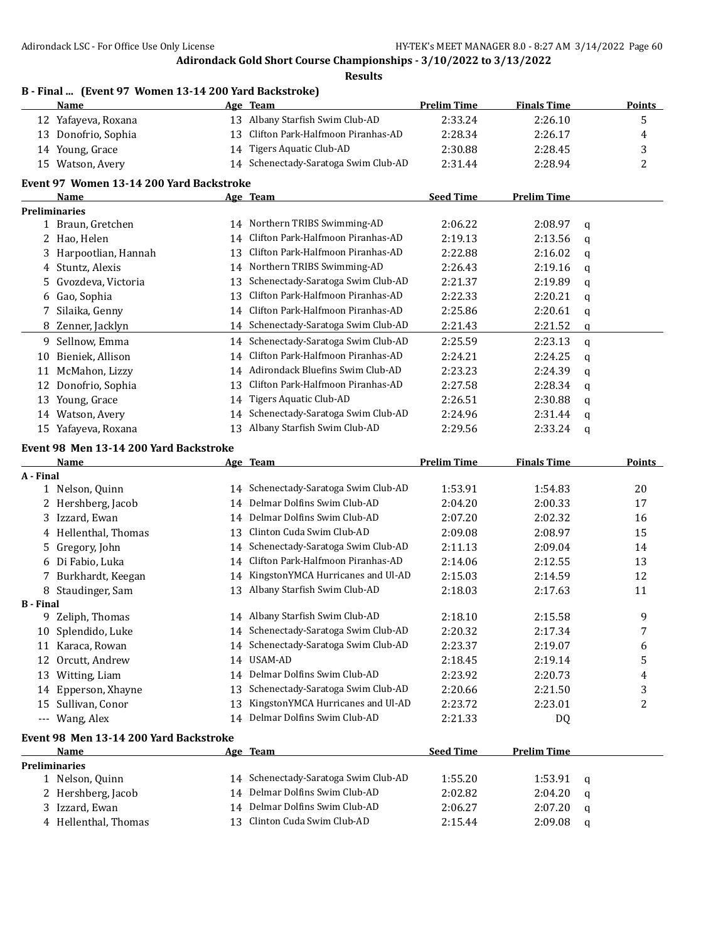|                  | B - Final  (Event 97 Women 13-14 200 Yard Backstroke)<br>Name |    | Age Team                             | <b>Prelim Time</b> | <b>Finals Time</b> |   | <b>Points</b> |
|------------------|---------------------------------------------------------------|----|--------------------------------------|--------------------|--------------------|---|---------------|
|                  | 12 Yafayeva, Roxana                                           |    | 13 Albany Starfish Swim Club-AD      | 2:33.24            | 2:26.10            |   | 5             |
|                  | 13 Donofrio, Sophia                                           |    | 13 Clifton Park-Halfmoon Piranhas-AD | 2:28.34            | 2:26.17            |   | 4             |
|                  | 14 Young, Grace                                               |    | 14 Tigers Aquatic Club-AD            | 2:30.88            | 2:28.45            |   | 3             |
|                  | 15 Watson, Avery                                              |    | 14 Schenectady-Saratoga Swim Club-AD | 2:31.44            | 2:28.94            |   | 2             |
|                  |                                                               |    |                                      |                    |                    |   |               |
|                  | Event 97 Women 13-14 200 Yard Backstroke                      |    |                                      |                    |                    |   |               |
|                  | Name                                                          |    | Age Team                             | <b>Seed Time</b>   | <b>Prelim Time</b> |   |               |
|                  | <b>Preliminaries</b>                                          |    | 14 Northern TRIBS Swimming-AD        | 2:06.22            | 2:08.97            |   |               |
|                  | 1 Braun, Gretchen                                             |    | Clifton Park-Halfmoon Piranhas-AD    |                    |                    | q |               |
|                  | 2 Hao, Helen                                                  | 14 |                                      | 2:19.13            | 2:13.56            | q |               |
|                  | 3 Harpootlian, Hannah                                         | 13 | Clifton Park-Halfmoon Piranhas-AD    | 2:22.88            | 2:16.02            | q |               |
|                  | 4 Stuntz, Alexis                                              | 14 | Northern TRIBS Swimming-AD           | 2:26.43            | 2:19.16            | q |               |
|                  | 5 Gvozdeva, Victoria                                          | 13 | Schenectady-Saratoga Swim Club-AD    | 2:21.37            | 2:19.89            | q |               |
|                  | 6 Gao, Sophia                                                 | 13 | Clifton Park-Halfmoon Piranhas-AD    | 2:22.33            | 2:20.21            | q |               |
| 7                | Silaika, Genny                                                | 14 | Clifton Park-Halfmoon Piranhas-AD    | 2:25.86            | 2:20.61            | q |               |
|                  | 8 Zenner, Jacklyn                                             |    | 14 Schenectady-Saratoga Swim Club-AD | 2:21.43            | 2:21.52            | q |               |
|                  | 9 Sellnow, Emma                                               | 14 | Schenectady-Saratoga Swim Club-AD    | 2:25.59            | 2:23.13            | q |               |
| 10               | Bieniek, Allison                                              | 14 | Clifton Park-Halfmoon Piranhas-AD    | 2:24.21            | 2:24.25            | q |               |
| 11               | McMahon, Lizzy                                                |    | 14 Adirondack Bluefins Swim Club-AD  | 2:23.23            | 2:24.39            | q |               |
| 12               | Donofrio, Sophia                                              | 13 | Clifton Park-Halfmoon Piranhas-AD    | 2:27.58            | 2:28.34            | q |               |
| 13               | Young, Grace                                                  | 14 | Tigers Aquatic Club-AD               | 2:26.51            | 2:30.88            | q |               |
|                  | 14 Watson, Avery                                              | 14 | Schenectady-Saratoga Swim Club-AD    | 2:24.96            | 2:31.44            | q |               |
|                  | 15 Yafayeva, Roxana                                           |    | 13 Albany Starfish Swim Club-AD      | 2:29.56            | 2:33.24            | q |               |
|                  | Event 98 Men 13-14 200 Yard Backstroke                        |    |                                      |                    |                    |   |               |
|                  | Name                                                          |    | Age Team                             | <b>Prelim Time</b> | <b>Finals Time</b> |   | <b>Points</b> |
| A - Final        |                                                               |    |                                      |                    |                    |   |               |
|                  | 1 Nelson, Quinn                                               | 14 | Schenectady-Saratoga Swim Club-AD    | 1:53.91            | 1:54.83            |   | 20            |
|                  | 2 Hershberg, Jacob                                            | 14 | Delmar Dolfins Swim Club-AD          | 2:04.20            | 2:00.33            |   | 17            |
|                  | 3 Izzard, Ewan                                                | 14 | Delmar Dolfins Swim Club-AD          | 2:07.20            | 2:02.32            |   | 16            |
|                  | 4 Hellenthal, Thomas                                          | 13 | Clinton Cuda Swim Club-AD            | 2:09.08            | 2:08.97            |   | 15            |
|                  | 5 Gregory, John                                               | 14 | Schenectady-Saratoga Swim Club-AD    | 2:11.13            | 2:09.04            |   | 14            |
|                  | 6 Di Fabio, Luka                                              | 14 | Clifton Park-Halfmoon Piranhas-AD    | 2:14.06            | 2:12.55            |   | 13            |
|                  | 7 Burkhardt, Keegan                                           | 14 | KingstonYMCA Hurricanes and Ul-AD    | 2:15.03            | 2:14.59            |   | 12            |
|                  | 8 Staudinger, Sam                                             |    | 13 Albany Starfish Swim Club-AD      | 2:18.03            | 2:17.63            |   | 11            |
| <b>B</b> - Final |                                                               |    |                                      |                    |                    |   |               |
|                  | 9 Zeliph, Thomas                                              |    | 14 Albany Starfish Swim Club-AD      | 2:18.10            | 2:15.58            |   | 9             |
|                  | 10 Splendido, Luke                                            |    | 14 Schenectady-Saratoga Swim Club-AD | 2:20.32            | 2:17.34            |   | 7             |
|                  | 11 Karaca, Rowan                                              | 14 | Schenectady-Saratoga Swim Club-AD    | 2:23.37            | 2:19.07            |   | 6             |
|                  | 12 Orcutt, Andrew                                             | 14 | USAM-AD                              | 2:18.45            | 2:19.14            |   | 5             |
|                  | 13 Witting, Liam                                              | 14 | Delmar Dolfins Swim Club-AD          | 2:23.92            | 2:20.73            |   | 4             |
|                  | 14 Epperson, Xhayne                                           | 13 | Schenectady-Saratoga Swim Club-AD    | 2:20.66            | 2:21.50            |   | 3             |
|                  | 15 Sullivan, Conor                                            | 13 | KingstonYMCA Hurricanes and Ul-AD    | 2:23.72            | 2:23.01            |   | 2             |
| ---              | Wang, Alex                                                    |    | 14 Delmar Dolfins Swim Club-AD       | 2:21.33            | DQ                 |   |               |
|                  |                                                               |    |                                      |                    |                    |   |               |
|                  | Event 98 Men 13-14 200 Yard Backstroke                        |    |                                      |                    |                    |   |               |
|                  | Name                                                          |    | Age Team                             | <b>Seed Time</b>   | <b>Prelim Time</b> |   |               |
|                  | <b>Preliminaries</b><br>1 Nelson, Quinn                       |    | 14 Schenectady-Saratoga Swim Club-AD | 1:55.20            | 1:53.91            |   |               |
| 2                | Hershberg, Jacob                                              |    | 14 Delmar Dolfins Swim Club-AD       | 2:02.82            | 2:04.20            | q |               |
|                  | Izzard, Ewan                                                  |    | 14 Delmar Dolfins Swim Club-AD       |                    |                    | q |               |
| 3.               | 4 Hellenthal, Thomas                                          |    | 13 Clinton Cuda Swim Club-AD         | 2:06.27            | 2:07.20            | q |               |
|                  |                                                               |    |                                      | 2:15.44            | 2:09.08            | q |               |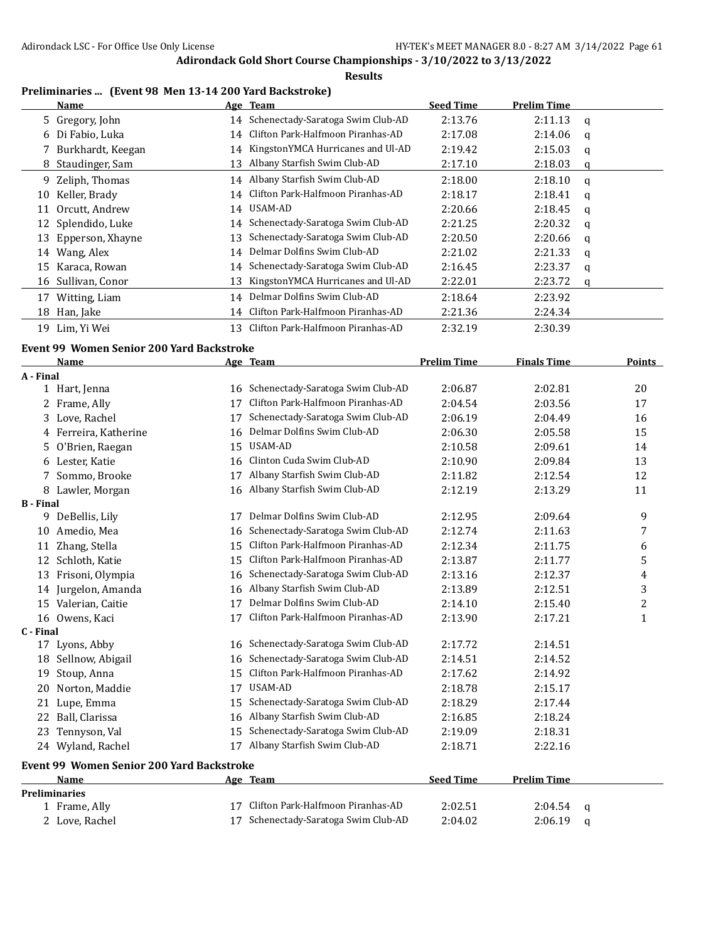**Results**

## **Preliminaries ... (Event 98 Men 13-14 200 Yard Backstroke)**

|    | Name                |    | Age Team                             | <b>Seed Time</b> | <b>Prelim Time</b> |   |
|----|---------------------|----|--------------------------------------|------------------|--------------------|---|
|    | 5 Gregory, John     | 14 | Schenectady-Saratoga Swim Club-AD    | 2:13.76          | 2:11.13            | q |
|    | 6 Di Fabio, Luka    | 14 | Clifton Park-Halfmoon Piranhas-AD    | 2:17.08          | 2:14.06            | a |
|    | 7 Burkhardt, Keegan |    | 14 KingstonYMCA Hurricanes and Ul-AD | 2:19.42          | 2:15.03            | a |
|    | 8 Staudinger, Sam   | 13 | Albany Starfish Swim Club-AD         | 2:17.10          | 2:18.03            | q |
|    | 9 Zeliph, Thomas    |    | 14 Albany Starfish Swim Club-AD      | 2:18.00          | 2:18.10            | q |
| 10 | Keller, Brady       | 14 | Clifton Park-Halfmoon Piranhas-AD    | 2:18.17          | 2:18.41            | q |
| 11 | Orcutt, Andrew      |    | 14 USAM-AD                           | 2:20.66          | 2:18.45            | q |
|    | 12 Splendido, Luke  | 14 | Schenectady-Saratoga Swim Club-AD    | 2:21.25          | 2:20.32            | q |
| 13 | Epperson, Xhayne    | 13 | Schenectady-Saratoga Swim Club-AD    | 2:20.50          | 2:20.66            | a |
| 14 | Wang, Alex          | 14 | Delmar Dolfins Swim Club-AD          | 2:21.02          | 2:21.33            | q |
| 15 | Karaca, Rowan       | 14 | Schenectady-Saratoga Swim Club-AD    | 2:16.45          | 2:23.37            | a |
|    | 16 Sullivan, Conor  | 13 | KingstonYMCA Hurricanes and Ul-AD    | 2:22.01          | 2:23.72            | q |
| 17 | Witting, Liam       | 14 | Delmar Dolfins Swim Club-AD          | 2:18.64          | 2:23.92            |   |
| 18 | Han, Jake           |    | 14 Clifton Park-Halfmoon Piranhas-AD | 2:21.36          | 2:24.34            |   |
| 19 | Lim, Yi Wei         | 13 | Clifton Park-Halfmoon Piranhas-AD    | 2:32.19          | 2:30.39            |   |

## **Event 99 Women Senior 200 Yard Backstroke**

|                  | <b>Name</b>                               |    | Age Team                          | <b>Prelim Time</b> | <b>Finals Time</b> |   | <b>Points</b> |
|------------------|-------------------------------------------|----|-----------------------------------|--------------------|--------------------|---|---------------|
| A - Final        |                                           |    |                                   |                    |                    |   |               |
|                  | 1 Hart, Jenna                             | 16 | Schenectady-Saratoga Swim Club-AD | 2:06.87            | 2:02.81            |   | 20            |
|                  | Frame, Ally                               | 17 | Clifton Park-Halfmoon Piranhas-AD | 2:04.54            | 2:03.56            |   | 17            |
| 3                | Love, Rachel                              | 17 | Schenectady-Saratoga Swim Club-AD | 2:06.19            | 2:04.49            |   | 16            |
|                  | 4 Ferreira, Katherine                     | 16 | Delmar Dolfins Swim Club-AD       | 2:06.30            | 2:05.58            |   | 15            |
| 5                | O'Brien, Raegan                           | 15 | USAM-AD                           | 2:10.58            | 2:09.61            |   | 14            |
| 6                | Lester, Katie                             | 16 | Clinton Cuda Swim Club-AD         | 2:10.90            | 2:09.84            |   | 13            |
|                  | Sommo, Brooke                             | 17 | Albany Starfish Swim Club-AD      | 2:11.82            | 2:12.54            |   | 12            |
|                  | 8 Lawler, Morgan                          | 16 | Albany Starfish Swim Club-AD      | 2:12.19            | 2:13.29            |   | 11            |
| <b>B</b> - Final |                                           |    |                                   |                    |                    |   |               |
|                  | 9 DeBellis, Lily                          | 17 | Delmar Dolfins Swim Club-AD       | 2:12.95            | 2:09.64            |   | 9             |
| 10               | Amedio, Mea                               | 16 | Schenectady-Saratoga Swim Club-AD | 2:12.74            | 2:11.63            |   | 7             |
| 11               | Zhang, Stella                             | 15 | Clifton Park-Halfmoon Piranhas-AD | 2:12.34            | 2:11.75            |   | 6             |
|                  | 12 Schloth, Katie                         | 15 | Clifton Park-Halfmoon Piranhas-AD | 2:13.87            | 2:11.77            |   | 5             |
| 13               | Frisoni, Olympia                          | 16 | Schenectady-Saratoga Swim Club-AD | 2:13.16            | 2:12.37            |   | 4             |
| 14               | Jurgelon, Amanda                          | 16 | Albany Starfish Swim Club-AD      | 2:13.89            | 2:12.51            |   | 3             |
| 15               | Valerian, Caitie                          | 17 | Delmar Dolfins Swim Club-AD       | 2:14.10            | 2:15.40            |   | 2             |
|                  | 16 Owens, Kaci                            | 17 | Clifton Park-Halfmoon Piranhas-AD | 2:13.90            | 2:17.21            |   | $\mathbf{1}$  |
| C - Final        |                                           |    |                                   |                    |                    |   |               |
|                  | 17 Lyons, Abby                            | 16 | Schenectady-Saratoga Swim Club-AD | 2:17.72            | 2:14.51            |   |               |
| 18               | Sellnow, Abigail                          | 16 | Schenectady-Saratoga Swim Club-AD | 2:14.51            | 2:14.52            |   |               |
| 19               | Stoup, Anna                               | 15 | Clifton Park-Halfmoon Piranhas-AD | 2:17.62            | 2:14.92            |   |               |
| 20               | Norton, Maddie                            | 17 | <b>USAM-AD</b>                    | 2:18.78            | 2:15.17            |   |               |
| 21               | Lupe, Emma                                | 15 | Schenectady-Saratoga Swim Club-AD | 2:18.29            | 2:17.44            |   |               |
| 22               | Ball, Clarissa                            | 16 | Albany Starfish Swim Club-AD      | 2:16.85            | 2:18.24            |   |               |
| 23               | Tennyson, Val                             | 15 | Schenectady-Saratoga Swim Club-AD | 2:19.09            | 2:18.31            |   |               |
|                  | 24 Wyland, Rachel                         | 17 | Albany Starfish Swim Club-AD      | 2:18.71            | 2:22.16            |   |               |
|                  | Event 99 Women Senior 200 Yard Backstroke |    |                                   |                    |                    |   |               |
|                  | <b>Name</b>                               |    | Age Team                          | <b>Seed Time</b>   | <b>Prelim Time</b> |   |               |
|                  | Preliminaries                             |    |                                   |                    |                    |   |               |
|                  | 1 Frame, Ally                             | 17 | Clifton Park-Halfmoon Piranhas-AD | 2:02.51            | 2:04.54            | q |               |
|                  | 2 Love, Rachel                            | 17 | Schenectady-Saratoga Swim Club-AD | 2:04.02            | 2:06.19            | a |               |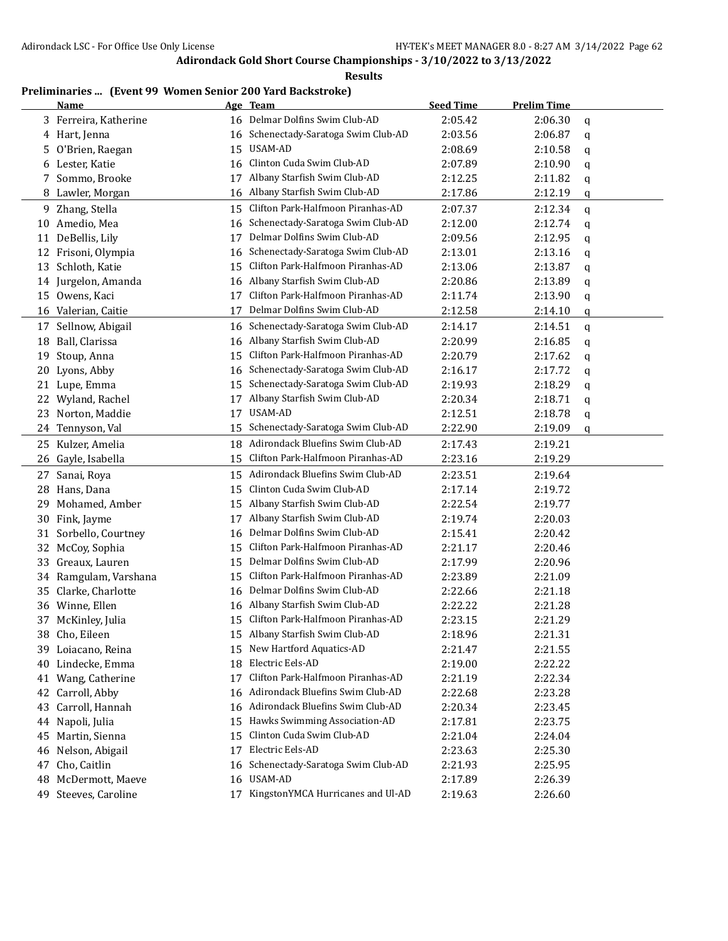**Results**

# **Preliminaries ... (Event 99 Women Senior 200 Yard Backstroke)**

|    | <b>Name</b>           |    | Age Team                             | <b>Seed Time</b> | <b>Prelim Time</b> |   |
|----|-----------------------|----|--------------------------------------|------------------|--------------------|---|
|    | 3 Ferreira, Katherine | 16 | Delmar Dolfins Swim Club-AD          | 2:05.42          | 2:06.30            | q |
|    | 4 Hart, Jenna         | 16 | Schenectady-Saratoga Swim Club-AD    | 2:03.56          | 2:06.87            | q |
| 5  | O'Brien, Raegan       | 15 | USAM-AD                              | 2:08.69          | 2:10.58            | q |
| 6  | Lester, Katie         | 16 | Clinton Cuda Swim Club-AD            | 2:07.89          | 2:10.90            | q |
| 7  | Sommo, Brooke         | 17 | Albany Starfish Swim Club-AD         | 2:12.25          | 2:11.82            | q |
| 8  | Lawler, Morgan        | 16 | Albany Starfish Swim Club-AD         | 2:17.86          | 2:12.19            | q |
| 9  | Zhang, Stella         | 15 | Clifton Park-Halfmoon Piranhas-AD    | 2:07.37          | 2:12.34            | q |
|    | 10 Amedio, Mea        | 16 | Schenectady-Saratoga Swim Club-AD    | 2:12.00          | 2:12.74            | q |
| 11 | DeBellis, Lily        | 17 | Delmar Dolfins Swim Club-AD          | 2:09.56          | 2:12.95            | q |
| 12 | Frisoni, Olympia      | 16 | Schenectady-Saratoga Swim Club-AD    | 2:13.01          | 2:13.16            | q |
| 13 | Schloth, Katie        | 15 | Clifton Park-Halfmoon Piranhas-AD    | 2:13.06          | 2:13.87            | q |
| 14 | Jurgelon, Amanda      | 16 | Albany Starfish Swim Club-AD         | 2:20.86          | 2:13.89            | q |
| 15 | Owens, Kaci           | 17 | Clifton Park-Halfmoon Piranhas-AD    | 2:11.74          | 2:13.90            | q |
|    | 16 Valerian, Caitie   | 17 | Delmar Dolfins Swim Club-AD          | 2:12.58          | 2:14.10            | q |
| 17 | Sellnow, Abigail      | 16 | Schenectady-Saratoga Swim Club-AD    | 2:14.17          | 2:14.51            | q |
| 18 | Ball, Clarissa        | 16 | Albany Starfish Swim Club-AD         | 2:20.99          | 2:16.85            | q |
| 19 | Stoup, Anna           | 15 | Clifton Park-Halfmoon Piranhas-AD    | 2:20.79          | 2:17.62            | q |
| 20 | Lyons, Abby           | 16 | Schenectady-Saratoga Swim Club-AD    | 2:16.17          | 2:17.72            | q |
| 21 | Lupe, Emma            | 15 | Schenectady-Saratoga Swim Club-AD    | 2:19.93          | 2:18.29            | q |
| 22 | Wyland, Rachel        | 17 | Albany Starfish Swim Club-AD         | 2:20.34          | 2:18.71            | q |
| 23 | Norton, Maddie        | 17 | USAM-AD                              | 2:12.51          | 2:18.78            | q |
| 24 | Tennyson, Val         | 15 | Schenectady-Saratoga Swim Club-AD    | 2:22.90          | 2:19.09            | q |
|    | 25 Kulzer, Amelia     | 18 | Adirondack Bluefins Swim Club-AD     | 2:17.43          | 2:19.21            |   |
| 26 | Gayle, Isabella       | 15 | Clifton Park-Halfmoon Piranhas-AD    | 2:23.16          | 2:19.29            |   |
| 27 | Sanai, Roya           | 15 | Adirondack Bluefins Swim Club-AD     | 2:23.51          | 2:19.64            |   |
| 28 | Hans, Dana            | 15 | Clinton Cuda Swim Club-AD            | 2:17.14          | 2:19.72            |   |
| 29 | Mohamed, Amber        | 15 | Albany Starfish Swim Club-AD         | 2:22.54          | 2:19.77            |   |
| 30 | Fink, Jayme           | 17 | Albany Starfish Swim Club-AD         | 2:19.74          | 2:20.03            |   |
| 31 | Sorbello, Courtney    | 16 | Delmar Dolfins Swim Club-AD          | 2:15.41          | 2:20.42            |   |
| 32 | McCoy, Sophia         | 15 | Clifton Park-Halfmoon Piranhas-AD    | 2:21.17          | 2:20.46            |   |
| 33 | Greaux, Lauren        | 15 | Delmar Dolfins Swim Club-AD          | 2:17.99          | 2:20.96            |   |
| 34 | Ramgulam, Varshana    | 15 | Clifton Park-Halfmoon Piranhas-AD    | 2:23.89          | 2:21.09            |   |
| 35 | Clarke, Charlotte     | 16 | Delmar Dolfins Swim Club-AD          | 2:22.66          | 2:21.18            |   |
|    | 36 Winne, Ellen       | 16 | Albany Starfish Swim Club-AD         | 2:22.22          | 2:21.28            |   |
|    | 37 McKinley, Julia    | 15 | Clifton Park-Halfmoon Piranhas-AD    | 2:23.15          | 2:21.29            |   |
|    | 38   Cho, Eileen      |    | 15 Albany Starfish Swim Club-AD      | 2:18.96          | 2:21.31            |   |
|    | 39 Loiacano, Reina    | 15 | New Hartford Aquatics-AD             | 2:21.47          | 2:21.55            |   |
| 40 | Lindecke, Emma        | 18 | Electric Eels-AD                     | 2:19.00          | 2:22.22            |   |
|    | 41 Wang, Catherine    | 17 | Clifton Park-Halfmoon Piranhas-AD    | 2:21.19          | 2:22.34            |   |
| 42 | Carroll, Abby         | 16 | Adirondack Bluefins Swim Club-AD     | 2:22.68          | 2:23.28            |   |
| 43 | Carroll, Hannah       | 16 | Adirondack Bluefins Swim Club-AD     | 2:20.34          | 2:23.45            |   |
| 44 | Napoli, Julia         | 15 | Hawks Swimming Association-AD        | 2:17.81          | 2:23.75            |   |
|    | 45 Martin, Sienna     | 15 | Clinton Cuda Swim Club-AD            | 2:21.04          | 2:24.04            |   |
| 46 | Nelson, Abigail       | 17 | Electric Eels-AD                     | 2:23.63          | 2:25.30            |   |
| 47 | Cho, Caitlin          | 16 | Schenectady-Saratoga Swim Club-AD    | 2:21.93          | 2:25.95            |   |
| 48 | McDermott, Maeve      | 16 | USAM-AD                              | 2:17.89          | 2:26.39            |   |
|    | 49 Steeves, Caroline  |    | 17 KingstonYMCA Hurricanes and Ul-AD | 2:19.63          | 2:26.60            |   |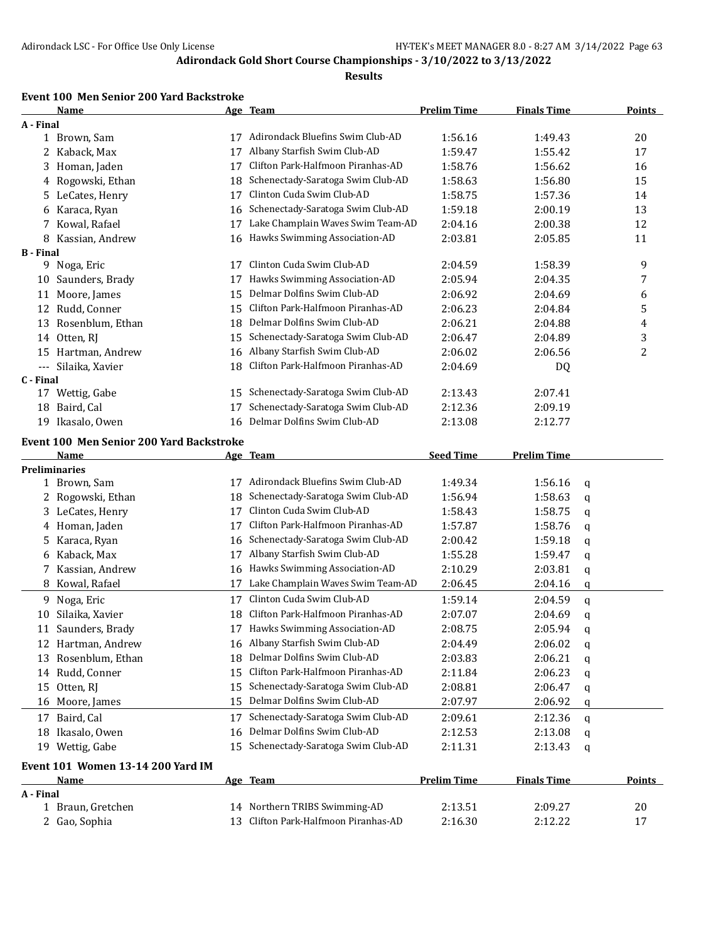#### **Results**

#### **Event 100 Men Senior 200 Yard Backstroke**

|                  | Name                                     |    | Age Team                             | <b>Prelim Time</b> | <b>Finals Time</b> |   | Points        |
|------------------|------------------------------------------|----|--------------------------------------|--------------------|--------------------|---|---------------|
| A - Final        |                                          |    |                                      |                    |                    |   |               |
|                  | 1 Brown, Sam                             | 17 | Adirondack Bluefins Swim Club-AD     | 1:56.16            | 1:49.43            |   | 20            |
|                  | 2 Kaback, Max                            | 17 | Albany Starfish Swim Club-AD         | 1:59.47            | 1:55.42            |   | 17            |
| 3.               | Homan, Jaden                             | 17 | Clifton Park-Halfmoon Piranhas-AD    | 1:58.76            | 1:56.62            |   | 16            |
| 4                | Rogowski, Ethan                          | 18 | Schenectady-Saratoga Swim Club-AD    | 1:58.63            | 1:56.80            |   | 15            |
| 5.               | LeCates, Henry                           | 17 | Clinton Cuda Swim Club-AD            | 1:58.75            | 1:57.36            |   | 14            |
| 6                | Karaca, Ryan                             | 16 | Schenectady-Saratoga Swim Club-AD    | 1:59.18            | 2:00.19            |   | 13            |
|                  | 7 Kowal, Rafael                          | 17 | Lake Champlain Waves Swim Team-AD    | 2:04.16            | 2:00.38            |   | 12            |
|                  | 8 Kassian, Andrew                        | 16 | Hawks Swimming Association-AD        | 2:03.81            | 2:05.85            |   | 11            |
| <b>B</b> - Final |                                          |    |                                      |                    |                    |   |               |
|                  | 9 Noga, Eric                             | 17 | Clinton Cuda Swim Club-AD            | 2:04.59            | 1:58.39            |   | 9             |
| 10               | Saunders, Brady                          | 17 | Hawks Swimming Association-AD        | 2:05.94            | 2:04.35            |   | 7             |
| 11               | Moore, James                             | 15 | Delmar Dolfins Swim Club-AD          | 2:06.92            | 2:04.69            |   | 6             |
|                  | 12 Rudd, Conner                          | 15 | Clifton Park-Halfmoon Piranhas-AD    | 2:06.23            | 2:04.84            |   | 5             |
| 13               | Rosenblum, Ethan                         | 18 | Delmar Dolfins Swim Club-AD          | 2:06.21            | 2:04.88            |   | 4             |
|                  | 14 Otten, RJ                             | 15 | Schenectady-Saratoga Swim Club-AD    | 2:06.47            | 2:04.89            |   | 3             |
| 15               | Hartman, Andrew                          | 16 | Albany Starfish Swim Club-AD         | 2:06.02            | 2:06.56            |   | 2             |
| $\cdots$         | Silaika, Xavier                          | 18 | Clifton Park-Halfmoon Piranhas-AD    | 2:04.69            | DQ                 |   |               |
| C - Final        |                                          |    |                                      |                    |                    |   |               |
|                  | 17 Wettig, Gabe                          | 15 | Schenectady-Saratoga Swim Club-AD    | 2:13.43            | 2:07.41            |   |               |
|                  | 18 Baird, Cal                            | 17 | Schenectady-Saratoga Swim Club-AD    | 2:12.36            | 2:09.19            |   |               |
|                  | 19 Ikasalo, Owen                         | 16 | Delmar Dolfins Swim Club-AD          | 2:13.08            | 2:12.77            |   |               |
|                  |                                          |    |                                      |                    |                    |   |               |
|                  | Event 100 Men Senior 200 Yard Backstroke |    |                                      |                    |                    |   |               |
|                  | Name<br><b>Preliminaries</b>             |    | Age Team                             | <b>Seed Time</b>   | <b>Prelim Time</b> |   |               |
|                  | 1 Brown, Sam                             | 17 | Adirondack Bluefins Swim Club-AD     | 1:49.34            | 1:56.16            | q |               |
|                  | 2 Rogowski, Ethan                        | 18 | Schenectady-Saratoga Swim Club-AD    | 1:56.94            | 1:58.63            |   |               |
|                  | 3 LeCates, Henry                         | 17 | Clinton Cuda Swim Club-AD            | 1:58.43            | 1:58.75            | q |               |
|                  | 4 Homan, Jaden                           | 17 | Clifton Park-Halfmoon Piranhas-AD    | 1:57.87            |                    | q |               |
|                  |                                          |    | Schenectady-Saratoga Swim Club-AD    |                    | 1:58.76            | q |               |
|                  | 5 Karaca, Ryan                           | 16 | Albany Starfish Swim Club-AD         | 2:00.42            | 1:59.18            | q |               |
| 6                | Kaback, Max                              | 17 |                                      | 1:55.28            | 1:59.47            | q |               |
|                  | 7 Kassian, Andrew                        | 16 | Hawks Swimming Association-AD        | 2:10.29            | 2:03.81            | q |               |
|                  | 8 Kowal, Rafael                          | 17 | Lake Champlain Waves Swim Team-AD    | 2:06.45            | 2:04.16            | q |               |
|                  | 9 Noga, Eric                             | 17 | Clinton Cuda Swim Club-AD            | 1:59.14            | 2:04.59            | q |               |
| 10               | Silaika, Xavier                          | 18 | Clifton Park-Halfmoon Piranhas-AD    | 2:07.07            | 2:04.69            | q |               |
|                  | 11 Saunders, Brady                       |    | 17 Hawks Swimming Association-AD     | 2:08.75            | 2:05.94            | q |               |
|                  | 12 Hartman, Andrew                       |    | 16 Albany Starfish Swim Club-AD      | 2:04.49            | 2:06.02            | q |               |
|                  | 13 Rosenblum, Ethan                      | 18 | Delmar Dolfins Swim Club-AD          | 2:03.83            | 2:06.21            | q |               |
|                  | 14 Rudd, Conner                          | 15 | Clifton Park-Halfmoon Piranhas-AD    | 2:11.84            | 2:06.23            | q |               |
|                  | 15 Otten, RJ                             | 15 | Schenectady-Saratoga Swim Club-AD    | 2:08.81            | 2:06.47            | q |               |
|                  | 16 Moore, James                          | 15 | Delmar Dolfins Swim Club-AD          | 2:07.97            | 2:06.92            | q |               |
|                  | 17 Baird, Cal                            | 17 | Schenectady-Saratoga Swim Club-AD    | 2:09.61            | 2:12.36            | q |               |
|                  | 18 Ikasalo, Owen                         | 16 | Delmar Dolfins Swim Club-AD          | 2:12.53            | 2:13.08            | q |               |
|                  | 19 Wettig, Gabe                          |    | 15 Schenectady-Saratoga Swim Club-AD | 2:11.31            | 2:13.43            | q |               |
|                  | Event 101 Women 13-14 200 Yard IM        |    |                                      |                    |                    |   |               |
|                  | <b>Name</b>                              |    | Age Team                             | <b>Prelim Time</b> | <b>Finals Time</b> |   | <b>Points</b> |
| A - Final        |                                          |    |                                      |                    |                    |   |               |
|                  | 1 Braun, Gretchen                        |    | 14 Northern TRIBS Swimming-AD        | 2:13.51            | 2:09.27            |   | 20            |
|                  | 2 Gao, Sophia                            |    | 13 Clifton Park-Halfmoon Piranhas-AD | 2:16.30            | 2:12.22            |   | 17            |
|                  |                                          |    |                                      |                    |                    |   |               |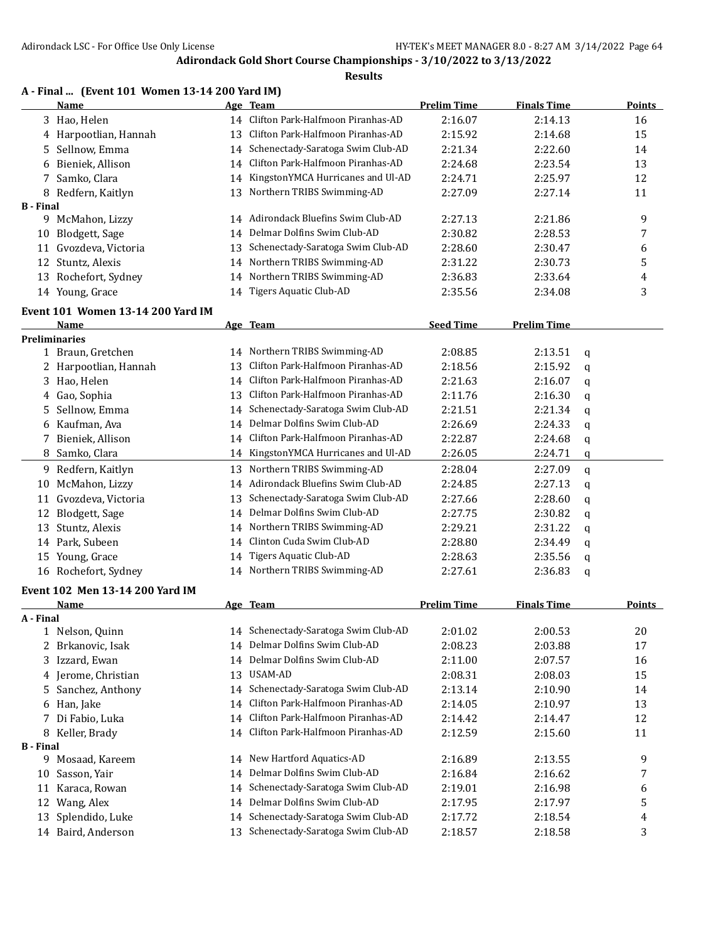|                       | A - Final  (Event 101 Women 13-14 200 Yard IM)<br>Name |          | Age Team                             | <b>Prelim Time</b> | <b>Finals Time</b> |   | <b>Points</b> |
|-----------------------|--------------------------------------------------------|----------|--------------------------------------|--------------------|--------------------|---|---------------|
|                       | 3 Hao, Helen                                           |          | 14 Clifton Park-Halfmoon Piranhas-AD | 2:16.07            | 2:14.13            |   | 16            |
|                       | 4 Harpootlian, Hannah                                  | 13       | Clifton Park-Halfmoon Piranhas-AD    | 2:15.92            | 2:14.68            |   | 15            |
| 5.                    | Sellnow, Emma                                          | 14       | Schenectady-Saratoga Swim Club-AD    | 2:21.34            | 2:22.60            |   | 14            |
|                       | 6 Bieniek, Allison                                     | 14       | Clifton Park-Halfmoon Piranhas-AD    | 2:24.68            | 2:23.54            |   | 13            |
|                       | Samko, Clara                                           | 14       | KingstonYMCA Hurricanes and Ul-AD    | 2:24.71            | 2:25.97            |   | 12            |
| 7                     |                                                        | 13       | Northern TRIBS Swimming-AD           | 2:27.09            | 2:27.14            |   | 11            |
| <b>B</b> - Final      | 8 Redfern, Kaitlyn                                     |          |                                      |                    |                    |   |               |
|                       | 9 McMahon, Lizzy                                       |          | 14 Adirondack Bluefins Swim Club-AD  | 2:27.13            | 2:21.86            |   | 9             |
|                       | 10 Blodgett, Sage                                      | 14       | Delmar Dolfins Swim Club-AD          | 2:30.82            | 2:28.53            |   | 7             |
| 11                    | Gvozdeva, Victoria                                     | 13       | Schenectady-Saratoga Swim Club-AD    | 2:28.60            | 2:30.47            |   | 6             |
| 12                    | Stuntz, Alexis                                         | 14       | Northern TRIBS Swimming-AD           | 2:31.22            | 2:30.73            |   | 5             |
| 13                    | Rochefort, Sydney                                      | 14       | Northern TRIBS Swimming-AD           | 2:36.83            | 2:33.64            |   | 4             |
|                       | 14 Young, Grace                                        |          | 14 Tigers Aquatic Club-AD            | 2:35.56            | 2:34.08            |   | 3             |
|                       |                                                        |          |                                      |                    |                    |   |               |
|                       | Event 101 Women 13-14 200 Yard IM<br>Name              |          | Age Team                             | <b>Seed Time</b>   | <b>Prelim Time</b> |   |               |
|                       | <b>Preliminaries</b>                                   |          |                                      |                    |                    |   |               |
|                       | 1 Braun, Gretchen                                      | 14       | Northern TRIBS Swimming-AD           | 2:08.85            | 2:13.51            | q |               |
|                       | 2 Harpootlian, Hannah                                  | 13       | Clifton Park-Halfmoon Piranhas-AD    | 2:18.56            | 2:15.92            | q |               |
| 3                     | Hao, Helen                                             | 14       | Clifton Park-Halfmoon Piranhas-AD    | 2:21.63            | 2:16.07            | q |               |
| 4                     | Gao, Sophia                                            | 13       | Clifton Park-Halfmoon Piranhas-AD    | 2:11.76            | 2:16.30            | q |               |
| 5                     | Sellnow, Emma                                          | 14       | Schenectady-Saratoga Swim Club-AD    | 2:21.51            | 2:21.34            | q |               |
|                       | 6 Kaufman, Ava                                         | 14       | Delmar Dolfins Swim Club-AD          | 2:26.69            | 2:24.33            | q |               |
|                       | 7 Bieniek, Allison                                     | 14       | Clifton Park-Halfmoon Piranhas-AD    | 2:22.87            | 2:24.68            | q |               |
|                       | 8 Samko, Clara                                         | 14       | KingstonYMCA Hurricanes and Ul-AD    | 2:26.05            | 2:24.71            | q |               |
|                       | 9 Redfern, Kaitlyn                                     | 13       | Northern TRIBS Swimming-AD           | 2:28.04            | 2:27.09            |   |               |
| 10                    | McMahon, Lizzy                                         | 14       | Adirondack Bluefins Swim Club-AD     | 2:24.85            | 2:27.13            | q |               |
| 11                    | Gvozdeva, Victoria                                     | 13       | Schenectady-Saratoga Swim Club-AD    | 2:27.66            | 2:28.60            | q |               |
| 12                    | Blodgett, Sage                                         | 14       | Delmar Dolfins Swim Club-AD          | 2:27.75            | 2:30.82            | q |               |
| 13                    | Stuntz, Alexis                                         | 14       | Northern TRIBS Swimming-AD           | 2:29.21            | 2:31.22            | q |               |
|                       | 14 Park, Subeen                                        | 14       | Clinton Cuda Swim Club-AD            | 2:28.80            | 2:34.49            | q |               |
|                       | 15 Young, Grace                                        |          | Tigers Aquatic Club-AD               | 2:28.63            | 2:35.56            | q |               |
|                       | 16 Rochefort, Sydney                                   | 14<br>14 | Northern TRIBS Swimming-AD           | 2:27.61            | 2:36.83            | q |               |
|                       |                                                        |          |                                      |                    |                    | q |               |
|                       | Event 102 Men 13-14 200 Yard IM                        |          |                                      |                    |                    |   |               |
|                       | Name                                                   |          | Age Team                             | <b>Prelim Time</b> | <b>Finals Time</b> |   | <b>Points</b> |
| A - Final             | 1 Nelson, Quinn                                        |          | 14 Schenectady-Saratoga Swim Club-AD | 2:01.02            | 2:00.53            |   | 20            |
|                       |                                                        | 14       | Delmar Dolfins Swim Club-AD          |                    |                    |   |               |
|                       | 2 Brkanovic, Isak<br>3 Izzard, Ewan                    | 14       | Delmar Dolfins Swim Club-AD          | 2:08.23            | 2:03.88<br>2:07.57 |   | 17            |
|                       | 4 Jerome, Christian                                    | 13       | USAM-AD                              | 2:11.00<br>2:08.31 | 2:08.03            |   | 16<br>15      |
|                       |                                                        |          | Schenectady-Saratoga Swim Club-AD    |                    |                    |   |               |
| 5                     | Sanchez, Anthony                                       | 14       | Clifton Park-Halfmoon Piranhas-AD    | 2:13.14            | 2:10.90            |   | 14            |
| 6                     | Han, Jake                                              | 14       | Clifton Park-Halfmoon Piranhas-AD    | 2:14.05            | 2:10.97            |   | 13            |
| 7                     | Di Fabio, Luka                                         | 14       | Clifton Park-Halfmoon Piranhas-AD    | 2:14.42            | 2:14.47            |   | 12            |
| 8<br><b>B</b> - Final | Keller, Brady                                          | 14       |                                      | 2:12.59            | 2:15.60            |   | 11            |
|                       | 9 Mosaad, Kareem                                       | 14       | New Hartford Aquatics-AD             | 2:16.89            | 2:13.55            |   | 9             |
| 10                    | Sasson, Yair                                           | 14       | Delmar Dolfins Swim Club-AD          | 2:16.84            | 2:16.62            |   | 7             |
|                       | 11 Karaca, Rowan                                       | 14       | Schenectady-Saratoga Swim Club-AD    | 2:19.01            | 2:16.98            |   | 6             |
|                       | 12 Wang, Alex                                          | 14       | Delmar Dolfins Swim Club-AD          | 2:17.95            | 2:17.97            |   | 5             |
| 13                    | Splendido, Luke                                        | 14       | Schenectady-Saratoga Swim Club-AD    | 2:17.72            | 2:18.54            |   | 4             |
|                       |                                                        | 13       | Schenectady-Saratoga Swim Club-AD    |                    |                    |   |               |
|                       | 14 Baird, Anderson                                     |          |                                      | 2:18.57            | 2:18.58            |   | 3             |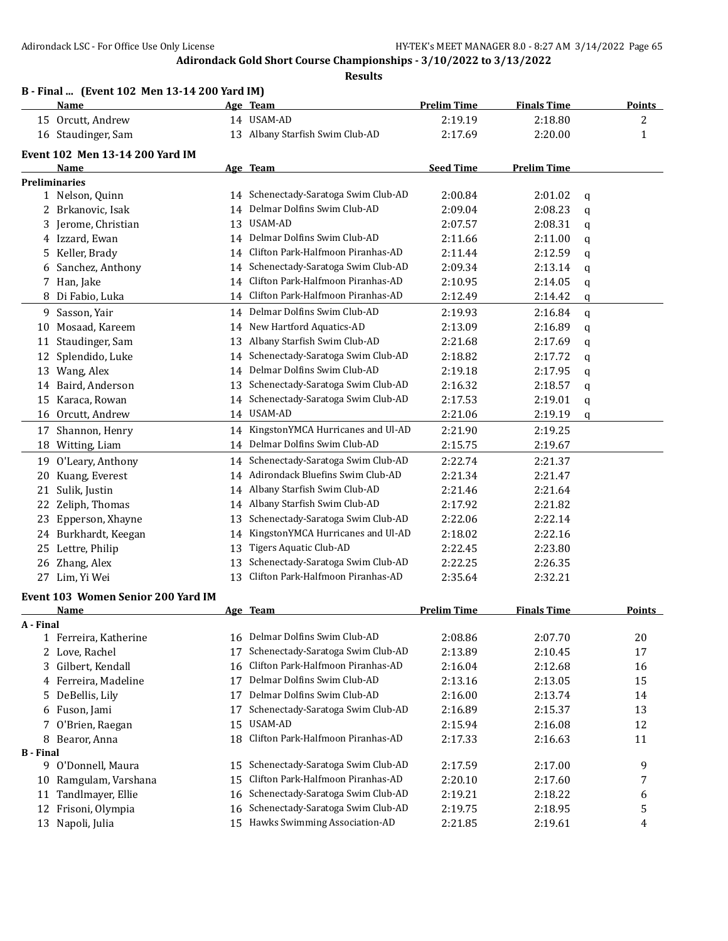**B - Final ... (Event 102 Men 13-14 200 Yard IM)**

## **Adirondack Gold Short Course Championships - 3/10/2022 to 3/13/2022**

|                  | <b>Name</b>                         |    | Age Team                             | <b>Prelim Time</b> | <b>Finals Time</b> |        | Points       |
|------------------|-------------------------------------|----|--------------------------------------|--------------------|--------------------|--------|--------------|
|                  | 15 Orcutt, Andrew                   |    | 14 USAM-AD                           | 2:19.19            | 2:18.80            |        | 2            |
|                  | 16 Staudinger, Sam                  |    | 13 Albany Starfish Swim Club-AD      | 2:17.69            | 2:20.00            |        | $\mathbf{1}$ |
|                  | Event 102 Men 13-14 200 Yard IM     |    |                                      |                    |                    |        |              |
|                  | Name                                |    | Age Team                             | <b>Seed Time</b>   | <b>Prelim Time</b> |        |              |
|                  | <b>Preliminaries</b>                |    |                                      |                    |                    |        |              |
|                  | 1 Nelson, Quinn                     |    | 14 Schenectady-Saratoga Swim Club-AD | 2:00.84            | 2:01.02            | q      |              |
|                  | 2 Brkanovic, Isak                   | 14 | Delmar Dolfins Swim Club-AD          | 2:09.04            | 2:08.23            | q      |              |
|                  | 3 Jerome, Christian                 | 13 | <b>USAM-AD</b>                       | 2:07.57            | 2:08.31            | q      |              |
|                  | 4 Izzard, Ewan                      | 14 | Delmar Dolfins Swim Club-AD          | 2:11.66            | 2:11.00            | q      |              |
|                  | 5 Keller, Brady                     | 14 | Clifton Park-Halfmoon Piranhas-AD    | 2:11.44            | 2:12.59            | q      |              |
| 6                | Sanchez, Anthony                    | 14 | Schenectady-Saratoga Swim Club-AD    | 2:09.34            | 2:13.14            | q      |              |
|                  | 7 Han, Jake                         | 14 | Clifton Park-Halfmoon Piranhas-AD    | 2:10.95            | 2:14.05            | q      |              |
|                  | 8 Di Fabio, Luka                    | 14 | Clifton Park-Halfmoon Piranhas-AD    | 2:12.49            | 2:14.42            | q      |              |
| 9                | Sasson, Yair                        | 14 | Delmar Dolfins Swim Club-AD          | 2:19.93            | 2:16.84            |        |              |
| 10               | Mosaad, Kareem                      | 14 | New Hartford Aquatics-AD             | 2:13.09            | 2:16.89            | q<br>q |              |
| 11               | Staudinger, Sam                     | 13 | Albany Starfish Swim Club-AD         | 2:21.68            | 2:17.69            |        |              |
|                  | 12 Splendido, Luke                  | 14 | Schenectady-Saratoga Swim Club-AD    | 2:18.82            | 2:17.72            | q      |              |
|                  |                                     | 14 | Delmar Dolfins Swim Club-AD          | 2:19.18            | 2:17.95            | q      |              |
|                  | 13 Wang, Alex<br>14 Baird, Anderson | 13 | Schenectady-Saratoga Swim Club-AD    | 2:16.32            | 2:18.57            | q      |              |
| 15               | Karaca, Rowan                       | 14 | Schenectady-Saratoga Swim Club-AD    | 2:17.53            |                    | q      |              |
|                  | 16 Orcutt, Andrew                   |    | 14 USAM-AD                           |                    | 2:19.01            | q      |              |
|                  |                                     |    |                                      | 2:21.06            | 2:19.19            | q      |              |
| 17               | Shannon, Henry                      | 14 | KingstonYMCA Hurricanes and Ul-AD    | 2:21.90            | 2:19.25            |        |              |
| 18               | Witting, Liam                       | 14 | Delmar Dolfins Swim Club-AD          | 2:15.75            | 2:19.67            |        |              |
| 19               | O'Leary, Anthony                    | 14 | Schenectady-Saratoga Swim Club-AD    | 2:22.74            | 2:21.37            |        |              |
| 20               | Kuang, Everest                      | 14 | Adirondack Bluefins Swim Club-AD     | 2:21.34            | 2:21.47            |        |              |
| 21               | Sulik, Justin                       | 14 | Albany Starfish Swim Club-AD         | 2:21.46            | 2:21.64            |        |              |
| 22               | Zeliph, Thomas                      | 14 | Albany Starfish Swim Club-AD         | 2:17.92            | 2:21.82            |        |              |
|                  | 23 Epperson, Xhayne                 | 13 | Schenectady-Saratoga Swim Club-AD    | 2:22.06            | 2:22.14            |        |              |
|                  | 24 Burkhardt, Keegan                | 14 | KingstonYMCA Hurricanes and Ul-AD    | 2:18.02            | 2:22.16            |        |              |
| 25               | Lettre, Philip                      | 13 | <b>Tigers Aquatic Club-AD</b>        | 2:22.45            | 2:23.80            |        |              |
| 26               | Zhang, Alex                         | 13 | Schenectady-Saratoga Swim Club-AD    | 2:22.25            | 2:26.35            |        |              |
|                  | 27 Lim, Yi Wei                      | 13 | Clifton Park-Halfmoon Piranhas-AD    | 2:35.64            | 2:32.21            |        |              |
|                  | Event 103 Women Senior 200 Yard IM  |    |                                      |                    |                    |        |              |
|                  | <b>Name</b>                         |    | Age Team                             | <b>Prelim Time</b> | <b>Finals Time</b> |        | Points       |
| A - Final        |                                     |    |                                      |                    |                    |        |              |
|                  | 1 Ferreira, Katherine               | 16 | Delmar Dolfins Swim Club-AD          | 2:08.86            | 2:07.70            |        | 20           |
|                  | 2 Love, Rachel                      | 17 | Schenectady-Saratoga Swim Club-AD    | 2:13.89            | 2:10.45            |        | 17           |
| 3                | Gilbert, Kendall                    | 16 | Clifton Park-Halfmoon Piranhas-AD    | 2:16.04            | 2:12.68            |        | 16           |
|                  | 4 Ferreira, Madeline                | 17 | Delmar Dolfins Swim Club-AD          | 2:13.16            | 2:13.05            |        | 15           |
| 5                | DeBellis, Lily                      | 17 | Delmar Dolfins Swim Club-AD          | 2:16.00            | 2:13.74            |        | 14           |
| 6                | Fuson, Jami                         | 17 | Schenectady-Saratoga Swim Club-AD    | 2:16.89            | 2:15.37            |        | 13           |
| 7                | O'Brien, Raegan                     | 15 | USAM-AD                              | 2:15.94            | 2:16.08            |        | 12           |
| 8                | Bearor, Anna                        | 18 | Clifton Park-Halfmoon Piranhas-AD    | 2:17.33            | 2:16.63            |        | 11           |
| <b>B</b> - Final |                                     |    |                                      |                    |                    |        |              |
|                  | 9 O'Donnell, Maura                  | 15 | Schenectady-Saratoga Swim Club-AD    | 2:17.59            | 2:17.00            |        | 9            |
|                  | 10 Ramgulam, Varshana               | 15 | Clifton Park-Halfmoon Piranhas-AD    | 2:20.10            | 2:17.60            |        | 7            |
| 11               | Tandlmayer, Ellie                   | 16 | Schenectady-Saratoga Swim Club-AD    | 2:19.21            | 2:18.22            |        | 6            |
| 12               | Frisoni, Olympia                    | 16 | Schenectady-Saratoga Swim Club-AD    | 2:19.75            | 2:18.95            |        | 5            |
|                  | 13 Napoli, Julia                    | 15 | Hawks Swimming Association-AD        | 2:21.85            | 2:19.61            |        | 4            |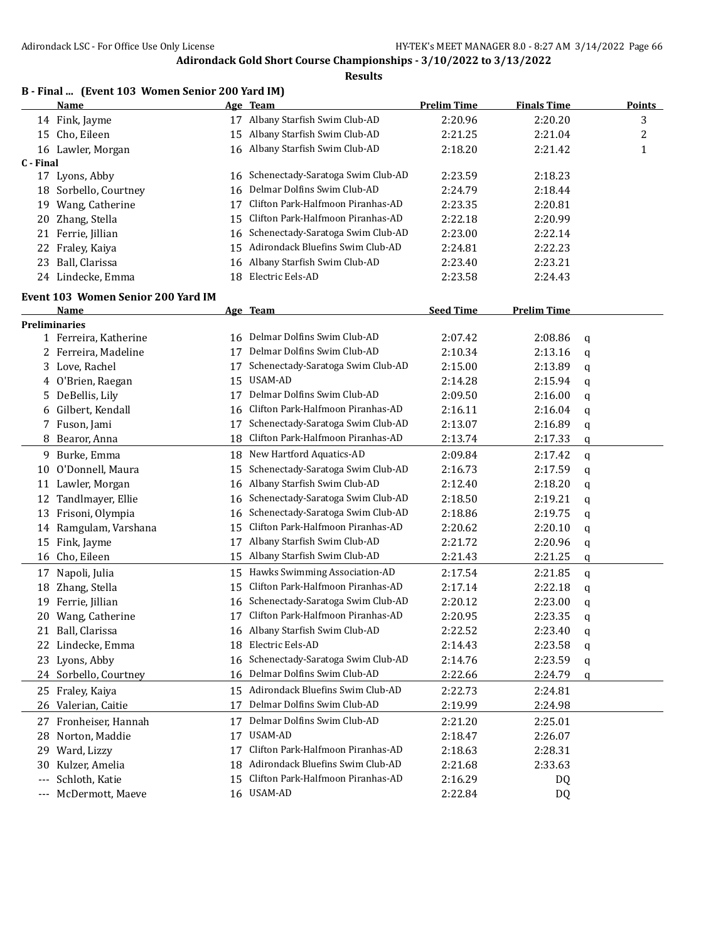|           | B - Final  (Event 103 Women Senior 200 Yard IM) |     |                                                                       |                    |                    |   |               |
|-----------|-------------------------------------------------|-----|-----------------------------------------------------------------------|--------------------|--------------------|---|---------------|
|           | Name                                            |     | <u>Age Team</u>                                                       | <b>Prelim Time</b> | <b>Finals Time</b> |   | <b>Points</b> |
|           | 14 Fink, Jayme                                  |     | 17 Albany Starfish Swim Club-AD                                       | 2:20.96            | 2:20.20            |   | 3             |
|           | 15 Cho, Eileen                                  |     | 15 Albany Starfish Swim Club-AD                                       | 2:21.25            | 2:21.04            |   | 2             |
|           | 16 Lawler, Morgan                               |     | 16 Albany Starfish Swim Club-AD                                       | 2:18.20            | 2:21.42            |   | 1             |
| C - Final | 17 Lyons, Abby                                  | 16  | Schenectady-Saratoga Swim Club-AD                                     | 2:23.59            | 2:18.23            |   |               |
| 18        | Sorbello, Courtney                              | 16  | Delmar Dolfins Swim Club-AD                                           | 2:24.79            | 2:18.44            |   |               |
|           |                                                 | 17  | Clifton Park-Halfmoon Piranhas-AD                                     | 2:23.35            | 2:20.81            |   |               |
| 19        | Wang, Catherine                                 | 15  | Clifton Park-Halfmoon Piranhas-AD                                     | 2:22.18            | 2:20.99            |   |               |
| 20        | Zhang, Stella                                   |     |                                                                       |                    |                    |   |               |
| 21        | Ferrie, Jillian                                 | 16  | Schenectady-Saratoga Swim Club-AD<br>Adirondack Bluefins Swim Club-AD | 2:23.00            | 2:22.14            |   |               |
| 22        | Fraley, Kaiya                                   | 15  |                                                                       | 2:24.81            | 2:22.23            |   |               |
| 23        | Ball, Clarissa                                  | 16  | Albany Starfish Swim Club-AD                                          | 2:23.40            | 2:23.21            |   |               |
|           | 24 Lindecke, Emma                               | 18  | Electric Eels-AD                                                      | 2:23.58            | 2:24.43            |   |               |
|           | Event 103 Women Senior 200 Yard IM              |     |                                                                       |                    |                    |   |               |
|           | Name                                            |     | Age Team                                                              | <b>Seed Time</b>   | <b>Prelim Time</b> |   |               |
|           | <b>Preliminaries</b>                            |     |                                                                       |                    |                    |   |               |
|           | 1 Ferreira, Katherine                           | 16. | Delmar Dolfins Swim Club-AD                                           | 2:07.42            | 2:08.86            | q |               |
|           | 2 Ferreira, Madeline                            | 17  | Delmar Dolfins Swim Club-AD                                           | 2:10.34            | 2:13.16            | q |               |
|           | 3 Love, Rachel                                  | 17  | Schenectady-Saratoga Swim Club-AD                                     | 2:15.00            | 2:13.89            | q |               |
| 4         | O'Brien, Raegan                                 | 15  | USAM-AD                                                               | 2:14.28            | 2:15.94            | q |               |
| 5.        | DeBellis, Lily                                  | 17  | Delmar Dolfins Swim Club-AD                                           | 2:09.50            | 2:16.00            | q |               |
| 6         | Gilbert, Kendall                                | 16  | Clifton Park-Halfmoon Piranhas-AD                                     | 2:16.11            | 2:16.04            | q |               |
|           | 7 Fuson, Jami                                   | 17  | Schenectady-Saratoga Swim Club-AD                                     | 2:13.07            | 2:16.89            | q |               |
| 8         | Bearor, Anna                                    | 18  | Clifton Park-Halfmoon Piranhas-AD                                     | 2:13.74            | 2:17.33            | q |               |
|           | 9 Burke, Emma                                   |     | 18 New Hartford Aquatics-AD                                           | 2:09.84            | 2:17.42            | q |               |
| 10        | O'Donnell, Maura                                | 15  | Schenectady-Saratoga Swim Club-AD                                     | 2:16.73            | 2:17.59            | q |               |
| 11        | Lawler, Morgan                                  | 16  | Albany Starfish Swim Club-AD                                          | 2:12.40            | 2:18.20            | q |               |
| 12        | Tandlmayer, Ellie                               | 16  | Schenectady-Saratoga Swim Club-AD                                     | 2:18.50            | 2:19.21            | q |               |
|           | 13 Frisoni, Olympia                             | 16  | Schenectady-Saratoga Swim Club-AD                                     | 2:18.86            | 2:19.75            | q |               |
| 14        | Ramgulam, Varshana                              | 15  | Clifton Park-Halfmoon Piranhas-AD                                     | 2:20.62            | 2:20.10            | q |               |
| 15        | Fink, Jayme                                     | 17  | Albany Starfish Swim Club-AD                                          | 2:21.72            | 2:20.96            | q |               |
| 16        | Cho, Eileen                                     | 15  | Albany Starfish Swim Club-AD                                          | 2:21.43            | 2:21.25            | q |               |
| 17        | Napoli, Julia                                   | 15  | Hawks Swimming Association-AD                                         | 2:17.54            | 2:21.85            | q |               |
| 18        | Zhang, Stella                                   | 15  | Clifton Park-Halfmoon Piranhas-AD                                     | 2:17.14            | 2:22.18            | q |               |
|           | 19 Ferrie, Jillian                              |     | 16 Schenectady-Saratoga Swim Club-AD                                  | 2:20.12            | 2:23.00            | q |               |
|           | 20 Wang, Catherine                              |     | 17 Clifton Park-Halfmoon Piranhas-AD                                  | 2:20.95            | 2:23.35            | q |               |
|           | 21 Ball, Clarissa                               |     | 16 Albany Starfish Swim Club-AD                                       | 2:22.52            | 2:23.40            | q |               |
| 22        | Lindecke, Emma                                  | 18  | Electric Eels-AD                                                      | 2:14.43            | 2:23.58            | q |               |
|           | 23 Lyons, Abby                                  | 16  | Schenectady-Saratoga Swim Club-AD                                     | 2:14.76            | 2:23.59            | q |               |
|           | 24 Sorbello, Courtney                           | 16  | Delmar Dolfins Swim Club-AD                                           | 2:22.66            | 2:24.79            | q |               |
|           | 25 Fraley, Kaiya                                |     | 15 Adirondack Bluefins Swim Club-AD                                   | 2:22.73            | 2:24.81            |   |               |
|           | 26 Valerian, Caitie                             | 17  | Delmar Dolfins Swim Club-AD                                           | 2:19.99            | 2:24.98            |   |               |
|           |                                                 |     |                                                                       |                    |                    |   |               |
|           | 27 Fronheiser, Hannah                           | 17  | Delmar Dolfins Swim Club-AD                                           | 2:21.20            | 2:25.01            |   |               |
| 28        | Norton, Maddie                                  | 17  | <b>USAM-AD</b>                                                        | 2:18.47            | 2:26.07            |   |               |
| 29        | Ward, Lizzy                                     | 17  | Clifton Park-Halfmoon Piranhas-AD                                     | 2:18.63            | 2:28.31            |   |               |
| 30        | Kulzer, Amelia                                  | 18  | Adirondack Bluefins Swim Club-AD                                      | 2:21.68            | 2:33.63            |   |               |
| $---$     | Schloth, Katie                                  | 15  | Clifton Park-Halfmoon Piranhas-AD                                     | 2:16.29            | DQ                 |   |               |
| $---$     | McDermott, Maeve                                |     | 16 USAM-AD                                                            | 2:22.84            | DQ                 |   |               |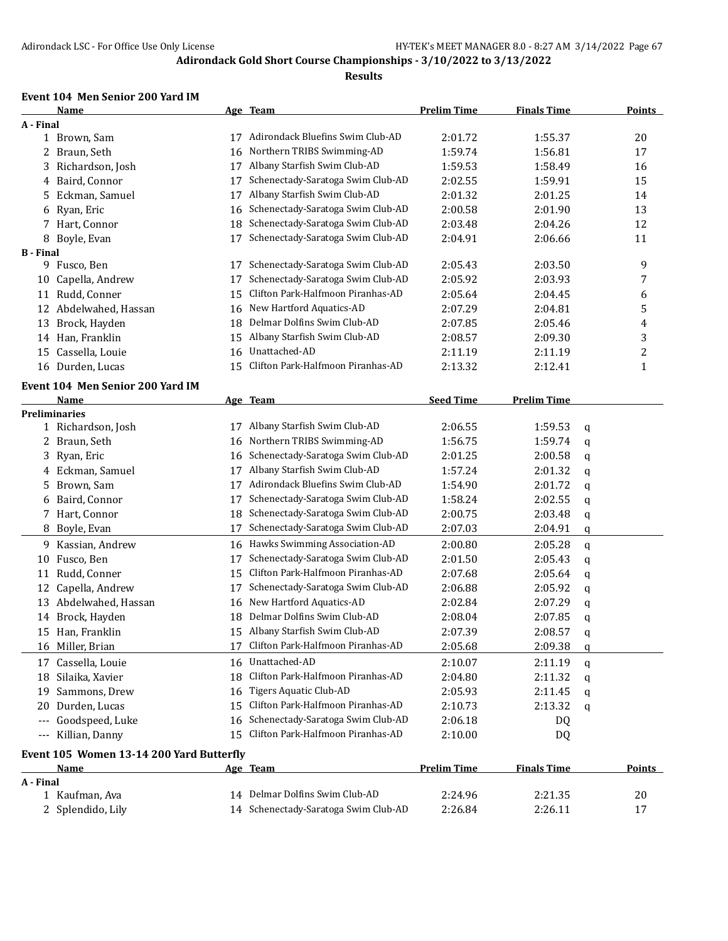#### **Results**

#### **Event 104 Men Senior 200 Yard IM**

|                  | Name                                     |    | Age Team                             | <b>Prelim Time</b> | <b>Finals Time</b> |   | <b>Points</b> |
|------------------|------------------------------------------|----|--------------------------------------|--------------------|--------------------|---|---------------|
| A - Final        |                                          |    |                                      |                    |                    |   |               |
|                  | 1 Brown, Sam                             | 17 | Adirondack Bluefins Swim Club-AD     | 2:01.72            | 1:55.37            |   | 20            |
|                  | 2 Braun, Seth                            | 16 | Northern TRIBS Swimming-AD           | 1:59.74            | 1:56.81            |   | 17            |
| 3                | Richardson, Josh                         | 17 | Albany Starfish Swim Club-AD         | 1:59.53            | 1:58.49            |   | 16            |
| 4                | Baird, Connor                            | 17 | Schenectady-Saratoga Swim Club-AD    | 2:02.55            | 1:59.91            |   | 15            |
| 5.               | Eckman, Samuel                           | 17 | Albany Starfish Swim Club-AD         | 2:01.32            | 2:01.25            |   | 14            |
| 6                | Ryan, Eric                               | 16 | Schenectady-Saratoga Swim Club-AD    | 2:00.58            | 2:01.90            |   | 13            |
|                  | 7 Hart, Connor                           | 18 | Schenectady-Saratoga Swim Club-AD    | 2:03.48            | 2:04.26            |   | 12            |
|                  | 8 Boyle, Evan                            | 17 | Schenectady-Saratoga Swim Club-AD    | 2:04.91            | 2:06.66            |   | 11            |
| <b>B</b> - Final |                                          |    |                                      |                    |                    |   |               |
|                  | 9 Fusco, Ben                             | 17 | Schenectady-Saratoga Swim Club-AD    | 2:05.43            | 2:03.50            |   | 9             |
| 10               | Capella, Andrew                          | 17 | Schenectady-Saratoga Swim Club-AD    | 2:05.92            | 2:03.93            |   | 7             |
|                  | 11 Rudd, Conner                          | 15 | Clifton Park-Halfmoon Piranhas-AD    | 2:05.64            | 2:04.45            |   | 6             |
|                  | 12 Abdelwahed, Hassan                    | 16 | New Hartford Aquatics-AD             | 2:07.29            | 2:04.81            |   | 5             |
| 13               | Brock, Hayden                            | 18 | Delmar Dolfins Swim Club-AD          | 2:07.85            | 2:05.46            |   | 4             |
|                  | 14 Han, Franklin                         | 15 | Albany Starfish Swim Club-AD         | 2:08.57            | 2:09.30            |   | 3             |
| 15               | Cassella, Louie                          | 16 | Unattached-AD                        | 2:11.19            | 2:11.19            |   | 2             |
|                  | 16 Durden, Lucas                         | 15 | Clifton Park-Halfmoon Piranhas-AD    | 2:13.32            | 2:12.41            |   | $\mathbf{1}$  |
|                  | <b>Event 104 Men Senior 200 Yard IM</b>  |    |                                      |                    |                    |   |               |
|                  | Name                                     |    | Age Team                             | <b>Seed Time</b>   | <b>Prelim Time</b> |   |               |
|                  | <b>Preliminaries</b>                     |    |                                      |                    |                    |   |               |
|                  | 1 Richardson, Josh                       | 17 | Albany Starfish Swim Club-AD         | 2:06.55            | 1:59.53            | q |               |
| 2                | Braun, Seth                              | 16 | Northern TRIBS Swimming-AD           | 1:56.75            | 1:59.74            | q |               |
| 3                | Ryan, Eric                               | 16 | Schenectady-Saratoga Swim Club-AD    | 2:01.25            | 2:00.58            | q |               |
|                  | 4 Eckman, Samuel                         | 17 | Albany Starfish Swim Club-AD         | 1:57.24            | 2:01.32            | q |               |
| 5.               | Brown, Sam                               | 17 | Adirondack Bluefins Swim Club-AD     | 1:54.90            | 2:01.72            | q |               |
|                  | 6 Baird, Connor                          | 17 | Schenectady-Saratoga Swim Club-AD    | 1:58.24            | 2:02.55            | q |               |
|                  | 7 Hart, Connor                           | 18 | Schenectady-Saratoga Swim Club-AD    | 2:00.75            | 2:03.48            | q |               |
|                  | 8 Boyle, Evan                            | 17 | Schenectady-Saratoga Swim Club-AD    | 2:07.03            | 2:04.91            | q |               |
|                  |                                          |    | Hawks Swimming Association-AD        |                    |                    |   |               |
| 9.               | Kassian, Andrew                          | 16 | Schenectady-Saratoga Swim Club-AD    | 2:00.80            | 2:05.28            | q |               |
| 10               | Fusco, Ben                               | 17 | Clifton Park-Halfmoon Piranhas-AD    | 2:01.50<br>2:07.68 | 2:05.43            | q |               |
| 11               | Rudd, Conner                             | 15 | Schenectady-Saratoga Swim Club-AD    |                    | 2:05.64            | q |               |
| 12               | Capella, Andrew                          | 17 |                                      | 2:06.88            | 2:05.92            | q |               |
|                  | 13 Abdelwahed, Hassan                    | 16 | New Hartford Aquatics-AD             | 2:02.84            | 2:07.29            | q |               |
|                  | 14 Brock, Hayden                         | 18 | Delmar Dolfins Swim Club-AD          | 2:08.04            | 2:07.85            | q |               |
|                  | 15 Han, Franklin                         |    | 15 Albany Starfish Swim Club-AD      | 2:07.39            | 2:08.57            | q |               |
|                  | 16 Miller, Brian                         | 17 | Clifton Park-Halfmoon Piranhas-AD    | 2:05.68            | 2:09.38            | q |               |
|                  | 17 Cassella, Louie                       | 16 | Unattached-AD                        | 2:10.07            | 2:11.19            | q |               |
|                  | 18 Silaika, Xavier                       | 18 | Clifton Park-Halfmoon Piranhas-AD    | 2:04.80            | 2:11.32            | q |               |
|                  | 19 Sammons, Drew                         | 16 | <b>Tigers Aquatic Club-AD</b>        | 2:05.93            | 2:11.45            | q |               |
| 20               | Durden, Lucas                            | 15 | Clifton Park-Halfmoon Piranhas-AD    | 2:10.73            | 2:13.32            | q |               |
| $---$            | Goodspeed, Luke                          | 16 | Schenectady-Saratoga Swim Club-AD    | 2:06.18            | DQ                 |   |               |
| $---$            | Killian, Danny                           | 15 | Clifton Park-Halfmoon Piranhas-AD    | 2:10.00            | DQ                 |   |               |
|                  | Event 105 Women 13-14 200 Yard Butterfly |    |                                      |                    |                    |   |               |
|                  | <b>Name</b>                              |    | Age Team                             | <b>Prelim Time</b> | <b>Finals Time</b> |   | <b>Points</b> |
| A - Final        |                                          |    |                                      |                    |                    |   |               |
|                  | 1 Kaufman, Ava                           |    | 14 Delmar Dolfins Swim Club-AD       | 2:24.96            | 2:21.35            |   | 20            |
|                  | 2 Splendido, Lily                        |    | 14 Schenectady-Saratoga Swim Club-AD | 2:26.84            | 2:26.11            |   | 17            |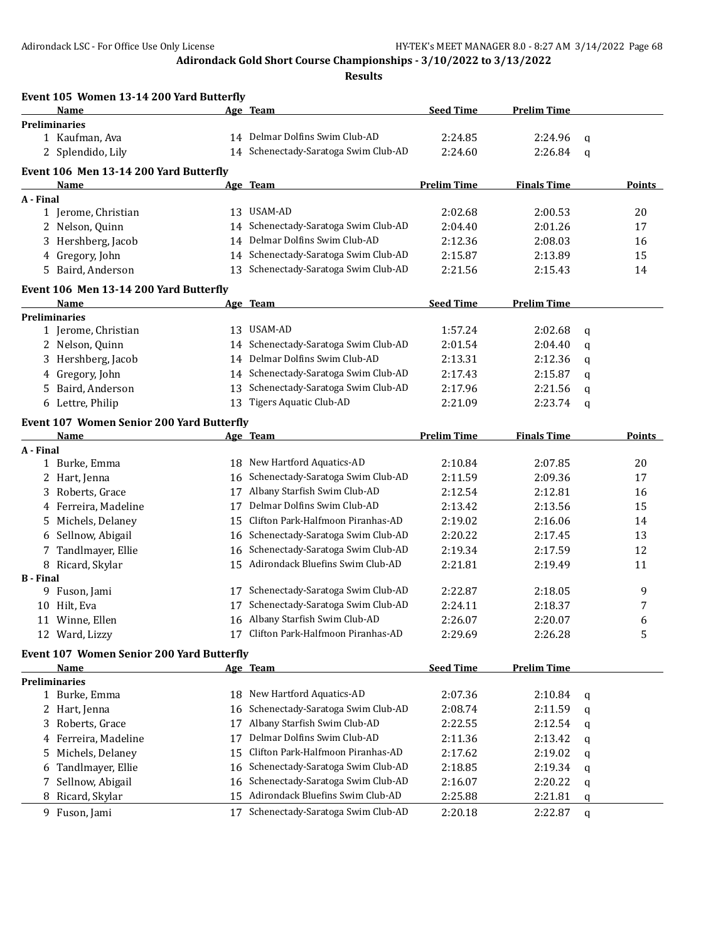|                  | Event 105 Women 13-14 200 Yard Butterfly         |    |                                                                           |                    |                    |   |        |
|------------------|--------------------------------------------------|----|---------------------------------------------------------------------------|--------------------|--------------------|---|--------|
|                  | Name                                             |    | <u>Age Team</u>                                                           | <b>Seed Time</b>   | <b>Prelim Time</b> |   |        |
|                  | <b>Preliminaries</b>                             |    |                                                                           |                    |                    |   |        |
|                  | 1 Kaufman, Ava                                   |    | 14 Delmar Dolfins Swim Club-AD                                            | 2:24.85            | 2:24.96            | q |        |
|                  | 2 Splendido, Lily                                |    | 14 Schenectady-Saratoga Swim Club-AD                                      | 2:24.60            | 2:26.84            | q |        |
|                  | Event 106 Men 13-14 200 Yard Butterfly           |    |                                                                           |                    |                    |   |        |
|                  | Name                                             |    | Age Team                                                                  | <b>Prelim Time</b> | <b>Finals Time</b> |   | Points |
| A - Final        |                                                  |    |                                                                           |                    |                    |   |        |
|                  | 1 Jerome, Christian                              |    | 13 USAM-AD                                                                | 2:02.68            | 2:00.53            |   | 20     |
|                  | 2 Nelson, Quinn                                  | 14 | Schenectady-Saratoga Swim Club-AD                                         | 2:04.40            | 2:01.26            |   | 17     |
|                  | 3 Hershberg, Jacob                               |    | 14 Delmar Dolfins Swim Club-AD                                            | 2:12.36            | 2:08.03            |   | 16     |
|                  | 4 Gregory, John                                  |    | 14 Schenectady-Saratoga Swim Club-AD                                      | 2:15.87            | 2:13.89            |   | 15     |
|                  | 5 Baird, Anderson                                | 13 | Schenectady-Saratoga Swim Club-AD                                         | 2:21.56            | 2:15.43            |   | 14     |
|                  | Event 106 Men 13-14 200 Yard Butterfly           |    |                                                                           |                    |                    |   |        |
|                  | <b>Name</b>                                      |    | Age Team                                                                  | <b>Seed Time</b>   | <b>Prelim Time</b> |   |        |
|                  | <b>Preliminaries</b>                             |    |                                                                           |                    |                    |   |        |
|                  | 1 Jerome, Christian                              |    | 13 USAM-AD                                                                | 1:57.24            | 2:02.68            | q |        |
|                  | 2 Nelson, Quinn                                  |    | 14 Schenectady-Saratoga Swim Club-AD                                      | 2:01.54            | 2:04.40            | q |        |
|                  | 3 Hershberg, Jacob                               |    | 14 Delmar Dolfins Swim Club-AD                                            | 2:13.31            | 2:12.36            | q |        |
|                  | 4 Gregory, John                                  |    | 14 Schenectady-Saratoga Swim Club-AD                                      | 2:17.43            | 2:15.87            | q |        |
|                  | 5 Baird, Anderson                                |    | 13 Schenectady-Saratoga Swim Club-AD                                      | 2:17.96            | 2:21.56            | q |        |
|                  | 6 Lettre, Philip                                 | 13 | Tigers Aquatic Club-AD                                                    | 2:21.09            | 2:23.74            | q |        |
|                  | <b>Event 107 Women Senior 200 Yard Butterfly</b> |    |                                                                           |                    |                    |   |        |
|                  | Name                                             |    | Age Team                                                                  | <b>Prelim Time</b> | <b>Finals Time</b> |   | Points |
| A - Final        |                                                  |    |                                                                           |                    |                    |   |        |
|                  | 1 Burke, Emma                                    |    | 18 New Hartford Aquatics-AD                                               | 2:10.84            | 2:07.85            |   | 20     |
|                  | 2 Hart, Jenna                                    | 16 | Schenectady-Saratoga Swim Club-AD                                         | 2:11.59            | 2:09.36            |   | 17     |
|                  | 3 Roberts, Grace                                 | 17 | Albany Starfish Swim Club-AD                                              | 2:12.54            | 2:12.81            |   | 16     |
|                  | 4 Ferreira, Madeline                             | 17 | Delmar Dolfins Swim Club-AD                                               | 2:13.42            | 2:13.56            |   | 15     |
|                  | 5 Michels, Delaney                               | 15 | Clifton Park-Halfmoon Piranhas-AD                                         | 2:19.02            | 2:16.06            |   | 14     |
|                  | 6 Sellnow, Abigail                               | 16 | Schenectady-Saratoga Swim Club-AD                                         | 2:20.22            | 2:17.45            |   | 13     |
|                  | 7 Tandlmayer, Ellie                              | 16 | Schenectady-Saratoga Swim Club-AD                                         | 2:19.34            | 2:17.59            |   | 12     |
|                  | 8 Ricard, Skylar                                 | 15 | Adirondack Bluefins Swim Club-AD                                          | 2:21.81            | 2:19.49            |   | 11     |
| <b>B</b> - Final |                                                  |    |                                                                           |                    |                    |   |        |
|                  | 9 Fuson, Jami<br>10 Hilt, Eva                    | 17 | Schenectady-Saratoga Swim Club-AD<br>17 Schenectady-Saratoga Swim Club-AD | 2:22.87            | 2:18.05            |   | 9      |
|                  |                                                  |    | 16 Albany Starfish Swim Club-AD                                           | 2:24.11<br>2:26.07 | 2:18.37            |   | 7      |
|                  | 11 Winne, Ellen                                  |    | 17 Clifton Park-Halfmoon Piranhas-AD                                      |                    | 2:20.07            |   | 6      |
|                  | 12 Ward, Lizzy                                   |    |                                                                           | 2:29.69            | 2:26.28            |   | 5      |
|                  | <b>Event 107 Women Senior 200 Yard Butterfly</b> |    |                                                                           |                    |                    |   |        |
|                  | Name                                             |    | Age Team                                                                  | <b>Seed Time</b>   | <b>Prelim Time</b> |   |        |
|                  | <b>Preliminaries</b>                             |    |                                                                           |                    |                    |   |        |
|                  | 1 Burke, Emma                                    |    | 18 New Hartford Aquatics-AD<br>Schenectady-Saratoga Swim Club-AD          | 2:07.36            | 2:10.84            | q |        |
|                  | 2 Hart, Jenna                                    | 16 |                                                                           | 2:08.74            | 2:11.59            | q |        |
| 3                | Roberts, Grace                                   | 17 | Albany Starfish Swim Club-AD<br>Delmar Dolfins Swim Club-AD               | 2:22.55            | 2:12.54            | q |        |
| 4                | Ferreira, Madeline                               | 17 | Clifton Park-Halfmoon Piranhas-AD                                         | 2:11.36            | 2:13.42            | q |        |
| 5                | Michels, Delaney                                 | 15 | Schenectady-Saratoga Swim Club-AD                                         | 2:17.62            | 2:19.02            | q |        |
| 6                | Tandlmayer, Ellie                                | 16 |                                                                           | 2:18.85            | 2:19.34            | q |        |
| 7                | Sellnow, Abigail                                 | 16 | Schenectady-Saratoga Swim Club-AD<br>Adirondack Bluefins Swim Club-AD     | 2:16.07            | 2:20.22            | q |        |
| 8                | Ricard, Skylar                                   | 15 |                                                                           | 2:25.88            | 2:21.81            | q |        |
|                  | 9 Fuson, Jami                                    |    | 17 Schenectady-Saratoga Swim Club-AD                                      | 2:20.18            | 2:22.87            | q |        |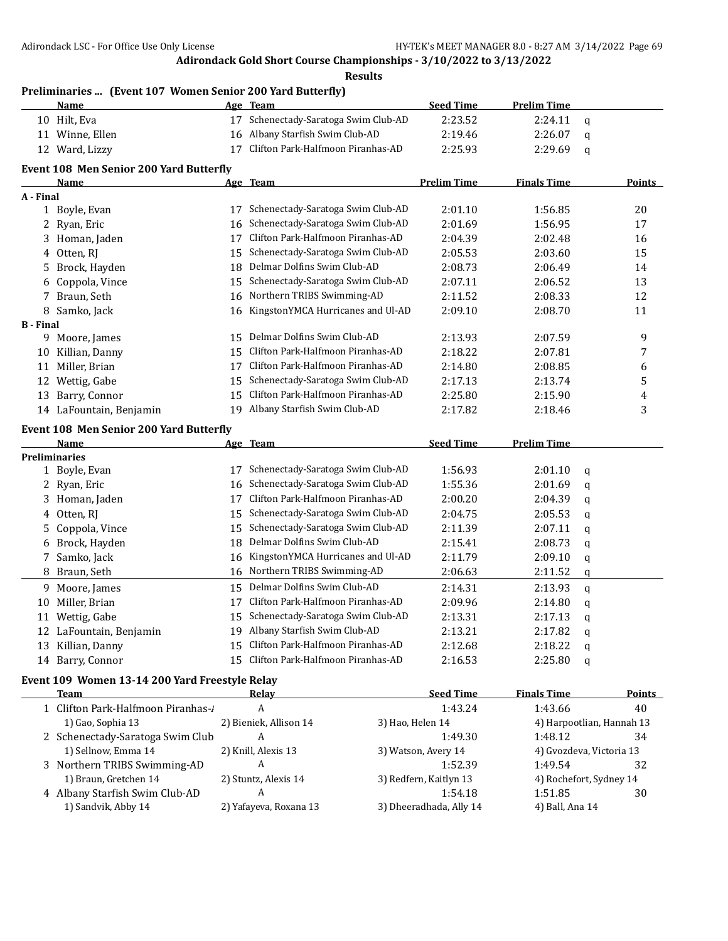**Results**

| Preliminaries  (Event 107 Women Senior 200 Yard Butterfly) |  |  |  |
|------------------------------------------------------------|--|--|--|
|                                                            |  |  |  |

|                  | Name                                           |    | Age Team                             | <b>Seed Time</b>   | <b>Prelim Time</b> |             |                           |
|------------------|------------------------------------------------|----|--------------------------------------|--------------------|--------------------|-------------|---------------------------|
|                  | 10 Hilt, Eva                                   | 17 | Schenectady-Saratoga Swim Club-AD    | 2:23.52            | 2:24.11            | $\mathbf q$ |                           |
|                  | 11 Winne, Ellen                                | 16 | Albany Starfish Swim Club-AD         | 2:19.46            | 2:26.07            | q           |                           |
|                  | 12 Ward, Lizzy                                 | 17 | Clifton Park-Halfmoon Piranhas-AD    | 2:25.93            | 2:29.69            | q           |                           |
|                  | <b>Event 108 Men Senior 200 Yard Butterfly</b> |    |                                      |                    |                    |             |                           |
|                  | Name                                           |    | Age Team                             | <b>Prelim Time</b> | <b>Finals Time</b> |             | Points                    |
| A - Final        |                                                |    |                                      |                    |                    |             |                           |
|                  | 1 Boyle, Evan                                  | 17 | Schenectady-Saratoga Swim Club-AD    | 2:01.10            | 1:56.85            |             | 20                        |
|                  | 2 Ryan, Eric                                   | 16 | Schenectady-Saratoga Swim Club-AD    | 2:01.69            | 1:56.95            |             | 17                        |
|                  | 3 Homan, Jaden                                 | 17 | Clifton Park-Halfmoon Piranhas-AD    | 2:04.39            | 2:02.48            |             | 16                        |
|                  | 4 Otten, RJ                                    | 15 | Schenectady-Saratoga Swim Club-AD    | 2:05.53            | 2:03.60            |             | 15                        |
| 5.               | Brock, Hayden                                  | 18 | Delmar Dolfins Swim Club-AD          | 2:08.73            | 2:06.49            |             | 14                        |
| 6                | Coppola, Vince                                 | 15 | Schenectady-Saratoga Swim Club-AD    | 2:07.11            | 2:06.52            |             | 13                        |
|                  | 7 Braun, Seth                                  | 16 | Northern TRIBS Swimming-AD           | 2:11.52            | 2:08.33            |             | 12                        |
|                  | 8 Samko, Jack                                  | 16 | KingstonYMCA Hurricanes and Ul-AD    | 2:09.10            | 2:08.70            |             | 11                        |
| <b>B</b> - Final |                                                |    |                                      |                    |                    |             |                           |
|                  | 9 Moore, James                                 | 15 | Delmar Dolfins Swim Club-AD          | 2:13.93            | 2:07.59            |             | 9                         |
| 10               | Killian, Danny                                 | 15 | Clifton Park-Halfmoon Piranhas-AD    | 2:18.22            | 2:07.81            |             | 7                         |
| 11               | Miller, Brian                                  | 17 | Clifton Park-Halfmoon Piranhas-AD    | 2:14.80            | 2:08.85            |             | 6                         |
| 12               | Wettig, Gabe                                   | 15 | Schenectady-Saratoga Swim Club-AD    | 2:17.13            | 2:13.74            |             | 5                         |
| 13               | Barry, Connor                                  | 15 | Clifton Park-Halfmoon Piranhas-AD    | 2:25.80            | 2:15.90            |             | 4                         |
|                  | 14 LaFountain, Benjamin                        |    | 19 Albany Starfish Swim Club-AD      | 2:17.82            | 2:18.46            |             | 3                         |
|                  | <b>Event 108 Men Senior 200 Yard Butterfly</b> |    |                                      |                    |                    |             |                           |
|                  | Name                                           |    | Age Team                             | <b>Seed Time</b>   | <b>Prelim Time</b> |             |                           |
|                  | <b>Preliminaries</b>                           |    |                                      |                    |                    |             |                           |
|                  | 1 Boyle, Evan                                  | 17 | Schenectady-Saratoga Swim Club-AD    | 1:56.93            | 2:01.10            | q           |                           |
|                  | 2 Ryan, Eric                                   | 16 | Schenectady-Saratoga Swim Club-AD    | 1:55.36            | 2:01.69            | q           |                           |
| 3                | Homan, Jaden                                   | 17 | Clifton Park-Halfmoon Piranhas-AD    | 2:00.20            | 2:04.39            | q           |                           |
| 4                | Otten, RJ                                      | 15 | Schenectady-Saratoga Swim Club-AD    | 2:04.75            | 2:05.53            | q           |                           |
| 5.               | Coppola, Vince                                 | 15 | Schenectady-Saratoga Swim Club-AD    | 2:11.39            | 2:07.11            | q           |                           |
| 6                | Brock, Hayden                                  | 18 | Delmar Dolfins Swim Club-AD          | 2:15.41            | 2:08.73            | q           |                           |
| 7                | Samko, Jack                                    | 16 | KingstonYMCA Hurricanes and Ul-AD    | 2:11.79            | 2:09.10            | q           |                           |
| 8                | Braun, Seth                                    | 16 | Northern TRIBS Swimming-AD           | 2:06.63            | 2:11.52            | q           |                           |
| 9                | Moore, James                                   | 15 | Delmar Dolfins Swim Club-AD          | 2:14.31            | 2:13.93            | q           |                           |
| 10               | Miller, Brian                                  | 17 | Clifton Park-Halfmoon Piranhas-AD    | 2:09.96            | 2:14.80            | q           |                           |
|                  | 11 Wettig, Gabe                                |    | 15 Schenectady-Saratoga Swim Club-AD | 2:13.31            | 2:17.13            | q           |                           |
|                  | 12 LaFountain, Benjamin                        |    | 19 Albany Starfish Swim Club-AD      | 2:13.21            | 2:17.82            | q           |                           |
|                  | 13 Killian, Danny                              |    | 15 Clifton Park-Halfmoon Piranhas-AD | 2:12.68            | 2:18.22            | q           |                           |
|                  | 14 Barry, Connor                               |    | 15 Clifton Park-Halfmoon Piranhas-AD | 2:16.53            | 2:25.80            | q           |                           |
|                  | Event 109 Women 13-14 200 Yard Freestyle Relay |    |                                      |                    |                    |             |                           |
|                  | <u>Team</u>                                    |    | <b>Relay</b>                         | <b>Seed Time</b>   | <b>Finals Time</b> |             | <b>Points</b>             |
|                  | 1 Clifton Park-Halfmoon Piranhas-/             |    | A                                    | 1:43.24            | 1:43.66            |             | 40                        |
|                  | 1) Gao, Sophia 13                              |    | 2) Bieniek, Allison 14               | 3) Hao, Helen 14   |                    |             | 4) Harpootlian, Hannah 13 |
|                  | 2 Schenectady-Saratoga Swim Club               |    | A                                    | 1:49.30            | 1:48.12            |             | 34                        |

1) Sellnow, Emma 14 2) Knill, Alexis 13 3) Watson, Avery 14 4) Gvozdeva, Victoria 13 Northern TRIBS Swimming-AD A 1:52.39 1:49.54 32 1) Braun, Gretchen 14 2) Stuntz, Alexis 14 3) Redfern, Kaitlyn 13 4) Rochefort, Sydney 14 4 Albany Starfish Swim Club-AD <br>
A 1:54.18 1:51.85 30 1) Sandvik, Abby 14 2) Yafayeva, Roxana 13 3) Dheeradhada, Ally 14 4) Ball, Ana 14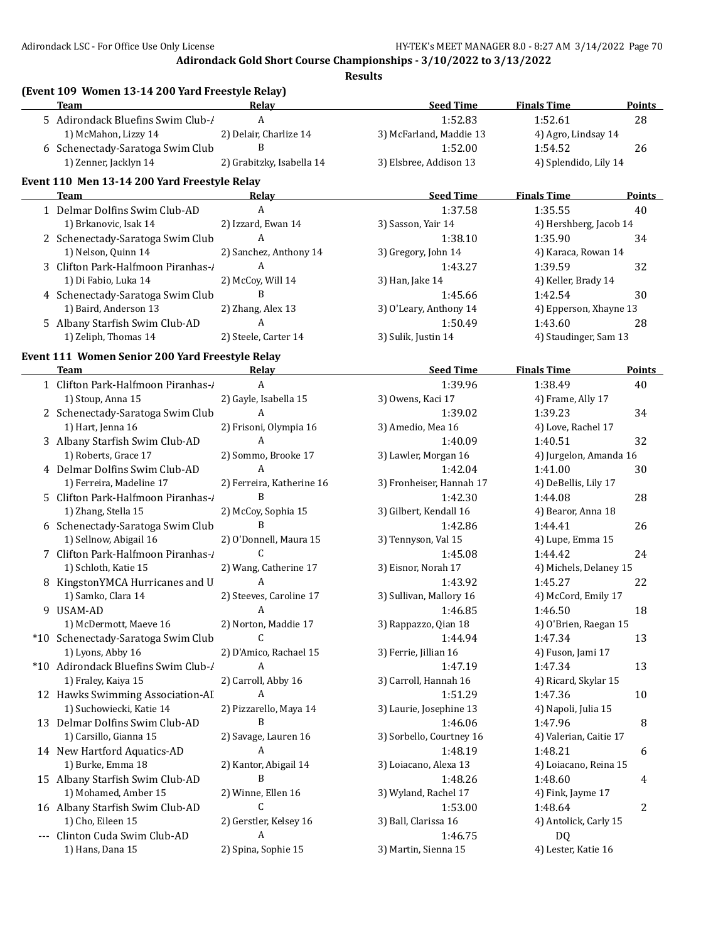| (Event 109 Women 13-14 200 Yard Freestyle Relay) |                           |                          |                        |               |
|--------------------------------------------------|---------------------------|--------------------------|------------------------|---------------|
| <b>Team</b>                                      | Relay                     | <b>Seed Time</b>         | <b>Finals Time</b>     | Points        |
| 5 Adirondack Bluefins Swim Club-/                | A                         | 1:52.83                  | 1:52.61                | 28            |
| 1) McMahon, Lizzy 14                             | 2) Delair, Charlize 14    | 3) McFarland, Maddie 13  | 4) Agro, Lindsay 14    |               |
| 6 Schenectady-Saratoga Swim Club                 | B                         | 1:52.00                  | 1:54.52                | 26            |
| 1) Zenner, Jacklyn 14                            | 2) Grabitzky, Isabella 14 | 3) Elsbree, Addison 13   | 4) Splendido, Lily 14  |               |
| Event 110 Men 13-14 200 Yard Freestyle Relay     |                           |                          |                        |               |
| <b>Team</b>                                      | Relay                     | <b>Seed Time</b>         | <b>Finals Time</b>     | Points        |
| 1 Delmar Dolfins Swim Club-AD                    | $\overline{A}$            | 1:37.58                  | 1:35.55                | 40            |
| 1) Brkanovic, Isak 14                            | 2) Izzard, Ewan 14        | 3) Sasson, Yair 14       | 4) Hershberg, Jacob 14 |               |
| 2 Schenectady-Saratoga Swim Club                 | $\overline{A}$            | 1:38.10                  | 1:35.90                | 34            |
| 1) Nelson, Quinn 14                              | 2) Sanchez, Anthony 14    | 3) Gregory, John 14      | 4) Karaca, Rowan 14    |               |
| 3 Clifton Park-Halfmoon Piranhas-1               | $\mathbf{A}$              | 1:43.27                  | 1:39.59                | 32            |
| 1) Di Fabio, Luka 14                             | 2) McCoy, Will 14         | 3) Han, Jake 14          | 4) Keller, Brady 14    |               |
| 4 Schenectady-Saratoga Swim Club                 | B                         | 1:45.66                  | 1:42.54                | 30            |
| 1) Baird, Anderson 13                            | 2) Zhang, Alex 13         | 3) O'Leary, Anthony 14   | 4) Epperson, Xhayne 13 |               |
| 5 Albany Starfish Swim Club-AD                   | A                         | 1:50.49                  | 1:43.60                | 28            |
| 1) Zeliph, Thomas 14                             | 2) Steele, Carter 14      | 3) Sulik, Justin 14      | 4) Staudinger, Sam 13  |               |
| Event 111 Women Senior 200 Yard Freestyle Relay  |                           |                          |                        |               |
| Team                                             | Relay                     | <b>Seed Time</b>         | <b>Finals Time</b>     | <b>Points</b> |
| 1 Clifton Park-Halfmoon Piranhas-/               | A                         | 1:39.96                  | 1:38.49                | 40            |
| 1) Stoup, Anna 15                                | 2) Gayle, Isabella 15     | 3) Owens, Kaci 17        | 4) Frame, Ally 17      |               |
| 2 Schenectady-Saratoga Swim Club                 | A                         | 1:39.02                  | 1:39.23                | 34            |
| 1) Hart, Jenna 16                                | 2) Frisoni, Olympia 16    | 3) Amedio, Mea 16        | 4) Love, Rachel 17     |               |
| 3 Albany Starfish Swim Club-AD                   | $\overline{A}$            | 1:40.09                  | 1:40.51                | 32            |
| 1) Roberts, Grace 17                             | 2) Sommo, Brooke 17       | 3) Lawler, Morgan 16     | 4) Jurgelon, Amanda 16 |               |
| 4 Delmar Dolfins Swim Club-AD                    | A                         | 1:42.04                  | 1:41.00                | 30            |
| 1) Ferreira, Madeline 17                         | 2) Ferreira, Katherine 16 | 3) Fronheiser, Hannah 17 | 4) DeBellis, Lily 17   |               |
| 5 Clifton Park-Halfmoon Piranhas-1               | B                         | 1:42.30                  | 1:44.08                | 28            |
| 1) Zhang, Stella 15                              | 2) McCoy, Sophia 15       | 3) Gilbert, Kendall 16   | 4) Bearor, Anna 18     |               |
| 6 Schenectady-Saratoga Swim Club                 | B                         | 1:42.86                  | 1:44.41                | 26            |
| 1) Sellnow, Abigail 16                           | 2) O'Donnell, Maura 15    | 3) Tennyson, Val 15      | 4) Lupe, Emma 15       |               |
| 7 Clifton Park-Halfmoon Piranhas-1               | $\mathsf{C}$              | 1:45.08                  | 1:44.42                | 24            |
| 1) Schloth, Katie 15                             | 2) Wang, Catherine 17     | 3) Eisnor, Norah 17      | 4) Michels, Delaney 15 |               |
|                                                  | A                         | 1:43.92                  | 1:45.27                | 22            |
| 8 KingstonYMCA Hurricanes and U                  | 2) Steeves, Caroline 17   |                          |                        |               |
| 1) Samko, Clara 14                               |                           | 3) Sullivan, Mallory 16  | 4) McCord, Emily 17    |               |
| 9 USAM-AD                                        | A                         | 1:46.85                  | 1:46.50                | 18            |
| 1) McDermott, Maeve 16                           | 2) Norton, Maddie 17      | 3) Rappazzo, Qian 18     | 4) O'Brien, Raegan 15  |               |
| *10 Schenectady-Saratoga Swim Club               | C                         | 1:44.94                  | 1:47.34                | 13            |
| 1) Lyons, Abby 16                                | 2) D'Amico, Rachael 15    | 3) Ferrie, Jillian 16    | 4) Fuson, Jami 17      |               |
| *10 Adirondack Bluefins Swim Club-/              | A                         | 1:47.19                  | 1:47.34                | 13            |
| 1) Fraley, Kaiya 15                              | 2) Carroll, Abby 16       | 3) Carroll, Hannah 16    | 4) Ricard, Skylar 15   |               |
| 12 Hawks Swimming Association-AI                 | A                         | 1:51.29                  | 1:47.36                | 10            |
| 1) Suchowiecki, Katie 14                         | 2) Pizzarello, Maya 14    | 3) Laurie, Josephine 13  | 4) Napoli, Julia 15    |               |
| 13 Delmar Dolfins Swim Club-AD                   | B                         | 1:46.06                  | 1:47.96                | 8             |
| 1) Carsillo, Gianna 15                           | 2) Savage, Lauren 16      | 3) Sorbello, Courtney 16 | 4) Valerian, Caitie 17 |               |
| 14 New Hartford Aquatics-AD                      | A                         | 1:48.19                  | 1:48.21                | 6             |
| 1) Burke, Emma 18                                | 2) Kantor, Abigail 14     | 3) Loiacano, Alexa 13    | 4) Loiacano, Reina 15  |               |
| 15 Albany Starfish Swim Club-AD                  | B                         | 1:48.26                  | 1:48.60                | 4             |
| 1) Mohamed, Amber 15                             | 2) Winne, Ellen 16        | 3) Wyland, Rachel 17     | 4) Fink, Jayme 17      |               |
| 16 Albany Starfish Swim Club-AD                  | C                         | 1:53.00                  | 1:48.64                | 2             |
| 1) Cho, Eileen 15                                | 2) Gerstler, Kelsey 16    | 3) Ball, Clarissa 16     | 4) Antolick, Carly 15  |               |
| --- Clinton Cuda Swim Club-AD                    | A                         | 1:46.75                  | <b>DQ</b>              |               |
| 1) Hans, Dana 15                                 | 2) Spina, Sophie 15       | 3) Martin, Sienna 15     | 4) Lester, Katie 16    |               |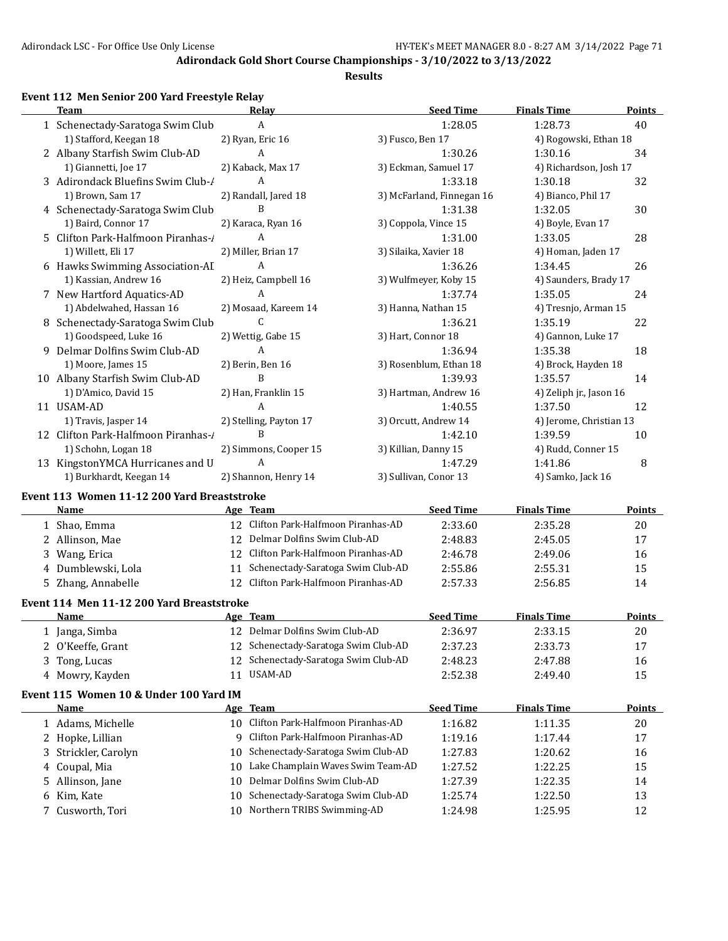**Results**

## **Event 112 Men Senior 200 Yard Freestyle Relay**

| <b>Team</b>                                 | Relay                  | <b>Seed Time</b>          | <b>Finals Time</b>      | Points |
|---------------------------------------------|------------------------|---------------------------|-------------------------|--------|
| 1 Schenectady-Saratoga Swim Club            | A                      | 1:28.05                   | 1:28.73                 | 40     |
| 1) Stafford, Keegan 18                      | 2) Ryan, Eric 16       | 3) Fusco, Ben 17          | 4) Rogowski, Ethan 18   |        |
| 2 Albany Starfish Swim Club-AD              | A                      | 1:30.26                   | 1:30.16                 | 34     |
| 1) Giannetti, Joe 17                        | 2) Kaback, Max 17      | 3) Eckman, Samuel 17      | 4) Richardson, Josh 17  |        |
| 3 Adirondack Bluefins Swim Club-/           | $\mathbf{A}$           | 1:33.18                   | 1:30.18                 | 32     |
| 1) Brown, Sam 17                            | 2) Randall, Jared 18   | 3) McFarland, Finnegan 16 | 4) Bianco, Phil 17      |        |
| 4 Schenectady-Saratoga Swim Club            | B                      | 1:31.38                   | 1:32.05                 | 30     |
| 1) Baird, Connor 17                         | 2) Karaca, Ryan 16     | 3) Coppola, Vince 15      | 4) Boyle, Evan 17       |        |
| 5 Clifton Park-Halfmoon Piranhas-/          | A                      | 1:31.00                   | 1:33.05                 | 28     |
| 1) Willett, Eli 17                          | 2) Miller, Brian 17    | 3) Silaika, Xavier 18     | 4) Homan, Jaden 17      |        |
| 6 Hawks Swimming Association-AI             | A                      | 1:36.26                   | 1:34.45                 | 26     |
| 1) Kassian, Andrew 16                       | 2) Heiz, Campbell 16   | 3) Wulfmeyer, Koby 15     | 4) Saunders, Brady 17   |        |
| 7 New Hartford Aquatics-AD                  | A                      | 1:37.74                   | 1:35.05                 | 24     |
| 1) Abdelwahed, Hassan 16                    | 2) Mosaad, Kareem 14   | 3) Hanna, Nathan 15       | 4) Tresnjo, Arman 15    |        |
| 8 Schenectady-Saratoga Swim Club            | C                      | 1:36.21                   | 1:35.19                 | 22     |
| 1) Goodspeed, Luke 16                       | 2) Wettig, Gabe 15     | 3) Hart, Connor 18        | 4) Gannon, Luke 17      |        |
| 9 Delmar Dolfins Swim Club-AD               | A                      | 1:36.94                   | 1:35.38                 | 18     |
| 1) Moore, James 15                          | 2) Berin, Ben 16       | 3) Rosenblum, Ethan 18    | 4) Brock, Hayden 18     |        |
| 10 Albany Starfish Swim Club-AD             | B                      | 1:39.93                   | 1:35.57                 | 14     |
| 1) D'Amico, David 15                        | 2) Han, Franklin 15    | 3) Hartman, Andrew 16     | 4) Zeliph jr., Jason 16 |        |
| 11 USAM-AD                                  | A                      | 1:40.55                   | 1:37.50                 | 12     |
| 1) Travis, Jasper 14                        | 2) Stelling, Payton 17 | 3) Orcutt, Andrew 14      | 4) Jerome, Christian 13 |        |
| 12 Clifton Park-Halfmoon Piranhas-/         | <sub>R</sub>           | 1:42.10                   | 1:39.59                 | 10     |
| 1) Schohn, Logan 18                         | 2) Simmons, Cooper 15  | 3) Killian, Danny 15      | 4) Rudd, Conner 15      |        |
| 13 KingstonYMCA Hurricanes and U            | $\mathsf{A}$           | 1:47.29                   | 1:41.86                 | 8      |
| 1) Burkhardt, Keegan 14                     | 2) Shannon, Henry 14   | 3) Sullivan, Conor 13     | 4) Samko, Jack 16       |        |
| Event 113 Women 11-12 200 Yard Breaststroke |                        |                           |                         |        |
| Name                                        | Age Team               | Seed Time                 | <b>Finals Time</b>      | Points |

|    | <b>Name</b>                               |    | Age Team                          | <b>Seed Time</b> | <b>Finals Time</b> | Points        |
|----|-------------------------------------------|----|-----------------------------------|------------------|--------------------|---------------|
|    | 1 Shao, Emma                              | 12 | Clifton Park-Halfmoon Piranhas-AD | 2:33.60          | 2:35.28            | 20            |
|    | Allinson, Mae                             | 12 | Delmar Dolfins Swim Club-AD       | 2:48.83          | 2:45.05            | 17            |
| 3  | Wang, Erica                               | 12 | Clifton Park-Halfmoon Piranhas-AD | 2:46.78          | 2:49.06            | 16            |
| 4  | Dumblewski, Lola                          | 11 | Schenectady-Saratoga Swim Club-AD | 2:55.86          | 2:55.31            | 15            |
| 5  | Zhang, Annabelle                          | 12 | Clifton Park-Halfmoon Piranhas-AD | 2:57.33          | 2:56.85            | 14            |
|    | Event 114 Men 11-12 200 Yard Breaststroke |    |                                   |                  |                    |               |
|    | <b>Name</b>                               |    | Age Team                          | <b>Seed Time</b> | <b>Finals Time</b> | <b>Points</b> |
|    | 1 Janga, Simba                            | 12 | Delmar Dolfins Swim Club-AD       | 2:36.97          | 2:33.15            | 20            |
|    | O'Keeffe, Grant                           | 12 | Schenectady-Saratoga Swim Club-AD | 2:37.23          | 2:33.73            | 17            |
| 3  | Tong, Lucas                               | 12 | Schenectady-Saratoga Swim Club-AD | 2:48.23          | 2:47.88            | 16            |
|    | 4 Mowry, Kayden                           | 11 | USAM-AD                           | 2:52.38          | 2:49.40            | 15            |
|    | Event 115 Women 10 & Under 100 Yard IM    |    |                                   |                  |                    |               |
|    | Name                                      |    | Age Team                          | <b>Seed Time</b> | <b>Finals Time</b> | Points        |
|    | 1 Adams, Michelle                         | 10 | Clifton Park-Halfmoon Piranhas-AD | 1:16.82          | 1:11.35            | 20            |
|    | Hopke, Lillian                            | 9  | Clifton Park-Halfmoon Piranhas-AD | 1:19.16          | 1:17.44            | 17            |
| 3  | Strickler, Carolyn                        | 10 | Schenectady-Saratoga Swim Club-AD | 1:27.83          | 1:20.62            | 16            |
| 4  | Coupal, Mia                               | 10 | Lake Champlain Waves Swim Team-AD | 1:27.52          | 1:22.25            | 15            |
| 5. | Allinson, Jane                            | 10 | Delmar Dolfins Swim Club-AD       | 1:27.39          | 1:22.35            | 14            |
| 6. | Kim, Kate                                 | 10 | Schenectady-Saratoga Swim Club-AD | 1:25.74          | 1:22.50            | 13            |
|    | Cusworth, Tori                            | 10 | Northern TRIBS Swimming-AD        | 1:24.98          | 1:25.95            | 12            |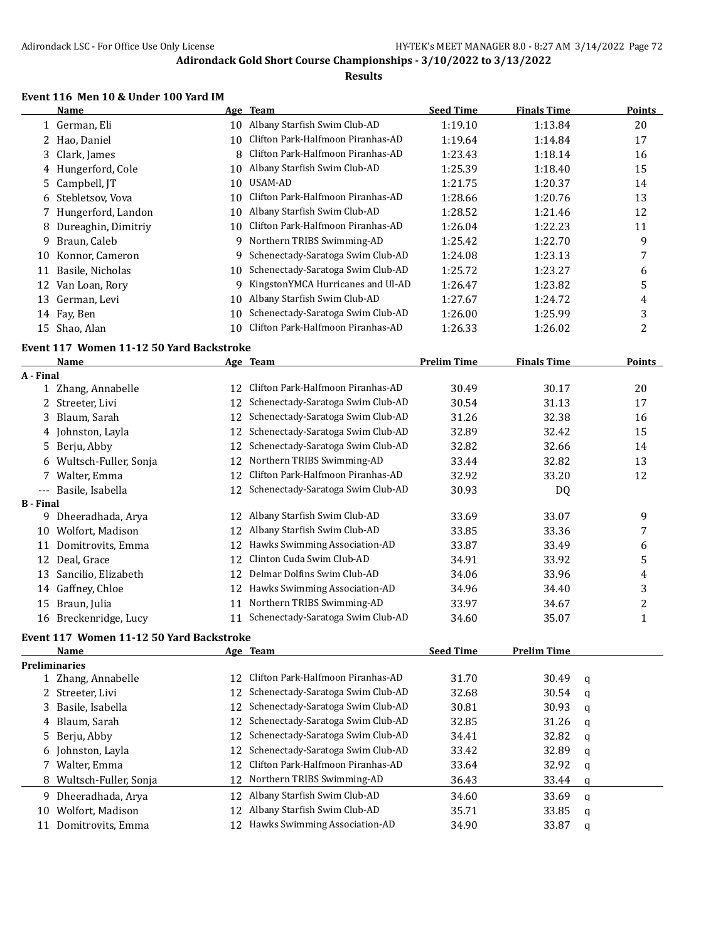#### **Results**

# **Event 116 Men 10 & Under 100 Yard IM**

|                  | <b>Name</b>                              |          | Age Team                          | <b>Seed Time</b>   | <b>Finals Time</b> |   | Points                  |
|------------------|------------------------------------------|----------|-----------------------------------|--------------------|--------------------|---|-------------------------|
|                  | 1 German, Eli                            |          | 10 Albany Starfish Swim Club-AD   | 1:19.10            | 1:13.84            |   | 20                      |
|                  | 2 Hao, Daniel                            | 10       | Clifton Park-Halfmoon Piranhas-AD | 1:19.64            | 1:14.84            |   | 17                      |
| 3                | Clark, James                             | 8        | Clifton Park-Halfmoon Piranhas-AD | 1:23.43            | 1:18.14            |   | 16                      |
|                  | 4 Hungerford, Cole                       | 10       | Albany Starfish Swim Club-AD      | 1:25.39            | 1:18.40            |   | 15                      |
| 5.               | Campbell, JT                             | 10       | <b>USAM-AD</b>                    | 1:21.75            | 1:20.37            |   | 14                      |
|                  | 6 Stebletsov, Vova                       | 10       | Clifton Park-Halfmoon Piranhas-AD | 1:28.66            | 1:20.76            |   | 13                      |
|                  | 7 Hungerford, Landon                     | 10       | Albany Starfish Swim Club-AD      | 1:28.52            | 1:21.46            |   | 12                      |
| 8                | Dureaghin, Dimitriy                      | 10       | Clifton Park-Halfmoon Piranhas-AD | 1:26.04            | 1:22.23            |   | 11                      |
| 9                | Braun, Caleb                             | 9        | Northern TRIBS Swimming-AD        | 1:25.42            | 1:22.70            |   | 9                       |
| 10               | Konnor, Cameron                          | 9        | Schenectady-Saratoga Swim Club-AD | 1:24.08            | 1:23.13            |   | 7                       |
| 11               | Basile, Nicholas                         | 10       | Schenectady-Saratoga Swim Club-AD | 1:25.72            | 1:23.27            |   | 6                       |
|                  | 12 Van Loan, Rory                        | 9        | KingstonYMCA Hurricanes and Ul-AD | 1:26.47            | 1:23.82            |   | 5                       |
| 13               | German, Levi                             | 10       | Albany Starfish Swim Club-AD      | 1:27.67            | 1:24.72            |   | 4                       |
|                  | 14 Fay, Ben                              | 10       | Schenectady-Saratoga Swim Club-AD | 1:26.00            | 1:25.99            |   | 3                       |
|                  | 15 Shao, Alan                            | 10       | Clifton Park-Halfmoon Piranhas-AD | 1:26.33            | 1:26.02            |   | 2                       |
|                  | Event 117 Women 11-12 50 Yard Backstroke |          |                                   |                    |                    |   |                         |
|                  | <b>Name</b>                              |          | Age Team                          | <b>Prelim Time</b> | <b>Finals Time</b> |   | Points                  |
| A - Final        |                                          |          |                                   |                    |                    |   |                         |
|                  | 1 Zhang, Annabelle                       | 12       | Clifton Park-Halfmoon Piranhas-AD | 30.49              | 30.17              |   | 20                      |
|                  | 2 Streeter, Livi                         | 12       | Schenectady-Saratoga Swim Club-AD | 30.54              | 31.13              |   | 17                      |
| 3                | Blaum, Sarah                             | 12       | Schenectady-Saratoga Swim Club-AD | 31.26              | 32.38              |   | 16                      |
|                  | 4 Johnston, Layla                        | 12       | Schenectady-Saratoga Swim Club-AD | 32.89              | 32.42              |   | 15                      |
|                  | 5 Berju, Abby                            | 12       | Schenectady-Saratoga Swim Club-AD | 32.82              | 32.66              |   | 14                      |
|                  | 6 Wultsch-Fuller, Sonja                  | 12       | Northern TRIBS Swimming-AD        | 33.44              | 32.82              |   | 13                      |
|                  | 7 Walter, Emma                           | 12       | Clifton Park-Halfmoon Piranhas-AD | 32.92              | 33.20              |   | 12                      |
| $---$            | Basile, Isabella                         | 12       | Schenectady-Saratoga Swim Club-AD | 30.93              | DQ                 |   |                         |
| <b>B</b> - Final |                                          |          |                                   |                    |                    |   |                         |
|                  | 9 Dheeradhada, Arya                      | 12       | Albany Starfish Swim Club-AD      | 33.69              | 33.07              |   | 9                       |
|                  | 10 Wolfort, Madison                      | 12       | Albany Starfish Swim Club-AD      | 33.85              | 33.36              |   | 7                       |
| 11               | Domitrovits, Emma                        | 12       | Hawks Swimming Association-AD     | 33.87              | 33.49              |   | 6                       |
|                  | 12 Deal, Grace                           | 12       | Clinton Cuda Swim Club-AD         | 34.91              | 33.92              |   | 5                       |
| 13               | Sancilio, Elizabeth                      | 12       | Delmar Dolfins Swim Club-AD       | 34.06              | 33.96              |   | 4                       |
|                  | 14 Gaffney, Chloe                        | 12       | Hawks Swimming Association-AD     | 34.96              | 34.40              |   | 3                       |
| 15               | Braun, Julia                             | 11       | Northern TRIBS Swimming-AD        | 33.97              | 34.67              |   | $\overline{\mathbf{c}}$ |
|                  | 16 Breckenridge, Lucy                    | 11       | Schenectady-Saratoga Swim Club-AD | 34.60              | 35.07              |   | 1                       |
|                  |                                          |          |                                   |                    |                    |   |                         |
|                  | Event 117 Women 11-12 50 Yard Backstroke |          |                                   |                    |                    |   |                         |
|                  | <b>Name</b><br><b>Preliminaries</b>      |          | Age Team                          | <b>Seed Time</b>   | <b>Prelim Time</b> |   |                         |
|                  | 1 Zhang, Annabelle                       | 12       | Clifton Park-Halfmoon Piranhas-AD | 31.70              | 30.49              |   |                         |
| 2                | Streeter, Livi                           | 12       | Schenectady-Saratoga Swim Club-AD | 32.68              | 30.54              | q |                         |
|                  | 3 Basile, Isabella                       | 12       | Schenectady-Saratoga Swim Club-AD | 30.81              | 30.93              | q |                         |
| 4                | Blaum, Sarah                             | 12       | Schenectady-Saratoga Swim Club-AD | 32.85              | 31.26              | q |                         |
|                  | Berju, Abby                              | 12       | Schenectady-Saratoga Swim Club-AD | 34.41              | 32.82              | q |                         |
| 5.               | 6 Johnston, Layla                        | 12       | Schenectady-Saratoga Swim Club-AD | 33.42              | 32.89              | q |                         |
|                  |                                          |          | Clifton Park-Halfmoon Piranhas-AD |                    |                    | q |                         |
| 7                | Walter, Emma                             | 12<br>12 | Northern TRIBS Swimming-AD        | 33.64              | 32.92              | q |                         |
| 8                | Wultsch-Fuller, Sonja                    |          |                                   | 36.43              | 33.44              | q |                         |
|                  | 9 Dheeradhada, Arya                      | 12       | Albany Starfish Swim Club-AD      | 34.60              | 33.69              | q |                         |
| 10               | Wolfort, Madison                         | 12       | Albany Starfish Swim Club-AD      | 35.71              | 33.85              | q |                         |
|                  | 11 Domitrovits, Emma                     |          | 12 Hawks Swimming Association-AD  | 34.90              | 33.87              | q |                         |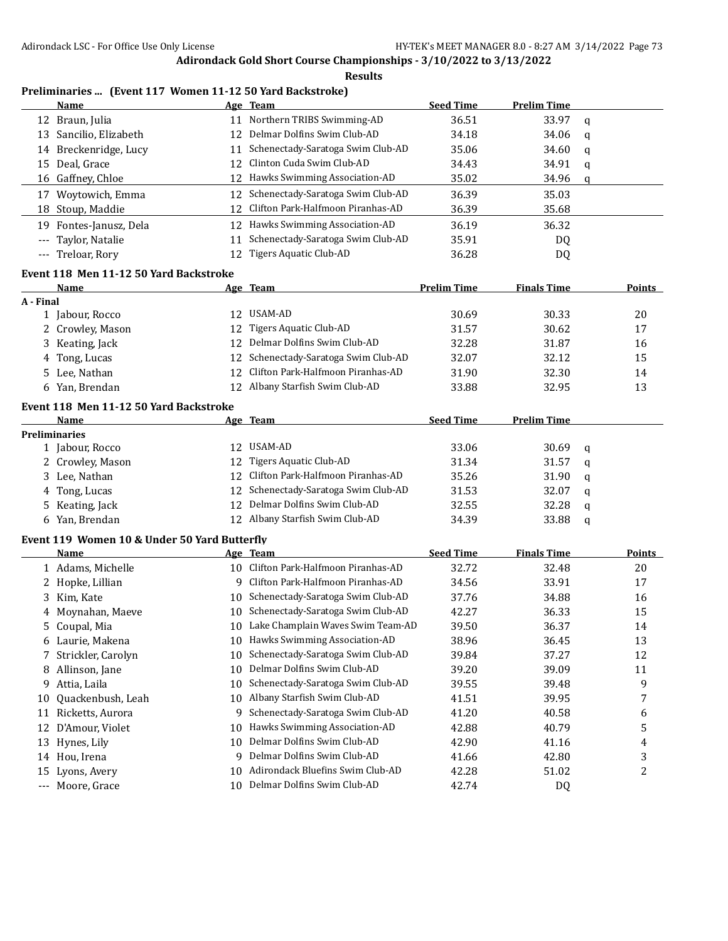**Results**

# **Preliminaries ... (Event 117 Women 11-12 50 Yard Backstroke)**

| Name                   |     | Age Team                             | <b>Seed Time</b> | <b>Prelim Time</b> |     |
|------------------------|-----|--------------------------------------|------------------|--------------------|-----|
| 12 Braun, Julia        |     | Northern TRIBS Swimming-AD           | 36.51            | 33.97              | q   |
| 13 Sancilio, Elizabeth |     | 12 Delmar Dolfins Swim Club-AD       | 34.18            | 34.06              | q   |
| 14 Breckenridge, Lucy  | 11  | Schenectady-Saratoga Swim Club-AD    | 35.06            | 34.60              | q   |
| 15 Deal, Grace         |     | 12 Clinton Cuda Swim Club-AD         | 34.43            | 34.91              | q   |
| 16 Gaffney, Chloe      |     | 12 Hawks Swimming Association-AD     | 35.02            | 34.96              | - a |
| Woytowich, Emma<br>17  |     | 12 Schenectady-Saratoga Swim Club-AD | 36.39            | 35.03              |     |
| 18 Stoup, Maddie       |     | 12 Clifton Park-Halfmoon Piranhas-AD | 36.39            | 35.68              |     |
| 19 Fontes-Janusz, Dela |     | 12 Hawks Swimming Association-AD     | 36.19            | 36.32              |     |
| --- Taylor, Natalie    | 11  | Schenectady-Saratoga Swim Club-AD    | 35.91            | DQ                 |     |
| --- Treloar, Rory      | 12. | Tigers Aquatic Club-AD               | 36.28            | DQ                 |     |

## **Event 118 Men 11-12 50 Yard Backstroke**

|           | Name             | Age Team                             | <b>Prelim Time</b> | <b>Finals Time</b> | Points |
|-----------|------------------|--------------------------------------|--------------------|--------------------|--------|
| A - Final |                  |                                      |                    |                    |        |
|           | 1 Jabour, Rocco  | 12 USAM-AD                           | 30.69              | 30.33              | 20     |
|           | 2 Crowley, Mason | 12 Tigers Aquatic Club-AD            | 31.57              | 30.62              | 17     |
|           | 3 Keating, Jack  | 12 Delmar Dolfins Swim Club-AD       | 32.28              | 31.87              | 16     |
|           | 4 Tong, Lucas    | 12 Schenectady-Saratoga Swim Club-AD | 32.07              | 32.12              | 15     |
|           | 5 Lee, Nathan    | 12 Clifton Park-Halfmoon Piranhas-AD | 31.90              | 32.30              | 14     |
|           | 6 Yan, Brendan   | Albany Starfish Swim Club-AD         | 33.88              | 32.95              | 13     |

#### **Event 118 Men 11-12 50 Yard Backstroke**

| <b>Name</b>          | Age Team                             | <b>Seed Time</b> | <b>Prelim Time</b> |          |
|----------------------|--------------------------------------|------------------|--------------------|----------|
| <b>Preliminaries</b> |                                      |                  |                    |          |
| 1 Jabour, Rocco      | 12 USAM-AD                           | 33.06            | 30.69              | $\alpha$ |
| 2 Crowley, Mason     | 12 Tigers Aquatic Club-AD            | 31.34            | 31.57              | - a      |
| 3 Lee, Nathan        | 12 Clifton Park-Halfmoon Piranhas-AD | 35.26            | 31.90              | <b>a</b> |
| 4 Tong, Lucas        | 12 Schenectady-Saratoga Swim Club-AD | 31.53            | 32.07              | - a      |
| 5 Keating, Jack      | 12 Delmar Dolfins Swim Club-AD       | 32.55            | 32.28              | - a      |
| 6 Yan, Brendan       | 12 Albany Starfish Swim Club-AD      | 34.39            | 33.88              | - a      |

#### **Event 119 Women 10 & Under 50 Yard Butterfly**

|         | Name                 |    | Age Team                          | <b>Seed Time</b> | <b>Finals Time</b> | <b>Points</b> |
|---------|----------------------|----|-----------------------------------|------------------|--------------------|---------------|
|         | 1 Adams, Michelle    | 10 | Clifton Park-Halfmoon Piranhas-AD | 32.72            | 32.48              | 20            |
|         | 2 Hopke, Lillian     | 9  | Clifton Park-Halfmoon Piranhas-AD | 34.56            | 33.91              | 17            |
|         | 3 Kim, Kate          | 10 | Schenectady-Saratoga Swim Club-AD | 37.76            | 34.88              | 16            |
|         | 4 Moynahan, Maeye    | 10 | Schenectady-Saratoga Swim Club-AD | 42.27            | 36.33              | 15            |
|         | 5 Coupal, Mia        | 10 | Lake Champlain Waves Swim Team-AD | 39.50            | 36.37              | 14            |
|         | 6 Laurie, Makena     | 10 | Hawks Swimming Association-AD     | 38.96            | 36.45              | 13            |
|         | 7 Strickler, Carolyn | 10 | Schenectady-Saratoga Swim Club-AD | 39.84            | 37.27              | 12            |
| 8       | Allinson, Jane       | 10 | Delmar Dolfins Swim Club-AD       | 39.20            | 39.09              | 11            |
| 9.      | Attia, Laila         | 10 | Schenectady-Saratoga Swim Club-AD | 39.55            | 39.48              | 9             |
| 10      | Quackenbush, Leah    | 10 | Albany Starfish Swim Club-AD      | 41.51            | 39.95              |               |
| 11      | Ricketts, Aurora     | 9  | Schenectady-Saratoga Swim Club-AD | 41.20            | 40.58              | 6             |
| 12      | D'Amour, Violet      | 10 | Hawks Swimming Association-AD     | 42.88            | 40.79              | 5             |
|         | 13 Hynes, Lily       | 10 | Delmar Dolfins Swim Club-AD       | 42.90            | 41.16              | 4             |
| 14      | Hou, Irena           | 9  | Delmar Dolfins Swim Club-AD       | 41.66            | 42.80              | 3             |
| 15      | Lyons, Avery         | 10 | Adirondack Bluefins Swim Club-AD  | 42.28            | 51.02              | 2             |
| $- - -$ | Moore, Grace         | 10 | Delmar Dolfins Swim Club-AD       | 42.74            | DQ                 |               |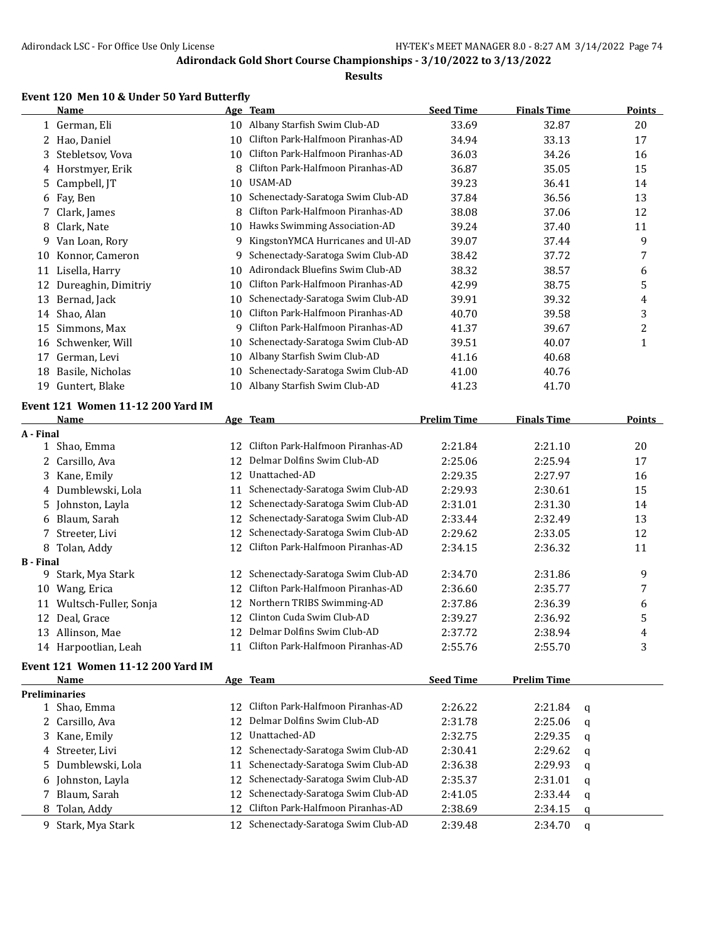### **Results**

# **Event 120 Men 10 & Under 50 Yard Butterfly**

|                  | <b>Name</b>                              |    | Age Team                             | <b>Seed Time</b>   | <b>Finals Time</b> |   | <b>Points</b> |
|------------------|------------------------------------------|----|--------------------------------------|--------------------|--------------------|---|---------------|
|                  | 1 German, Eli                            | 10 | Albany Starfish Swim Club-AD         | 33.69              | 32.87              |   | 20            |
|                  | 2 Hao, Daniel                            | 10 | Clifton Park-Halfmoon Piranhas-AD    | 34.94              | 33.13              |   | 17            |
| 3                | Stebletsov, Vova                         | 10 | Clifton Park-Halfmoon Piranhas-AD    | 36.03              | 34.26              |   | 16            |
|                  | 4 Horstmyer, Erik                        | 8  | Clifton Park-Halfmoon Piranhas-AD    | 36.87              | 35.05              |   | 15            |
| 5                | Campbell, JT                             | 10 | USAM-AD                              | 39.23              | 36.41              |   | 14            |
| 6                | Fay, Ben                                 | 10 | Schenectady-Saratoga Swim Club-AD    | 37.84              | 36.56              |   | 13            |
| 7.               | Clark, James                             | 8  | Clifton Park-Halfmoon Piranhas-AD    | 38.08              | 37.06              |   | 12            |
| 8                | Clark, Nate                              | 10 | Hawks Swimming Association-AD        | 39.24              | 37.40              |   | 11            |
| 9.               | Van Loan, Rory                           | 9  | KingstonYMCA Hurricanes and Ul-AD    | 39.07              | 37.44              |   | 9             |
| 10               | Konnor, Cameron                          | 9  | Schenectady-Saratoga Swim Club-AD    | 38.42              | 37.72              |   | 7             |
|                  | 11 Lisella, Harry                        | 10 | Adirondack Bluefins Swim Club-AD     | 38.32              | 38.57              |   | 6             |
|                  | 12 Dureaghin, Dimitriy                   | 10 | Clifton Park-Halfmoon Piranhas-AD    | 42.99              | 38.75              |   | 5             |
|                  | 13 Bernad, Jack                          | 10 | Schenectady-Saratoga Swim Club-AD    | 39.91              | 39.32              |   | 4             |
|                  | 14 Shao, Alan                            | 10 | Clifton Park-Halfmoon Piranhas-AD    | 40.70              | 39.58              |   | 3             |
| 15               | Simmons, Max                             | 9  | Clifton Park-Halfmoon Piranhas-AD    | 41.37              | 39.67              |   | 2             |
| 16               | Schwenker, Will                          | 10 | Schenectady-Saratoga Swim Club-AD    | 39.51              | 40.07              |   | 1             |
|                  | 17 German, Levi                          | 10 | Albany Starfish Swim Club-AD         | 41.16              | 40.68              |   |               |
| 18               | Basile, Nicholas                         | 10 | Schenectady-Saratoga Swim Club-AD    | 41.00              | 40.76              |   |               |
| 19               | Guntert, Blake                           | 10 | Albany Starfish Swim Club-AD         | 41.23              | 41.70              |   |               |
|                  |                                          |    |                                      |                    |                    |   |               |
|                  | Event 121 Women 11-12 200 Yard IM        |    |                                      |                    |                    |   |               |
|                  | Name                                     |    | Age Team                             | <b>Prelim Time</b> | <b>Finals Time</b> |   | <b>Points</b> |
| A - Final        | 1 Shao, Emma                             | 12 | Clifton Park-Halfmoon Piranhas-AD    | 2:21.84            | 2:21.10            |   | 20            |
| $\mathbf{2}$     | Carsillo, Ava                            | 12 | Delmar Dolfins Swim Club-AD          | 2:25.06            | 2:25.94            |   | 17            |
|                  |                                          | 12 | Unattached-AD                        |                    | 2:27.97            |   | 16            |
|                  | 3 Kane, Emily                            |    | Schenectady-Saratoga Swim Club-AD    | 2:29.35            |                    |   |               |
|                  | 4 Dumblewski, Lola                       | 11 |                                      | 2:29.93            | 2:30.61            |   | 15            |
| 5.               | Johnston, Layla                          | 12 | Schenectady-Saratoga Swim Club-AD    | 2:31.01            | 2:31.30            |   | 14            |
|                  | 6 Blaum, Sarah                           | 12 | Schenectady-Saratoga Swim Club-AD    | 2:33.44            | 2:32.49            |   | 13            |
|                  | 7 Streeter, Livi                         | 12 | Schenectady-Saratoga Swim Club-AD    | 2:29.62            | 2:33.05            |   | 12            |
|                  | 8 Tolan, Addy                            | 12 | Clifton Park-Halfmoon Piranhas-AD    | 2:34.15            | 2:36.32            |   | 11            |
| <b>B</b> - Final | 9 Stark, Mya Stark                       | 12 | Schenectady-Saratoga Swim Club-AD    | 2:34.70            | 2:31.86            |   | 9             |
|                  | 10 Wang, Erica                           | 12 | Clifton Park-Halfmoon Piranhas-AD    | 2:36.60            | 2:35.77            |   | 7             |
|                  | 11 Wultsch-Fuller, Sonja                 | 12 | Northern TRIBS Swimming-AD           | 2:37.86            | 2:36.39            |   | 6             |
|                  | 12 Deal, Grace                           | 12 | Clinton Cuda Swim Club-AD            | 2:39.27            | 2:36.92            |   | 5             |
|                  | 13 Allinson, Mae                         | 12 | Delmar Dolfins Swim Club-AD          | 2:37.72            | 2:38.94            |   | 4             |
|                  |                                          |    | 11 Clifton Park-Halfmoon Piranhas-AD |                    | 2:55.70            |   | 3             |
|                  | 14 Harpootlian, Leah                     |    |                                      | 2:55.76            |                    |   |               |
|                  | <b>Event 121 Women 11-12 200 Yard IM</b> |    |                                      |                    |                    |   |               |
|                  | Name                                     |    | Age Team                             | <b>Seed Time</b>   | <b>Prelim Time</b> |   |               |
|                  | <b>Preliminaries</b>                     |    | Clifton Park-Halfmoon Piranhas-AD    |                    |                    |   |               |
|                  | 1 Shao, Emma                             | 12 |                                      | 2:26.22            | 2:21.84            | q |               |
|                  | 2 Carsillo, Ava                          | 12 | Delmar Dolfins Swim Club-AD          | 2:31.78            | 2:25.06            | q |               |
|                  | 3 Kane, Emily                            | 12 | Unattached-AD                        | 2:32.75            | 2:29.35            | q |               |
|                  | 4 Streeter, Livi                         | 12 | Schenectady-Saratoga Swim Club-AD    | 2:30.41            | 2:29.62            | q |               |
|                  | 5 Dumblewski, Lola                       | 11 | Schenectady-Saratoga Swim Club-AD    | 2:36.38            | 2:29.93            | q |               |
| 6                | Johnston, Layla                          | 12 | Schenectady-Saratoga Swim Club-AD    | 2:35.37            | 2:31.01            | q |               |
|                  | 7 Blaum, Sarah                           | 12 | Schenectady-Saratoga Swim Club-AD    | 2:41.05            | 2:33.44            | q |               |
|                  | 8 Tolan, Addy                            | 12 | Clifton Park-Halfmoon Piranhas-AD    | 2:38.69            | 2:34.15            | q |               |
|                  | 9 Stark, Mya Stark                       |    | 12 Schenectady-Saratoga Swim Club-AD | 2:39.48            | 2:34.70            | q |               |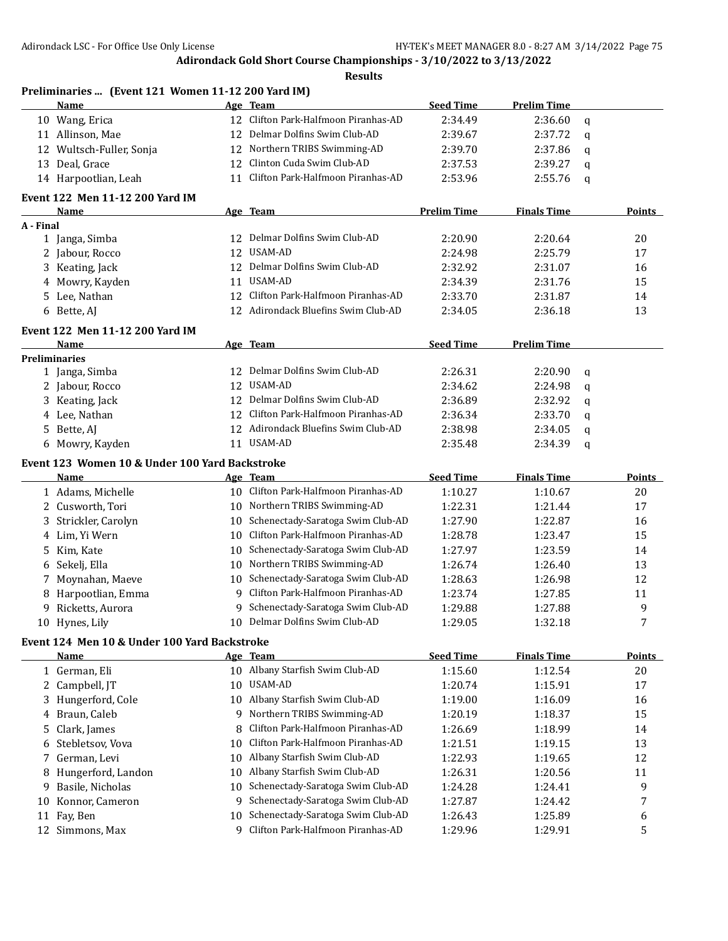|           | Preliminaries  (Event 121 Women 11-12 200 Yard IM)          |    |                                      |                    |                    |             |               |
|-----------|-------------------------------------------------------------|----|--------------------------------------|--------------------|--------------------|-------------|---------------|
|           | Name                                                        |    | Age Team                             | <b>Seed Time</b>   | <b>Prelim Time</b> |             |               |
|           | 10 Wang, Erica                                              | 12 | Clifton Park-Halfmoon Piranhas-AD    | 2:34.49            | 2:36.60            | $\alpha$    |               |
|           | 11 Allinson, Mae                                            | 12 | Delmar Dolfins Swim Club-AD          | 2:39.67            | 2:37.72            | q           |               |
| 12        | Wultsch-Fuller, Sonja                                       | 12 | Northern TRIBS Swimming-AD           | 2:39.70            | 2:37.86            | q           |               |
| 13        | Deal, Grace                                                 | 12 | Clinton Cuda Swim Club-AD            | 2:37.53            | 2:39.27            | q           |               |
|           | 14 Harpootlian, Leah                                        | 11 | Clifton Park-Halfmoon Piranhas-AD    | 2:53.96            | 2:55.76            | q           |               |
|           | <b>Event 122 Men 11-12 200 Yard IM</b>                      |    |                                      |                    |                    |             |               |
|           | Name                                                        |    | Age Team                             | <b>Prelim Time</b> | <b>Finals Time</b> |             | <b>Points</b> |
| A - Final |                                                             |    |                                      |                    |                    |             |               |
|           | 1 Janga, Simba                                              | 12 | Delmar Dolfins Swim Club-AD          | 2:20.90            | 2:20.64            |             | 20            |
|           | 2 Jabour, Rocco                                             | 12 | USAM-AD                              | 2:24.98            | 2:25.79            |             | 17            |
|           | 3 Keating, Jack                                             | 12 | Delmar Dolfins Swim Club-AD          | 2:32.92            | 2:31.07            |             | 16            |
|           | 4 Mowry, Kayden                                             | 11 | USAM-AD                              | 2:34.39            | 2:31.76            |             | 15            |
|           | 5 Lee, Nathan                                               | 12 | Clifton Park-Halfmoon Piranhas-AD    | 2:33.70            | 2:31.87            |             | 14            |
|           | 6 Bette, AJ                                                 |    | 12 Adirondack Bluefins Swim Club-AD  | 2:34.05            | 2:36.18            |             | 13            |
|           | Event 122 Men 11-12 200 Yard IM                             |    |                                      |                    |                    |             |               |
|           | Name                                                        |    | Age Team                             | <b>Seed Time</b>   | <b>Prelim Time</b> |             |               |
|           | <b>Preliminaries</b>                                        |    |                                      |                    |                    |             |               |
|           | 1 Janga, Simba                                              | 12 | Delmar Dolfins Swim Club-AD          | 2:26.31            | 2:20.90            | $\mathbf q$ |               |
|           | 2 Jabour, Rocco                                             | 12 | USAM-AD                              | 2:34.62            | 2:24.98            | $\mathbf q$ |               |
|           | 3 Keating, Jack                                             | 12 | Delmar Dolfins Swim Club-AD          | 2:36.89            | 2:32.92            | q           |               |
|           | 4 Lee, Nathan                                               | 12 | Clifton Park-Halfmoon Piranhas-AD    | 2:36.34            | 2:33.70            | $\mathbf q$ |               |
|           | 5 Bette, AJ                                                 |    | 12 Adirondack Bluefins Swim Club-AD  | 2:38.98            | 2:34.05            | q           |               |
|           | 6 Mowry, Kayden                                             |    | 11 USAM-AD                           | 2:35.48            | 2:34.39            | $\mathbf q$ |               |
|           | Event 123 Women 10 & Under 100 Yard Backstroke              |    |                                      |                    |                    |             |               |
|           | Name                                                        |    | Age Team                             | <b>Seed Time</b>   | <b>Finals Time</b> |             | <b>Points</b> |
|           | 1 Adams, Michelle                                           |    | 10 Clifton Park-Halfmoon Piranhas-AD | 1:10.27            | 1:10.67            |             | 20            |
|           | 2 Cusworth, Tori                                            |    | 10 Northern TRIBS Swimming-AD        | 1:22.31            | 1:21.44            |             | 17            |
|           | 3 Strickler, Carolyn                                        | 10 | Schenectady-Saratoga Swim Club-AD    | 1:27.90            | 1:22.87            |             | 16            |
|           | 4 Lim, Yi Wern                                              | 10 | Clifton Park-Halfmoon Piranhas-AD    | 1:28.78            | 1:23.47            |             | 15            |
| 5.        | Kim, Kate                                                   | 10 | Schenectady-Saratoga Swim Club-AD    | 1:27.97            | 1:23.59            |             | 14            |
| 6         | Sekelj, Ella                                                | 10 | Northern TRIBS Swimming-AD           | 1:26.74            | 1:26.40            |             | 13            |
|           | 7 Moynahan, Maeve                                           |    | 10 Schenectady-Saratoga Swim Club-AD | 1:28.63            | 1:26.98            |             | 12            |
|           |                                                             | 9  | Clifton Park-Halfmoon Piranhas-AD    | 1:23.74            | 1:27.85            |             |               |
| 8         | Harpootlian, Emma                                           |    | Schenectady-Saratoga Swim Club-AD    |                    |                    |             | 11<br>9       |
|           | 9 Ricketts, Aurora                                          | 9. | 10 Delmar Dolfins Swim Club-AD       | 1:29.88            | 1:27.88<br>1:32.18 |             | 7             |
|           | 10 Hynes, Lily                                              |    |                                      | 1:29.05            |                    |             |               |
|           | Event 124 Men 10 & Under 100 Yard Backstroke<br><b>Name</b> |    | Age Team                             | <b>Seed Time</b>   | <b>Finals Time</b> |             | <b>Points</b> |
|           | 1 German, Eli                                               |    | 10 Albany Starfish Swim Club-AD      | 1:15.60            | 1:12.54            |             | 20            |
|           | 2 Campbell, JT                                              | 10 | USAM-AD                              | 1:20.74            | 1:15.91            |             | 17            |
|           | 3 Hungerford, Cole                                          |    | 10 Albany Starfish Swim Club-AD      | 1:19.00            | 1:16.09            |             | 16            |
|           | Braun, Caleb                                                |    | 9 Northern TRIBS Swimming-AD         | 1:20.19            | 1:18.37            |             | 15            |
| 4         |                                                             |    | Clifton Park-Halfmoon Piranhas-AD    |                    |                    |             |               |
| 5         | Clark, James                                                | 8  | Clifton Park-Halfmoon Piranhas-AD    | 1:26.69            | 1:18.99            |             | 14            |
| 6         | Stebletsov, Vova                                            | 10 | Albany Starfish Swim Club-AD         | 1:21.51            | 1:19.15            |             | 13            |
| 7         | German, Levi                                                | 10 |                                      | 1:22.93            | 1:19.65            |             | 12            |
| 8         | Hungerford, Landon                                          | 10 | Albany Starfish Swim Club-AD         | 1:26.31            | 1:20.56            |             | 11            |
| 9         | Basile, Nicholas                                            | 10 | Schenectady-Saratoga Swim Club-AD    | 1:24.28            | 1:24.41            |             | 9             |
| 10        | Konnor, Cameron                                             | 9. | Schenectady-Saratoga Swim Club-AD    | 1:27.87            | 1:24.42            |             | 7             |
| 11        | Fay, Ben                                                    | 10 | Schenectady-Saratoga Swim Club-AD    | 1:26.43            | 1:25.89            |             | 6             |
| 12        | Simmons, Max                                                | 9  | Clifton Park-Halfmoon Piranhas-AD    | 1:29.96            | 1:29.91            |             | 5             |
|           |                                                             |    |                                      |                    |                    |             |               |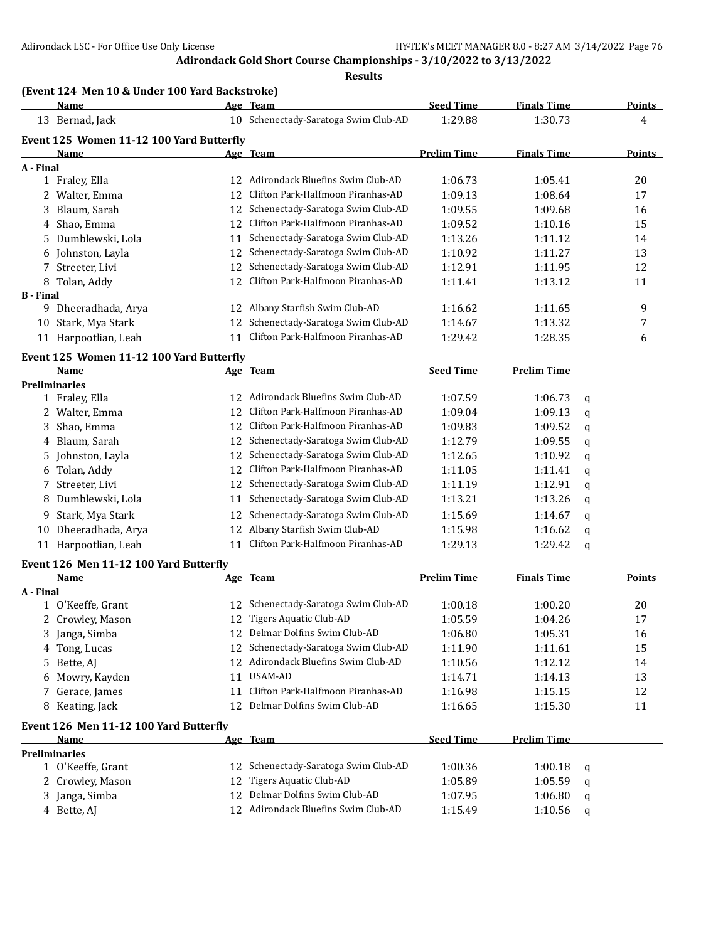|                  | <b>Name</b>                              |    | Age Team                             | <b>Seed Time</b>   | <b>Finals Time</b> |   | <b>Points</b> |
|------------------|------------------------------------------|----|--------------------------------------|--------------------|--------------------|---|---------------|
|                  | 13 Bernad, Jack                          |    | 10 Schenectady-Saratoga Swim Club-AD | 1:29.88            | 1:30.73            |   | 4             |
|                  | Event 125 Women 11-12 100 Yard Butterfly |    |                                      |                    |                    |   |               |
|                  | <b>Name</b>                              |    | Age Team                             | <b>Prelim Time</b> | <b>Finals Time</b> |   | <b>Points</b> |
| A - Final        |                                          |    |                                      |                    |                    |   |               |
|                  | 1 Fraley, Ella                           |    | 12 Adirondack Bluefins Swim Club-AD  | 1:06.73            | 1:05.41            |   | 20            |
|                  | 2 Walter, Emma                           | 12 | Clifton Park-Halfmoon Piranhas-AD    | 1:09.13            | 1:08.64            |   | 17            |
| 3                | Blaum, Sarah                             | 12 | Schenectady-Saratoga Swim Club-AD    | 1:09.55            | 1:09.68            |   | 16            |
|                  | 4 Shao, Emma                             | 12 | Clifton Park-Halfmoon Piranhas-AD    | 1:09.52            | 1:10.16            |   | 15            |
|                  | 5 Dumblewski, Lola                       | 11 | Schenectady-Saratoga Swim Club-AD    | 1:13.26            | 1:11.12            |   | 14            |
|                  | 6 Johnston, Layla                        | 12 | Schenectady-Saratoga Swim Club-AD    | 1:10.92            | 1:11.27            |   | 13            |
|                  | 7 Streeter, Livi                         | 12 | Schenectady-Saratoga Swim Club-AD    | 1:12.91            | 1:11.95            |   | 12            |
|                  | 8 Tolan, Addy                            | 12 | Clifton Park-Halfmoon Piranhas-AD    | 1:11.41            | 1:13.12            |   | 11            |
| <b>B</b> - Final |                                          |    |                                      |                    |                    |   |               |
|                  | 9 Dheeradhada, Arya                      |    | 12 Albany Starfish Swim Club-AD      | 1:16.62            | 1:11.65            |   | 9             |
|                  | 10 Stark, Mya Stark                      | 12 | Schenectady-Saratoga Swim Club-AD    | 1:14.67            | 1:13.32            |   | 7             |
|                  | 11 Harpootlian, Leah                     | 11 | Clifton Park-Halfmoon Piranhas-AD    | 1:29.42            | 1:28.35            |   | 6             |
|                  | Event 125 Women 11-12 100 Yard Butterfly |    |                                      |                    |                    |   |               |
|                  | Name                                     |    | Age Team                             | <b>Seed Time</b>   | <b>Prelim Time</b> |   |               |
|                  | <b>Preliminaries</b>                     |    |                                      |                    |                    |   |               |
|                  | 1 Fraley, Ella                           |    | 12 Adirondack Bluefins Swim Club-AD  | 1:07.59            | 1:06.73            | q |               |
|                  | 2 Walter, Emma                           | 12 | Clifton Park-Halfmoon Piranhas-AD    | 1:09.04            | 1:09.13            | q |               |
|                  | 3 Shao, Emma                             | 12 | Clifton Park-Halfmoon Piranhas-AD    | 1:09.83            | 1:09.52            | q |               |
|                  | 4 Blaum, Sarah                           | 12 | Schenectady-Saratoga Swim Club-AD    | 1:12.79            | 1:09.55            | q |               |
|                  | 5 Johnston, Layla                        | 12 | Schenectady-Saratoga Swim Club-AD    | 1:12.65            | 1:10.92            | q |               |
|                  | 6 Tolan, Addy                            | 12 | Clifton Park-Halfmoon Piranhas-AD    | 1:11.05            | 1:11.41            | q |               |
|                  | 7 Streeter, Livi                         | 12 | Schenectady-Saratoga Swim Club-AD    | 1:11.19            | 1:12.91            | q |               |
|                  | 8 Dumblewski, Lola                       | 11 | Schenectady-Saratoga Swim Club-AD    | 1:13.21            | 1:13.26            | q |               |
|                  | 9 Stark, Mya Stark                       | 12 | Schenectady-Saratoga Swim Club-AD    | 1:15.69            | 1:14.67            | q |               |
| 10               | Dheeradhada, Arya                        | 12 | Albany Starfish Swim Club-AD         | 1:15.98            | 1:16.62            | q |               |
|                  | 11 Harpootlian, Leah                     | 11 | Clifton Park-Halfmoon Piranhas-AD    | 1:29.13            | 1:29.42            | q |               |
|                  | Event 126 Men 11-12 100 Yard Butterfly   |    |                                      |                    |                    |   |               |
|                  | Name                                     |    | Age Team                             | <b>Prelim Time</b> | <b>Finals Time</b> |   | <b>Points</b> |
| A - Final        |                                          |    |                                      |                    |                    |   |               |
|                  | 1 O'Keeffe, Grant                        |    | 12 Schenectady-Saratoga Swim Club-AD | 1:00.18            | 1:00.20            |   | 20            |
|                  | 2 Crowley, Mason                         |    | 12 Tigers Aquatic Club-AD            | 1:05.59            | 1:04.26            |   | 17            |
|                  | 3 Janga, Simba                           |    | 12 Delmar Dolfins Swim Club-AD       | 1:06.80            | 1:05.31            |   | 16            |
|                  | 4 Tong, Lucas                            | 12 | Schenectady-Saratoga Swim Club-AD    | 1:11.90            | 1:11.61            |   | 15            |
|                  | 5 Bette, AJ                              |    | 12 Adirondack Bluefins Swim Club-AD  | 1:10.56            | 1:12.12            |   | 14            |
|                  | 6 Mowry, Kayden                          |    | 11 USAM-AD                           | 1:14.71            | 1:14.13            |   | 13            |
|                  | 7 Gerace, James                          | 11 | Clifton Park-Halfmoon Piranhas-AD    | 1:16.98            | 1:15.15            |   | 12            |
|                  | 8 Keating, Jack                          |    | 12 Delmar Dolfins Swim Club-AD       | 1:16.65            | 1:15.30            |   | 11            |
|                  |                                          |    |                                      |                    |                    |   |               |
|                  | Event 126 Men 11-12 100 Yard Butterfly   |    |                                      |                    |                    |   |               |
|                  | Name<br><b>Preliminaries</b>             |    | Age Team                             | <b>Seed Time</b>   | <b>Prelim Time</b> |   |               |
|                  | 1 O'Keeffe, Grant                        | 12 | Schenectady-Saratoga Swim Club-AD    | 1:00.36            | 1:00.18            | q |               |
|                  | 2 Crowley, Mason                         | 12 | <b>Tigers Aquatic Club-AD</b>        | 1:05.89            | 1:05.59            | q |               |
|                  | 3 Janga, Simba                           | 12 | Delmar Dolfins Swim Club-AD          | 1:07.95            | 1:06.80            | q |               |
|                  | 4 Bette, AJ                              |    | 12 Adirondack Bluefins Swim Club-AD  | 1:15.49            | 1:10.56            | q |               |
|                  |                                          |    |                                      |                    |                    |   |               |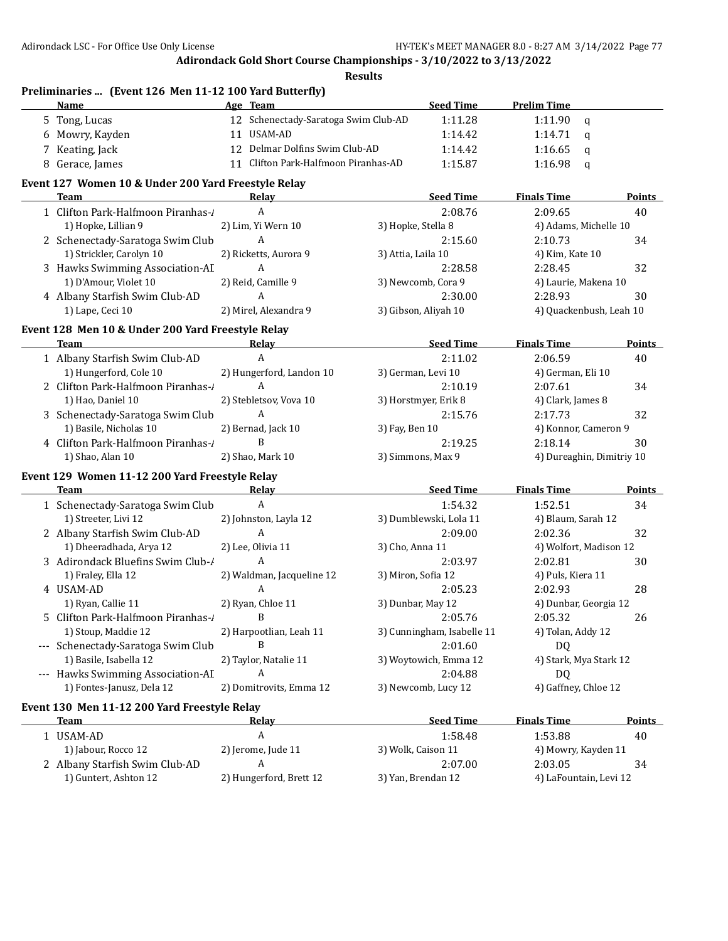**Preliminaries ... (Event 126 Men 11-12 100 Yard Butterfly)**

## **Adirondack Gold Short Course Championships - 3/10/2022 to 3/13/2022**

|   | Name                                                | Age Team                             | <b>Seed Time</b>           | <b>Prelim Time</b>        |               |
|---|-----------------------------------------------------|--------------------------------------|----------------------------|---------------------------|---------------|
|   | 5 Tong, Lucas                                       | 12 Schenectady-Saratoga Swim Club-AD | 1:11.28                    | 1:11.90<br>$\mathbf q$    |               |
|   | 6 Mowry, Kayden                                     | 11 USAM-AD                           | 1:14.42                    | 1:14.71<br>$\mathbf q$    |               |
| 7 | Keating, Jack                                       | 12 Delmar Dolfins Swim Club-AD       | 1:14.42                    | 1:16.65<br>$\mathbf q$    |               |
|   | 8 Gerace, James                                     | 11 Clifton Park-Halfmoon Piranhas-AD | 1:15.87                    | 1:16.98<br>$\mathbf q$    |               |
|   |                                                     |                                      |                            |                           |               |
|   | Event 127 Women 10 & Under 200 Yard Freestyle Relay |                                      |                            |                           |               |
|   | <b>Team</b>                                         | Relay                                | <b>Seed Time</b>           | <b>Finals Time</b>        | Points        |
|   | 1 Clifton Park-Halfmoon Piranhas-/                  | A                                    | 2:08.76                    | 2:09.65                   | 40            |
|   | 1) Hopke, Lillian 9                                 | 2) Lim, Yi Wern 10                   | 3) Hopke, Stella 8         | 4) Adams, Michelle 10     |               |
|   | 2 Schenectady-Saratoga Swim Club                    | A                                    | 2:15.60                    | 2:10.73                   | 34            |
|   | 1) Strickler, Carolyn 10                            | 2) Ricketts, Aurora 9                | 3) Attia, Laila 10         | 4) Kim, Kate 10           |               |
|   | 3 Hawks Swimming Association-AI                     | $\mathbf{A}$                         | 2:28.58                    | 2:28.45                   | 32            |
|   | 1) D'Amour, Violet 10                               | 2) Reid, Camille 9                   | 3) Newcomb, Cora 9         | 4) Laurie, Makena 10      |               |
|   | 4 Albany Starfish Swim Club-AD                      | $\mathbf{A}$                         | 2:30.00                    | 2:28.93                   | 30            |
|   | 1) Lape, Ceci 10                                    | 2) Mirel, Alexandra 9                | 3) Gibson, Aliyah 10       | 4) Quackenbush, Leah 10   |               |
|   | Event 128 Men 10 & Under 200 Yard Freestyle Relay   |                                      |                            |                           |               |
|   | <b>Team</b>                                         | Relay                                | <b>Seed Time</b>           | <b>Finals Time</b>        | Points        |
|   | 1 Albany Starfish Swim Club-AD                      | $\boldsymbol{A}$                     | 2:11.02                    | 2:06.59                   | 40            |
|   | 1) Hungerford, Cole 10                              | 2) Hungerford, Landon 10             | 3) German, Levi 10         | 4) German, Eli 10         |               |
|   | 2 Clifton Park-Halfmoon Piranhas-1                  | A                                    | 2:10.19                    | 2:07.61                   | 34            |
|   | 1) Hao, Daniel 10                                   | 2) Stebletsov, Vova 10               | 3) Horstmyer, Erik 8       | 4) Clark, James 8         |               |
|   | 3 Schenectady-Saratoga Swim Club                    | A                                    | 2:15.76                    | 2:17.73                   | 32            |
|   | 1) Basile, Nicholas 10                              | 2) Bernad, Jack 10                   | 3) Fay, Ben 10             | 4) Konnor, Cameron 9      |               |
|   | 4 Clifton Park-Halfmoon Piranhas-1                  | B                                    | 2:19.25                    | 2:18.14                   | 30            |
|   | 1) Shao, Alan 10                                    | 2) Shao, Mark 10                     | 3) Simmons, Max 9          | 4) Dureaghin, Dimitriy 10 |               |
|   |                                                     |                                      |                            |                           |               |
|   | Event 129 Women 11-12 200 Yard Freestyle Relay      |                                      |                            |                           |               |
|   | Team                                                | Relay                                | <b>Seed Time</b>           | <b>Finals Time</b>        | <b>Points</b> |
|   | 1 Schenectady-Saratoga Swim Club                    | $\mathbf{A}$                         | 1:54.32                    | 1:52.51                   | 34            |
|   | 1) Streeter, Livi 12                                | 2) Johnston, Layla 12                | 3) Dumblewski, Lola 11     | 4) Blaum, Sarah 12        |               |
|   | 2 Albany Starfish Swim Club-AD                      | A                                    | 2:09.00                    | 2:02.36                   | 32            |
|   | 1) Dheeradhada, Arya 12                             | 2) Lee, Olivia 11                    | 3) Cho, Anna 11            | 4) Wolfort, Madison 12    |               |
|   | 3 Adirondack Bluefins Swim Club-/                   | A                                    | 2:03.97                    | 2:02.81                   | 30            |
|   | 1) Fraley, Ella 12                                  | 2) Waldman, Jacqueline 12            | 3) Miron, Sofia 12         | 4) Puls, Kiera 11         |               |
|   | 4 USAM-AD                                           | A                                    | 2:05.23                    | 2:02.93                   | 28            |
|   | 1) Ryan, Callie 11                                  | 2) Ryan, Chloe 11                    | 3) Dunbar, May 12          | 4) Dunbar, Georgia 12     |               |
|   | 5 Clifton Park-Halfmoon Piranhas-/                  | B                                    | 2:05.76                    | 2:05.32                   | 26            |
|   | 1) Stoup, Maddie 12                                 | 2) Harpootlian, Leah 11              | 3) Cunningham, Isabelle 11 | 4) Tolan, Addy 12         |               |
|   | --- Schenectady-Saratoga Swim Club                  | B                                    | 2:01.60                    | DQ                        |               |
|   | 1) Basile, Isabella 12                              | 2) Taylor, Natalie 11                | 3) Woytowich, Emma 12      | 4) Stark, Mya Stark 12    |               |
|   | --- Hawks Swimming Association-AI                   | A                                    | 2:04.88                    | DQ                        |               |
|   | 1) Fontes-Janusz, Dela 12                           | 2) Domitrovits, Emma 12              | 3) Newcomb, Lucy 12        | 4) Gaffney, Chloe 12      |               |
|   | Event 130 Men 11-12 200 Yard Freestyle Relay        |                                      |                            |                           |               |
|   | Team                                                | <u>Relay</u>                         | <b>Seed Time</b>           | <b>Finals Time</b>        | <b>Points</b> |
|   |                                                     | A                                    |                            |                           |               |
|   | 1 USAM-AD                                           |                                      | 1:58.48                    | 1:53.88                   | 40            |
|   | 1) Jabour, Rocco 12                                 | 2) Jerome, Jude 11<br>A              | 3) Wolk, Caison 11         | 4) Mowry, Kayden 11       |               |
|   | 2 Albany Starfish Swim Club-AD                      |                                      | 2:07.00                    | 2:03.05                   | 34            |
|   | 1) Guntert, Ashton 12                               | 2) Hungerford, Brett 12              | 3) Yan, Brendan 12         | 4) LaFountain, Levi 12    |               |
|   |                                                     |                                      |                            |                           |               |